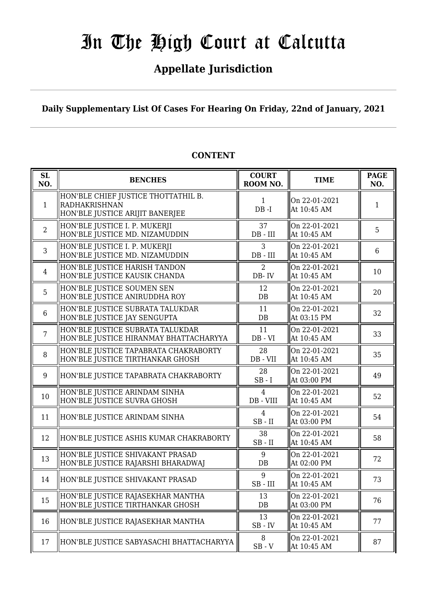## **Appellate Jurisdiction**

**Daily Supplementary List Of Cases For Hearing On Friday, 22nd of January, 2021**

| SL<br>NO.       | <b>BENCHES</b>                                                                                 | <b>COURT</b><br>ROOM NO.      | <b>TIME</b>                  | <b>PAGE</b><br>NO. |
|-----------------|------------------------------------------------------------------------------------------------|-------------------------------|------------------------------|--------------------|
| $\mathbf{1}$    | HON'BLE CHIEF JUSTICE THOTTATHIL B.<br><b>RADHAKRISHNAN</b><br>HON'BLE JUSTICE ARIJIT BANERJEE | $\mathbf{1}$<br>$DB - I$      | On 22-01-2021<br>At 10:45 AM | 1                  |
| $\overline{2}$  | HON'BLE JUSTICE I. P. MUKERJI<br>HON'BLE JUSTICE MD. NIZAMUDDIN                                | 37<br>$DB$ - $III$            | On 22-01-2021<br>At 10:45 AM | 5                  |
| 3               | HON'BLE JUSTICE I. P. MUKERJI<br>HON'BLE JUSTICE MD. NIZAMUDDIN                                | 3<br>DB - III                 | On 22-01-2021<br>At 10:45 AM | 6                  |
| $\overline{4}$  | HON'BLE JUSTICE HARISH TANDON<br>HON'BLE JUSTICE KAUSIK CHANDA                                 | 2<br>DB-IV                    | On 22-01-2021<br>At 10:45 AM | 10                 |
| 5               | HON'BLE JUSTICE SOUMEN SEN<br>HON'BLE JUSTICE ANIRUDDHA ROY                                    | 12<br>DB                      | On 22-01-2021<br>At 10:45 AM | 20                 |
| $6\phantom{1}6$ | HON'BLE JUSTICE SUBRATA TALUKDAR<br>HON'BLE JUSTICE JAY SENGUPTA                               | 11<br>DB                      | On 22-01-2021<br>At 03:15 PM | 32                 |
| $\overline{7}$  | HON'BLE JUSTICE SUBRATA TALUKDAR<br>HON'BLE JUSTICE HIRANMAY BHATTACHARYYA                     | 11<br>$DB - VI$               | On 22-01-2021<br>At 10:45 AM | 33                 |
| 8               | HON'BLE JUSTICE TAPABRATA CHAKRABORTY<br>HON'BLE JUSTICE TIRTHANKAR GHOSH                      | 28<br>DB - VII                | On 22-01-2021<br>At 10:45 AM | 35                 |
| 9               | HON'BLE JUSTICE TAPABRATA CHAKRABORTY                                                          | 28<br>$SB - I$                | On 22-01-2021<br>At 03:00 PM | 49                 |
| 10              | HON'BLE JUSTICE ARINDAM SINHA<br>HON'BLE JUSTICE SUVRA GHOSH                                   | $\overline{4}$<br>$DB - VIII$ | On 22-01-2021<br>At 10:45 AM | 52                 |
| 11              | HON'BLE JUSTICE ARINDAM SINHA                                                                  | $\overline{4}$<br>$SB$ - $II$ | On 22-01-2021<br>At 03:00 PM | 54                 |
| 12              | HON'BLE JUSTICE ASHIS KUMAR CHAKRABORTY                                                        | 38<br>$SB$ - $II$             | On 22-01-2021<br>At 10:45 AM | 58                 |
| 13              | HON'BLE JUSTICE SHIVAKANT PRASAD<br>HON'BLE JUSTICE RAJARSHI BHARADWAJ                         | 9<br>DB                       | On 22-01-2021<br>At 02:00 PM | 72                 |
| 14              | HON'BLE JUSTICE SHIVAKANT PRASAD                                                               | 9<br>$SB$ - $III$             | On 22-01-2021<br>At 10:45 AM | 73                 |
| 15              | HON'BLE JUSTICE RAJASEKHAR MANTHA<br>HON'BLE JUSTICE TIRTHANKAR GHOSH                          | 13<br>DB                      | On 22-01-2021<br>At 03:00 PM | 76                 |
| 16              | HON'BLE JUSTICE RAJASEKHAR MANTHA                                                              | 13<br>$SB$ - $IV$             | On 22-01-2021<br>At 10:45 AM | 77                 |
| 17              | HON'BLE JUSTICE SABYASACHI BHATTACHARYYA                                                       | 8<br>$SB - V$                 | On 22-01-2021<br>At 10:45 AM | 87                 |

#### **CONTENT**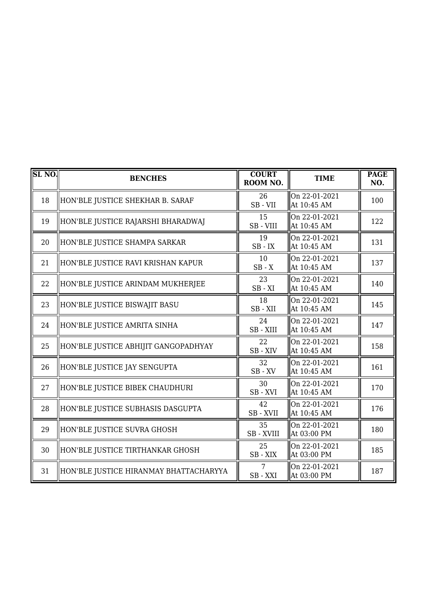| <b>SL NO.</b> | <b>BENCHES</b>                         | <b>COURT</b><br>ROOM NO. | <b>TIME</b>                  | <b>PAGE</b><br>NO. |
|---------------|----------------------------------------|--------------------------|------------------------------|--------------------|
| 18            | HON'BLE JUSTICE SHEKHAR B. SARAF       | 26<br>SB-VII             | On 22-01-2021<br>At 10:45 AM | 100                |
| 19            | HON'BLE JUSTICE RAJARSHI BHARADWAJ     | 15<br>SB-VIII            | On 22-01-2021<br>At 10:45 AM | 122                |
| 20            | HON'BLE JUSTICE SHAMPA SARKAR          | 19<br>$SB$ - $IX$        | On 22-01-2021<br>At 10:45 AM | 131                |
| 21            | HON'BLE JUSTICE RAVI KRISHAN KAPUR     | 10<br>$SB - X$           | On 22-01-2021<br>At 10:45 AM | 137                |
| 22            | HON'BLE JUSTICE ARINDAM MUKHERJEE      | 23<br>$SB - XI$          | On 22-01-2021<br>At 10:45 AM | 140                |
| 23            | HON'BLE JUSTICE BISWAJIT BASU          | 18<br>SB-XII             | On 22-01-2021<br>At 10:45 AM | 145                |
| 24            | HON'BLE JUSTICE AMRITA SINHA           | 24<br>SB - XIII          | On 22-01-2021<br>At 10:45 AM | 147                |
| 25            | HON'BLE JUSTICE ABHIJIT GANGOPADHYAY   | 22<br>SB-XIV             | On 22-01-2021<br>At 10:45 AM | 158                |
| 26            | HON'BLE JUSTICE JAY SENGUPTA           | 32<br>$SB$ - $XV$        | On 22-01-2021<br>At 10:45 AM | 161                |
| 27            | HON'BLE JUSTICE BIBEK CHAUDHURI        | 30<br>SB-XVI             | On 22-01-2021<br>At 10:45 AM | 170                |
| 28            | HON'BLE JUSTICE SUBHASIS DASGUPTA      | 42<br>SB - XVII          | On 22-01-2021<br>At 10:45 AM | 176                |
| 29            | HON'BLE JUSTICE SUVRA GHOSH            | 35<br>SB - XVIII         | On 22-01-2021<br>At 03:00 PM | 180                |
| 30            | HON'BLE JUSTICE TIRTHANKAR GHOSH       | 25<br>$SB - XIX$         | On 22-01-2021<br>At 03:00 PM | 185                |
| 31            | HON'BLE JUSTICE HIRANMAY BHATTACHARYYA | 7<br>SB-XXI              | On 22-01-2021<br>At 03:00 PM | 187                |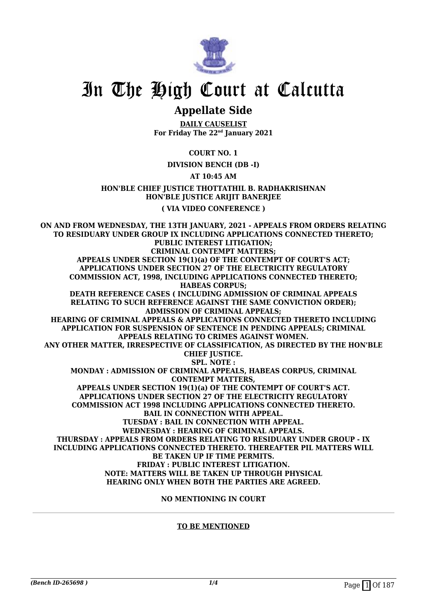

## **Appellate Side**

**DAILY CAUSELIST For Friday The 22nd January 2021**

#### **COURT NO. 1**

#### **DIVISION BENCH (DB -I)**

#### **AT 10:45 AM**

**HON'BLE CHIEF JUSTICE THOTTATHIL B. RADHAKRISHNAN HON'BLE JUSTICE ARIJIT BANERJEE ( VIA VIDEO CONFERENCE )**

**ON AND FROM WEDNESDAY, THE 13TH JANUARY, 2021 - APPEALS FROM ORDERS RELATING TO RESIDUARY UNDER GROUP IX INCLUDING APPLICATIONS CONNECTED THERETO; PUBLIC INTEREST LITIGATION; CRIMINAL CONTEMPT MATTERS; APPEALS UNDER SECTION 19(1)(a) OF THE CONTEMPT OF COURT'S ACT; APPLICATIONS UNDER SECTION 27 OF THE ELECTRICITY REGULATORY COMMISSION ACT, 1998, INCLUDING APPLICATIONS CONNECTED THERETO; HABEAS CORPUS; DEATH REFERENCE CASES ( INCLUDING ADMISSION OF CRIMINAL APPEALS RELATING TO SUCH REFERENCE AGAINST THE SAME CONVICTION ORDER); ADMISSION OF CRIMINAL APPEALS; HEARING OF CRIMINAL APPEALS & APPLICATIONS CONNECTED THERETO INCLUDING APPLICATION FOR SUSPENSION OF SENTENCE IN PENDING APPEALS; CRIMINAL APPEALS RELATING TO CRIMES AGAINST WOMEN. ANY OTHER MATTER, IRRESPECTIVE OF CLASSIFICATION, AS DIRECTED BY THE HON'BLE CHIEF JUSTICE. SPL. NOTE : MONDAY : ADMISSION OF CRIMINAL APPEALS, HABEAS CORPUS, CRIMINAL CONTEMPT MATTERS, APPEALS UNDER SECTION 19(1)(a) OF THE CONTEMPT OF COURT'S ACT. APPLICATIONS UNDER SECTION 27 OF THE ELECTRICITY REGULATORY COMMISSION ACT 1998 INCLUDING APPLICATIONS CONNECTED THERETO. BAIL IN CONNECTION WITH APPEAL. TUESDAY : BAIL IN CONNECTION WITH APPEAL. WEDNESDAY : HEARING OF CRIMINAL APPEALS. THURSDAY : APPEALS FROM ORDERS RELATING TO RESIDUARY UNDER GROUP - IX INCLUDING APPLICATIONS CONNECTED THERETO. THEREAFTER PIL MATTERS WILL BE TAKEN UP IF TIME PERMITS. FRIDAY : PUBLIC INTEREST LITIGATION. NOTE: MATTERS WILL BE TAKEN UP THROUGH PHYSICAL HEARING ONLY WHEN BOTH THE PARTIES ARE AGREED.**

**NO MENTIONING IN COURT**

#### **TO BE MENTIONED**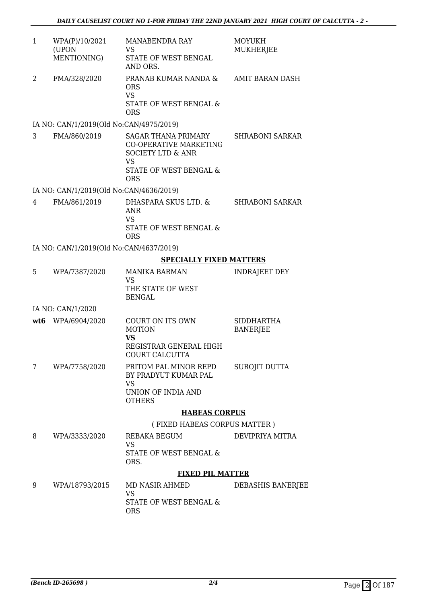| WPA(P)/10/2021<br>(UPON<br>MENTIONING) | <b>MANABENDRA RAY</b><br>VS<br>STATE OF WEST BENGAL<br>AND ORS. | MOYUKH<br><b>MUKHERJEE</b> |
|----------------------------------------|-----------------------------------------------------------------|----------------------------|
| FMA/328/2020                           | PRANAB KUMAR NANDA &<br>ORS<br>VS<br>STATE OF WEST BENGAL &     | AMIT BARAN DASH            |

#### IA NO: CAN/1/2019(Old No:CAN/4975/2019)

ORS

3 FMA/860/2019 SAGAR THANA PRIMARY CO-OPERATIVE MARKETING SOCIETY LTD & ANR VS STATE OF WEST BENGAL & ORS SHRABONI SARKAR

#### IA NO: CAN/1/2019(Old No:CAN/4636/2019)

4 FMA/861/2019 DHASPARA SKUS LTD. & ANR VS STATE OF WEST BENGAL & ORS SHRABONI SARKAR

#### IA NO: CAN/1/2019(Old No:CAN/4637/2019)

#### **SPECIALLY FIXED MATTERS**

|   |                   | <b>HABEAS CORPUS</b>                                                                       |                                      |
|---|-------------------|--------------------------------------------------------------------------------------------|--------------------------------------|
| 7 | WPA/7758/2020     | PRITOM PAL MINOR REPD<br>BY PRADYUT KUMAR PAL<br>VS<br>UNION OF INDIA AND<br><b>OTHERS</b> | SUROJIT DUTTA                        |
|   | wt6 WPA/6904/2020 | COURT ON ITS OWN<br><b>MOTION</b><br>VS<br>REGISTRAR GENERAL HIGH<br>COURT CALCUTTA        | <b>SIDDHARTHA</b><br><b>BANERJEE</b> |
|   | IA NO: CAN/1/2020 |                                                                                            |                                      |
|   |                   | VS<br>THE STATE OF WEST<br><b>BENGAL</b>                                                   |                                      |
| 5 | WPA/7387/2020     | <b>MANIKA BARMAN</b>                                                                       | INDRAJEET DEY                        |

## ( FIXED HABEAS CORPUS MATTER )

8 WPA/3333/2020 REBAKA BEGUM VS STATE OF WEST BENGAL & ORS. DEVIPRIYA MITRA

#### **FIXED PIL MATTER**

9 WPA/18793/2015 MD NASIR AHMED VS STATE OF WEST BENGAL & ORS DEBASHIS BANERJEE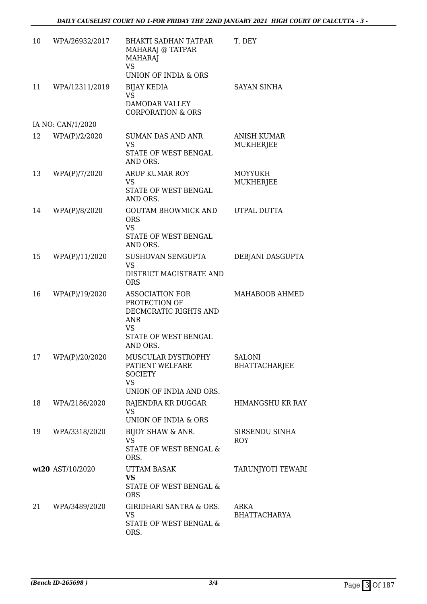| 10 | WPA/26932/2017    | <b>BHAKTI SADHAN TATPAR</b><br>MAHARAJ @ TATPAR<br><b>MAHARAJ</b><br><b>VS</b><br>UNION OF INDIA & ORS            | T. DEY                                |
|----|-------------------|-------------------------------------------------------------------------------------------------------------------|---------------------------------------|
| 11 | WPA/12311/2019    | <b>BIJAY KEDIA</b><br>VS<br>DAMODAR VALLEY<br><b>CORPORATION &amp; ORS</b>                                        | <b>SAYAN SINHA</b>                    |
|    | IA NO: CAN/1/2020 |                                                                                                                   |                                       |
| 12 | WPA(P)/2/2020     | <b>SUMAN DAS AND ANR</b><br>VS.<br>STATE OF WEST BENGAL<br>AND ORS.                                               | ANISH KUMAR<br>MUKHERJEE              |
| 13 | WPA(P)/7/2020     | ARUP KUMAR ROY<br>VS<br>STATE OF WEST BENGAL<br>AND ORS.                                                          | <b>MOYYUKH</b><br><b>MUKHERJEE</b>    |
| 14 | WPA(P)/8/2020     | <b>GOUTAM BHOWMICK AND</b><br><b>ORS</b><br><b>VS</b><br>STATE OF WEST BENGAL<br>AND ORS.                         | UTPAL DUTTA                           |
| 15 | WPA(P)/11/2020    | SUSHOVAN SENGUPTA<br><b>VS</b><br>DISTRICT MAGISTRATE AND<br><b>ORS</b>                                           | DEBJANI DASGUPTA                      |
| 16 | WPA(P)/19/2020    | <b>ASSOCIATION FOR</b><br>PROTECTION OF<br>DECMCRATIC RIGHTS AND<br>ANR<br>VS<br>STATE OF WEST BENGAL<br>AND ORS. | MAHABOOB AHMED                        |
| 17 | WPA(P)/20/2020    | MUSCULAR DYSTROPHY<br>PATIENT WELFARE<br><b>SOCIETY</b><br><b>VS</b><br>UNION OF INDIA AND ORS.                   | <b>SALONI</b><br><b>BHATTACHARJEE</b> |
| 18 | WPA/2186/2020     | RAJENDRA KR DUGGAR<br><b>VS</b><br>UNION OF INDIA & ORS                                                           | HIMANGSHU KR RAY                      |
| 19 | WPA/3318/2020     | BIJOY SHAW & ANR.<br><b>VS</b><br>STATE OF WEST BENGAL &<br>ORS.                                                  | SIRSENDU SINHA<br><b>ROY</b>          |
|    | wt20 AST/10/2020  | <b>UTTAM BASAK</b><br><b>VS</b><br>STATE OF WEST BENGAL &<br><b>ORS</b>                                           | TARUNJYOTI TEWARI                     |
| 21 | WPA/3489/2020     | <b>GIRIDHARI SANTRA &amp; ORS.</b><br><b>VS</b><br>STATE OF WEST BENGAL &<br>ORS.                                 | ARKA<br><b>BHATTACHARYA</b>           |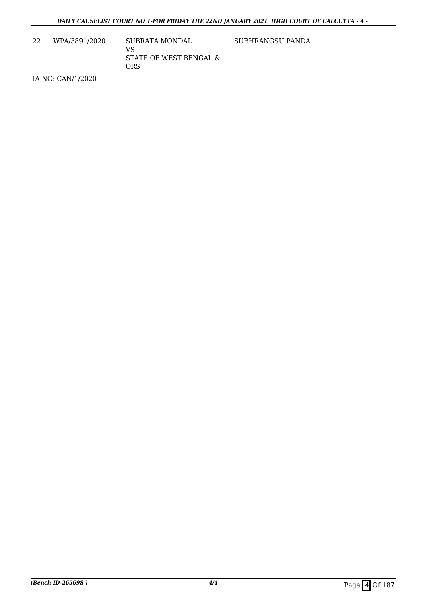22 WPA/3891/2020 SUBRATA MONDAL VS STATE OF WEST BENGAL & ORS

SUBHRANGSU PANDA

IA NO: CAN/1/2020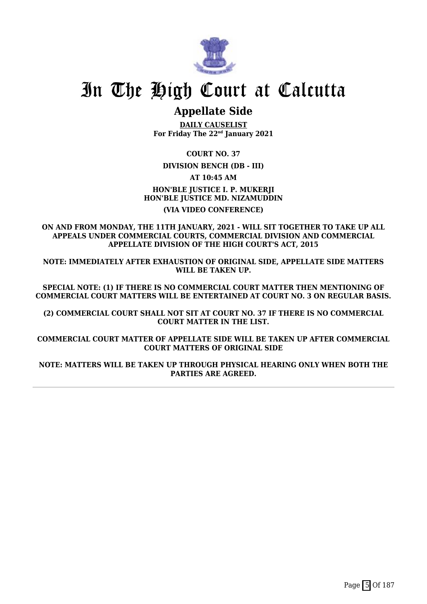

## **Appellate Side**

**DAILY CAUSELIST For Friday The 22nd January 2021**

**COURT NO. 37**

**DIVISION BENCH (DB - III)**

**AT 10:45 AM**

**HON'BLE JUSTICE I. P. MUKERJI HON'BLE JUSTICE MD. NIZAMUDDIN (VIA VIDEO CONFERENCE)**

**ON AND FROM MONDAY, THE 11TH JANUARY, 2021 - WILL SIT TOGETHER TO TAKE UP ALL APPEALS UNDER COMMERCIAL COURTS, COMMERCIAL DIVISION AND COMMERCIAL APPELLATE DIVISION OF THE HIGH COURT'S ACT, 2015**

**NOTE: IMMEDIATELY AFTER EXHAUSTION OF ORIGINAL SIDE, APPELLATE SIDE MATTERS WILL BE TAKEN UP.**

**SPECIAL NOTE: (1) IF THERE IS NO COMMERCIAL COURT MATTER THEN MENTIONING OF COMMERCIAL COURT MATTERS WILL BE ENTERTAINED AT COURT NO. 3 ON REGULAR BASIS.**

**(2) COMMERCIAL COURT SHALL NOT SIT AT COURT NO. 37 IF THERE IS NO COMMERCIAL COURT MATTER IN THE LIST.**

**COMMERCIAL COURT MATTER OF APPELLATE SIDE WILL BE TAKEN UP AFTER COMMERCIAL COURT MATTERS OF ORIGINAL SIDE**

**NOTE: MATTERS WILL BE TAKEN UP THROUGH PHYSICAL HEARING ONLY WHEN BOTH THE PARTIES ARE AGREED.**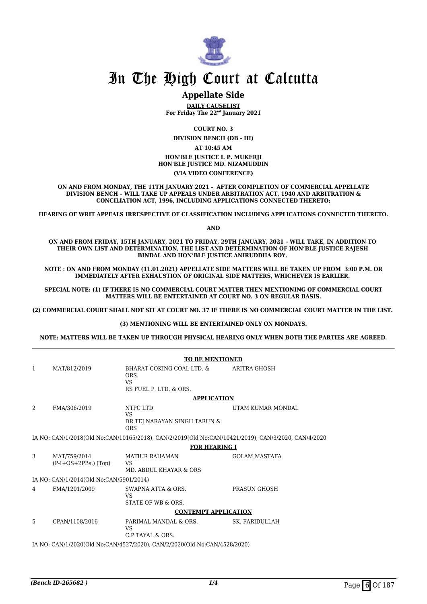

#### **Appellate Side**

**DAILY CAUSELIST For Friday The 22nd January 2021**

**COURT NO. 3**

**DIVISION BENCH (DB - III)**

**AT 10:45 AM HON'BLE JUSTICE I. P. MUKERJI HON'BLE JUSTICE MD. NIZAMUDDIN (VIA VIDEO CONFERENCE)**

**ON AND FROM MONDAY, THE 11TH JANUARY 2021 - AFTER COMPLETION OF COMMERCIAL APPELLATE DIVISION BENCH – WILL TAKE UP APPEALS UNDER ARBITRATION ACT, 1940 AND ARBITRATION & CONCILIATION ACT, 1996, INCLUDING APPLICATIONS CONNECTED THERETO;**

**HEARING OF WRIT APPEALS IRRESPECTIVE OF CLASSIFICATION INCLUDING APPLICATIONS CONNECTED THERETO.**

**AND**

**ON AND FROM FRIDAY, 15TH JANUARY, 2021 TO FRIDAY, 29TH JANUARY, 2021 – WILL TAKE, IN ADDITION TO THEIR OWN LIST AND DETERMINATION, THE LIST AND DETERMINATION OF HON'BLE JUSTICE RAJESH BINDAL AND HON'BLE JUSTICE ANIRUDDHA ROY.** 

**NOTE : ON AND FROM MONDAY (11.01.2021) APPELLATE SIDE MATTERS WILL BE TAKEN UP FROM 3:00 P.M. OR IMMEDIATELY AFTER EXHAUSTION OF ORIGINAL SIDE MATTERS, WHICHEVER IS EARLIER.** 

**SPECIAL NOTE: (1) IF THERE IS NO COMMERCIAL COURT MATTER THEN MENTIONING OF COMMERCIAL COURT MATTERS WILL BE ENTERTAINED AT COURT NO. 3 ON REGULAR BASIS.**

**(2) COMMERCIAL COURT SHALL NOT SIT AT COURT NO. 37 IF THERE IS NO COMMERCIAL COURT MATTER IN THE LIST.** 

#### **(3) MENTIONING WILL BE ENTERTAINED ONLY ON MONDAYS.**

**NOTE: MATTERS WILL BE TAKEN UP THROUGH PHYSICAL HEARING ONLY WHEN BOTH THE PARTIES ARE AGREED.**

|                                                                           | <b>TO BE MENTIONED</b>                  |                                                                                                     |                       |  |
|---------------------------------------------------------------------------|-----------------------------------------|-----------------------------------------------------------------------------------------------------|-----------------------|--|
| $\mathbf{1}$                                                              | MAT/812/2019                            | BHARAT COKING COAL LTD. &<br>ORS.<br><b>VS</b><br>RS FUEL P. LTD. & ORS.                            | <b>ARITRA GHOSH</b>   |  |
|                                                                           |                                         | <b>APPLICATION</b>                                                                                  |                       |  |
| 2                                                                         | FMA/306/2019                            | NTPC LTD<br>VS.<br>DR TEJ NARAYAN SINGH TARUN &<br><b>ORS</b>                                       | UTAM KUMAR MONDAL     |  |
|                                                                           |                                         | IA NO: CAN/1/2018(Old No:CAN/10165/2018), CAN/2/2019(Old No:CAN/10421/2019), CAN/3/2020, CAN/4/2020 |                       |  |
|                                                                           |                                         | <b>FOR HEARING I</b>                                                                                |                       |  |
| 3                                                                         | MAT/759/2014<br>$(P-I+OS+2PBs.)$ (Top)  | <b>MATIUR RAHAMAN</b><br>VS<br>MD. ABDUL KHAYAR & ORS                                               | <b>GOLAM MASTAFA</b>  |  |
|                                                                           | IA NO: CAN/1/2014(Old No:CAN/5901/2014) |                                                                                                     |                       |  |
| 4                                                                         | FMA/1201/2009                           | SWAPNA ATTA & ORS.<br><b>VS</b><br>STATE OF WB & ORS.                                               | PRASUN GHOSH          |  |
|                                                                           |                                         | <b>CONTEMPT APPLICATION</b>                                                                         |                       |  |
| 5.                                                                        | CPAN/1108/2016                          | PARIMAL MANDAL & ORS.<br>VS<br>C.P TAYAL & ORS.                                                     | <b>SK. FARIDULLAH</b> |  |
| IA NO: CAN/1/2020(Old No:CAN/4527/2020), CAN/2/2020(Old No:CAN/4528/2020) |                                         |                                                                                                     |                       |  |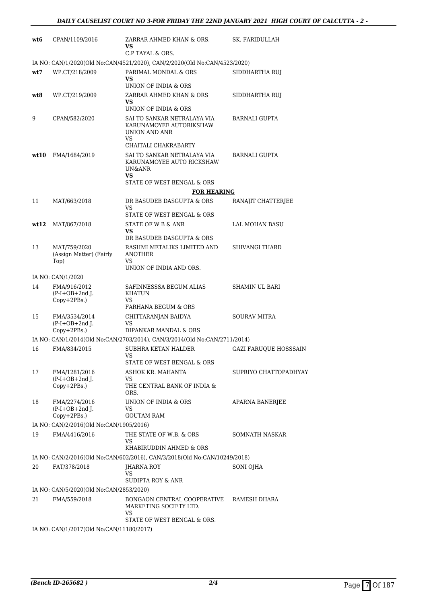| wt6  | CPAN/1109/2016                                   | ZARRAR AHMED KHAN & ORS.<br>VS<br>C.P TAYAL & ORS.                            | SK. FARIDULLAH               |
|------|--------------------------------------------------|-------------------------------------------------------------------------------|------------------------------|
|      |                                                  | IA NO: CAN/1/2020(Old No:CAN/4521/2020), CAN/2/2020(Old No:CAN/4523/2020)     |                              |
| wt7  | WP.CT/218/2009                                   | PARIMAL MONDAL & ORS<br>VS<br>UNION OF INDIA & ORS                            | SIDDHARTHA RUJ               |
| wt8  | WP.CT/219/2009                                   | ZARRAR AHMED KHAN & ORS<br>VS<br>UNION OF INDIA & ORS                         | SIDDHARTHA RUJ               |
| 9    | CPAN/582/2020                                    | SAI TO SANKAR NETRALAYA VIA<br>KARUNAMOYEE AUTORIKSHAW<br>UNION AND ANR<br>VS | <b>BARNALI GUPTA</b>         |
|      |                                                  | CHAITALI CHAKRABARTY                                                          |                              |
| wt10 | FMA/1684/2019                                    | SAI TO SANKAR NETRALAYA VIA<br>KARUNAMOYEE AUTO RICKSHAW<br>UN&ANR<br>VS      | <b>BARNALI GUPTA</b>         |
|      |                                                  | STATE OF WEST BENGAL & ORS                                                    |                              |
|      |                                                  | <b>FOR HEARING</b>                                                            |                              |
| 11   | MAT/663/2018                                     | DR BASUDEB DASGUPTA & ORS<br>VS                                               | RANAJIT CHATTERJEE           |
|      |                                                  | STATE OF WEST BENGAL & ORS                                                    |                              |
| wt12 | MAT/867/2018                                     | STATE OF W B & ANR                                                            | LAL MOHAN BASU               |
|      |                                                  | VS<br>DR BASUDEB DASGUPTA & ORS                                               |                              |
| 13   | MAT/759/2020<br>(Assign Matter) (Fairly<br>Top)  | RASHMI METALIKS LIMITED AND<br><b>ANOTHER</b><br>VS                           | SHIVANGI THARD               |
|      |                                                  | UNION OF INDIA AND ORS.                                                       |                              |
|      | IA NO: CAN/1/2020                                |                                                                               |                              |
| 14   | FMA/916/2012<br>$(P-I+OB+2nd$ J.<br>Copy+2PBs.)  | SAFINNESSSA BEGUM ALIAS<br>KHATUN<br>VS                                       | SHAMIN UL BARI               |
| 15   | FMA/3534/2014                                    | <b>FARHANA BEGUM &amp; ORS</b><br>CHITTARANJAN BAIDYA                         | <b>SOURAV MITRA</b>          |
|      | $(P-I+OB+2nd$ J.                                 | VS                                                                            |                              |
|      | Copy+2PBs.)                                      | DIPANKAR MANDAL & ORS                                                         |                              |
|      | FMA/834/2015                                     | IA NO: CAN/1/2014(Old No:CAN/2703/2014), CAN/3/2014(Old No:CAN/2711/2014)     |                              |
| 16   |                                                  | SUBHRA KETAN HALDER<br>VS                                                     | <b>GAZI FARUOUE HOSSSAIN</b> |
|      |                                                  | STATE OF WEST BENGAL & ORS                                                    |                              |
| 17   | FMA/1281/2016<br>$(P-I+OB+2nd)$ .<br>Copy+2PBs.) | ASHOK KR. MAHANTA<br>VS<br>THE CENTRAL BANK OF INDIA &<br>ORS.                | SUPRIYO CHATTOPADHYAY        |
| 18   | FMA/2274/2016<br>$(P-I+OB+2nd$ J.<br>Copy+2PBs.) | UNION OF INDIA & ORS<br>VS<br><b>GOUTAM RAM</b>                               | APARNA BANERJEE              |
|      | IA NO: CAN/2/2016(Old No:CAN/1905/2016)          |                                                                               |                              |
| 19   | FMA/4416/2016                                    | THE STATE OF W.B. & ORS                                                       | SOMNATH NASKAR               |
|      |                                                  | VS<br>KHABIRUDDIN AHMED & ORS                                                 |                              |
|      |                                                  | IA NO: CAN/2/2016(Old No:CAN/602/2016), CAN/3/2018(Old No:CAN/10249/2018)     |                              |
| 20   | FAT/378/2018                                     | JHARNA ROY<br>VS<br>SUDIPTA ROY & ANR                                         | SONI OJHA                    |
|      | IA NO: CAN/5/2020(Old No:CAN/2853/2020)          |                                                                               |                              |
| 21   | FMA/559/2018                                     | BONGAON CENTRAL COOPERATIVE<br>MARKETING SOCIETY LTD.<br>VS                   | RAMESH DHARA                 |
|      | IA NO: CAN/1/2017(Old No:CAN/11180/2017)         | STATE OF WEST BENGAL & ORS.                                                   |                              |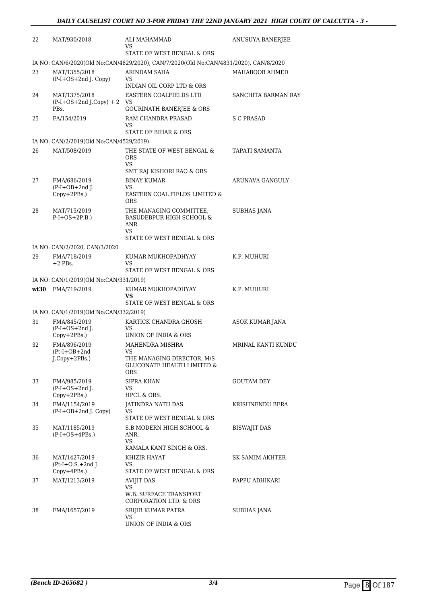| 22 | MAT/930/2018                                       | ALI MAHAMMAD<br>VS                                                                                        | <b>ANUSUYA BANERJEE</b> |
|----|----------------------------------------------------|-----------------------------------------------------------------------------------------------------------|-------------------------|
|    |                                                    | STATE OF WEST BENGAL & ORS                                                                                |                         |
|    |                                                    | IA NO: CAN/6/2020(Old No:CAN/4829/2020), CAN/7/2020(Old No:CAN/4831/2020), CAN/8/2020                     |                         |
| 23 | MAT/1355/2018<br>$(P-I+OS+2nd J. Copy)$            | ARINDAM SAHA<br>VS<br>INDIAN OIL CORP LTD & ORS                                                           | MAHABOOB AHMED          |
| 24 | MAT/1375/2018<br>$(P-I+OS+2nd J.Copy) + 2$<br>PBs. | EASTERN COALFIELDS LTD<br>VS<br><b>GOURINATH BANERJEE &amp; ORS</b>                                       | SANCHITA BARMAN RAY     |
| 25 | FA/154/2019                                        | RAM CHANDRA PRASAD<br>VS                                                                                  | S C PRASAD              |
|    | IA NO: CAN/2/2019(Old No:CAN/4529/2019)            | STATE OF BIHAR & ORS                                                                                      |                         |
| 26 | MAT/508/2019                                       | THE STATE OF WEST BENGAL &                                                                                | TAPATI SAMANTA          |
|    |                                                    | <b>ORS</b><br>VS                                                                                          |                         |
|    |                                                    | SMT RAJ KISHORI RAO & ORS                                                                                 |                         |
| 27 | FMA/686/2019<br>$(P-I+OB+2nd$ J.                   | <b>BINAY KUMAR</b><br>VS.                                                                                 | ARUNAVA GANGULY         |
|    | Copy+2PBs.)                                        | EASTERN COAL FIELDS LIMITED &<br><b>ORS</b>                                                               |                         |
| 28 | MAT/715/2019<br>$P-I+OS+2P.B.)$                    | THE MANAGING COMMITTEE,<br><b>BASUDEBPUR HIGH SCHOOL &amp;</b><br>ANR<br>VS<br>STATE OF WEST BENGAL & ORS | <b>SUBHAS JANA</b>      |
|    | IA NO: CAN/2/2020, CAN/3/2020                      |                                                                                                           |                         |
| 29 | FMA/718/2019<br>$+2$ PBs.                          | KUMAR MUKHOPADHYAY<br>VS                                                                                  | K.P. MUHURI             |
|    |                                                    | STATE OF WEST BENGAL & ORS                                                                                |                         |
|    | IA NO: CAN/1/2019(Old No:CAN/331/2019)             |                                                                                                           |                         |
|    | wt30 FMA/719/2019                                  | KUMAR MUKHOPADHYAY<br><b>VS</b><br>STATE OF WEST BENGAL & ORS                                             | K.P. MUHURI             |
|    | IA NO: CAN/1/2019(Old No:CAN/332/2019)             |                                                                                                           |                         |
| 31 | FMA/845/2019<br>$(P-I+OS+2nd J.$<br>Copy+2PBs.)    | KARTICK CHANDRA GHOSH<br>VS<br>UNION OF INDIA & ORS                                                       | ASOK KUMAR JANA         |
| 32 | FMA/896/2019                                       | MAHENDRA MISHRA                                                                                           | MRINAL KANTI KUNDU      |
|    | $(Pt-I+OB+2nd$<br>$J$ .Copy+2PBs.)                 | VS<br>THE MANAGING DIRECTOR, M/S<br><b>GLUCONATE HEALTH LIMITED &amp;</b><br><b>ORS</b>                   |                         |
| 33 | FMA/985/2019<br>$(P-I+OS+2nd$ J.                   | SIPRA KHAN<br>VS                                                                                          | <b>GOUTAM DEY</b>       |
|    | Copy+2PBs.)                                        | HPCL & ORS.                                                                                               |                         |
| 34 | FMA/1154/2019<br>(P-I+OB+2nd J. Copy)              | IATINDRA NATH DAS<br>VS<br>STATE OF WEST BENGAL & ORS                                                     | KRISHNENDU BERA         |
| 35 | MAT/1185/2019<br>$(P-I+OS+4PBs.)$                  | S.B MODERN HIGH SCHOOL &<br>ANR.<br>VS.<br>KAMALA KANT SINGH & ORS.                                       | <b>BISWAJIT DAS</b>     |
| 36 | MAT/1427/2019<br>$(Pt-I+O.S.+2nd J.$               | KHIZIR HAYAT<br>VS.                                                                                       | SK SAMIM AKHTER         |
|    | $Copy+4PBs.$ )                                     | STATE OF WEST BENGAL & ORS                                                                                |                         |
| 37 | MAT/1213/2019                                      | <b>AVIJIT DAS</b><br>VS<br>W.B. SURFACE TRANSPORT                                                         | PAPPU ADHIKARI          |
|    |                                                    | <b>CORPORATION LTD. &amp; ORS</b>                                                                         |                         |
| 38 | FMA/1657/2019                                      | SRIJIB KUMAR PATRA<br>VS<br>UNION OF INDIA & ORS                                                          | SUBHAS JANA             |
|    |                                                    |                                                                                                           |                         |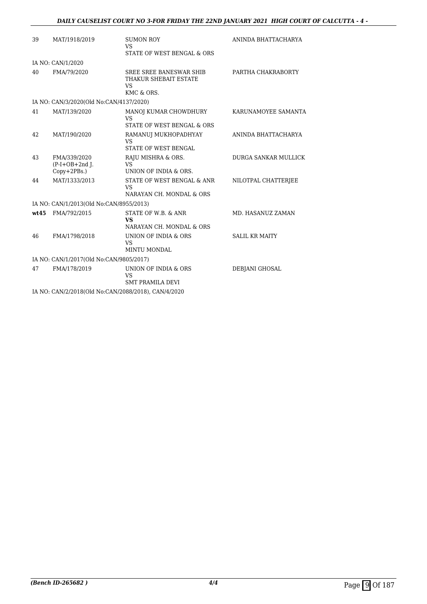| 39   | MAT/1918/2019                                       | <b>SUMON ROY</b><br><b>VS</b>                                 | ANINDA BHATTACHARYA         |
|------|-----------------------------------------------------|---------------------------------------------------------------|-----------------------------|
|      |                                                     | STATE OF WEST BENGAL & ORS                                    |                             |
|      | IA NO: CAN/1/2020                                   |                                                               |                             |
| 40   | FMA/79/2020                                         | SREE SREE BANESWAR SHIB<br>THAKUR SHEBAIT ESTATE<br><b>VS</b> | PARTHA CHAKRABORTY          |
|      |                                                     | KMC & ORS.                                                    |                             |
|      | IA NO: CAN/3/2020(Old No:CAN/4137/2020)             |                                                               |                             |
| 41   | MAT/139/2020                                        | MANOJ KUMAR CHOWDHURY<br><b>VS</b>                            | KARUNAMOYEE SAMANTA         |
|      |                                                     | STATE OF WEST BENGAL & ORS                                    |                             |
| 42   | MAT/190/2020                                        | RAMANUJ MUKHOPADHYAY<br><b>VS</b><br>STATE OF WEST BENGAL     | ANINDA BHATTACHARYA         |
| 43   | FMA/339/2020<br>$(P-I+OB+2nd J.$<br>Copy+2PBs.)     | RAJU MISHRA & ORS.<br><b>VS</b><br>UNION OF INDIA & ORS.      | <b>DURGA SANKAR MULLICK</b> |
| 44   | MAT/1333/2013                                       | STATE OF WEST BENGAL & ANR<br>VS<br>NARAYAN CH. MONDAL & ORS  | NILOTPAL CHATTERJEE         |
|      | IA NO: CAN/1/2013(Old No:CAN/8955/2013)             |                                                               |                             |
| wt45 | FMA/792/2015                                        | STATE OF W.B. & ANR<br><b>VS</b><br>NARAYAN CH. MONDAL & ORS  | MD. HASANUZ ZAMAN           |
| 46   | FMA/1798/2018                                       | UNION OF INDIA & ORS<br>VS<br><b>MINTU MONDAL</b>             | <b>SALIL KR MAITY</b>       |
|      | IA NO: CAN/1/2017(Old No:CAN/9805/2017)             |                                                               |                             |
| 47   | FMA/178/2019                                        | UNION OF INDIA & ORS<br><b>VS</b><br><b>SMT PRAMILA DEVI</b>  | DEBJANI GHOSAL              |
|      | IA NO: CAN/2/2018(Old No:CAN/2088/2018), CAN/4/2020 |                                                               |                             |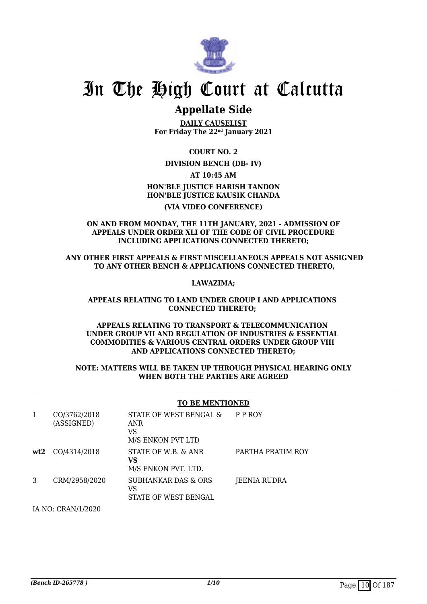

### **Appellate Side**

**DAILY CAUSELIST For Friday The 22nd January 2021**

**COURT NO. 2**

#### **DIVISION BENCH (DB- IV)**

**AT 10:45 AM**

### **HON'BLE JUSTICE HARISH TANDON HON'BLE JUSTICE KAUSIK CHANDA**

#### **(VIA VIDEO CONFERENCE)**

#### **ON AND FROM MONDAY, THE 11TH JANUARY, 2021 - ADMISSION OF APPEALS UNDER ORDER XLI OF THE CODE OF CIVIL PROCEDURE INCLUDING APPLICATIONS CONNECTED THERETO;**

#### **ANY OTHER FIRST APPEALS & FIRST MISCELLANEOUS APPEALS NOT ASSIGNED TO ANY OTHER BENCH & APPLICATIONS CONNECTED THERETO,**

#### **LAWAZIMA;**

#### **APPEALS RELATING TO LAND UNDER GROUP I AND APPLICATIONS CONNECTED THERETO;**

#### **APPEALS RELATING TO TRANSPORT & TELECOMMUNICATION UNDER GROUP VII AND REGULATION OF INDUSTRIES & ESSENTIAL COMMODITIES & VARIOUS CENTRAL ORDERS UNDER GROUP VIII AND APPLICATIONS CONNECTED THERETO;**

#### **NOTE: MATTERS WILL BE TAKEN UP THROUGH PHYSICAL HEARING ONLY WHEN BOTH THE PARTIES ARE AGREED**

#### **TO BE MENTIONED**

| 1   | CO/3762/2018<br>(ASSIGNED) | STATE OF WEST BENGAL &<br><b>ANR</b><br>VS<br>M/S ENKON PVT LTD | P P ROY           |
|-----|----------------------------|-----------------------------------------------------------------|-------------------|
| wt2 | CO/4314/2018               | STATE OF W.B. & ANR<br>VS.<br>M/S ENKON PVT. LTD.               | PARTHA PRATIM ROY |
| 3   | CRM/2958/2020              | SUBHANKAR DAS & ORS<br>VS<br>STATE OF WEST BENGAL               | JEENIA RUDRA      |

IA NO: CRAN/1/2020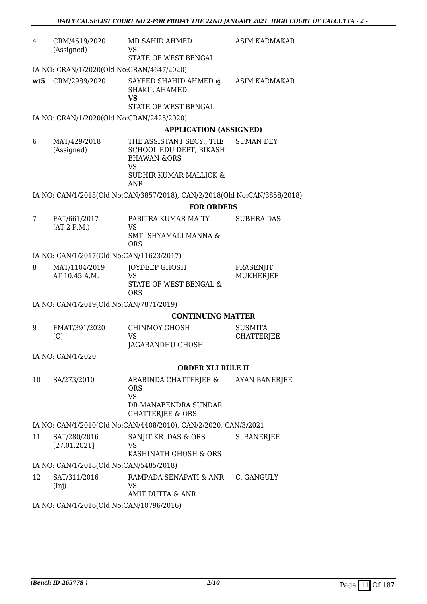| 4   | CRM/4619/2020<br>(Assigned)               | MD SAHID AHMED<br><b>VS</b>                                                                | <b>ASIM KARMAKAR</b> |
|-----|-------------------------------------------|--------------------------------------------------------------------------------------------|----------------------|
|     |                                           | STATE OF WEST BENGAL                                                                       |                      |
|     | IA NO: CRAN/1/2020(Old No:CRAN/4647/2020) |                                                                                            |                      |
| wt5 | CRM/2989/2020                             | SAYEED SHAHID AHMED @<br><b>SHAKIL AHAMED</b><br><b>VS</b>                                 | ASIM KARMAKAR        |
|     |                                           | STATE OF WEST BENGAL                                                                       |                      |
|     | IA NO: CRAN/1/2020(Old No:CRAN/2425/2020) |                                                                                            |                      |
|     |                                           | <b>APPLICATION (ASSIGNED)</b>                                                              |                      |
| 6   | MAT/429/2018<br>(Assigned)                | THE ASSISTANT SECY., THE<br>SCHOOL EDU DEPT, BIKASH<br><b>BHAWAN &amp;ORS</b><br><b>VS</b> | <b>SUMAN DEY</b>     |
|     |                                           | SUDHIR KUMAR MALLICK &<br><b>ANR</b>                                                       |                      |
|     |                                           | IA NO: CAN/1/2018(Old No:CAN/3857/2018), CAN/2/2018(Old No:CAN/3858/2018)                  |                      |
|     |                                           | <b>FOR ORDERS</b>                                                                          |                      |
| 7   | FAT/661/2017                              | PABITRA KUMAR MAITY                                                                        | <b>SUBHRA DAS</b>    |
|     | (AT 2 P.M.)                               | <b>VS</b><br>SMT. SHYAMALI MANNA &<br><b>ORS</b>                                           |                      |
|     | IA NO: CAN/1/2017(Old No:CAN/11623/2017)  |                                                                                            |                      |
| 8   | MAT/1104/2019                             | JOYDEEP GHOSH                                                                              | PRASENJIT            |
|     | AT 10.45 A.M.                             | <b>VS</b><br>STATE OF WEST BENGAL &<br><b>ORS</b>                                          | <b>MUKHERJEE</b>     |
|     | IA NO: CAN/1/2019(Old No:CAN/7871/2019)   |                                                                                            |                      |
|     |                                           | <b>CONTINUING MATTER</b>                                                                   |                      |
| 9   | FMAT/391/2020                             | <b>CHINMOY GHOSH</b>                                                                       | <b>SUSMITA</b>       |
|     | [C]                                       | <b>VS</b><br>JAGABANDHU GHOSH                                                              | <b>CHATTERJEE</b>    |
|     | IA NO: CAN/1/2020                         |                                                                                            |                      |
|     |                                           | <b>ORDER XLI RULE II</b>                                                                   |                      |
| 10  | SA/273/2010                               | ARABINDA CHATTERJEE &<br><b>ORS</b><br><b>VS</b>                                           | <b>AYAN BANERJEE</b> |
|     |                                           | DR.MANABENDRA SUNDAR<br><b>CHATTERJEE &amp; ORS</b>                                        |                      |
|     |                                           | IA NO: CAN/1/2010(Old No:CAN/4408/2010), CAN/2/2020, CAN/3/2021                            |                      |
| 11  | SAT/280/2016<br>[27.01.2021]              | SANJIT KR. DAS & ORS<br><b>VS</b>                                                          | S. BANERJEE          |
|     |                                           | KASHINATH GHOSH & ORS                                                                      |                      |
|     | IA NO: CAN/1/2018(Old No:CAN/5485/2018)   |                                                                                            |                      |
| 12  | SAT/311/2016                              | RAMPADA SENAPATI & ANR                                                                     | C. GANGULY           |
|     | (Inj)                                     | VS<br>AMIT DUTTA & ANR                                                                     |                      |
|     | IA NO: CAN/1/2016(Old No:CAN/10796/2016)  |                                                                                            |                      |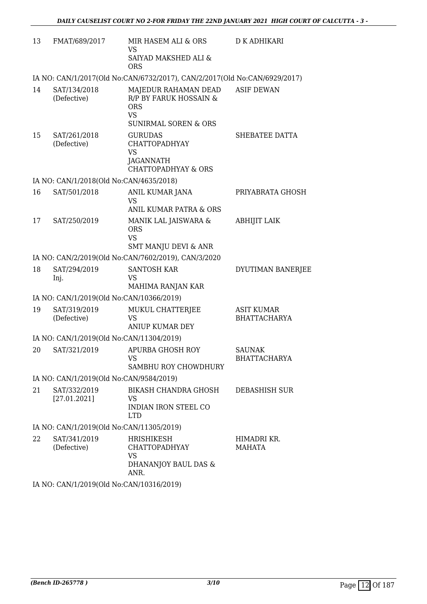| 13 | FMAT/689/2017                            | MIR HASEM ALI & ORS<br><b>VS</b><br>SAIYAD MAKSHED ALI &<br><b>ORS</b>                                       | <b>D K ADHIKARI</b>                      |
|----|------------------------------------------|--------------------------------------------------------------------------------------------------------------|------------------------------------------|
|    |                                          | IA NO: CAN/1/2017(Old No:CAN/6732/2017), CAN/2/2017(Old No:CAN/6929/2017)                                    |                                          |
| 14 | SAT/134/2018<br>(Defective)              | MAJEDUR RAHAMAN DEAD<br>R/P BY FARUK HOSSAIN &<br><b>ORS</b><br><b>VS</b><br><b>SUNIRMAL SOREN &amp; ORS</b> | <b>ASIF DEWAN</b>                        |
| 15 | SAT/261/2018<br>(Defective)              | <b>GURUDAS</b><br><b>CHATTOPADHYAY</b><br><b>VS</b><br>JAGANNATH<br><b>CHATTOPADHYAY &amp; ORS</b>           | SHEBATEE DATTA                           |
|    | IA NO: CAN/1/2018(Old No:CAN/4635/2018)  |                                                                                                              |                                          |
| 16 | SAT/501/2018                             | ANIL KUMAR JANA<br>VS<br>ANIL KUMAR PATRA & ORS                                                              | PRIYABRATA GHOSH                         |
| 17 | SAT/250/2019                             | MANIK LAL JAISWARA &<br><b>ORS</b><br><b>VS</b><br><b>SMT MANJU DEVI &amp; ANR</b>                           | <b>ABHIJIT LAIK</b>                      |
|    |                                          | IA NO: CAN/2/2019(Old No:CAN/7602/2019), CAN/3/2020                                                          |                                          |
| 18 | SAT/294/2019<br>Inj.                     | <b>SANTOSH KAR</b><br><b>VS</b><br>MAHIMA RANJAN KAR                                                         | DYUTIMAN BANERJEE                        |
|    | IA NO: CAN/1/2019(Old No:CAN/10366/2019) |                                                                                                              |                                          |
| 19 | SAT/319/2019<br>(Defective)              | MUKUL CHATTERJEE<br><b>VS</b><br><b>ANIUP KUMAR DEY</b>                                                      | <b>ASIT KUMAR</b><br><b>BHATTACHARYA</b> |
|    | IA NO: CAN/1/2019(Old No:CAN/11304/2019) |                                                                                                              |                                          |
| 20 | SAT/321/2019                             | <b>APURBA GHOSH ROY</b><br><b>VS</b><br>SAMBHU ROY CHOWDHURY                                                 | <b>SAUNAK</b><br><b>BHATTACHARYA</b>     |
|    | IA NO: CAN/1/2019(Old No:CAN/9584/2019)  |                                                                                                              |                                          |
| 21 | SAT/332/2019<br>[27.01.2021]             | BIKASH CHANDRA GHOSH<br>VS<br>INDIAN IRON STEEL CO<br>LTD.                                                   | DEBASHISH SUR                            |
|    | IA NO: CAN/1/2019(Old No:CAN/11305/2019) |                                                                                                              |                                          |
| 22 | SAT/341/2019<br>(Defective)              | <b>HRISHIKESH</b><br><b>CHATTOPADHYAY</b><br><b>VS</b><br>DHANANJOY BAUL DAS &<br>ANR.                       | HIMADRI KR.<br><b>MAHATA</b>             |
|    |                                          |                                                                                                              |                                          |

IA NO: CAN/1/2019(Old No:CAN/10316/2019)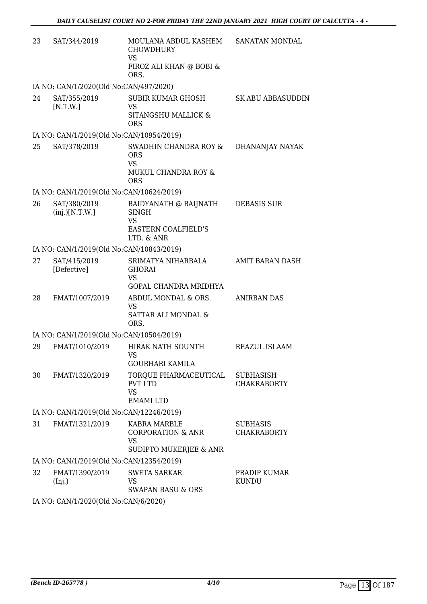| 23 | SAT/344/2019                             | MOULANA ABDUL KASHEM<br><b>CHOWDHURY</b><br><b>VS</b>                                             | SANATAN MONDAL                         |
|----|------------------------------------------|---------------------------------------------------------------------------------------------------|----------------------------------------|
|    |                                          | FIROZ ALI KHAN @ BOBI &<br>ORS.                                                                   |                                        |
|    | IA NO: CAN/1/2020(Old No:CAN/497/2020)   |                                                                                                   |                                        |
| 24 | SAT/355/2019<br>[N.T.W.]                 | <b>SUBIR KUMAR GHOSH</b><br><b>VS</b><br>SITANGSHU MALLICK &<br><b>ORS</b>                        | <b>SK ABU ABBASUDDIN</b>               |
|    | IA NO: CAN/1/2019(Old No:CAN/10954/2019) |                                                                                                   |                                        |
| 25 | SAT/378/2019                             | SWADHIN CHANDRA ROY &<br><b>ORS</b><br><b>VS</b><br>MUKUL CHANDRA ROY &<br><b>ORS</b>             | DHANANJAY NAYAK                        |
|    | IA NO: CAN/1/2019(Old No:CAN/10624/2019) |                                                                                                   |                                        |
| 26 | SAT/380/2019<br>(inj.)[N.T.W.]           | BAIDYANATH @ BAIJNATH<br><b>SINGH</b><br><b>VS</b><br>EASTERN COALFIELD'S<br>LTD. & ANR           | <b>DEBASIS SUR</b>                     |
|    | IA NO: CAN/1/2019(Old No:CAN/10843/2019) |                                                                                                   |                                        |
| 27 | SAT/415/2019<br>[Defective]              | SRIMATYA NIHARBALA<br><b>GHORAI</b><br><b>VS</b><br>GOPAL CHANDRA MRIDHYA                         | AMIT BARAN DASH                        |
| 28 | FMAT/1007/2019                           | ABDUL MONDAL & ORS.<br><b>VS</b><br><b>SATTAR ALI MONDAL &amp;</b><br>ORS.                        | <b>ANIRBAN DAS</b>                     |
|    | IA NO: CAN/1/2019(Old No:CAN/10504/2019) |                                                                                                   |                                        |
| 29 | FMAT/1010/2019                           | HIRAK NATH SOUNTH<br>VS FOR THE VS                                                                | REAZUL ISLAAM                          |
| 30 | FMAT/1320/2019                           | <b>GOURHARI KAMILA</b><br>TORQUE PHARMACEUTICAL<br><b>PVT LTD</b><br><b>VS</b><br><b>EMAMILTD</b> | <b>SUBHASISH</b><br><b>CHAKRABORTY</b> |
|    | IA NO: CAN/1/2019(Old No:CAN/12246/2019) |                                                                                                   |                                        |
| 31 | FMAT/1321/2019                           | KABRA MARBLE<br><b>CORPORATION &amp; ANR</b><br><b>VS</b><br>SUDIPTO MUKERJEE & ANR               | <b>SUBHASIS</b><br><b>CHAKRABORTY</b>  |
|    | IA NO: CAN/1/2019(Old No:CAN/12354/2019) |                                                                                                   |                                        |
| 32 | FMAT/1390/2019<br>(Inj.)                 | <b>SWETA SARKAR</b><br><b>VS</b><br><b>SWAPAN BASU &amp; ORS</b>                                  | PRADIP KUMAR<br><b>KUNDU</b>           |
|    | IA NO. CANILIZAZIONE No CANIERZADI       |                                                                                                   |                                        |

IA NO: CAN/1/2020(Old No:CAN/6/2020)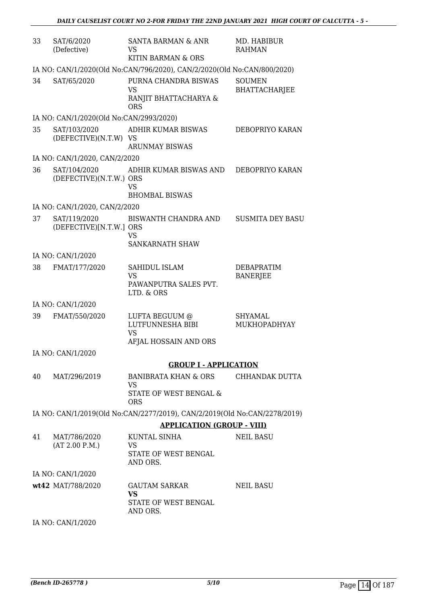| 33 | SAT/6/2020<br>(Defective)               | SANTA BARMAN & ANR<br>VS<br>KITIN BARMAN & ORS                            | MD. HABIBUR<br><b>RAHMAN</b>          |
|----|-----------------------------------------|---------------------------------------------------------------------------|---------------------------------------|
|    |                                         | IA NO: CAN/1/2020(Old No:CAN/796/2020), CAN/2/2020(Old No:CAN/800/2020)   |                                       |
| 34 | SAT/65/2020                             | PURNA CHANDRA BISWAS<br><b>VS</b><br>RANJIT BHATTACHARYA &<br><b>ORS</b>  | <b>SOUMEN</b><br><b>BHATTACHARJEE</b> |
|    | IA NO: CAN/1/2020(Old No:CAN/2993/2020) |                                                                           |                                       |
| 35 | SAT/103/2020<br>(DEFECTIVE)(N.T.W) VS   | ADHIR KUMAR BISWAS<br><b>ARUNMAY BISWAS</b>                               | DEBOPRIYO KARAN                       |
|    | IA NO: CAN/1/2020, CAN/2/2020           |                                                                           |                                       |
| 36 | SAT/104/2020<br>(DEFECTIVE)(N.T.W.) ORS | ADHIR KUMAR BISWAS AND<br><b>VS</b><br><b>BHOMBAL BISWAS</b>              | DEBOPRIYO KARAN                       |
|    | IA NO: CAN/1/2020, CAN/2/2020           |                                                                           |                                       |
| 37 | SAT/119/2020<br>(DEFECTIVE)[N.T.W.] ORS | BISWANTH CHANDRA AND<br>VS<br>SANKARNATH SHAW                             | <b>SUSMITA DEY BASU</b>               |
|    | IA NO: CAN/1/2020                       |                                                                           |                                       |
| 38 | FMAT/177/2020                           | SAHIDUL ISLAM<br><b>VS</b><br>PAWANPUTRA SALES PVT.<br>LTD. & ORS         | DEBAPRATIM<br><b>BANERJEE</b>         |
|    | IA NO: CAN/1/2020                       |                                                                           |                                       |
| 39 | FMAT/550/2020                           | LUFTA BEGUUM @<br>LUTFUNNESHA BIBI<br><b>VS</b><br>AFJAL HOSSAIN AND ORS  | <b>SHYAMAL</b><br>MUKHOPADHYAY        |
|    | IA NO: CAN/1/2020                       |                                                                           |                                       |
|    |                                         | <b>GROUP I - APPLICATION</b>                                              |                                       |
| 40 | MAT/296/2019                            | BANIBRATA KHAN & ORS                                                      | CHHANDAK DUTTA                        |
|    |                                         | VS.<br>STATE OF WEST BENGAL &<br><b>ORS</b>                               |                                       |
|    |                                         | IA NO: CAN/1/2019(Old No:CAN/2277/2019), CAN/2/2019(Old No:CAN/2278/2019) |                                       |
|    |                                         | <b>APPLICATION (GROUP - VIII)</b>                                         |                                       |
| 41 | MAT/786/2020                            | KUNTAL SINHA                                                              | <b>NEIL BASU</b>                      |
|    | (AT 2.00 P.M.)                          | VS<br>STATE OF WEST BENGAL<br>AND ORS.                                    |                                       |
|    | IA NO: CAN/1/2020                       |                                                                           |                                       |
|    | wt42 MAT/788/2020                       | <b>GAUTAM SARKAR</b><br><b>VS</b><br>STATE OF WEST BENGAL<br>AND ORS.     | <b>NEIL BASU</b>                      |
|    | IA NO: CAN/1/2020                       |                                                                           |                                       |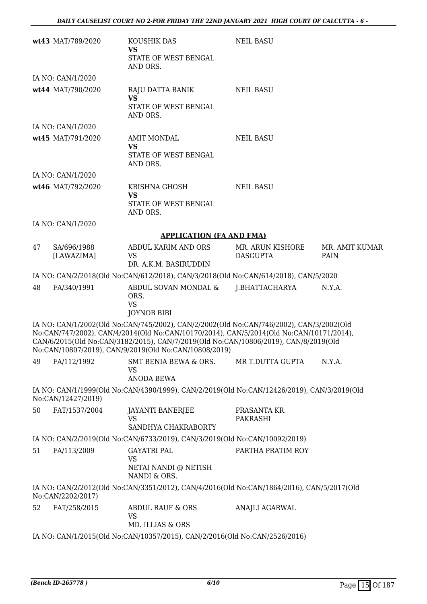|    | wt43 MAT/789/2020         | KOUSHIK DAS<br><b>VS</b><br>STATE OF WEST BENGAL<br>AND ORS.                                                                                                                                                                                                                                                                       | <b>NEIL BASU</b>                    |                        |
|----|---------------------------|------------------------------------------------------------------------------------------------------------------------------------------------------------------------------------------------------------------------------------------------------------------------------------------------------------------------------------|-------------------------------------|------------------------|
|    | IA NO: CAN/1/2020         |                                                                                                                                                                                                                                                                                                                                    |                                     |                        |
|    | wt44 MAT/790/2020         | RAJU DATTA BANIK<br><b>VS</b><br>STATE OF WEST BENGAL<br>AND ORS.                                                                                                                                                                                                                                                                  | <b>NEIL BASU</b>                    |                        |
|    | IA NO: CAN/1/2020         |                                                                                                                                                                                                                                                                                                                                    |                                     |                        |
|    | wt45 MAT/791/2020         | <b>AMIT MONDAL</b><br><b>VS</b><br>STATE OF WEST BENGAL<br>AND ORS.                                                                                                                                                                                                                                                                | <b>NEIL BASU</b>                    |                        |
|    | IA NO: CAN/1/2020         |                                                                                                                                                                                                                                                                                                                                    |                                     |                        |
|    | wt46 MAT/792/2020         | KRISHNA GHOSH<br><b>VS</b><br>STATE OF WEST BENGAL<br>AND ORS.                                                                                                                                                                                                                                                                     | <b>NEIL BASU</b>                    |                        |
|    | IA NO: CAN/1/2020         |                                                                                                                                                                                                                                                                                                                                    |                                     |                        |
|    |                           | <b>APPLICATION (FA AND FMA)</b>                                                                                                                                                                                                                                                                                                    |                                     |                        |
| 47 | SA/696/1988<br>[LAWAZIMA] | ABDUL KARIM AND ORS<br><b>VS</b><br>DR. A.K.M. BASIRUDDIN                                                                                                                                                                                                                                                                          | MR. ARUN KISHORE<br><b>DASGUPTA</b> | MR. AMIT KUMAR<br>PAIN |
|    |                           | IA NO: CAN/2/2018(Old No:CAN/612/2018), CAN/3/2018(Old No:CAN/614/2018), CAN/5/2020                                                                                                                                                                                                                                                |                                     |                        |
| 48 | FA/340/1991               | ABDUL SOVAN MONDAL &<br>ORS.<br><b>VS</b><br><b>JOYNOB BIBI</b>                                                                                                                                                                                                                                                                    | J.BHATTACHARYA                      | N.Y.A.                 |
|    |                           | IA NO: CAN/1/2002(Old No:CAN/745/2002), CAN/2/2002(Old No:CAN/746/2002), CAN/3/2002(Old<br>No:CAN/747/2002), CAN/4/2014(Old No:CAN/10170/2014), CAN/5/2014(Old No:CAN/10171/2014),<br>CAN/6/2015(Old No:CAN/3182/2015), CAN/7/2019(Old No:CAN/10806/2019), CAN/8/2019(Old<br>No:CAN/10807/2019), CAN/9/2019(Old No:CAN/10808/2019) |                                     |                        |
| 49 | FA/112/1992               | SMT BENIA BEWA & ORS.<br><b>VS</b><br><b>ANODA BEWA</b>                                                                                                                                                                                                                                                                            | MR T.DUTTA GUPTA                    | N.Y.A.                 |
|    | No:CAN/12427/2019)        | IA NO: CAN/1/1999(Old No:CAN/4390/1999), CAN/2/2019(Old No:CAN/12426/2019), CAN/3/2019(Old                                                                                                                                                                                                                                         |                                     |                        |
| 50 | FAT/1537/2004             | <b>JAYANTI BANERJEE</b><br><b>VS</b><br>SANDHYA CHAKRABORTY                                                                                                                                                                                                                                                                        | PRASANTA KR.<br><b>PAKRASHI</b>     |                        |
|    |                           | IA NO: CAN/2/2019(Old No:CAN/6733/2019), CAN/3/2019(Old No:CAN/10092/2019)                                                                                                                                                                                                                                                         |                                     |                        |
| 51 | FA/113/2009               | <b>GAYATRI PAL</b><br>VS<br>NETAI NANDI @ NETISH<br>NANDI & ORS.                                                                                                                                                                                                                                                                   | PARTHA PRATIM ROY                   |                        |
|    | No:CAN/2202/2017)         | IA NO: CAN/2/2012(Old No:CAN/3351/2012), CAN/4/2016(Old No:CAN/1864/2016), CAN/5/2017(Old                                                                                                                                                                                                                                          |                                     |                        |
| 52 | FAT/258/2015              | ABDUL RAUF & ORS<br><b>VS</b><br>MD. ILLIAS & ORS                                                                                                                                                                                                                                                                                  | ANAJLI AGARWAL                      |                        |
|    |                           | IA NO: CAN/1/2015(Old No:CAN/10357/2015), CAN/2/2016(Old No:CAN/2526/2016)                                                                                                                                                                                                                                                         |                                     |                        |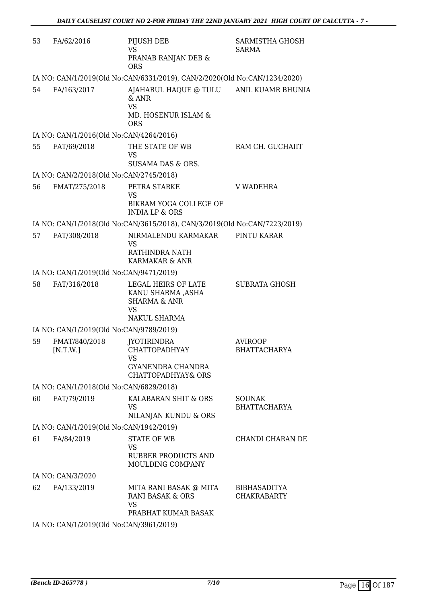| 53 | FA/62/2016                              | PIJUSH DEB<br><b>VS</b><br>PRANAB RANJAN DEB &<br><b>ORS</b>                                           | SARMISTHA GHOSH<br><b>SARMA</b>           |
|----|-----------------------------------------|--------------------------------------------------------------------------------------------------------|-------------------------------------------|
|    |                                         | IA NO: CAN/1/2019(Old No:CAN/6331/2019), CAN/2/2020(Old No:CAN/1234/2020)                              |                                           |
| 54 | FA/163/2017                             | AJAHARUL HAQUE @ TULU<br>& ANR<br><b>VS</b><br>MD. HOSENUR ISLAM &<br><b>ORS</b>                       | ANIL KUAMR BHUNIA                         |
|    | IA NO: CAN/1/2016(Old No:CAN/4264/2016) |                                                                                                        |                                           |
| 55 | FAT/69/2018                             | THE STATE OF WB<br>VS<br><b>SUSAMA DAS &amp; ORS.</b>                                                  | RAM CH. GUCHAIIT                          |
|    | IA NO: CAN/2/2018(Old No:CAN/2745/2018) |                                                                                                        |                                           |
| 56 | FMAT/275/2018                           | PETRA STARKE<br>VS                                                                                     | V WADEHRA                                 |
|    |                                         | BIKRAM YOGA COLLEGE OF<br><b>INDIA LP &amp; ORS</b>                                                    |                                           |
|    |                                         | IA NO: CAN/1/2018(Old No:CAN/3615/2018), CAN/3/2019(Old No:CAN/7223/2019)                              |                                           |
| 57 | FAT/308/2018                            | NIRMALENDU KARMAKAR<br>VS<br>RATHINDRA NATH<br>KARMAKAR & ANR                                          | PINTU KARAR                               |
|    | IA NO: CAN/1/2019(Old No:CAN/9471/2019) |                                                                                                        |                                           |
| 58 | FAT/316/2018                            | LEGAL HEIRS OF LATE<br>KANU SHARMA ,ASHA<br><b>SHARMA &amp; ANR</b><br><b>VS</b><br>NAKUL SHARMA       | <b>SUBRATA GHOSH</b>                      |
|    | IA NO: CAN/1/2019(Old No:CAN/9789/2019) |                                                                                                        |                                           |
| 59 | FMAT/840/2018<br>[N.T.W.]               | <b>JYOTIRINDRA</b><br><b>CHATTOPADHYAY</b><br>VS<br>GYANENDRA CHANDRA<br><b>CHATTOPADHYAY&amp; ORS</b> | AVIROOP<br><b>BHATTACHARYA</b>            |
|    | IA NO: CAN/1/2018(Old No:CAN/6829/2018) |                                                                                                        |                                           |
| 60 | FAT/79/2019                             | KALABARAN SHIT & ORS<br>VS<br>NILANJAN KUNDU & ORS                                                     | <b>SOUNAK</b><br><b>BHATTACHARYA</b>      |
|    | IA NO: CAN/1/2019(Old No:CAN/1942/2019) |                                                                                                        |                                           |
| 61 | FA/84/2019                              | STATE OF WB<br>VS.<br><b>RUBBER PRODUCTS AND</b><br>MOULDING COMPANY                                   | CHANDI CHARAN DE                          |
|    | IA NO: CAN/3/2020                       |                                                                                                        |                                           |
| 62 | FA/133/2019                             | MITA RANI BASAK @ MITA<br>RANI BASAK & ORS<br><b>VS</b><br>PRABHAT KUMAR BASAK                         | <b>BIBHASADITYA</b><br><b>CHAKRABARTY</b> |
|    | IA NO: CAN/1/2019(Old No:CAN/3961/2019) |                                                                                                        |                                           |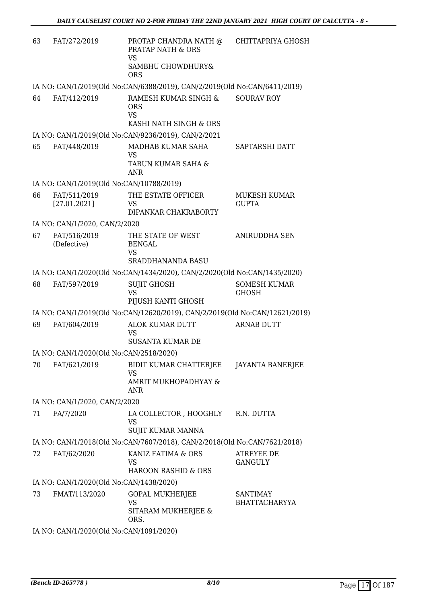| 63 | FAT/272/2019                             | PROTAP CHANDRA NATH @<br><b>PRATAP NATH &amp; ORS</b><br>VS                 | <b>CHITTAPRIYA GHOSH</b>            |
|----|------------------------------------------|-----------------------------------------------------------------------------|-------------------------------------|
|    |                                          | SAMBHU CHOWDHURY&<br><b>ORS</b>                                             |                                     |
|    |                                          | IA NO: CAN/1/2019(Old No:CAN/6388/2019), CAN/2/2019(Old No:CAN/6411/2019)   |                                     |
| 64 | FAT/412/2019                             | RAMESH KUMAR SINGH &<br><b>ORS</b><br><b>VS</b><br>KASHI NATH SINGH & ORS   | <b>SOURAV ROY</b>                   |
|    |                                          | IA NO: CAN/1/2019(Old No:CAN/9236/2019), CAN/2/2021                         |                                     |
| 65 | FAT/448/2019                             | MADHAB KUMAR SAHA<br><b>VS</b>                                              | SAPTARSHI DATT                      |
|    |                                          | TARUN KUMAR SAHA &<br>ANR                                                   |                                     |
|    | IA NO: CAN/1/2019(Old No:CAN/10788/2019) |                                                                             |                                     |
| 66 | FAT/511/2019<br>[27.01.2021]             | THE ESTATE OFFICER<br><b>VS</b><br>DIPANKAR CHAKRABORTY                     | MUKESH KUMAR<br><b>GUPTA</b>        |
|    | IA NO: CAN/1/2020, CAN/2/2020            |                                                                             |                                     |
| 67 | FAT/516/2019<br>(Defective)              | THE STATE OF WEST<br><b>BENGAL</b><br>VS                                    | <b>ANIRUDDHA SEN</b>                |
|    |                                          | <b>SRADDHANANDA BASU</b>                                                    |                                     |
|    |                                          | IA NO: CAN/1/2020(Old No:CAN/1434/2020), CAN/2/2020(Old No:CAN/1435/2020)   |                                     |
| 68 | FAT/597/2019                             | <b>SUJIT GHOSH</b><br><b>VS</b><br>PIJUSH KANTI GHOSH                       | <b>SOMESH KUMAR</b><br><b>GHOSH</b> |
|    |                                          | IA NO: CAN/1/2019(Old No:CAN/12620/2019), CAN/2/2019(Old No:CAN/12621/2019) |                                     |
| 69 | FAT/604/2019                             | ALOK KUMAR DUTT                                                             | <b>ARNAB DUTT</b>                   |
|    |                                          | VS<br><b>SUSANTA KUMAR DE</b>                                               |                                     |
|    | IA NO: CAN/1/2020(Old No:CAN/2518/2020)  |                                                                             |                                     |
| 70 | FAT/621/2019                             | BIDIT KUMAR CHATTERJEE<br><b>VS</b><br>AMRIT MUKHOPADHYAY &<br>ANR          | JAYANTA BANERJEE                    |
|    | IA NO: CAN/1/2020, CAN/2/2020            |                                                                             |                                     |
| 71 | FA/7/2020                                | LA COLLECTOR , HOOGHLY<br><b>VS</b><br>SUJIT KUMAR MANNA                    | R.N. DUTTA                          |
|    |                                          | IA NO: CAN/1/2018(Old No:CAN/7607/2018), CAN/2/2018(Old No:CAN/7621/2018)   |                                     |
| 72 | FAT/62/2020                              | KANIZ FATIMA & ORS                                                          | <b>ATREYEE DE</b>                   |
|    |                                          | VS<br><b>HAROON RASHID &amp; ORS</b>                                        | <b>GANGULY</b>                      |
|    | IA NO: CAN/1/2020(Old No:CAN/1438/2020)  |                                                                             |                                     |
| 73 | FMAT/113/2020                            | <b>GOPAL MUKHERJEE</b>                                                      | <b>SANTIMAY</b>                     |
|    |                                          | <b>VS</b><br>SITARAM MUKHERJEE &<br>ORS.                                    | <b>BHATTACHARYYA</b>                |
|    | IA NO: CAN/1/2020(Old No:CAN/1091/2020)  |                                                                             |                                     |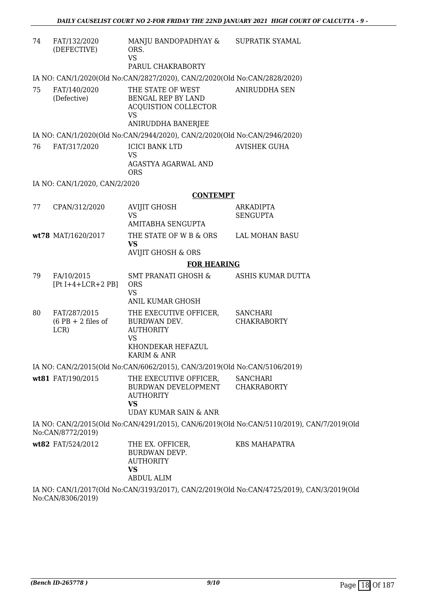| FAT/132/2020<br>(DEFECTIVE)                  | MANJU BANDOPADHYAY & SUPRATIK SYAMAL<br>ORS.<br><b>VS</b><br>PARUL CHAKRABORTY                     |                                                                                                                                                                                                                                                                                                                                                                                                                                                                                                                 |
|----------------------------------------------|----------------------------------------------------------------------------------------------------|-----------------------------------------------------------------------------------------------------------------------------------------------------------------------------------------------------------------------------------------------------------------------------------------------------------------------------------------------------------------------------------------------------------------------------------------------------------------------------------------------------------------|
|                                              |                                                                                                    |                                                                                                                                                                                                                                                                                                                                                                                                                                                                                                                 |
| FAT/140/2020<br>(Defective)                  | THE STATE OF WEST<br>BENGAL REP BY LAND<br>ACQUISTION COLLECTOR<br><b>VS</b><br>ANIRUDDHA BANERJEE | <b>ANIRUDDHA SEN</b>                                                                                                                                                                                                                                                                                                                                                                                                                                                                                            |
|                                              |                                                                                                    |                                                                                                                                                                                                                                                                                                                                                                                                                                                                                                                 |
| FAT/317/2020                                 | <b>ICICI BANK LTD</b><br><b>VS</b><br>AGASTYA AGARWAL AND                                          | <b>AVISHEK GUHA</b>                                                                                                                                                                                                                                                                                                                                                                                                                                                                                             |
|                                              | <b>ORS</b>                                                                                         |                                                                                                                                                                                                                                                                                                                                                                                                                                                                                                                 |
|                                              |                                                                                                    |                                                                                                                                                                                                                                                                                                                                                                                                                                                                                                                 |
|                                              |                                                                                                    |                                                                                                                                                                                                                                                                                                                                                                                                                                                                                                                 |
|                                              | <b>VS</b><br>AMITABHA SENGUPTA                                                                     | <b>ARKADIPTA</b><br><b>SENGUPTA</b>                                                                                                                                                                                                                                                                                                                                                                                                                                                                             |
|                                              | THE STATE OF W B & ORS<br><b>VS</b>                                                                | LAL MOHAN BASU                                                                                                                                                                                                                                                                                                                                                                                                                                                                                                  |
|                                              | <b>FOR HEARING</b>                                                                                 |                                                                                                                                                                                                                                                                                                                                                                                                                                                                                                                 |
| FA/10/2015<br>$[Pt I+4+LCR+2 PB]$            | <b>SMT PRANATI GHOSH &amp;</b><br><b>ORS</b><br><b>VS</b>                                          | ASHIS KUMAR DUTTA                                                                                                                                                                                                                                                                                                                                                                                                                                                                                               |
| FAT/287/2015<br>$(6$ PB + 2 files of<br>LCR) | THE EXECUTIVE OFFICER,<br>BURDWAN DEV.<br><b>AUTHORITY</b><br><b>VS</b><br>KHONDEKAR HEFAZUL       | <b>SANCHARI</b><br><b>CHAKRABORTY</b>                                                                                                                                                                                                                                                                                                                                                                                                                                                                           |
|                                              |                                                                                                    |                                                                                                                                                                                                                                                                                                                                                                                                                                                                                                                 |
|                                              | THE EXECUTIVE OFFICER,<br>BURDWAN DEVELOPMENT CHAKRABORTY<br><b>AUTHORITY</b><br><b>VS</b>         | <b>SANCHARI</b>                                                                                                                                                                                                                                                                                                                                                                                                                                                                                                 |
|                                              |                                                                                                    |                                                                                                                                                                                                                                                                                                                                                                                                                                                                                                                 |
|                                              | THE EX. OFFICER,<br>BURDWAN DEVP.<br><b>AUTHORITY</b><br><b>VS</b><br><b>ABDUL ALIM</b>            | <b>KBS MAHAPATRA</b>                                                                                                                                                                                                                                                                                                                                                                                                                                                                                            |
|                                              | CPAN/312/2020<br>wt78 MAT/1620/2017<br>wt81 FAT/190/2015<br>No:CAN/8772/2019)<br>wt82 FAT/524/2012 | IA NO: CAN/1/2020(Old No:CAN/2827/2020), CAN/2/2020(Old No:CAN/2828/2020)<br>IA NO: CAN/1/2020(Old No:CAN/2944/2020), CAN/2/2020(Old No:CAN/2946/2020)<br>IA NO: CAN/1/2020, CAN/2/2020<br><b>CONTEMPT</b><br><b>AVIJIT GHOSH</b><br><b>AVIJIT GHOSH &amp; ORS</b><br><b>ANIL KUMAR GHOSH</b><br>KARIM & ANR<br>IA NO: CAN/2/2015(Old No:CAN/6062/2015), CAN/3/2019(Old No:CAN/5106/2019)<br>UDAY KUMAR SAIN & ANR<br>IA NO: CAN/2/2015(Old No:CAN/4291/2015), CAN/6/2019(Old No:CAN/5110/2019), CAN/7/2019(Old |

IA NO: CAN/1/2017(Old No:CAN/3193/2017), CAN/2/2019(Old No:CAN/4725/2019), CAN/3/2019(Old No:CAN/8306/2019)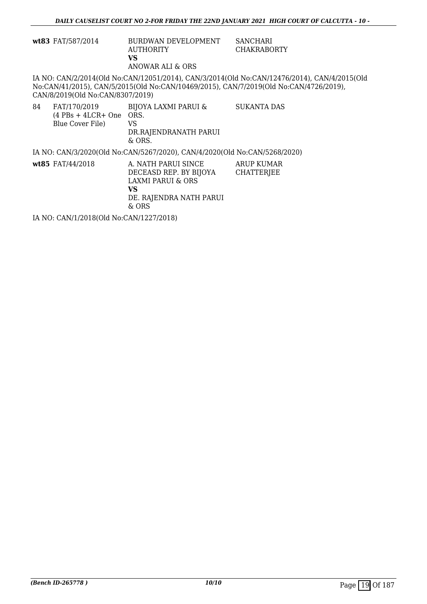|    | wt83 FAT/587/2014                             | BURDWAN DEVELOPMENT<br><b>AUTHORITY</b><br><b>VS</b>                                                            | <b>SANCHARI</b><br><b>CHAKRABORTY</b>                                                                                                                                                |  |  |
|----|-----------------------------------------------|-----------------------------------------------------------------------------------------------------------------|--------------------------------------------------------------------------------------------------------------------------------------------------------------------------------------|--|--|
|    | CAN/8/2019(Old No:CAN/8307/2019)              | ANOWAR ALI & ORS                                                                                                | IA NO: CAN/2/2014(Old No:CAN/12051/2014), CAN/3/2014(Old No:CAN/12476/2014), CAN/4/2015(Old<br>No:CAN/41/2015), CAN/5/2015(Old No:CAN/10469/2015), CAN/7/2019(Old No:CAN/4726/2019), |  |  |
| 84 | $(4$ PBs + 4LCR+ One ORS.<br>Blue Cover File) | FAT/170/2019 BIJOYA LAXMI PARUI &<br>VS<br>DR.RAJENDRANATH PARUI<br>$&$ ORS.                                    | <b>SUKANTA DAS</b>                                                                                                                                                                   |  |  |
|    |                                               | IA NO: CAN/3/2020(Old No:CAN/5267/2020), CAN/4/2020(Old No:CAN/5268/2020)                                       |                                                                                                                                                                                      |  |  |
|    | wt85 FAT/44/2018                              | A. NATH PARUI SINCE<br>DECEASD REP. BY BIJOYA<br>LAXMI PARUI & ORS<br>VS.<br>DE. RAJENDRA NATH PARUI<br>$&$ ORS | ARUP KUMAR<br><b>CHATTERJEE</b>                                                                                                                                                      |  |  |
|    | IA NO: CAN/1/2018(Old No:CAN/1227/2018)       |                                                                                                                 |                                                                                                                                                                                      |  |  |
|    |                                               |                                                                                                                 |                                                                                                                                                                                      |  |  |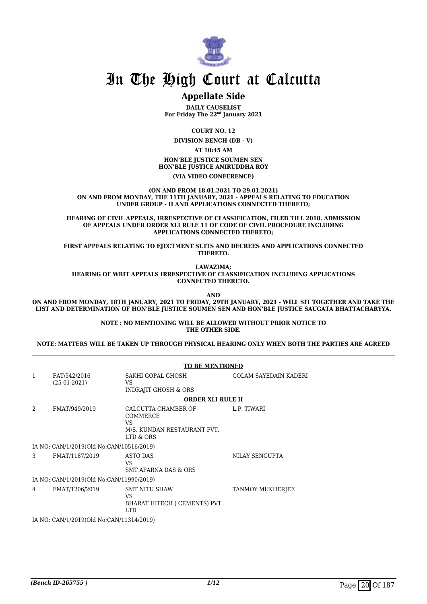

### **Appellate Side**

**DAILY CAUSELIST For Friday The 22nd January 2021**

**COURT NO. 12 DIVISION BENCH (DB - V)**

**AT 10:45 AM**

**HON'BLE JUSTICE SOUMEN SEN HON'BLE JUSTICE ANIRUDDHA ROY (VIA VIDEO CONFERENCE)**

**(ON AND FROM 18.01.2021 TO 29.01.2021) ON AND FROM MONDAY, THE 11TH JANUARY, 2021 - APPEALS RELATING TO EDUCATION UNDER GROUP - II AND APPLICATIONS CONNECTED THERETO;**

**HEARING OF CIVIL APPEALS, IRRESPECTIVE OF CLASSIFICATION, FILED TILL 2018. ADMISSION OF APPEALS UNDER ORDER XLI RULE 11 OF CODE OF CIVIL PROCEDURE INCLUDING APPLICATIONS CONNECTED THERETO;**

**FIRST APPEALS RELATING TO EJECTMENT SUITS AND DECREES AND APPLICATIONS CONNECTED THERETO.**

**LAWAZIMA;**

**HEARING OF WRIT APPEALS IRRESPECTIVE OF CLASSIFICATION INCLUDING APPLICATIONS CONNECTED THERETO.**

**AND**

**ON AND FROM MONDAY, 18TH JANUARY, 2021 TO FRIDAY, 29TH JANUARY, 2021 - WILL SIT TOGETHER AND TAKE THE LIST AND DETERMINATION OF HON'BLE JUSTICE SOUMEN SEN AND HON'BLE JUSTICE SAUGATA BHATTACHARYYA.**

> **NOTE : NO MENTIONING WILL BE ALLOWED WITHOUT PRIOR NOTICE TO THE OTHER SIDE.**

**NOTE: MATTERS WILL BE TAKEN UP THROUGH PHYSICAL HEARING ONLY WHEN BOTH THE PARTIES ARE AGREED**

|                |                                          | <b>TO BE MENTIONED</b>                                                            |                              |  |  |
|----------------|------------------------------------------|-----------------------------------------------------------------------------------|------------------------------|--|--|
| $\mathbf{1}$   | FAT/542/2016<br>$(25-01-2021)$           | SAKHI GOPAL GHOSH<br>VS<br><b>INDRAJIT GHOSH &amp; ORS</b>                        | <b>GOLAM SAYEDAIN KADERI</b> |  |  |
|                |                                          | <b>ORDER XLI RULE II</b>                                                          |                              |  |  |
| $\mathfrak{D}$ | FMAT/949/2019                            | CALCUTTA CHAMBER OF<br>COMMERCE<br>VS<br>M/S. KUNDAN RESTAURANT PVT.<br>LTD & ORS | L.P. TIWARI                  |  |  |
|                | IA NO: CAN/1/2019(Old No:CAN/10516/2019) |                                                                                   |                              |  |  |
| 3              | FMAT/1187/2019                           | ASTO DAS<br>VS<br><b>SMT APARNA DAS &amp; ORS</b>                                 | NILAY SENGUPTA               |  |  |
|                | IA NO: CAN/1/2019(Old No:CAN/11990/2019) |                                                                                   |                              |  |  |
| 4              | FMAT/1206/2019                           | <b>SMT NITU SHAW</b><br>VS<br>BHARAT HITECH ( CEMENTS) PVT.<br><b>LTD</b>         | <b>TANMOY MUKHERJEE</b>      |  |  |
|                | IA NO: CAN/1/2019(Old No:CAN/11314/2019) |                                                                                   |                              |  |  |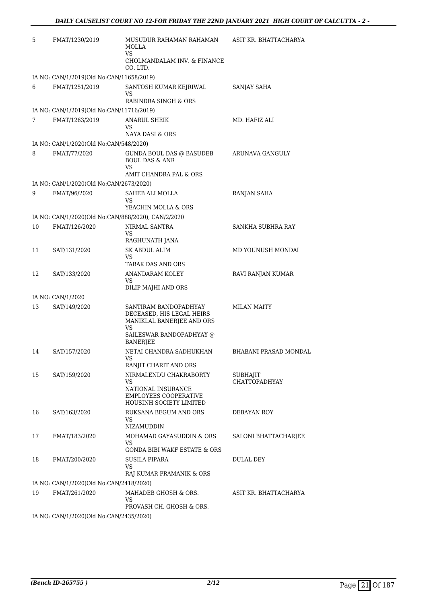| 5  | FMAT/1230/2019                                     | MUSUDUR RAHAMAN RAHAMAN<br><b>MOLLA</b><br>VS                                         | ASIT KR. BHATTACHARYA                   |
|----|----------------------------------------------------|---------------------------------------------------------------------------------------|-----------------------------------------|
|    |                                                    | CHOLMANDALAM INV. & FINANCE<br>CO. LTD.                                               |                                         |
|    | IA NO: CAN/1/2019(Old No:CAN/11658/2019)           |                                                                                       |                                         |
| 6  | FMAT/1251/2019                                     | SANTOSH KUMAR KEJRIWAL<br>VS<br>RABINDRA SINGH & ORS                                  | SANJAY SAHA                             |
|    | IA NO: CAN/1/2019(Old No:CAN/11716/2019)           |                                                                                       |                                         |
| 7  | FMAT/1263/2019                                     | ANARUL SHEIK                                                                          | MD. HAFIZ ALI                           |
|    |                                                    | VS<br>NAYA DASI & ORS                                                                 |                                         |
|    | IA NO: CAN/1/2020(Old No:CAN/548/2020)             |                                                                                       |                                         |
| 8  | FMAT/77/2020                                       | GUNDA BOUL DAS @ BASUDEB<br><b>BOUL DAS &amp; ANR</b><br><b>VS</b>                    | ARUNAVA GANGULY                         |
|    |                                                    | AMIT CHANDRA PAL & ORS                                                                |                                         |
|    | IA NO: CAN/1/2020(Old No:CAN/2673/2020)            |                                                                                       |                                         |
| 9  | FMAT/96/2020                                       | SAHEB ALI MOLLA<br>VS<br>YEACHIN MOLLA & ORS                                          | RANJAN SAHA                             |
|    | IA NO: CAN/1/2020(Old No:CAN/888/2020), CAN/2/2020 |                                                                                       |                                         |
| 10 | FMAT/126/2020                                      | NIRMAL SANTRA                                                                         | SANKHA SUBHRA RAY                       |
|    |                                                    | VS<br>RAGHUNATH JANA                                                                  |                                         |
| 11 | SAT/131/2020                                       | <b>SK ABDUL ALIM</b>                                                                  | MD YOUNUSH MONDAL                       |
|    |                                                    | VS<br>TARAK DAS AND ORS                                                               |                                         |
| 12 | SAT/133/2020                                       | ANANDARAM KOLEY<br>VS                                                                 | RAVI RANJAN KUMAR                       |
|    |                                                    | DILIP MAJHI AND ORS                                                                   |                                         |
|    | IA NO: CAN/1/2020                                  |                                                                                       |                                         |
| 13 | SAT/149/2020                                       | SANTIRAM BANDOPADHYAY<br>DECEASED, HIS LEGAL HEIRS<br>MANIKLAL BANERJEE AND ORS<br>VS | <b>MILAN MAITY</b>                      |
|    |                                                    | SAILESWAR BANDOPADHYAY @<br><b>BANERJEE</b>                                           |                                         |
| 14 | SAT/157/2020                                       | NETAI CHANDRA SADHUKHAN<br>VS                                                         | BHABANI PRASAD MONDAL                   |
|    |                                                    | RANJIT CHARIT AND ORS                                                                 |                                         |
| 15 | SAT/159/2020                                       | NIRMALENDU CHAKRABORTY<br>VS                                                          | <b>SUBHAJIT</b><br><b>CHATTOPADHYAY</b> |
|    |                                                    | NATIONAL INSURANCE<br><b>EMPLOYEES COOPERATIVE</b><br>HOUSINH SOCIETY LIMITED         |                                         |
| 16 | SAT/163/2020                                       | RUKSANA BEGUM AND ORS<br>VS                                                           | DEBAYAN ROY                             |
|    |                                                    | <b>NIZAMUDDIN</b>                                                                     |                                         |
| 17 | FMAT/183/2020                                      | MOHAMAD GAYASUDDIN & ORS<br>VS<br><b>GONDA BIBI WAKF ESTATE &amp; ORS</b>             | SALONI BHATTACHARJEE                    |
| 18 | FMAT/200/2020                                      | SUSILA PIPARA<br>VS<br>RAJ KUMAR PRAMANIK & ORS                                       | DULAL DEY                               |
|    | IA NO: CAN/1/2020(Old No:CAN/2418/2020)            |                                                                                       |                                         |
| 19 | FMAT/261/2020                                      | MAHADEB GHOSH & ORS.<br>VS                                                            | ASIT KR. BHATTACHARYA                   |
|    |                                                    | PROVASH CH. GHOSH & ORS.                                                              |                                         |
|    | IA NO: CAN/1/2020(Old No:CAN/2435/2020)            |                                                                                       |                                         |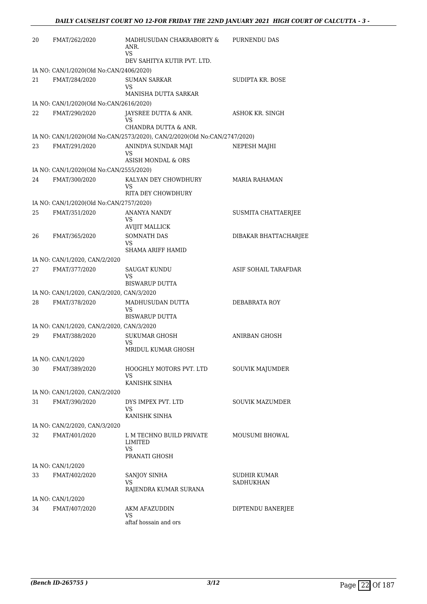| 20 | FMAT/262/2020                             | MADHUSUDAN CHAKRABORTY &<br>ANR.<br>VS                                    | PURNENDU DAS              |
|----|-------------------------------------------|---------------------------------------------------------------------------|---------------------------|
|    |                                           | DEV SAHITYA KUTIR PVT. LTD.                                               |                           |
|    | IA NO: CAN/1/2020(Old No:CAN/2406/2020)   |                                                                           |                           |
| 21 | FMAT/284/2020                             | <b>SUMAN SARKAR</b><br>VS                                                 | SUDIPTA KR. BOSE          |
|    |                                           | MANISHA DUTTA SARKAR                                                      |                           |
|    | IA NO: CAN/1/2020(Old No:CAN/2616/2020)   |                                                                           |                           |
| 22 | FMAT/290/2020                             | JAYSREE DUTTA & ANR.<br>VS<br>CHANDRA DUTTA & ANR.                        | ASHOK KR. SINGH           |
|    |                                           | IA NO: CAN/1/2020(Old No:CAN/2573/2020), CAN/2/2020(Old No:CAN/2747/2020) |                           |
| 23 | FMAT/291/2020                             | ANINDYA SUNDAR MAJI<br>VS                                                 | NEPESH MAJHI              |
|    |                                           | ASISH MONDAL & ORS                                                        |                           |
|    | IA NO: CAN/1/2020(Old No:CAN/2555/2020)   |                                                                           |                           |
| 24 | FMAT/300/2020                             | KALYAN DEY CHOWDHURY<br>VS<br>RITA DEY CHOWDHURY                          | <b>MARIA RAHAMAN</b>      |
|    | IA NO: CAN/1/2020(Old No:CAN/2757/2020)   |                                                                           |                           |
| 25 | FMAT/351/2020                             | ANANYA NANDY                                                              | SUSMITA CHATTAERJEE       |
|    |                                           | VS                                                                        |                           |
|    |                                           | <b>AVIJIT MALLICK</b>                                                     |                           |
| 26 | FMAT/365/2020                             | <b>SOMNATH DAS</b><br>VS<br><b>SHAMA ARIFF HAMID</b>                      | DIBAKAR BHATTACHARJEE     |
|    | IA NO: CAN/1/2020, CAN/2/2020             |                                                                           |                           |
| 27 | FMAT/377/2020                             | SAUGAT KUNDU<br>VS<br><b>BISWARUP DUTTA</b>                               | ASIF SOHAIL TARAFDAR      |
|    | IA NO: CAN/1/2020, CAN/2/2020, CAN/3/2020 |                                                                           |                           |
| 28 | FMAT/378/2020                             | MADHUSUDAN DUTTA                                                          | DEBABRATA ROY             |
|    |                                           | VS<br><b>BISWARUP DUTTA</b>                                               |                           |
|    | IA NO: CAN/1/2020, CAN/2/2020, CAN/3/2020 |                                                                           |                           |
| 29 | FMAT/388/2020                             | <b>SUKUMAR GHOSH</b><br>VS                                                | ANIRBAN GHOSH             |
|    |                                           | MRIDUL KUMAR GHOSH                                                        |                           |
|    | IA NO: CAN/1/2020                         |                                                                           |                           |
| 30 | FMAT/389/2020                             | HOOGHLY MOTORS PVT. LTD<br>VS                                             | SOUVIK MAJUMDER           |
|    | IA NO: CAN/1/2020, CAN/2/2020             | KANISHK SINHA                                                             |                           |
| 31 |                                           | DYS IMPEX PVT. LTD                                                        | <b>SOUVIK MAZUMDER</b>    |
|    | FMAT/390/2020                             | VS<br>KANISHK SINHA                                                       |                           |
|    | IA NO: CAN/2/2020, CAN/3/2020             |                                                                           |                           |
| 32 | FMAT/401/2020                             | L M TECHNO BUILD PRIVATE<br>LIMITED<br>VS<br>PRANATI GHOSH                | <b>MOUSUMI BHOWAL</b>     |
|    | IA NO: CAN/1/2020                         |                                                                           |                           |
| 33 | FMAT/402/2020                             | SANJOY SINHA<br>VS                                                        | SUDHIR KUMAR<br>SADHUKHAN |
|    |                                           | RAJENDRA KUMAR SURANA                                                     |                           |
|    | IA NO: CAN/1/2020                         |                                                                           |                           |
| 34 | FMAT/407/2020                             | AKM AFAZUDDIN<br>VS<br>aftaf hossain and ors                              | DIPTENDU BANERJEE         |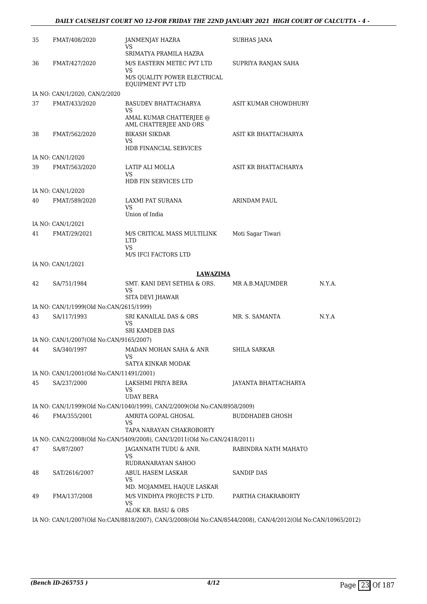#### *DAILY CAUSELIST COURT NO 12-FOR FRIDAY THE 22ND JANUARY 2021 HIGH COURT OF CALCUTTA - 4 -*

| 35 | FMAT/408/2020                            | JANMENJAY HAZRA<br>VS<br>SRIMATYA PRAMILA HAZRA                                                              | SUBHAS JANA            |        |
|----|------------------------------------------|--------------------------------------------------------------------------------------------------------------|------------------------|--------|
| 36 | FMAT/427/2020                            | M/S EASTERN METEC PVT LTD<br>VS<br>M/S QUALITY POWER ELECTRICAL                                              | SUPRIYA RANJAN SAHA    |        |
|    |                                          | EQUIPMENT PVT LTD                                                                                            |                        |        |
|    | IA NO: CAN/1/2020, CAN/2/2020            |                                                                                                              |                        |        |
| 37 | FMAT/433/2020                            | BASUDEV BHATTACHARYA<br>VS<br>AMAL KUMAR CHATTERJEE @                                                        | ASIT KUMAR CHOWDHURY   |        |
|    |                                          | AML CHATTERJEE AND ORS                                                                                       |                        |        |
| 38 | FMAT/562/2020                            | <b>BIKASH SIKDAR</b><br>VS<br>HDB FINANCIAL SERVICES                                                         | ASIT KR BHATTACHARYA   |        |
|    | IA NO: CAN/1/2020                        |                                                                                                              |                        |        |
| 39 | FMAT/563/2020                            | LATIP ALI MOLLA<br>VS                                                                                        | ASIT KR BHATTACHARYA   |        |
|    |                                          | <b>HDB FIN SERVICES LTD</b>                                                                                  |                        |        |
|    | IA NO: CAN/1/2020                        |                                                                                                              |                        |        |
| 40 | FMAT/589/2020                            | <b>LAXMI PAT SURANA</b><br>VS<br>Union of India                                                              | <b>ARINDAM PAUL</b>    |        |
|    | IA NO: CAN/1/2021                        |                                                                                                              |                        |        |
| 41 | FMAT/29/2021                             | M/S CRITICAL MASS MULTILINK<br><b>LTD</b>                                                                    | Moti Sagar Tiwari      |        |
|    |                                          | VS<br>M/S IFCI FACTORS LTD                                                                                   |                        |        |
|    | IA NO: CAN/1/2021                        |                                                                                                              |                        |        |
|    |                                          | <b>LAWAZIMA</b>                                                                                              |                        |        |
| 42 | SA/751/1984                              | SMT. KANI DEVI SETHIA & ORS.<br>VS<br>SITA DEVI JHAWAR                                                       | MR A.B.MAJUMDER        | N.Y.A. |
|    | IA NO: CAN/1/1999(Old No:CAN/2615/1999)  |                                                                                                              |                        |        |
| 43 | SA/117/1993                              | SRI KANAILAL DAS & ORS<br>VS<br><b>SRI KAMDEB DAS</b>                                                        | MR. S. SAMANTA         | N.Y.A  |
|    | IA NO: CAN/1/2007(Old No:CAN/9165/2007)  |                                                                                                              |                        |        |
| 44 | SA/340/1997                              | MADAN MOHAN SAHA & ANR<br><b>VS</b>                                                                          | SHILA SARKAR           |        |
|    |                                          | SATYA KINKAR MODAK                                                                                           |                        |        |
|    | IA NO: CAN/1/2001(Old No:CAN/11491/2001) |                                                                                                              |                        |        |
| 45 | SA/237/2000                              | LAKSHMI PRIYA BERA<br>VS<br>UDAY BERA                                                                        | JAYANTA BHATTACHARYA   |        |
|    |                                          | IA NO: CAN/1/1999(Old No:CAN/1040/1999), CAN/2/2009(Old No:CAN/8958/2009)                                    |                        |        |
| 46 | FMA/355/2001                             | AMRITA GOPAL GHOSAL<br>VS                                                                                    | <b>BUDDHADEB GHOSH</b> |        |
|    |                                          | TAPA NARAYAN CHAKROBORTY                                                                                     |                        |        |
|    |                                          | IA NO: CAN/2/2008(Old No:CAN/5409/2008), CAN/3/2011(Old No:CAN/2418/2011)                                    |                        |        |
| 47 | SA/87/2007                               | JAGANNATH TUDU & ANR.<br>VS<br>RUDRANARAYAN SAHOO                                                            | RABINDRA NATH MAHATO   |        |
| 48 | SAT/2616/2007                            | ABUL HASEM LASKAR<br>VS                                                                                      | SANDIP DAS             |        |
|    |                                          | MD. MOJAMMEL HAQUE LASKAR                                                                                    |                        |        |
| 49 | FMA/137/2008                             | M/S VINDHYA PROJECTS P LTD.<br>VS<br>ALOK KR. BASU & ORS                                                     | PARTHA CHAKRABORTY     |        |
|    |                                          | IA NO: CAN/1/2007(Old No:CAN/8818/2007), CAN/3/2008(Old No:CAN/8544/2008), CAN/4/2012(Old No:CAN/10965/2012) |                        |        |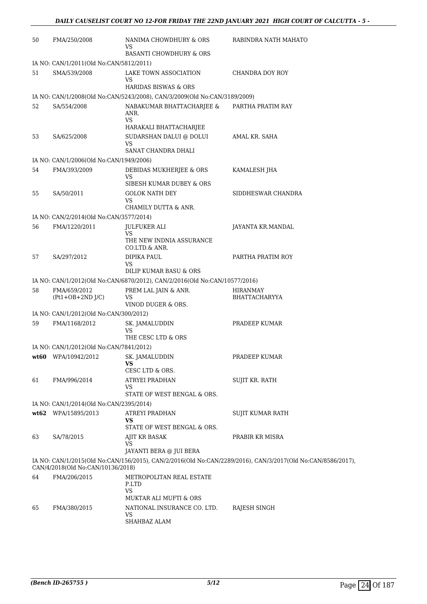| 50 | FMA/250/2008                            | NANIMA CHOWDHURY & ORS<br>VS                                               | RABINDRA NATH MAHATO                                                                                        |
|----|-----------------------------------------|----------------------------------------------------------------------------|-------------------------------------------------------------------------------------------------------------|
|    |                                         | <b>BASANTI CHOWDHURY &amp; ORS</b>                                         |                                                                                                             |
|    | IA NO: CAN/1/2011(Old No:CAN/5812/2011) |                                                                            |                                                                                                             |
| 51 | SMA/539/2008                            | LAKE TOWN ASSOCIATION<br>VS<br><b>HARIDAS BISWAS &amp; ORS</b>             | CHANDRA DOY ROY                                                                                             |
|    |                                         | IA NO: CAN/1/2008(Old No:CAN/5243/2008), CAN/3/2009(Old No:CAN/3189/2009)  |                                                                                                             |
| 52 | SA/554/2008                             | NABAKUMAR BHATTACHARJEE &                                                  | PARTHA PRATIM RAY                                                                                           |
|    |                                         | ANR.<br>VS<br>HARAKALI BHATTACHARJEE                                       |                                                                                                             |
| 53 | SA/625/2008                             | SUDARSHAN DALUI @ DOLUI<br>VS                                              | AMAL KR. SAHA                                                                                               |
|    |                                         | SANAT CHANDRA DHALI                                                        |                                                                                                             |
|    | IA NO: CAN/1/2006(Old No:CAN/1949/2006) |                                                                            |                                                                                                             |
| 54 | FMA/393/2009                            | DEBIDAS MUKHERJEE & ORS<br>VS                                              | KAMALESH JHA                                                                                                |
|    |                                         | SIBESH KUMAR DUBEY & ORS                                                   |                                                                                                             |
| 55 | SA/50/2011                              | <b>GOLOK NATH DEY</b><br>VS<br>CHAMILY DUTTA & ANR.                        | SIDDHESWAR CHANDRA                                                                                          |
|    | IA NO: CAN/2/2014(Old No:CAN/3577/2014) |                                                                            |                                                                                                             |
| 56 | FMA/1220/2011                           | <b>JULFUKER ALI</b>                                                        | JAYANTA KR.MANDAL                                                                                           |
|    |                                         | VS                                                                         |                                                                                                             |
|    |                                         | THE NEW INDNIA ASSURANCE<br>CO.LTD.& ANR.                                  |                                                                                                             |
| 57 | SA/297/2012                             | DIPIKA PAUL<br>VS                                                          | PARTHA PRATIM ROY                                                                                           |
|    |                                         | DILIP KUMAR BASU & ORS                                                     |                                                                                                             |
|    |                                         | IA NO: CAN/1/2012(Old No:CAN/6870/2012), CAN/2/2016(Old No:CAN/10577/2016) |                                                                                                             |
| 58 | FMA/659/2012<br>$(Pt1+OB+2ND J/C)$      | PREM LAL JAIN & ANR.<br>VS                                                 | HIRANMAY<br><b>BHATTACHARYYA</b>                                                                            |
|    |                                         | VINOD DUGER & ORS.                                                         |                                                                                                             |
|    | IA NO: CAN/1/2012(Old No:CAN/300/2012)  |                                                                            |                                                                                                             |
| 59 | FMA/1168/2012                           | SK. JAMALUDDIN<br>VS<br>THE CESC LTD & ORS                                 | PRADEEP KUMAR                                                                                               |
|    | IA NO: CAN/1/2012(Old No:CAN/7841/2012) |                                                                            |                                                                                                             |
|    | wt60 WPA/10942/2012                     | SK. JAMALUDDIN                                                             | PRADEEP KUMAR                                                                                               |
|    |                                         | VS<br>CESC LTD & ORS.                                                      |                                                                                                             |
| 61 | FMA/996/2014                            | ATRYEI PRADHAN<br>VS                                                       | SUJIT KR. RATH                                                                                              |
|    |                                         | STATE OF WEST BENGAL & ORS.                                                |                                                                                                             |
|    | IA NO: CAN/1/2014(Old No:CAN/2395/2014) |                                                                            |                                                                                                             |
|    | wt62 WPA/15895/2013                     | ATREYI PRADHAN<br>VS                                                       | SUJIT KUMAR RATH                                                                                            |
|    |                                         | STATE OF WEST BENGAL & ORS.                                                |                                                                                                             |
| 63 | SA/78/2015                              | AJIT KR BASAK<br>VS<br>JAYANTI BERA @ JUI BERA                             | PRABIR KR MISRA                                                                                             |
|    | CAN/4/2018(Old No:CAN/10136/2018)       |                                                                            | IA NO: CAN/1/2015(Old No:CAN/156/2015), CAN/2/2016(Old No:CAN/2289/2016), CAN/3/2017(Old No:CAN/8586/2017), |
| 64 | FMA/206/2015                            | METROPOLITAN REAL ESTATE                                                   |                                                                                                             |
|    |                                         | P.LTD<br>VS                                                                |                                                                                                             |
|    |                                         | MUKTAR ALI MUFTI & ORS                                                     |                                                                                                             |
| 65 | FMA/380/2015                            | NATIONAL INSURANCE CO. LTD.<br>VS                                          | RAJESH SINGH                                                                                                |
|    |                                         | SHAHBAZ ALAM                                                               |                                                                                                             |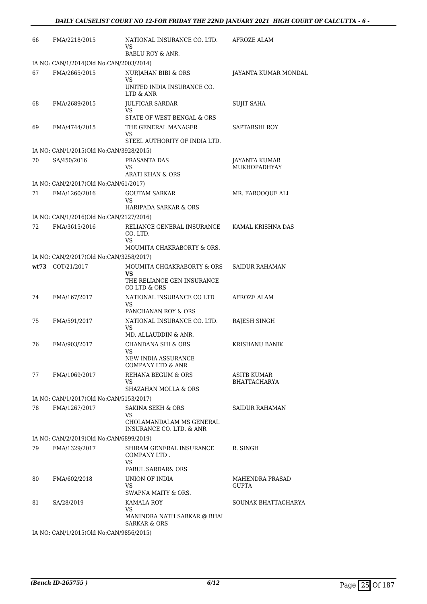| 66                                      | FMA/2218/2015                           | NATIONAL INSURANCE CO. LTD.<br>VS                                               | AFROZE ALAM                        |  |
|-----------------------------------------|-----------------------------------------|---------------------------------------------------------------------------------|------------------------------------|--|
|                                         |                                         | BABLU ROY & ANR.                                                                |                                    |  |
|                                         | IA NO: CAN/1/2014(Old No:CAN/2003/2014) |                                                                                 |                                    |  |
| 67                                      | FMA/2665/2015                           | <b>NURJAHAN BIBI &amp; ORS</b><br>VS<br>UNITED INDIA INSURANCE CO.<br>LTD & ANR | JAYANTA KUMAR MONDAL               |  |
| 68                                      | FMA/2689/2015                           | <b>JULFICAR SARDAR</b><br>VS                                                    | <b>SUJIT SAHA</b>                  |  |
| 69                                      | FMA/4744/2015                           | STATE OF WEST BENGAL & ORS<br>THE GENERAL MANAGER<br>VS                         | SAPTARSHI ROY                      |  |
|                                         | IA NO: CAN/1/2015(Old No:CAN/3928/2015) | STEEL AUTHORITY OF INDIA LTD.                                                   |                                    |  |
| 70                                      | SA/450/2016                             | PRASANTA DAS                                                                    |                                    |  |
|                                         |                                         | VS<br><b>ARATI KHAN &amp; ORS</b>                                               | JAYANTA KUMAR<br>MUKHOPADHYAY      |  |
|                                         | IA NO: CAN/2/2017(Old No:CAN/61/2017)   |                                                                                 |                                    |  |
| 71                                      | FMA/1260/2016                           | <b>GOUTAM SARKAR</b><br>VS                                                      | MR. FAROOQUE ALI                   |  |
|                                         |                                         | <b>HARIPADA SARKAR &amp; ORS</b>                                                |                                    |  |
|                                         | IA NO: CAN/1/2016(Old No:CAN/2127/2016) |                                                                                 |                                    |  |
| 72                                      | FMA/3615/2016                           | RELIANCE GENERAL INSURANCE<br>CO. LTD.<br>VS                                    | KAMAL KRISHNA DAS                  |  |
|                                         |                                         | MOUMITA CHAKRABORTY & ORS.                                                      |                                    |  |
|                                         | IA NO: CAN/2/2017(Old No:CAN/3258/2017) |                                                                                 |                                    |  |
|                                         | wt73 COT/21/2017                        | MOUMITA CHGAKRABORTY & ORS<br>VS<br>THE RELIANCE GEN INSURANCE<br>CO LTD & ORS  | <b>SAIDUR RAHAMAN</b>              |  |
| 74                                      | FMA/167/2017                            | NATIONAL INSURANCE CO LTD<br>VS<br>PANCHANAN ROY & ORS                          | AFROZE ALAM                        |  |
| 75                                      | FMA/591/2017                            | NATIONAL INSURANCE CO. LTD.<br>VS<br>MD. ALLAUDDIN & ANR.                       | RAJESH SINGH                       |  |
| 76                                      | FMA/903/2017                            | CHANDANA SHI & ORS<br>VS<br>NEW INDIA ASSURANCE<br>COMPANY LTD & ANR            | <b>KRISHANU BANIK</b>              |  |
| 77                                      | FMA/1069/2017                           | REHANA BEGUM & ORS<br>VS<br>SHAZAHAN MOLLA & ORS                                | ASITB KUMAR<br><b>BHATTACHARYA</b> |  |
| IA NO: CAN/1/2017(Old No:CAN/5153/2017) |                                         |                                                                                 |                                    |  |
| 78                                      | FMA/1267/2017                           | <b>SAKINA SEKH &amp; ORS</b><br>VS<br>CHOLAMANDALAM MS GENERAL                  | <b>SAIDUR RAHAMAN</b>              |  |
|                                         |                                         | <b>INSURANCE CO. LTD. &amp; ANR</b>                                             |                                    |  |
|                                         | IA NO: CAN/2/2019(Old No:CAN/6899/2019) |                                                                                 |                                    |  |
| 79                                      | FMA/1329/2017                           | SHIRAM GENERAL INSURANCE<br>COMPANY LTD.<br>VS<br>PARUL SARDAR& ORS             | R. SINGH                           |  |
| 80                                      | FMA/602/2018                            | UNION OF INDIA<br>VS<br>SWAPNA MAITY & ORS.                                     | MAHENDRA PRASAD<br><b>GUPTA</b>    |  |
| 81                                      | SA/28/2019                              | KAMALA ROY<br>VS<br>MANINDRA NATH SARKAR @ BHAI<br>SARKAR & ORS                 | SOUNAK BHATTACHARYA                |  |
|                                         |                                         |                                                                                 |                                    |  |

IA NO: CAN/1/2015(Old No:CAN/9856/2015)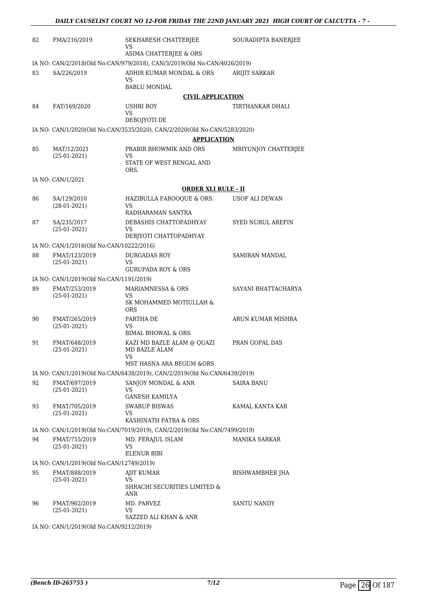| 82 | FMA/216/2019                                                                                       | SEKHARESH CHATTERJEE<br>VS                                                | SOURADIPTA BANERJEE      |  |  |
|----|----------------------------------------------------------------------------------------------------|---------------------------------------------------------------------------|--------------------------|--|--|
|    | ASIMA CHATTERJEE & ORS<br>IA NO: CAN/2/2018(Old No:CAN/979/2018), CAN/3/2019(Old No:CAN/4026/2019) |                                                                           |                          |  |  |
| 83 | SA/226/2019                                                                                        | ADHIR KUMAR MONDAL & ORS<br>VS<br><b>BABLU MONDAL</b>                     | <b>ARIJIT SARKAR</b>     |  |  |
|    |                                                                                                    | <b>CIVIL APPLICATION</b>                                                  |                          |  |  |
| 84 | FAT/169/2020                                                                                       | USHRI ROY                                                                 | TIRTHANKAR DHALI         |  |  |
|    |                                                                                                    | VS.                                                                       |                          |  |  |
|    |                                                                                                    | DEBOJYOTI DE                                                              |                          |  |  |
|    |                                                                                                    | IA NO: CAN/1/2020(Old No:CAN/3535/2020), CAN/2/2020(Old No:CAN/5283/2020) |                          |  |  |
|    |                                                                                                    | <b>APPLICATION</b>                                                        |                          |  |  |
| 85 | MAT/12/2021<br>$(25-01-2021)$                                                                      | PRABIR BHOWMIK AND ORS<br>VS<br>STATE OF WEST BENGAL AND<br>ORS.          | MRIYUNJOY CHATTERJEE     |  |  |
|    | IA NO: CAN/1/2021                                                                                  |                                                                           |                          |  |  |
|    |                                                                                                    | <b>ORDER XLI RULE - II</b>                                                |                          |  |  |
| 86 | SA/129/2010                                                                                        | HAZIBULLA FAROOQUE & ORS.                                                 | USOF ALI DEWAN           |  |  |
|    | $(28-01-2021)$                                                                                     | VS                                                                        |                          |  |  |
|    |                                                                                                    | RADHARAMAN SANTRA                                                         |                          |  |  |
| 87 | SA/235/2017                                                                                        | DEBASHIS CHATTOPADHYAY                                                    | <b>SYED NURUL AREFIN</b> |  |  |
|    | $(25-01-2021)$                                                                                     | VS<br>DEBJYOTI CHATTOPADHYAY                                              |                          |  |  |
|    | IA NO: CAN/1/2016(Old No:CAN/10222/2016)                                                           |                                                                           |                          |  |  |
| 88 | FMAT/123/2019<br>$(25-01-2021)$                                                                    | DURGADAS ROY<br>VS                                                        | SAMIRAN MANDAL           |  |  |
|    | IA NO: CAN/1/2019(Old No:CAN/1191/2019)                                                            | <b>GURUPADA ROY &amp; ORS</b>                                             |                          |  |  |
| 89 | FMAT/253/2019                                                                                      | MARIAMNESSA & ORS                                                         | SAYANI BHATTACHARYA      |  |  |
|    | $(25-01-2021)$                                                                                     | VS<br>SK MOHAMMED MOTIULLAH &<br><b>ORS</b>                               |                          |  |  |
| 90 | FMAT/265/2019                                                                                      | PARTHA DE                                                                 | ARUN KUMAR MISHRA        |  |  |
|    | $(25-01-2021)$                                                                                     | VS                                                                        |                          |  |  |
|    |                                                                                                    | <b>BIMAL BHOWAL &amp; ORS</b>                                             |                          |  |  |
| 91 | FMAT/648/2019<br>$(25-01-2021)$                                                                    | KAZI MD BAZLE ALAM @ QUAZI<br>MD BAZLE ALAM<br>VS                         | PRAN GOPAL DAS           |  |  |
|    |                                                                                                    | MST HASNA ARA BEGUM &ORS                                                  |                          |  |  |
|    |                                                                                                    | IA NO: CAN/1/2019(Old No:CAN/6438/2019), CAN/2/2019(Old No:CAN/6439/2019) |                          |  |  |
| 92 | FMAT/697/2019<br>$(25-01-2021)$                                                                    | SANJOY MONDAL & ANR<br>VS<br>GANESH KAMILYA                               | SAIRA BANU               |  |  |
| 93 | FMAT/705/2019                                                                                      | <b>SWARUP BISWAS</b>                                                      | KAMAL KANTA KAR          |  |  |
|    | $(25-01-2021)$                                                                                     | VS.<br>KASHINATH PATRA & ORS                                              |                          |  |  |
|    |                                                                                                    | IA NO: CAN/1/2019(Old No:CAN/7019/2019), CAN/2/2019(Old No:CAN/7499/2019) |                          |  |  |
| 94 | FMAT/755/2019                                                                                      | MD. FERAJUL ISLAM                                                         | MANIKA SARKAR            |  |  |
|    | $(25-01-2021)$                                                                                     | VS.<br>ELENUR BIBI                                                        |                          |  |  |
|    | IA NO: CAN/1/2019(Old No:CAN/12749/2019)                                                           |                                                                           |                          |  |  |
| 95 | FMAT/888/2019                                                                                      | AJIT KUMAR                                                                | BISHWAMBHER JHA          |  |  |
|    | $(25-01-2021)$                                                                                     | VS<br>SHRACHI SECURITIES LIMITED &<br>ANR                                 |                          |  |  |
| 96 | FMAT/902/2019<br>$(25-01-2021)$                                                                    | MD. PARVEZ<br>VS<br>SAZZED ALI KHAN & ANR                                 | SANTU NANDY              |  |  |
|    |                                                                                                    |                                                                           |                          |  |  |

IA NO: CAN/1/2019(Old No:CAN/9212/2019)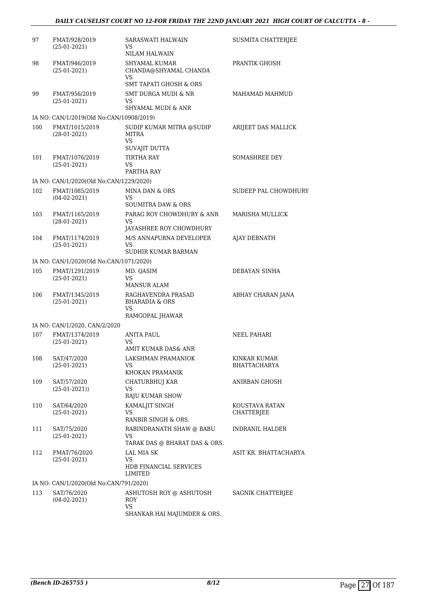| 97  | FMAT/928/2019<br>$(25-01-2021)$          | SARASWATI HALWAIN<br>VS<br><b>NILAM HALWAIN</b>                               | SUSMITA CHATTERJEE                  |
|-----|------------------------------------------|-------------------------------------------------------------------------------|-------------------------------------|
| 98  | FMAT/946/2019<br>$(25-01-2021)$          | <b>SHYAMAL KUMAR</b><br>CHANDA@SHYAMAL CHANDA<br>VS<br>SMT TAPATI GHOSH & ORS | PRANTIK GHOSH                       |
| 99  | FMAT/956/2019<br>$(25-01-2021)$          | <b>SMT DURGA MUDI &amp; NR</b><br>VS<br>SHYAMAL MUDI & ANR                    | MAHAMAD MAHMUD                      |
|     | IA NO: CAN/1/2019(Old No:CAN/10908/2019) |                                                                               |                                     |
| 100 | FMAT/1015/2019<br>$(28-01-2021)$         | SUDIP KUMAR MITRA @SUDIP<br>MITRA<br>VS                                       | ARIJEET DAS MALLICK                 |
| 101 | FMAT/1076/2019<br>$(25-01-2021)$         | SUVAJIT DUTTA<br><b>TIRTHA RAY</b><br>VS<br>PARTHA RAY                        | <b>SOMASHREE DEY</b>                |
|     | IA NO: CAN/1/2020(Old No:CAN/1229/2020)  |                                                                               |                                     |
| 102 | FMAT/1085/2019<br>$(04-02-2021)$         | <b>MINA DAN &amp; ORS</b><br>VS<br><b>SOUMITRA DAW &amp; ORS</b>              | SUDEEP PAL CHOWDHURY                |
| 103 | FMAT/1165/2019<br>$(28-01-2021)$         | PARAG ROY CHOWDHURY & ANR<br>VS<br>JAYASHREE ROY CHOWDHURY                    | MARISHA MULLICK                     |
| 104 | FMAT/1174/2019<br>$(25-01-2021)$         | M/S ANNAPURNA DEVELOPER<br>VS<br>SUDHIR KUMAR BARMAN                          | AJAY DEBNATH                        |
|     | IA NO: CAN/1/2020(Old No:CAN/1071/2020)  |                                                                               |                                     |
| 105 | FMAT/1291/2019<br>$(25-01-2021)$         | MD. QASIM<br>VS<br><b>MANSUR ALAM</b>                                         | DEBAYAN SINHA                       |
| 106 | FMAT/1345/2019<br>$(25-01-2021)$         | RAGHAVENDRA PRASAD<br><b>BHARADIA &amp; ORS</b><br>VS<br>RAMGOPAL JHAWAR      | ABHAY CHARAN JANA                   |
|     | IA NO: CAN/1/2020, CAN/2/2020            |                                                                               |                                     |
| 107 | FMAT/1374/2019<br>$(25-01-2021)$         | <b>ANITA PAUL</b><br>VS<br>AMIT KUMAR DAS& ANR                                | <b>NEEL PAHARI</b>                  |
| 108 | SAT/47/2020<br>$(25-01-2021)$            | LAKSHMAN PRAMANIOK<br>VS<br>KHOKAN PRAMANIK                                   | <b>KINKAR KUMAR</b><br>BHATTACHARYA |
| 109 | SAT/57/2020<br>$(25-01-2021)$            | CHATURBHUJ KAR<br>VS<br><b>RAJU KUMAR SHOW</b>                                | ANIRBAN GHOSH                       |
| 110 | SAT/64/2020<br>$(25-01-2021)$            | KAMALJIT SINGH<br>VS<br>RANBIR SINGH & ORS.                                   | KOUSTAVA RATAN<br>CHATTERJEE        |
| 111 | SAT/75/2020<br>$(25-01-2021)$            | RABINDRANATH SHAW @ BABU<br>VS<br>TARAK DAS @ BHARAT DAS & ORS.               | <b>INDRANIL HALDER</b>              |
| 112 | FMAT/76/2020<br>$(25-01-2021)$           | <b>LAL MIA SK</b><br>VS<br>HDB FINANCIAL SERVICES<br>LIMITED                  | ASIT KR. BHATTACHARYA               |
|     | IA NO: CAN/1/2020(Old No:CAN/791/2020)   |                                                                               |                                     |
| 113 | SAT/76/2020<br>$(04-02-2021)$            | ASHUTOSH ROY @ ASHUTOSH<br>ROY<br>VS<br>SHANKAR HAI MAJUMDER & ORS.           | <b>SAGNIK CHATTERJEE</b>            |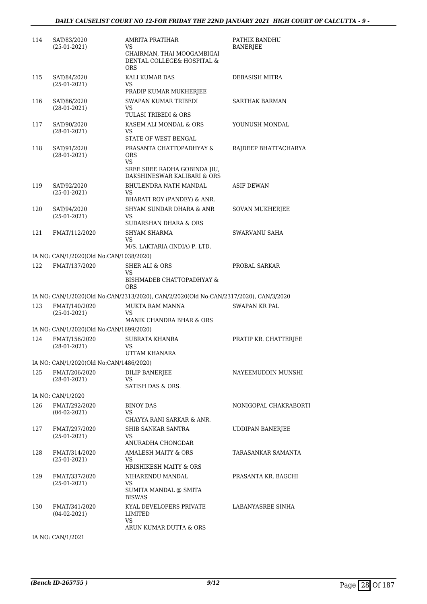#### *DAILY CAUSELIST COURT NO 12-FOR FRIDAY THE 22ND JANUARY 2021 HIGH COURT OF CALCUTTA - 9 -*

| 114 | SAT/83/2020<br>$(25-01-2021)$           | AMRITA PRATIHAR<br>VS.<br>CHAIRMAN, THAI MOOGAMBIGAI<br>DENTAL COLLEGE& HOSPITAL &<br><b>ORS</b>            | PATHIK BANDHU<br><b>BANERJEE</b> |
|-----|-----------------------------------------|-------------------------------------------------------------------------------------------------------------|----------------------------------|
| 115 | SAT/84/2020<br>$(25-01-2021)$           | KALI KUMAR DAS<br>VS<br>PRADIP KUMAR MUKHERJEE                                                              | DEBASISH MITRA                   |
| 116 | SAT/86/2020<br>$(28-01-2021)$           | SWAPAN KUMAR TRIBEDI<br>VS<br>TULASI TRIBEDI & ORS                                                          | SARTHAK BARMAN                   |
| 117 | SAT/90/2020<br>$(28-01-2021)$           | KASEM ALI MONDAL & ORS<br>VS<br>STATE OF WEST BENGAL                                                        | YOUNUSH MONDAL                   |
| 118 | SAT/91/2020<br>$(28-01-2021)$           | PRASANTA CHATTOPADHYAY &<br><b>ORS</b><br>VS<br>SREE SREE RADHA GOBINDA JIU,<br>DAKSHINESWAR KALIBARI & ORS | RAJDEEP BHATTACHARYA             |
| 119 | SAT/92/2020<br>$(25-01-2021)$           | <b>BHULENDRA NATH MANDAL</b><br>VS<br>BHARATI ROY (PANDEY) & ANR.                                           | <b>ASIF DEWAN</b>                |
| 120 | SAT/94/2020<br>$(25-01-2021)$           | SHYAM SUNDAR DHARA & ANR<br>VS<br>SUDARSHAN DHARA & ORS                                                     | <b>SOVAN MUKHERJEE</b>           |
| 121 | FMAT/112/2020                           | <b>SHYAM SHARMA</b><br>VS<br>M/S. LAKTARIA (INDIA) P. LTD.                                                  | SWARVANU SAHA                    |
|     | IA NO: CAN/1/2020(Old No:CAN/1038/2020) |                                                                                                             |                                  |
| 122 | FMAT/137/2020                           | <b>SHER ALI &amp; ORS</b><br>VS<br>BISHMADEB CHATTOPADHYAY &<br><b>ORS</b>                                  | PROBAL SARKAR                    |
|     |                                         | IA NO: CAN/1/2020(Old No:CAN/2313/2020), CAN/2/2020(Old No:CAN/2317/2020), CAN/3/2020                       |                                  |
| 123 | FMAT/140/2020<br>$(25-01-2021)$         | MUKTA RAM MANNA<br>VS<br>MANIK CHANDRA BHAR & ORS                                                           | SWAPAN KR PAL                    |
|     | IA NO: CAN/1/2020(Old No:CAN/1699/2020) |                                                                                                             |                                  |
| 124 | FMAT/156/2020<br>$(28-01-2021)$         | <b>SUBRATA KHANRA</b><br>VS<br>UTTAM KHANARA                                                                | PRATIP KR. CHATTERJEE            |
|     | IA NO: CAN/1/2020(Old No:CAN/1486/2020) |                                                                                                             |                                  |
| 125 | FMAT/206/2020<br>$(28-01-2021)$         | <b>DILIP BANERJEE</b><br>VS<br><b>SATISH DAS &amp; ORS.</b>                                                 | NAYEEMUDDIN MUNSHI               |
|     | IA NO: CAN/1/2020                       |                                                                                                             |                                  |
| 126 | FMAT/292/2020<br>$(04-02-2021)$         | <b>BINOY DAS</b><br>VS<br>CHAYYA RANI SARKAR & ANR.                                                         | NONIGOPAL CHAKRABORTI            |
| 127 | FMAT/297/2020<br>$(25-01-2021)$         | SHIB SANKAR SANTRA<br>VS.<br>ANURADHA CHONGDAR                                                              | <b>UDDIPAN BANERJEE</b>          |
| 128 | FMAT/314/2020<br>$(25-01-2021)$         | <b>AMALESH MAITY &amp; ORS</b><br>VS<br>HRISHIKESH MAITY & ORS                                              | TARASANKAR SAMANTA               |
| 129 | FMAT/337/2020<br>$(25-01-2021)$         | NIHARENDU MANDAL<br>VS<br>SUMITA MANDAL @ SMITA<br><b>BISWAS</b>                                            | PRASANTA KR. BAGCHI              |
| 130 | FMAT/341/2020<br>$(04-02-2021)$         | KYAL DEVELOPERS PRIVATE<br>LIMITED<br>VS                                                                    | LABANYASREE SINHA                |
|     | IA NO: CAN/1/2021                       | ARUN KUMAR DUTTA & ORS                                                                                      |                                  |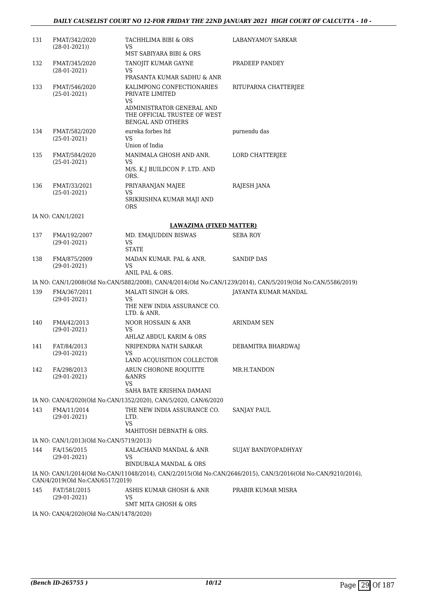#### *DAILY CAUSELIST COURT NO 12-FOR FRIDAY THE 22ND JANUARY 2021 HIGH COURT OF CALCUTTA - 10 -*

| 131 | FMAT/342/2020<br>$(28-01-2021)$         | TACHHLIMA BIBI & ORS<br>VS                                                            | <b>LABANYAMOY SARKAR</b>                                                                                     |
|-----|-----------------------------------------|---------------------------------------------------------------------------------------|--------------------------------------------------------------------------------------------------------------|
|     |                                         | MST SABIYARA BIBI & ORS                                                               |                                                                                                              |
| 132 | FMAT/345/2020<br>$(28-01-2021)$         | TANOJIT KUMAR GAYNE<br>VS                                                             | PRADEEP PANDEY                                                                                               |
|     |                                         | PRASANTA KUMAR SADHU & ANR                                                            |                                                                                                              |
| 133 | FMAT/546/2020<br>$(25-01-2021)$         | KALIMPONG CONFECTIONARIES<br>PRIVATE LIMITED<br>VS                                    | RITUPARNA CHATTERJEE                                                                                         |
|     |                                         | ADMINISTRATOR GENERAL AND<br>THE OFFICIAL TRUSTEE OF WEST<br><b>BENGAL AND OTHERS</b> |                                                                                                              |
| 134 | FMAT/582/2020<br>$(25-01-2021)$         | eureka forbes ltd<br>VS<br>Union of India                                             | purnendu das                                                                                                 |
| 135 | FMAT/584/2020                           | MANIMALA GHOSH AND ANR.                                                               | LORD CHATTERJEE                                                                                              |
|     | $(25-01-2021)$                          | <b>VS</b><br>M/S. K.J BUILDCON P. LTD. AND<br>ORS.                                    |                                                                                                              |
| 136 | FMAT/33/2021                            | PRIYARANJAN MAJEE                                                                     | RAJESH JANA                                                                                                  |
|     | $(25-01-2021)$                          | VS<br>SRIKRISHNA KUMAR MAJI AND<br><b>ORS</b>                                         |                                                                                                              |
|     | IA NO: CAN/1/2021                       |                                                                                       |                                                                                                              |
|     |                                         | <b>LAWAZIMA (FIXED MATTER)</b>                                                        |                                                                                                              |
| 137 | FMA/192/2007<br>$(29-01-2021)$          | MD. EMAJUDDIN BISWAS<br>VS<br><b>STATE</b>                                            | <b>SEBA ROY</b>                                                                                              |
| 138 | FMA/875/2009<br>$(29-01-2021)$          | MADAN KUMAR. PAL & ANR.<br>VS                                                         | <b>SANDIP DAS</b>                                                                                            |
|     |                                         | ANIL PAL & ORS.                                                                       | IA NO: CAN/1/2008(Old No:CAN/5882/2008), CAN/4/2014(Old No:CAN/1239/2014), CAN/5/2019(Old No:CAN/5586/2019)  |
| 139 | FMA/367/2011                            | MALATI SINGH & ORS.                                                                   | JAYANTA KUMAR MANDAL                                                                                         |
|     | $(29-01-2021)$                          | VS<br>THE NEW INDIA ASSURANCE CO.<br>LTD. & ANR.                                      |                                                                                                              |
| 140 | FMA/42/2013<br>$(29-01-2021)$           | NOOR HOSSAIN & ANR<br>VS                                                              | ARINDAM SEN                                                                                                  |
| 141 | FAT/84/2013                             | AHLAZ ABDUL KARIM & ORS<br>NRIPENDRA NATH SARKAR                                      | DEBAMITRA BHARDWAJ                                                                                           |
|     | $(29-01-2021)$                          | VS                                                                                    |                                                                                                              |
|     |                                         | LAND ACQUISITION COLLECTOR                                                            |                                                                                                              |
| 142 | FA/298/2013<br>$(29-01-2021)$           | ARUN CHORONE ROQUITTE<br><b>&amp;ANRS</b><br>VS                                       | MR.H.TANDON                                                                                                  |
|     |                                         | SAHA BATE KRISHNA DAMANI                                                              |                                                                                                              |
|     |                                         | IA NO: CAN/4/2020(Old No:CAN/1352/2020), CAN/5/2020, CAN/6/2020                       |                                                                                                              |
| 143 | FMA/11/2014<br>$(29-01-2021)$           | THE NEW INDIA ASSURANCE CO.<br>LTD.<br>VS                                             | <b>SANJAY PAUL</b>                                                                                           |
|     |                                         | MAHITOSH DEBNATH & ORS.                                                               |                                                                                                              |
|     | IA NO: CAN/1/2013(Old No:CAN/5719/2013) |                                                                                       |                                                                                                              |
| 144 | FA/156/2015<br>$(29-01-2021)$           | KALACHAND MANDAL & ANR<br>VS<br><b>BINDUBALA MANDAL &amp; ORS</b>                     | SUJAY BANDYOPADHYAY                                                                                          |
|     | CAN/4/2019(Old No:CAN/6517/2019)        |                                                                                       | IA NO: CAN/1/2014(Old No:CAN/11048/2014), CAN/2/2015(Old No:CAN/2646/2015), CAN/3/2016(Old No:CAN/9210/2016) |
| 145 | FAT/581/2015<br>$(29-01-2021)$          | ASHIS KUMAR GHOSH & ANR<br>VS<br>SMT MITA GHOSH & ORS                                 | PRABIR KUMAR MISRA                                                                                           |
|     |                                         |                                                                                       |                                                                                                              |

IA NO: CAN/4/2020(Old No:CAN/1478/2020)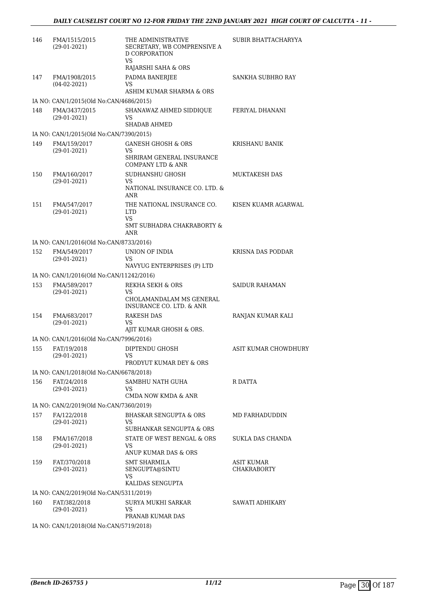| 146 | FMA/1515/2015<br>$(29-01-2021)$          | THE ADMINISTRATIVE<br>SECRETARY, WB COMPRENSIVE A<br><b>D CORPORATION</b><br>VS.<br>RAJARSHI SAHA & ORS | SUBIR BHATTACHARYYA         |
|-----|------------------------------------------|---------------------------------------------------------------------------------------------------------|-----------------------------|
| 147 | FMA/1908/2015<br>$(04-02-2021)$          | PADMA BANERJEE<br>VS<br>ASHIM KUMAR SHARMA & ORS                                                        | SANKHA SUBHRO RAY           |
|     | IA NO: CAN/1/2015(Old No:CAN/4686/2015)  |                                                                                                         |                             |
| 148 | FMA/3437/2015<br>$(29-01-2021)$          | SHANAWAZ AHMED SIDDIOUE<br>VS<br>SHADAB AHMED                                                           | FERIYAL DHANANI             |
|     | IA NO: CAN/1/2015(Old No:CAN/7390/2015)  |                                                                                                         |                             |
| 149 | FMA/159/2017<br>$(29-01-2021)$           | <b>GANESH GHOSH &amp; ORS</b><br>VS<br>SHRIRAM GENERAL INSURANCE<br>COMPANY LTD & ANR                   | KRISHANU BANIK              |
| 150 | FMA/160/2017<br>$(29-01-2021)$           | SUDHANSHU GHOSH<br>VS<br>NATIONAL INSURANCE CO. LTD. &<br>ANR                                           | <b>MUKTAKESH DAS</b>        |
| 151 | FMA/547/2017<br>$(29-01-2021)$           | THE NATIONAL INSURANCE CO.<br><b>LTD</b><br>VS<br>SMT SUBHADRA CHAKRABORTY &<br>ANR                     | KISEN KUAMR AGARWAL         |
|     | IA NO: CAN/1/2016(Old No:CAN/8733/2016)  |                                                                                                         |                             |
| 152 | FMA/549/2017<br>$(29-01-2021)$           | UNION OF INDIA<br>VS<br>NAVYUG ENTERPRISES (P) LTD                                                      | KRISNA DAS PODDAR           |
|     | IA NO: CAN/1/2016(Old No:CAN/11242/2016) |                                                                                                         |                             |
| 153 | FMA/589/2017<br>$(29-01-2021)$           | <b>REKHA SEKH &amp; ORS</b><br>VS<br>CHOLAMANDALAM MS GENERAL                                           | <b>SAIDUR RAHAMAN</b>       |
| 154 | FMA/683/2017<br>$(29-01-2021)$           | INSURANCE CO. LTD. & ANR<br><b>RAKESH DAS</b><br>VS<br>AJIT KUMAR GHOSH & ORS.                          | RANJAN KUMAR KALI           |
|     | IA NO: CAN/1/2016(Old No:CAN/7996/2016)  |                                                                                                         |                             |
| 155 | FAT/19/2018<br>$(29-01-2021)$            | DIPTENDU GHOSH<br>VS —<br>PRODYUT KUMAR DEY & ORS                                                       | <b>ASIT KUMAR CHOWDHURY</b> |
|     | IA NO: CAN/1/2018(Old No:CAN/6678/2018)  |                                                                                                         |                             |
| 156 | FAT/24/2018<br>$(29-01-2021)$            | SAMBHU NATH GUHA<br>VS<br>CMDA NOW KMDA & ANR                                                           | R DATTA                     |
|     | IA NO: CAN/2/2019(Old No:CAN/7360/2019)  |                                                                                                         |                             |
| 157 | FA/122/2018<br>$(29-01-2021)$            | <b>BHASKAR SENGUPTA &amp; ORS</b><br>VS<br>SUBHANKAR SENGUPTA & ORS                                     | MD FARHADUDDIN              |
| 158 | FMA/167/2018<br>$(29-01-2021)$           | STATE OF WEST BENGAL & ORS<br>VS<br>ANUP KUMAR DAS & ORS                                                | SUKLA DAS CHANDA            |
| 159 | FAT/370/2018<br>$(29-01-2021)$           | <b>SMT SHARMILA</b><br>SENGUPTA@SINTU<br>VS<br>KALIDAS SENGUPTA                                         | ASIT KUMAR<br>CHAKRABORTY   |
|     | IA NO: CAN/2/2019(Old No:CAN/5311/2019)  |                                                                                                         |                             |
| 160 | FAT/382/2018<br>$(29-01-2021)$           | SURYA MUKHI SARKAR<br>VS<br>PRANAB KUMAR DAS                                                            | SAWATI ADHIKARY             |
|     | IA NO: CAN/1/2018(Old No:CAN/5719/2018)  |                                                                                                         |                             |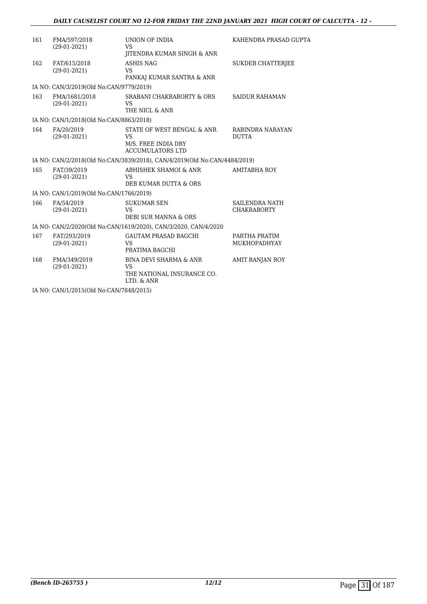| 161                                                             | FMA/597/2018<br>$(29-01-2021)$          | UNION OF INDIA<br>VS.                                                                          | KAHENDRA PRASAD GUPTA                |  |
|-----------------------------------------------------------------|-----------------------------------------|------------------------------------------------------------------------------------------------|--------------------------------------|--|
|                                                                 |                                         | <b>IITENDRA KUMAR SINGH &amp; ANR</b>                                                          |                                      |  |
| 162                                                             | FAT/615/2018<br>$(29-01-2021)$          | ASHIS NAG<br><b>VS</b><br>PANKAJ KUMAR SANTRA & ANR                                            | <b>SUKDEB CHATTERJEE</b>             |  |
|                                                                 | IA NO: CAN/3/2019(Old No:CAN/9779/2019) |                                                                                                |                                      |  |
| 163                                                             | FMA/1681/2018<br>$(29-01-2021)$         | <b>SRABANI CHAKRABORTY &amp; ORS</b><br>VS<br>THE NICL & ANR                                   | <b>SAIDUR RAHAMAN</b>                |  |
|                                                                 | IA NO: CAN/1/2018(Old No:CAN/8863/2018) |                                                                                                |                                      |  |
| 164                                                             | FA/20/2019<br>$(29-01-2021)$            | STATE OF WEST BENGAL & ANR<br><b>VS</b>                                                        | RABINDRA NARAYAN<br><b>DUTTA</b>     |  |
|                                                                 |                                         | M/S. FREE INDIA DRY<br><b>ACCUMULATORS LTD</b>                                                 |                                      |  |
|                                                                 |                                         | IA NO: CAN/2/2018(Old No:CAN/3839/2018), CAN/4/2019(Old No:CAN/4484/2019)                      |                                      |  |
| 165                                                             | FAT/39/2019<br>$(29-01-2021)$           | ABHISHEK SHAMOI & ANR<br><b>VS</b>                                                             | <b>AMITABHA ROY</b>                  |  |
|                                                                 |                                         | DEB KUMAR DUTTA & ORS                                                                          |                                      |  |
|                                                                 | IA NO: CAN/1/2019(Old No:CAN/1766/2019) |                                                                                                |                                      |  |
| 166                                                             | FA/54/2019<br>$(29-01-2021)$            | <b>SUKUMAR SEN</b><br>VS<br>DEBI SUR MANNA & ORS                                               | SAILENDRA NATH<br><b>CHAKRABORTY</b> |  |
| IA NO: CAN/2/2020(Old No:CAN/1619/2020), CAN/3/2020, CAN/4/2020 |                                         |                                                                                                |                                      |  |
| 167                                                             | FAT/293/2019<br>$(29-01-2021)$          | <b>GAUTAM PRASAD BAGCHI</b><br><b>VS</b><br>PRATIMA BAGCHI                                     | PARTHA PRATIM<br><b>MUKHOPADHYAY</b> |  |
| 168                                                             | FMA/349/2019<br>$(29-01-2021)$          | <b>BINA DEVI SHARMA &amp; ANR</b><br><b>VS</b><br>THE NATIONAL INSURANCE CO.<br>$LTD.$ $&$ ANR | AMIT RANJAN ROY                      |  |
|                                                                 |                                         |                                                                                                |                                      |  |

IA NO: CAN/1/2015(Old No:CAN/7848/2015)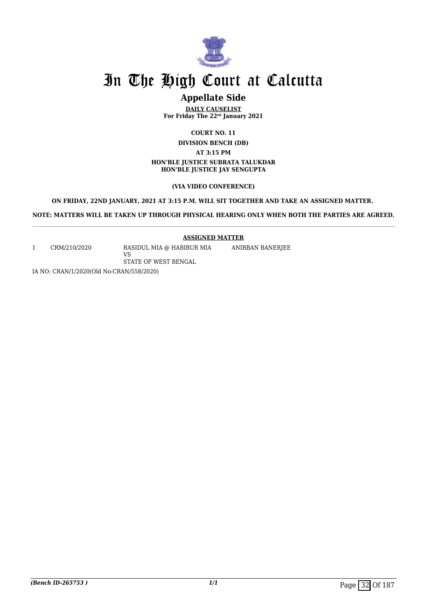

## **Appellate Side**

**DAILY CAUSELIST For Friday The 22nd January 2021**

**COURT NO. 11**

**DIVISION BENCH (DB)**

**AT 3:15 PM**

**HON'BLE JUSTICE SUBRATA TALUKDAR HON'BLE JUSTICE JAY SENGUPTA**

#### **(VIA VIDEO CONFERENCE)**

#### **ON FRIDAY, 22ND JANUARY, 2021 AT 3:15 P.M. WILL SIT TOGETHER AND TAKE AN ASSIGNED MATTER.**

**NOTE: MATTERS WILL BE TAKEN UP THROUGH PHYSICAL HEARING ONLY WHEN BOTH THE PARTIES ARE AGREED.**

#### **ASSIGNED MATTER**

ANIRBAN BANERJEE

1 CRM/210/2020 RASIDUL MIA @ HABIBUR MIA

VS STATE OF WEST BENGAL

IA NO: CRAN/1/2020(Old No:CRAN/558/2020)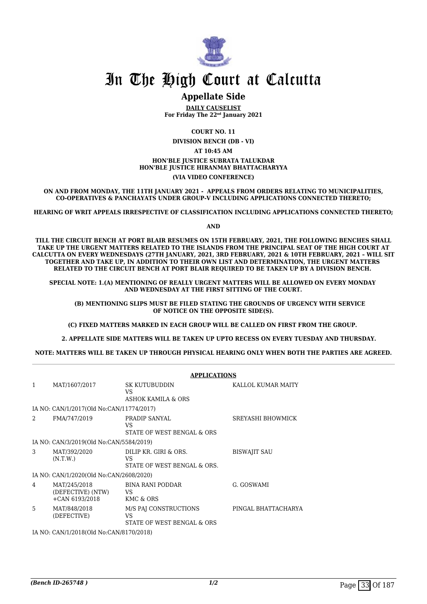

### **Appellate Side**

**DAILY CAUSELIST For Friday The 22nd January 2021**

**COURT NO. 11**

**DIVISION BENCH (DB - VI)**

**AT 10:45 AM**

**HON'BLE JUSTICE SUBRATA TALUKDAR HON'BLE JUSTICE HIRANMAY BHATTACHARYYA**

**(VIA VIDEO CONFERENCE)**

**ON AND FROM MONDAY, THE 11TH JANUARY 2021 - APPEALS FROM ORDERS RELATING TO MUNICIPALITIES, CO-OPERATIVES & PANCHAYATS UNDER GROUP-V INCLUDING APPLICATIONS CONNECTED THERETO;**

**HEARING OF WRIT APPEALS IRRESPECTIVE OF CLASSIFICATION INCLUDING APPLICATIONS CONNECTED THERETO;**

**AND**

**TILL THE CIRCUIT BENCH AT PORT BLAIR RESUMES ON 15TH FEBRUARY, 2021, THE FOLLOWING BENCHES SHALL TAKE UP THE URGENT MATTERS RELATED TO THE ISLANDS FROM THE PRINCIPAL SEAT OF THE HIGH COURT AT CALCUTTA ON EVERY WEDNESDAYS (27TH JANUARY, 2021, 3RD FEBRUARY, 2021 & 10TH FEBRUARY, 2021 – WILL SIT TOGETHER AND TAKE UP, IN ADDITION TO THEIR OWN LIST AND DETERMINATION, THE URGENT MATTERS RELATED TO THE CIRCUIT BENCH AT PORT BLAIR REQUIRED TO BE TAKEN UP BY A DIVISION BENCH.** 

**SPECIAL NOTE: 1.(A) MENTIONING OF REALLY URGENT MATTERS WILL BE ALLOWED ON EVERY MONDAY AND WEDNESDAY AT THE FIRST SITTING OF THE COURT.**

 **(B) MENTIONING SLIPS MUST BE FILED STATING THE GROUNDS OF URGENCY WITH SERVICE OF NOTICE ON THE OPPOSITE SIDE(S).**

**(C) FIXED MATTERS MARKED IN EACH GROUP WILL BE CALLED ON FIRST FROM THE GROUP.** 

 **2. APPELLATE SIDE MATTERS WILL BE TAKEN UP UPTO RECESS ON EVERY TUESDAY AND THURSDAY.** 

**NOTE: MATTERS WILL BE TAKEN UP THROUGH PHYSICAL HEARING ONLY WHEN BOTH THE PARTIES ARE AGREED.**

|                                         | <b>APPLICATIONS</b>                                   |                                                             |                          |  |  |
|-----------------------------------------|-------------------------------------------------------|-------------------------------------------------------------|--------------------------|--|--|
| 1                                       | MAT/1607/2017                                         | <b>SK KUTUBUDDIN</b><br>VS.<br>ASHOK KAMILA & ORS           | KALLOL KUMAR MAITY       |  |  |
|                                         | IA NO: CAN/1/2017(Old No:CAN/11774/2017)              |                                                             |                          |  |  |
|                                         |                                                       |                                                             |                          |  |  |
| 2                                       | FMA/747/2019                                          | PRADIP SANYAL<br>VS<br>STATE OF WEST BENGAL & ORS           | <b>SREYASHI BHOWMICK</b> |  |  |
|                                         | IA NO: CAN/3/2019(Old No:CAN/5584/2019)               |                                                             |                          |  |  |
| 3                                       | MAT/392/2020<br>(N.T.W.)                              | DILIP KR. GIRI & ORS.<br>VS.<br>STATE OF WEST BENGAL & ORS. | <b>BISWAJIT SAU</b>      |  |  |
|                                         | IA NO: CAN/1/2020(Old No:CAN/2608/2020)               |                                                             |                          |  |  |
| 4                                       | MAT/245/2018<br>(DEFECTIVE) (NTW)<br>$+CAN 6193/2018$ | BINA RANI PODDAR<br>VS<br>KMC & ORS                         | G. GOSWAMI               |  |  |
| $\overline{5}$                          | MAT/848/2018<br>(DEFECTIVE)                           | M/S PAJ CONSTRUCTIONS<br>VS<br>STATE OF WEST BENGAL & ORS   | PINGAL BHATTACHARYA      |  |  |
| IA NO: CAN/1/2018(Old No:CAN/8170/2018) |                                                       |                                                             |                          |  |  |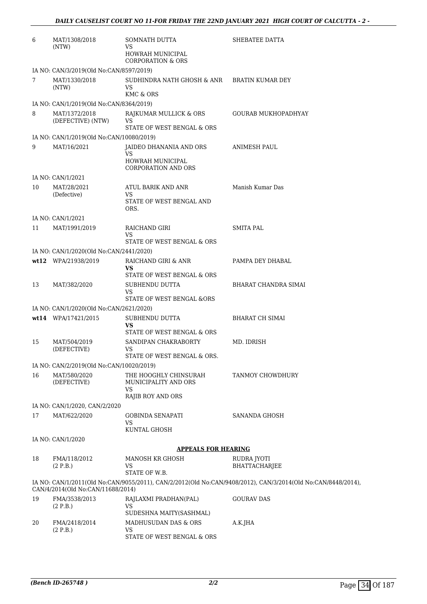| 6  | MAT/1308/2018<br>(NTW)                                   | SOMNATH DUTTA<br>VS                                            | SHEBATEE DATTA                                                                                               |
|----|----------------------------------------------------------|----------------------------------------------------------------|--------------------------------------------------------------------------------------------------------------|
|    |                                                          | HOWRAH MUNICIPAL<br><b>CORPORATION &amp; ORS</b>               |                                                                                                              |
|    | IA NO: CAN/3/2019(Old No:CAN/8597/2019)                  |                                                                |                                                                                                              |
| 7  | MAT/1330/2018<br>(NTW)                                   | SUDHINDRA NATH GHOSH & ANR<br>VS                               | <b>BRATIN KUMAR DEY</b>                                                                                      |
|    |                                                          | KMC & ORS                                                      |                                                                                                              |
| 8  | IA NO: CAN/1/2019(Old No:CAN/8364/2019)<br>MAT/1372/2018 | RAJKUMAR MULLICK & ORS                                         | GOURAB MUKHOPADHYAY                                                                                          |
|    | (DEFECTIVE) (NTW)                                        | VS<br>STATE OF WEST BENGAL & ORS                               |                                                                                                              |
|    | IA NO: CAN/1/2019(Old No:CAN/10080/2019)                 |                                                                |                                                                                                              |
| 9  | MAT/16/2021                                              | JAIDEO DHANANIA AND ORS<br>VS                                  | <b>ANIMESH PAUL</b>                                                                                          |
|    |                                                          | HOWRAH MUNICIPAL<br><b>CORPORATION AND ORS</b>                 |                                                                                                              |
|    | IA NO: CAN/1/2021                                        |                                                                |                                                                                                              |
| 10 | MAT/28/2021<br>(Defective)                               | ATUL BARIK AND ANR<br>VS                                       | Manish Kumar Das                                                                                             |
|    |                                                          | STATE OF WEST BENGAL AND<br>ORS.                               |                                                                                                              |
|    | IA NO: CAN/1/2021                                        |                                                                |                                                                                                              |
| 11 | MAT/1991/2019                                            | RAICHAND GIRI<br><b>VS</b>                                     | SMITA PAL                                                                                                    |
|    |                                                          | STATE OF WEST BENGAL & ORS                                     |                                                                                                              |
|    | IA NO: CAN/1/2020(Old No:CAN/2441/2020)                  |                                                                |                                                                                                              |
|    | wt12 WPA/21938/2019                                      | RAICHAND GIRI & ANR<br><b>VS</b><br>STATE OF WEST BENGAL & ORS | PAMPA DEY DHABAL                                                                                             |
|    |                                                          |                                                                | <b>BHARAT CHANDRA SIMAI</b>                                                                                  |
| 13 | MAT/382/2020                                             | SUBHENDU DUTTA<br>VS<br>STATE OF WEST BENGAL &ORS              |                                                                                                              |
|    | IA NO: CAN/1/2020(Old No:CAN/2621/2020)                  |                                                                |                                                                                                              |
|    | wt14 WPA/17421/2015                                      | SUBHENDU DUTTA                                                 | <b>BHARAT CH SIMAI</b>                                                                                       |
|    |                                                          | VS<br>STATE OF WEST BENGAL & ORS                               |                                                                                                              |
| 15 | MAT/504/2019<br>(DEFECTIVE)                              | SANDIPAN CHAKRABORTY<br>VS                                     | MD. IDRISH                                                                                                   |
|    |                                                          | STATE OF WEST BENGAL & ORS.                                    |                                                                                                              |
|    | IA NO: CAN/2/2019(Old No:CAN/10020/2019)                 |                                                                |                                                                                                              |
| 16 | MAT/580/2020<br>(DEFECTIVE)                              | THE HOOGHLY CHINSURAH<br>MUNICIPALITY AND ORS<br>VS            | TANMOY CHOWDHURY                                                                                             |
|    |                                                          | RAJIB ROY AND ORS                                              |                                                                                                              |
|    | IA NO: CAN/1/2020, CAN/2/2020                            |                                                                |                                                                                                              |
| 17 | MAT/622/2020                                             | GOBINDA SENAPATI<br>VS                                         | SANANDA GHOSH                                                                                                |
|    |                                                          | KUNTAL GHOSH                                                   |                                                                                                              |
|    | IA NO: CAN/1/2020                                        | <b>APPEALS FOR HEARING</b>                                     |                                                                                                              |
|    |                                                          |                                                                |                                                                                                              |
| 18 | FMA/118/2012<br>(2 P.B.)                                 | MANOSH KR GHOSH<br>VS<br>STATE OF W.B.                         | RUDRA JYOTI<br><b>BHATTACHARJEE</b>                                                                          |
|    |                                                          |                                                                | IA NO: CAN/1/2011(Old No:CAN/9055/2011), CAN/2/2012(Old No:CAN/9408/2012), CAN/3/2014(Old No:CAN/8448/2014), |
|    | CAN/4/2014(Old No:CAN/11688/2014)                        |                                                                |                                                                                                              |
| 19 | FMA/3538/2013<br>(2 P.B.)                                | RAJLAXMI PRADHAN(PAL)<br>VS                                    | <b>GOURAV DAS</b>                                                                                            |
|    |                                                          | SUDESHNA MAITY(SASHMAL)                                        |                                                                                                              |
| 20 | FMA/2418/2014<br>(2 P.B.)                                | MADHUSUDAN DAS & ORS<br>VS<br>STATE OF WEST BENGAL & ORS       | A.K.JHA                                                                                                      |
|    |                                                          |                                                                |                                                                                                              |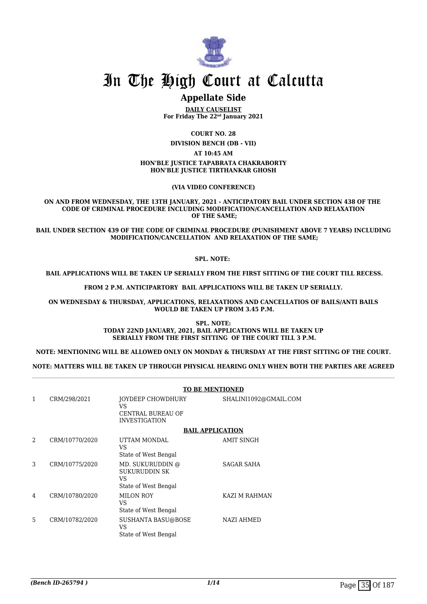

# **Appellate Side**

**DAILY CAUSELIST For Friday The 22nd January 2021**

**COURT NO. 28**

**DIVISION BENCH (DB - VII)**

**AT 10:45 AM**

#### **HON'BLE JUSTICE TAPABRATA CHAKRABORTY HON'BLE JUSTICE TIRTHANKAR GHOSH**

**(VIA VIDEO CONFERENCE)**

**ON AND FROM WEDNESDAY, THE 13TH JANUARY, 2021 - ANTICIPATORY BAIL UNDER SECTION 438 OF THE CODE OF CRIMINAL PROCEDURE INCLUDING MODIFICATION/CANCELLATION AND RELAXATION OF THE SAME;**

**BAIL UNDER SECTION 439 OF THE CODE OF CRIMINAL PROCEDURE (PUNISHMENT ABOVE 7 YEARS) INCLUDING MODIFICATION/CANCELLATION AND RELAXATION OF THE SAME;**

#### **SPL. NOTE:**

 **BAIL APPLICATIONS WILL BE TAKEN UP SERIALLY FROM THE FIRST SITTING OF THE COURT TILL RECESS.**

**FROM 2 P.M. ANTICIPARTORY BAIL APPLICATIONS WILL BE TAKEN UP SERIALLY.**

**ON WEDNESDAY & THURSDAY, APPLICATIONS, RELAXATIONS AND CANCELLATIOS OF BAILS/ANTI BAILS WOULD BE TAKEN UP FROM 3.45 P.M.**

> **SPL. NOTE: TODAY 22ND JANUARY, 2021, BAIL APPLICATIONS WILL BE TAKEN UP SERIALLY FROM THE FIRST SITTING OF THE COURT TILL 3 P.M.**

**NOTE: MENTIONING WILL BE ALLOWED ONLY ON MONDAY & THURSDAY AT THE FIRST SITTING OF THE COURT.**

**NOTE: MATTERS WILL BE TAKEN UP THROUGH PHYSICAL HEARING ONLY WHEN BOTH THE PARTIES ARE AGREED**

|   |                | <b>TO BE MENTIONED</b>                                                        |                       |  |
|---|----------------|-------------------------------------------------------------------------------|-----------------------|--|
| 1 | CRM/298/2021   | JOYDEEP CHOWDHURY<br><b>VS</b><br>CENTRAL BUREAU OF<br><b>INVESTIGATION</b>   | SHALINI1092@GMAIL.COM |  |
|   |                | <b>BAIL APPLICATION</b>                                                       |                       |  |
| 2 | CRM/10770/2020 | UTTAM MONDAL<br>VS<br>State of West Bengal                                    | AMIT SINGH            |  |
| 3 | CRM/10775/2020 | MD. SUKURUDDIN @<br><b>SUKURUDDIN SK</b><br><b>VS</b><br>State of West Bengal | SAGAR SAHA            |  |
| 4 | CRM/10780/2020 | <b>MILON ROY</b><br><b>VS</b><br>State of West Bengal                         | KAZI M RAHMAN         |  |
| 5 | CRM/10782/2020 | SUSHANTA BASU@BOSE<br><b>VS</b><br>State of West Bengal                       | <b>NAZI AHMED</b>     |  |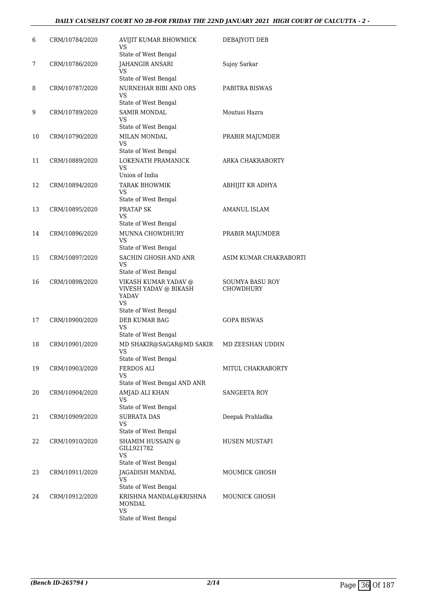# *DAILY CAUSELIST COURT NO 28-FOR FRIDAY THE 22ND JANUARY 2021 HIGH COURT OF CALCUTTA - 2 -*

| 6  | CRM/10784/2020 | AVIJIT KUMAR BHOWMICK<br><b>VS</b>                                         | DEBAJYOTI DEB                       |
|----|----------------|----------------------------------------------------------------------------|-------------------------------------|
| 7  | CRM/10786/2020 | State of West Bengal<br>JAHANGIR ANSARI<br>VS                              | Sujoy Sarkar                        |
|    |                | State of West Bengal                                                       |                                     |
| 8  | CRM/10787/2020 | NURNEHAR BIBI AND ORS<br><b>VS</b>                                         | PABITRA BISWAS                      |
| 9  | CRM/10789/2020 | State of West Bengal<br><b>SAMIR MONDAL</b>                                | Moutusi Hazra                       |
|    |                | VS<br>State of West Bengal                                                 |                                     |
| 10 | CRM/10790/2020 | MILAN MONDAL                                                               | PRABIR MAJUMDER                     |
|    |                | <b>VS</b><br>State of West Bengal                                          |                                     |
| 11 | CRM/10889/2020 | LOKENATH PRAMANICK<br><b>VS</b><br>Union of India                          | ARKA CHAKRABORTY                    |
| 12 | CRM/10894/2020 | <b>TARAK BHOWMIK</b><br><b>VS</b>                                          | ABHIJIT KR ADHYA                    |
|    |                | State of West Bengal                                                       |                                     |
| 13 | CRM/10895/2020 | PRATAP SK<br>VS                                                            | AMANUL ISLAM                        |
|    |                | State of West Bengal                                                       |                                     |
| 14 | CRM/10896/2020 | MUNNA CHOWDHURY<br>VS<br>State of West Bengal                              | PRABIR MAJUMDER                     |
| 15 | CRM/10897/2020 | SACHIN GHOSH AND ANR                                                       | ASIM KUMAR CHAKRABORTI              |
|    |                | VS<br>State of West Bengal                                                 |                                     |
| 16 | CRM/10898/2020 | VIKASH KUMAR YADAV @<br>VIVESH YADAV @ BIKASH<br><b>YADAV</b><br><b>VS</b> | SOUMYA BASU ROY<br><b>CHOWDHURY</b> |
|    |                | State of West Bengal                                                       |                                     |
| 17 | CRM/10900/2020 | DEB KUMAR BAG<br><b>VS</b><br>State of West Bengal                         | <b>GOPA BISWAS</b>                  |
| 18 | CRM/10901/2020 | MD SHAKIR@SAGAR@MD SAKIR                                                   | MD ZEESHAN UDDIN                    |
|    |                | <b>VS</b><br>State of West Bengal                                          |                                     |
| 19 | CRM/10903/2020 | <b>FERDOS ALI</b>                                                          | MITUL CHAKRABORTY                   |
|    |                | VS<br>State of West Bengal AND ANR                                         |                                     |
| 20 | CRM/10904/2020 | AMJAD ALI KHAN                                                             | SANGEETA ROY                        |
|    |                | <b>VS</b>                                                                  |                                     |
|    |                | State of West Bengal                                                       |                                     |
| 21 | CRM/10909/2020 | <b>SUBRATA DAS</b><br>VS<br>State of West Bengal                           | Deepak Prahladka                    |
| 22 | CRM/10910/2020 | SHAMIM HUSSAIN @<br>GILL921782<br><b>VS</b>                                | HUSEN MUSTAFI                       |
|    |                | State of West Bengal                                                       |                                     |
| 23 | CRM/10911/2020 | JAGADISH MANDAL<br>VS                                                      | MOUMICK GHOSH                       |
|    |                | State of West Bengal                                                       |                                     |
| 24 | CRM/10912/2020 | KRISHNA MANDAL@KRISHNA<br><b>MONDAL</b><br>VS                              | <b>MOUNICK GHOSH</b>                |
|    |                | State of West Bengal                                                       |                                     |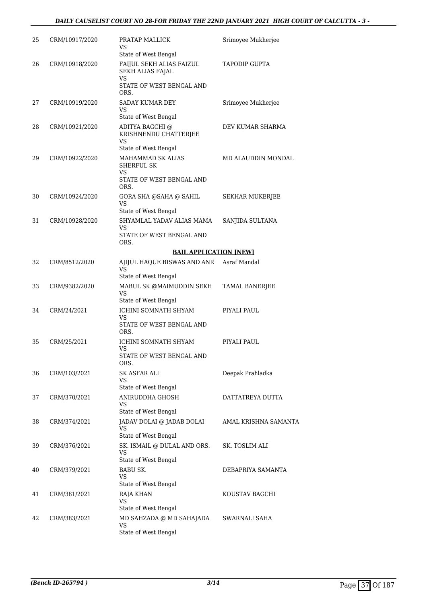# *DAILY CAUSELIST COURT NO 28-FOR FRIDAY THE 22ND JANUARY 2021 HIGH COURT OF CALCUTTA - 3 -*

| 25 | CRM/10917/2020 | PRATAP MALLICK<br>VS<br>State of West Bengal                                                  | Srimoyee Mukherjee     |
|----|----------------|-----------------------------------------------------------------------------------------------|------------------------|
| 26 | CRM/10918/2020 | FAIJUL SEKH ALIAS FAIZUL<br>SEKH ALIAS FAJAL<br><b>VS</b><br>STATE OF WEST BENGAL AND<br>ORS. | <b>TAPODIP GUPTA</b>   |
| 27 | CRM/10919/2020 | SADAY KUMAR DEY<br>VS<br>State of West Bengal                                                 | Srimoyee Mukherjee     |
| 28 | CRM/10921/2020 | ADITYA BAGCHI @<br>KRISHNENDU CHATTERJEE<br>VS<br>State of West Bengal                        | DEV KUMAR SHARMA       |
| 29 | CRM/10922/2020 | MAHAMMAD SK ALIAS<br>SHERFUL SK<br>VS<br>STATE OF WEST BENGAL AND<br>ORS.                     | MD ALAUDDIN MONDAL     |
| 30 | CRM/10924/2020 | GORA SHA @SAHA @ SAHIL<br>VS<br>State of West Bengal                                          | <b>SEKHAR MUKERJEE</b> |
| 31 | CRM/10928/2020 | SHYAMLAL YADAV ALIAS MAMA<br>VS<br>STATE OF WEST BENGAL AND<br>ORS.                           | SANJIDA SULTANA        |
|    |                | <b>BAIL APPLICATION [NEW]</b>                                                                 |                        |
| 32 | CRM/8512/2020  | AJIJUL HAQUE BISWAS AND ANR<br>VS<br>State of West Bengal                                     | Asraf Mandal           |
| 33 | CRM/9382/2020  | MABUL SK @MAIMUDDIN SEKH<br><b>VS</b>                                                         | TAMAL BANERJEE         |
| 34 | CRM/24/2021    | State of West Bengal<br><b>ICHINI SOMNATH SHYAM</b><br>VS<br>STATE OF WEST BENGAL AND<br>ORS. | PIYALI PAUL            |
| 35 | CRM/25/2021    | ICHINI SOMNATH SHYAM<br>VS<br>STATE OF WEST BENGAL AND<br>ORS.                                | PIYALI PAUL            |
| 36 | CRM/103/2021   | SK ASFAR ALI<br>VS<br>State of West Bengal                                                    | Deepak Prahladka       |
| 37 | CRM/370/2021   | ANIRUDDHA GHOSH<br>VS<br>State of West Bengal                                                 | DATTATREYA DUTTA       |
| 38 | CRM/374/2021   | JADAV DOLAI @ JADAB DOLAI<br>VS<br>State of West Bengal                                       | AMAL KRISHNA SAMANTA   |
| 39 | CRM/376/2021   | SK. ISMAIL @ DULAL AND ORS.<br><b>VS</b><br>State of West Bengal                              | SK. TOSLIM ALI         |
| 40 | CRM/379/2021   | <b>BABU SK.</b><br>VS<br>State of West Bengal                                                 | DEBAPRIYA SAMANTA      |
| 41 | CRM/381/2021   | RAJA KHAN<br>VS<br>State of West Bengal                                                       | KOUSTAV BAGCHI         |
| 42 | CRM/383/2021   | MD SAHZADA @ MD SAHAJADA<br>VS<br>State of West Bengal                                        | SWARNALI SAHA          |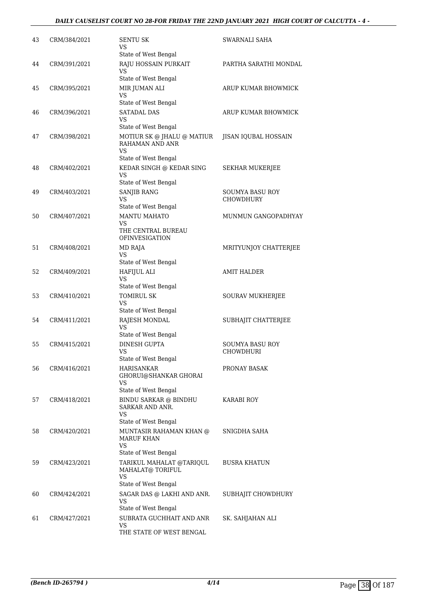# *DAILY CAUSELIST COURT NO 28-FOR FRIDAY THE 22ND JANUARY 2021 HIGH COURT OF CALCUTTA - 4 -*

| 43 | CRM/384/2021 | <b>SENTU SK</b><br>VS<br>State of West Bengal                                      | SWARNALI SAHA                       |
|----|--------------|------------------------------------------------------------------------------------|-------------------------------------|
| 44 | CRM/391/2021 | RAJU HOSSAIN PURKAIT<br>VS<br>State of West Bengal                                 | PARTHA SARATHI MONDAL               |
| 45 | CRM/395/2021 | MIR JUMAN ALI<br>VS<br>State of West Bengal                                        | ARUP KUMAR BHOWMICK                 |
| 46 | CRM/396/2021 | <b>SATADAL DAS</b><br>VS<br>State of West Bengal                                   | ARUP KUMAR BHOWMICK                 |
| 47 | CRM/398/2021 | MOTIUR SK @ JHALU @ MATIUR<br>RAHAMAN AND ANR<br><b>VS</b><br>State of West Bengal | JISAN IQUBAL HOSSAIN                |
| 48 | CRM/402/2021 | KEDAR SINGH @ KEDAR SING<br>VS<br>State of West Bengal                             | SEKHAR MUKERJEE                     |
| 49 | CRM/403/2021 | SANJIB RANG<br><b>VS</b><br>State of West Bengal                                   | SOUMYA BASU ROY<br><b>CHOWDHURY</b> |
| 50 | CRM/407/2021 | <b>MANTU MAHATO</b><br>VS<br>THE CENTRAL BUREAU<br><b>OFINVESIGATION</b>           | MUNMUN GANGOPADHYAY                 |
| 51 | CRM/408/2021 | MD RAJA<br>VS<br>State of West Bengal                                              | MRITYUNJOY CHATTERJEE               |
| 52 | CRM/409/2021 | <b>HAFIJUL ALI</b><br>VS<br>State of West Bengal                                   | AMIT HALDER                         |
| 53 | CRM/410/2021 | <b>TOMIRUL SK</b><br>VS                                                            | SOURAV MUKHERJEE                    |
| 54 | CRM/411/2021 | State of West Bengal<br>RAJESH MONDAL<br><b>VS</b><br>State of West Bengal         | SUBHAJIT CHATTERJEE                 |
| 55 | CRM/415/2021 | <b>DINESH GUPTA</b><br>VS<br>State of West Bengal                                  | <b>SOUMYA BASU ROY</b><br>CHOWDHURI |
| 56 | CRM/416/2021 | <b>HARISANKAR</b><br>GHORUI@SHANKAR GHORAI<br>VS<br>State of West Bengal           | PRONAY BASAK                        |
| 57 | CRM/418/2021 | BINDU SARKAR @ BINDHU<br>SARKAR AND ANR.<br>VS                                     | <b>KARABI ROY</b>                   |
| 58 | CRM/420/2021 | State of West Bengal<br>MUNTASIR RAHAMAN KHAN @<br>MARUF KHAN<br>VS                | SNIGDHA SAHA                        |
| 59 | CRM/423/2021 | State of West Bengal<br>TARIKUL MAHALAT @TARIQUL<br>MAHALAT@ TORIFUL<br>VS         | <b>BUSRA KHATUN</b>                 |
| 60 | CRM/424/2021 | State of West Bengal<br>SAGAR DAS @ LAKHI AND ANR.<br>VS<br>State of West Bengal   | SUBHAJIT CHOWDHURY                  |
| 61 | CRM/427/2021 | SUBRATA GUCHHAIT AND ANR<br>VS<br>THE STATE OF WEST BENGAL                         | SK. SAHJAHAN ALI                    |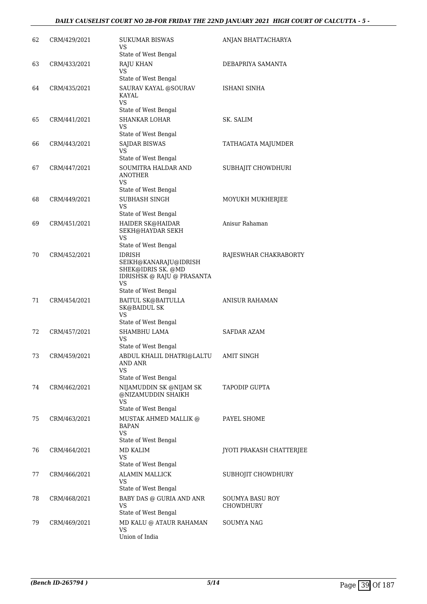# *DAILY CAUSELIST COURT NO 28-FOR FRIDAY THE 22ND JANUARY 2021 HIGH COURT OF CALCUTTA - 5 -*

| 62 | CRM/429/2021 | SUKUMAR BISWAS<br>VS<br>State of West Bengal                                                                             | ANJAN BHATTACHARYA           |
|----|--------------|--------------------------------------------------------------------------------------------------------------------------|------------------------------|
| 63 | CRM/433/2021 | <b>RAJU KHAN</b><br>VS<br>State of West Bengal                                                                           | DEBAPRIYA SAMANTA            |
| 64 | CRM/435/2021 | SAURAV KAYAL @SOURAV<br>KAYAL<br>VS                                                                                      | ISHANI SINHA                 |
| 65 | CRM/441/2021 | State of West Bengal<br><b>SHANKAR LOHAR</b><br>VS                                                                       | SK. SALIM                    |
| 66 | CRM/443/2021 | State of West Bengal<br><b>SAJDAR BISWAS</b><br>VS<br>State of West Bengal                                               | TATHAGATA MAJUMDER           |
| 67 | CRM/447/2021 | SOUMITRA HALDAR AND<br><b>ANOTHER</b><br>VS                                                                              | SUBHAJIT CHOWDHURI           |
| 68 | CRM/449/2021 | State of West Bengal<br><b>SUBHASH SINGH</b><br>VS<br>State of West Bengal                                               | MOYUKH MUKHERJEE             |
| 69 | CRM/451/2021 | HAIDER SK@HAIDAR<br>SEKH@HAYDAR SEKH<br>VS<br>State of West Bengal                                                       | Anisur Rahaman               |
| 70 | CRM/452/2021 | <b>IDRISH</b><br>SEIKH@KANARAJU@IDRISH<br>SHEK@IDRIS SK. @MD<br>IDRISHSK @ RAJU @ PRASANTA<br>VS<br>State of West Bengal | RAJESWHAR CHAKRABORTY        |
| 71 | CRM/454/2021 | BAITUL SK@BAITULLA<br><b>SK@BAIDUL SK</b><br>VS                                                                          | <b>ANISUR RAHAMAN</b>        |
| 72 | CRM/457/2021 | State of West Bengal<br>SHAMBHU LAMA<br>VS<br>State of West Bengal                                                       | <b>SAFDAR AZAM</b>           |
| 73 | CRM/459/2021 | ABDUL KHALIL DHATRI@LALTU AMIT SINGH<br>AND ANR<br>VS<br>State of West Bengal                                            |                              |
| 74 | CRM/462/2021 | NIJAMUDDIN SK @NIJAM SK<br>@NIZAMUDDIN SHAIKH<br><b>VS</b>                                                               | TAPODIP GUPTA                |
| 75 | CRM/463/2021 | State of West Bengal<br>MUSTAK AHMED MALLIK @<br><b>BAPAN</b><br>VS.<br>State of West Bengal                             | PAYEL SHOME                  |
| 76 | CRM/464/2021 | MD KALIM<br>VS<br>State of West Bengal                                                                                   | JYOTI PRAKASH CHATTERJEE     |
| 77 | CRM/466/2021 | <b>ALAMIN MALLICK</b><br>VS<br>State of West Bengal                                                                      | SUBHOJIT CHOWDHURY           |
| 78 | CRM/468/2021 | BABY DAS @ GURIA AND ANR<br><b>VS</b><br>State of West Bengal                                                            | SOUMYA BASU ROY<br>CHOWDHURY |
| 79 | CRM/469/2021 | MD KALU @ ATAUR RAHAMAN<br>VS<br>Union of India                                                                          | SOUMYA NAG                   |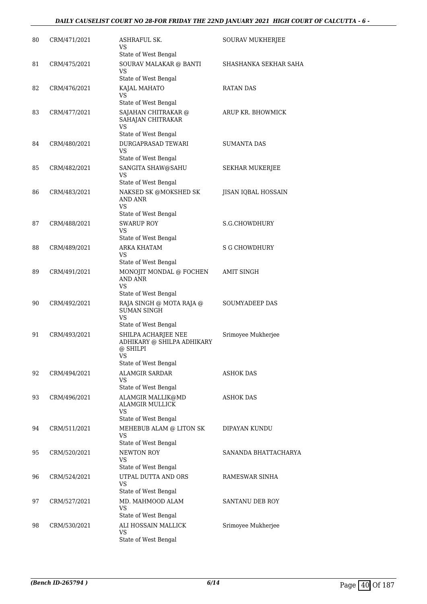# *DAILY CAUSELIST COURT NO 28-FOR FRIDAY THE 22ND JANUARY 2021 HIGH COURT OF CALCUTTA - 6 -*

| 80 | CRM/471/2021 | ASHRAFUL SK.<br>VS                                                         | SOURAV MUKHERJEE      |
|----|--------------|----------------------------------------------------------------------------|-----------------------|
|    |              | State of West Bengal                                                       |                       |
| 81 | CRM/475/2021 | SOURAV MALAKAR @ BANTI<br>VS<br>State of West Bengal                       | SHASHANKA SEKHAR SAHA |
| 82 | CRM/476/2021 |                                                                            | RATAN DAS             |
|    |              | KAJAL MAHATO<br>VS                                                         |                       |
|    |              | State of West Bengal                                                       |                       |
| 83 | CRM/477/2021 | SAJAHAN CHITRAKAR @<br>SAHAJAN CHITRAKAR<br>VS                             | ARUP KR. BHOWMICK     |
|    |              | State of West Bengal                                                       |                       |
| 84 | CRM/480/2021 | DURGAPRASAD TEWARI<br>VS                                                   | SUMANTA DAS           |
|    |              | State of West Bengal                                                       |                       |
| 85 | CRM/482/2021 | SANGITA SHAW@SAHU<br><b>VS</b><br>State of West Bengal                     | SEKHAR MUKERJEE       |
| 86 | CRM/483/2021 | NAKSED SK @MOKSHED SK<br><b>AND ANR</b><br>VS                              | JISAN IQBAL HOSSAIN   |
| 87 | CRM/488/2021 | State of West Bengal<br><b>SWARUP ROY</b>                                  | S.G.CHOWDHURY         |
|    |              | VS                                                                         |                       |
|    |              | State of West Bengal                                                       |                       |
| 88 | CRM/489/2021 | ARKA KHATAM<br>VS                                                          | <b>S G CHOWDHURY</b>  |
|    |              | State of West Bengal                                                       |                       |
| 89 | CRM/491/2021 | MONOJIT MONDAL @ FOCHEN<br><b>AND ANR</b><br>VS                            | <b>AMIT SINGH</b>     |
|    |              | State of West Bengal                                                       |                       |
| 90 | CRM/492/2021 | RAJA SINGH @ MOTA RAJA @<br><b>SUMAN SINGH</b><br>VS                       | SOUMYADEEP DAS        |
|    |              | State of West Bengal                                                       |                       |
| 91 | CRM/493/2021 | SHILPA ACHARJEE NEE<br>ADHIKARY @ SHILPA ADHIKARY<br>@ SHILPI<br><b>VS</b> | Srimoyee Mukherjee    |
|    |              | State of West Bengal                                                       |                       |
| 92 | CRM/494/2021 | <b>ALAMGIR SARDAR</b><br>VS<br>State of West Bengal                        | <b>ASHOK DAS</b>      |
| 93 | CRM/496/2021 | ALAMGIR MALLIK@MD                                                          | ASHOK DAS             |
|    |              | <b>ALAMGIR MULLICK</b><br>VS                                               |                       |
|    |              | State of West Bengal                                                       |                       |
| 94 | CRM/511/2021 | MEHEBUB ALAM @ LITON SK<br>VS<br>State of West Bengal                      | DIPAYAN KUNDU         |
|    |              |                                                                            |                       |
| 95 | CRM/520/2021 | NEWTON ROY<br>VS<br>State of West Bengal                                   | SANANDA BHATTACHARYA  |
| 96 | CRM/524/2021 | UTPAL DUTTA AND ORS<br>VS                                                  | RAMESWAR SINHA        |
|    |              | State of West Bengal                                                       |                       |
| 97 | CRM/527/2021 | MD. MAHMOOD ALAM<br>VS                                                     | SANTANU DEB ROY       |
|    |              | State of West Bengal                                                       |                       |
| 98 | CRM/530/2021 | ALI HOSSAIN MALLICK<br>VS<br>State of West Bengal                          | Srimoyee Mukherjee    |
|    |              |                                                                            |                       |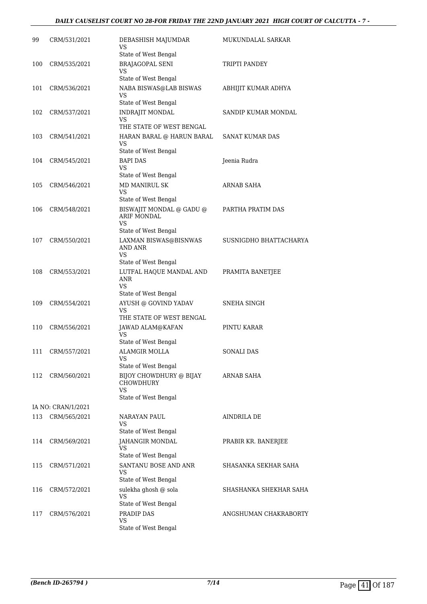# *DAILY CAUSELIST COURT NO 28-FOR FRIDAY THE 22ND JANUARY 2021 HIGH COURT OF CALCUTTA - 7 -*

| 99  | CRM/531/2021       | DEBASHISH MAJUMDAR<br>VS                                             | MUKUNDALAL SARKAR      |
|-----|--------------------|----------------------------------------------------------------------|------------------------|
|     |                    | State of West Bengal                                                 |                        |
| 100 | CRM/535/2021       | <b>BRAJAGOPAL SENI</b><br>VS                                         | TRIPTI PANDEY          |
|     |                    | State of West Bengal                                                 |                        |
| 101 | CRM/536/2021       | NABA BISWAS@LAB BISWAS<br>VS                                         | ABHIJIT KUMAR ADHYA    |
|     |                    | State of West Bengal                                                 |                        |
| 102 | CRM/537/2021       | INDRAJIT MONDAL<br>VS<br>THE STATE OF WEST BENGAL                    | SANDIP KUMAR MONDAL    |
| 103 | CRM/541/2021       | HARAN BARAL @ HARUN BARAL                                            | SANAT KUMAR DAS        |
|     |                    | VS<br>State of West Bengal                                           |                        |
| 104 | CRM/545/2021       | <b>BAPI DAS</b>                                                      | Jeenia Rudra           |
|     |                    | VS.                                                                  |                        |
|     |                    | State of West Bengal                                                 |                        |
| 105 | CRM/546/2021       | MD MANIRUL SK<br><b>VS</b><br>State of West Bengal                   | ARNAB SAHA             |
| 106 | CRM/548/2021       | BISWAJIT MONDAL @ GADU @                                             | PARTHA PRATIM DAS      |
|     |                    | <b>ARIF MONDAL</b><br>VS                                             |                        |
|     |                    | State of West Bengal                                                 |                        |
| 107 | CRM/550/2021       | LAXMAN BISWAS@BISNWAS<br>AND ANR<br><b>VS</b>                        | SUSNIGDHO BHATTACHARYA |
|     |                    | State of West Bengal                                                 |                        |
| 108 | CRM/553/2021       | LUTFAL HAQUE MANDAL AND<br><b>ANR</b><br>VS.<br>State of West Bengal | PRAMITA BANETJEE       |
| 109 | CRM/554/2021       | AYUSH @ GOVIND YADAV                                                 | SNEHA SINGH            |
|     |                    | <b>VS</b><br>THE STATE OF WEST BENGAL                                |                        |
| 110 | CRM/556/2021       | JAWAD ALAM@KAFAN                                                     | PINTU KARAR            |
|     |                    | VS<br>State of West Bengal                                           |                        |
| 111 | CRM/557/2021       | <b>ALAMGIR MOLLA</b>                                                 | SONALI DAS             |
|     |                    | VS<br>State of West Bengal                                           |                        |
| 112 | CRM/560/2021       | BIJOY CHOWDHURY @ BIJAY<br>CHOWDHURY<br>VS                           | ARNAB SAHA             |
|     |                    | State of West Bengal                                                 |                        |
|     | IA NO: CRAN/1/2021 |                                                                      |                        |
| 113 | CRM/565/2021       | NARAYAN PAUL<br>VS<br>State of West Bengal                           | AINDRILA DE            |
| 114 | CRM/569/2021       | <b>JAHANGIR MONDAL</b>                                               | PRABIR KR. BANERJEE    |
|     |                    | VS<br>State of West Bengal                                           |                        |
| 115 | CRM/571/2021       | SANTANU BOSE AND ANR                                                 | SHASANKA SEKHAR SAHA   |
|     |                    | VS<br>State of West Bengal                                           |                        |
| 116 | CRM/572/2021       | sulekha ghosh @ sola                                                 | SHASHANKA SHEKHAR SAHA |
|     |                    | VS                                                                   |                        |
|     |                    | State of West Bengal                                                 |                        |
| 117 | CRM/576/2021       | PRADIP DAS<br>VS                                                     | ANGSHUMAN CHAKRABORTY  |
|     |                    | State of West Bengal                                                 |                        |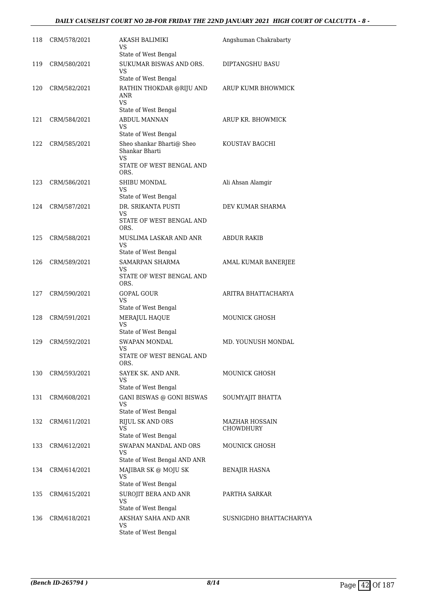### *DAILY CAUSELIST COURT NO 28-FOR FRIDAY THE 22ND JANUARY 2021 HIGH COURT OF CALCUTTA - 8 -*

| 118 | CRM/578/2021 | AKASH BALIMIKI<br>VS                                           | Angshuman Chakrabarty   |
|-----|--------------|----------------------------------------------------------------|-------------------------|
|     |              | State of West Bengal                                           |                         |
| 119 | CRM/580/2021 | SUKUMAR BISWAS AND ORS.<br>VS                                  | DIPTANGSHU BASU         |
|     |              | State of West Bengal                                           |                         |
| 120 | CRM/582/2021 | RATHIN THOKDAR @RIJU AND<br>ANR<br><b>VS</b>                   | ARUP KUMR BHOWMICK      |
|     |              | State of West Bengal                                           |                         |
| 121 | CRM/584/2021 | <b>ABDUL MANNAN</b><br>VS                                      | ARUP KR. BHOWMICK       |
|     |              | State of West Bengal                                           |                         |
| 122 | CRM/585/2021 | Sheo shankar Bharti@ Sheo<br>Shankar Bharti<br><b>VS</b>       | KOUSTAV BAGCHI          |
|     |              | STATE OF WEST BENGAL AND<br>ORS.                               |                         |
| 123 | CRM/586/2021 | SHIBU MONDAL<br>VS                                             | Ali Ahsan Alamgir       |
|     |              | State of West Bengal                                           |                         |
| 124 | CRM/587/2021 | DR. SRIKANTA PUSTI<br>VS<br>STATE OF WEST BENGAL AND           | DEV KUMAR SHARMA        |
|     |              | ORS.                                                           |                         |
| 125 | CRM/588/2021 | MUSLIMA LASKAR AND ANR<br>VS                                   | <b>ABDUR RAKIB</b>      |
|     |              | State of West Bengal                                           |                         |
| 126 | CRM/589/2021 | <b>SAMARPAN SHARMA</b><br>VS<br>STATE OF WEST BENGAL AND       | AMAL KUMAR BANERJEE     |
|     |              | ORS.                                                           |                         |
| 127 | CRM/590/2021 | <b>GOPAL GOUR</b><br>VS                                        | ARITRA BHATTACHARYA     |
|     |              | State of West Bengal                                           |                         |
| 128 | CRM/591/2021 | MERAJUL HAQUE<br>VS<br>State of West Bengal                    | <b>MOUNICK GHOSH</b>    |
|     |              |                                                                |                         |
| 129 | CRM/592/2021 | <b>SWAPAN MONDAL</b><br>VS<br>STATE OF WEST BENGAL AND<br>ORS. | MD. YOUNUSH MONDAL      |
| 130 | CRM/593/2021 | SAYEK SK. AND ANR.                                             | <b>MOUNICK GHOSH</b>    |
|     |              | VS<br>State of West Bengal                                     |                         |
| 131 | CRM/608/2021 | GANI BISWAS @ GONI BISWAS                                      | SOUMYAJIT BHATTA        |
|     |              | VS<br>State of West Bengal                                     |                         |
| 132 | CRM/611/2021 | <b>RIJUL SK AND ORS</b>                                        | <b>MAZHAR HOSSAIN</b>   |
|     |              | VS.                                                            | CHOWDHURY               |
|     |              | State of West Bengal                                           |                         |
| 133 | CRM/612/2021 | SWAPAN MANDAL AND ORS<br>VS<br>State of West Bengal AND ANR    | MOUNICK GHOSH           |
| 134 | CRM/614/2021 | MAJIBAR SK @ MOJU SK                                           | <b>BENAJIR HASNA</b>    |
|     |              | VS.<br>State of West Bengal                                    |                         |
| 135 | CRM/615/2021 | SUROJIT BERA AND ANR                                           | PARTHA SARKAR           |
|     |              | VS<br>State of West Bengal                                     |                         |
| 136 | CRM/618/2021 | AKSHAY SAHA AND ANR                                            | SUSNIGDHO BHATTACHARYYA |
|     |              | VS<br>State of West Bengal                                     |                         |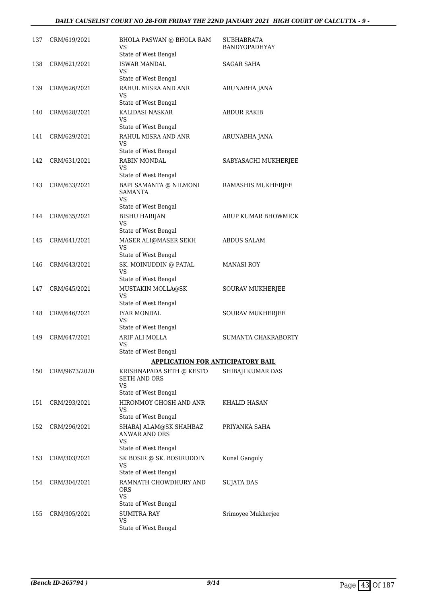# *DAILY CAUSELIST COURT NO 28-FOR FRIDAY THE 22ND JANUARY 2021 HIGH COURT OF CALCUTTA - 9 -*

| 137 | CRM/619/2021  | <b>BHOLA PASWAN @ BHOLA RAM</b><br>VS<br>State of West Bengal                   | SUBHABRATA<br><b>BANDYOPADHYAY</b> |
|-----|---------------|---------------------------------------------------------------------------------|------------------------------------|
| 138 | CRM/621/2021  | <b>ISWAR MANDAL</b><br>VS.<br>State of West Bengal                              | <b>SAGAR SAHA</b>                  |
| 139 | CRM/626/2021  | RAHUL MISRA AND ANR<br>VS<br>State of West Bengal                               | ARUNABHA JANA                      |
| 140 | CRM/628/2021  | KALIDASI NASKAR<br>VS<br>State of West Bengal                                   | <b>ABDUR RAKIB</b>                 |
| 141 | CRM/629/2021  | RAHUL MISRA AND ANR<br>VS<br>State of West Bengal                               | ARUNABHA JANA                      |
| 142 | CRM/631/2021  | RABIN MONDAL<br>VS<br>State of West Bengal                                      | SABYASACHI MUKHERJEE               |
| 143 | CRM/633/2021  | BAPI SAMANTA @ NILMONI<br><b>SAMANTA</b><br><b>VS</b><br>State of West Bengal   | RAMASHIS MUKHERJEE                 |
| 144 | CRM/635/2021  | <b>BISHU HARIJAN</b><br>VS<br>State of West Bengal                              | ARUP KUMAR BHOWMICK                |
| 145 | CRM/641/2021  | MASER ALI@MASER SEKH<br>VS<br>State of West Bengal                              | <b>ABDUS SALAM</b>                 |
| 146 | CRM/643/2021  | SK. MOINUDDIN @ PATAL<br>VS<br>State of West Bengal                             | MANASI ROY                         |
| 147 | CRM/645/2021  | MUSTAKIN MOLLA@SK<br>VS<br>State of West Bengal                                 | SOURAV MUKHERJEE                   |
| 148 | CRM/646/2021  | <b>IYAR MONDAL</b><br>VS.<br>State of West Bengal                               | SOURAV MUKHERJEE                   |
| 149 | CRM/647/2021  | ARIF ALI MOLLA<br>VS<br>State of West Bengal                                    | SUMANTA CHAKRABORTY                |
|     |               | <b>APPLICATION FOR ANTICIPATORY BAIL</b>                                        |                                    |
| 150 | CRM/9673/2020 | KRISHNAPADA SETH @ KESTO<br><b>SETH AND ORS</b><br><b>VS</b>                    | SHIBAJI KUMAR DAS                  |
| 151 | CRM/293/2021  | State of West Bengal<br>HIRONMOY GHOSH AND ANR<br>VS<br>State of West Bengal    | KHALID HASAN                       |
| 152 | CRM/296/2021  | SHABAJ ALAM@SK SHAHBAZ<br>ANWAR AND ORS<br>VS                                   | PRIYANKA SAHA                      |
| 153 | CRM/303/2021  | State of West Bengal<br>SK BOSIR @ SK. BOSIRUDDIN<br>VS<br>State of West Bengal | Kunal Ganguly                      |
| 154 | CRM/304/2021  | RAMNATH CHOWDHURY AND<br>ORS<br>VS                                              | SUJATA DAS                         |
| 155 | CRM/305/2021  | State of West Bengal<br><b>SUMITRA RAY</b><br>VS<br>State of West Bengal        | Srimoyee Mukherjee                 |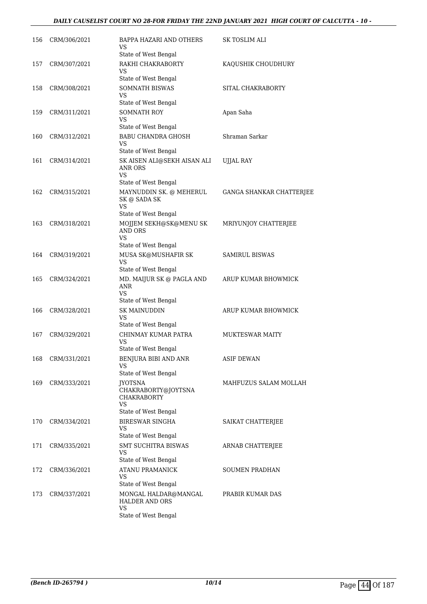# *DAILY CAUSELIST COURT NO 28-FOR FRIDAY THE 22ND JANUARY 2021 HIGH COURT OF CALCUTTA - 10 -*

| 156 | CRM/306/2021 | BAPPA HAZARI AND OTHERS<br>VS                              | SK TOSLIM ALI            |
|-----|--------------|------------------------------------------------------------|--------------------------|
|     |              | State of West Bengal                                       |                          |
| 157 | CRM/307/2021 | RAKHI CHAKRABORTY<br>VS                                    | KAQUSHIK CHOUDHURY       |
|     |              | State of West Bengal                                       |                          |
| 158 | CRM/308/2021 | <b>SOMNATH BISWAS</b><br>VS                                | SITAL CHAKRABORTY        |
|     |              | State of West Bengal                                       |                          |
| 159 | CRM/311/2021 | SOMNATH ROY<br>VS<br>State of West Bengal                  | Apan Saha                |
| 160 | CRM/312/2021 | <b>BABU CHANDRA GHOSH</b>                                  | Shraman Sarkar           |
|     |              | VS<br>State of West Bengal                                 |                          |
| 161 | CRM/314/2021 | SK AISEN ALI@SEKH AISAN ALI<br>ANR ORS<br>VS               | UJJAL RAY                |
|     |              | State of West Bengal                                       |                          |
| 162 | CRM/315/2021 | MAYNUDDIN SK. @ MEHERUL<br>SK @ SADA SK<br>VS              | GANGA SHANKAR CHATTERJEE |
|     |              | State of West Bengal                                       |                          |
| 163 | CRM/318/2021 | MOJJEM SEKH@SK@MENU SK<br>AND ORS<br><b>VS</b>             | MRIYUNJOY CHATTERJEE     |
|     |              | State of West Bengal                                       |                          |
| 164 | CRM/319/2021 | MUSA SK@MUSHAFIR SK<br>VS<br>State of West Bengal          | <b>SAMIRUL BISWAS</b>    |
| 165 | CRM/324/2021 | MD. MAIJUR SK @ PAGLA AND<br>ANR<br>VS                     | ARUP KUMAR BHOWMICK      |
|     |              | State of West Bengal                                       |                          |
| 166 | CRM/328/2021 | <b>SK MAINUDDIN</b><br>VS                                  | ARUP KUMAR BHOWMICK      |
|     |              | State of West Bengal                                       |                          |
| 167 | CRM/329/2021 | CHINMAY KUMAR PATRA<br>VS<br>State of West Bengal          | <b>MUKTESWAR MAITY</b>   |
| 168 | CRM/331/2021 | BENJURA BIBI AND ANR                                       | <b>ASIF DEWAN</b>        |
|     |              | VS                                                         |                          |
|     |              | State of West Bengal                                       |                          |
| 169 | CRM/333/2021 | <b>JYOTSNA</b><br>CHAKRABORTY@JOYTSNA<br>CHAKRABORTY<br>VS | MAHFUZUS SALAM MOLLAH    |
|     |              | State of West Bengal                                       |                          |
| 170 | CRM/334/2021 | <b>BIRESWAR SINGHA</b><br>VS                               | SAIKAT CHATTERJEE        |
| 171 | CRM/335/2021 | State of West Bengal<br><b>SMT SUCHITRA BISWAS</b>         | ARNAB CHATTERJEE         |
|     |              | VS<br>State of West Bengal                                 |                          |
| 172 | CRM/336/2021 | <b>ATANU PRAMANICK</b>                                     | <b>SOUMEN PRADHAN</b>    |
|     |              | VS<br>State of West Bengal                                 |                          |
| 173 | CRM/337/2021 | MONGAL HALDAR@MANGAL<br>HALDER AND ORS                     | PRABIR KUMAR DAS         |
|     |              | VS<br>State of West Bengal                                 |                          |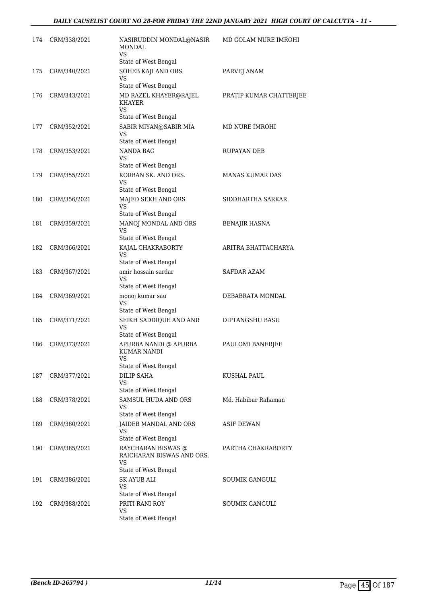| 174 | CRM/338/2021 | NASIRUDDIN MONDAL@NASIR<br>MONDAL<br>VS                                              | MD GOLAM NURE IMROHI    |
|-----|--------------|--------------------------------------------------------------------------------------|-------------------------|
|     |              | State of West Bengal                                                                 |                         |
| 175 | CRM/340/2021 | SOHEB KAJI AND ORS<br>VS<br>State of West Bengal                                     | PARVEJ ANAM             |
| 176 | CRM/343/2021 | MD RAZEL KHAYER@RAJEL<br>KHAYER<br><b>VS</b><br>State of West Bengal                 | PRATIP KUMAR CHATTERJEE |
| 177 | CRM/352/2021 | SABIR MIYAN@SABIR MIA<br>VS                                                          | MD NURE IMROHI          |
|     |              | State of West Bengal                                                                 |                         |
| 178 | CRM/353/2021 | <b>NANDA BAG</b><br>VS.<br>State of West Bengal                                      | RUPAYAN DEB             |
| 179 | CRM/355/2021 | KORBAN SK. AND ORS.<br>VS                                                            | <b>MANAS KUMAR DAS</b>  |
|     |              | State of West Bengal                                                                 |                         |
| 180 | CRM/356/2021 | MAJED SEKH AND ORS<br><b>VS</b><br>State of West Bengal                              | SIDDHARTHA SARKAR       |
| 181 | CRM/359/2021 | MANOJ MONDAL AND ORS<br>VS<br>State of West Bengal                                   | BENAJIR HASNA           |
| 182 | CRM/366/2021 | KAJAL CHAKRABORTY<br><b>VS</b>                                                       | ARITRA BHATTACHARYA     |
|     |              | State of West Bengal                                                                 |                         |
| 183 | CRM/367/2021 | amir hossain sardar<br>VS<br>State of West Bengal                                    | <b>SAFDAR AZAM</b>      |
| 184 | CRM/369/2021 | monoj kumar sau<br>VS                                                                | DEBABRATA MONDAL        |
|     |              | State of West Bengal                                                                 |                         |
| 185 | CRM/371/2021 | SEIKH SADDIQUE AND ANR<br>VS<br>State of West Bengal                                 | DIPTANGSHU BASU         |
| 186 | CRM/373/2021 | APURBA NANDI @ APURBA<br>KUMAR NANDI<br>VS                                           | PAULOMI BANERJEE        |
|     |              | State of West Bengal                                                                 |                         |
| 187 | CRM/377/2021 | <b>DILIP SAHA</b><br><b>VS</b>                                                       | KUSHAL PAUL             |
| 188 | CRM/378/2021 | State of West Bengal<br><b>SAMSUL HUDA AND ORS</b><br>VS                             | Md. Habibur Rahaman     |
|     |              | State of West Bengal                                                                 |                         |
| 189 | CRM/380/2021 | JAIDEB MANDAL AND ORS<br>VS<br>State of West Bengal                                  | <b>ASIF DEWAN</b>       |
| 190 | CRM/385/2021 | RAYCHARAN BISWAS @<br>RAICHARAN BISWAS AND ORS.<br><b>VS</b><br>State of West Bengal | PARTHA CHAKRABORTY      |
| 191 | CRM/386/2021 | <b>SK AYUB ALI</b><br>VS                                                             | <b>SOUMIK GANGULI</b>   |
|     |              | State of West Bengal                                                                 |                         |
| 192 | CRM/388/2021 | PRITI RANI ROY<br><b>VS</b><br>State of West Bengal                                  | <b>SOUMIK GANGULI</b>   |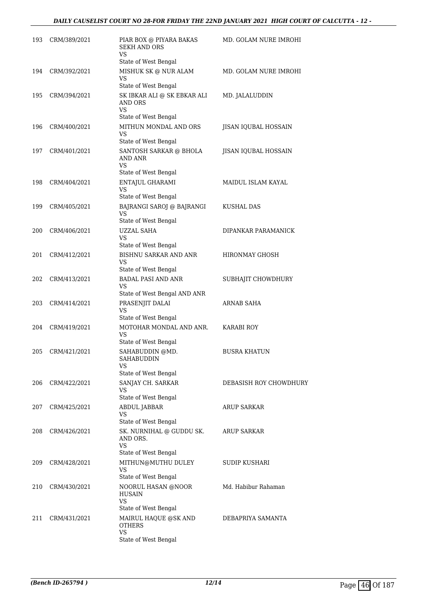| 193 | CRM/389/2021 | PIAR BOX @ PIYARA BAKAS<br><b>SEKH AND ORS</b><br><b>VS</b>                          | MD. GOLAM NURE IMROHI     |
|-----|--------------|--------------------------------------------------------------------------------------|---------------------------|
| 194 | CRM/392/2021 | State of West Bengal<br>MISHUK SK @ NUR ALAM<br>VS                                   | MD. GOLAM NURE IMROHI     |
| 195 | CRM/394/2021 | State of West Bengal<br>SK IBKAR ALI @ SK EBKAR ALI<br>AND ORS<br><b>VS</b>          | MD. JALALUDDIN            |
| 196 | CRM/400/2021 | State of West Bengal<br>MITHUN MONDAL AND ORS<br>VS<br>State of West Bengal          | JISAN IQUBAL HOSSAIN      |
| 197 | CRM/401/2021 | SANTOSH SARKAR @ BHOLA<br><b>AND ANR</b><br><b>VS</b>                                | JISAN IQUBAL HOSSAIN      |
| 198 | CRM/404/2021 | State of West Bengal<br>ENTAJUL GHARAMI<br>VS<br>State of West Bengal                | <b>MAIDUL ISLAM KAYAL</b> |
| 199 | CRM/405/2021 | BAJRANGI SAROJ @ BAJRANGI<br><b>VS</b><br>State of West Bengal                       | KUSHAL DAS                |
| 200 | CRM/406/2021 | <b>UZZAL SAHA</b><br>VS<br>State of West Bengal                                      | DIPANKAR PARAMANICK       |
| 201 | CRM/412/2021 | BISHNU SARKAR AND ANR<br>VS<br>State of West Bengal                                  | HIRONMAY GHOSH            |
| 202 | CRM/413/2021 | <b>BADAL PASI AND ANR</b><br><b>VS</b><br>State of West Bengal AND ANR               | SUBHAJIT CHOWDHURY        |
| 203 | CRM/414/2021 | PRASENJIT DALAI<br><b>VS</b><br>State of West Bengal                                 | ARNAB SAHA                |
| 204 | CRM/419/2021 | MOTOHAR MONDAL AND ANR.<br>VS<br>State of West Bengal                                | <b>KARABI ROY</b>         |
| 205 | CRM/421/2021 | SAHABUDDIN @MD.<br>SAHABUDDIN<br>VS<br>State of West Bengal                          | <b>BUSRA KHATUN</b>       |
| 206 | CRM/422/2021 | SANJAY CH. SARKAR<br>VS<br>State of West Bengal                                      | DEBASISH ROY CHOWDHURY    |
| 207 | CRM/425/2021 | ABDUL JABBAR<br>VS<br>State of West Bengal                                           | ARUP SARKAR               |
| 208 | CRM/426/2021 | SK. NURNIHAL @ GUDDU SK.<br>AND ORS.<br>VS                                           | ARUP SARKAR               |
| 209 | CRM/428/2021 | State of West Bengal<br>MITHUN@MUTHU DULEY<br><b>VS</b><br>State of West Bengal      | SUDIP KUSHARI             |
| 210 | CRM/430/2021 | NOORUL HASAN @NOOR<br>HUSAIN<br>VS                                                   | Md. Habibur Rahaman       |
| 211 | CRM/431/2021 | State of West Bengal<br>MAIRUL HAQUE @SK AND<br>OTHERS<br>VS<br>State of West Bengal | DEBAPRIYA SAMANTA         |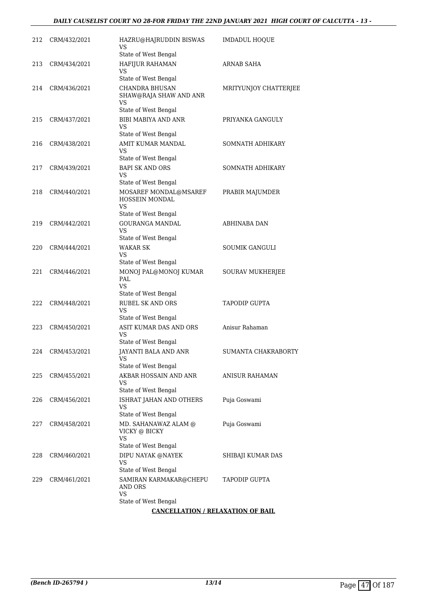| 212 | CRM/432/2021 | HAZRU@HAJRUDDIN BISWAS<br>VS                                                         | <b>IMDADUL HOQUE</b>    |
|-----|--------------|--------------------------------------------------------------------------------------|-------------------------|
| 213 | CRM/434/2021 | State of West Bengal<br>HAFIJUR RAHAMAN<br>VS                                        | ARNAB SAHA              |
| 214 | CRM/436/2021 | State of West Bengal<br><b>CHANDRA BHUSAN</b><br>SHAW@RAJA SHAW AND ANR              | MRITYUNJOY CHATTERJEE   |
|     |              | VS<br>State of West Bengal                                                           |                         |
| 215 | CRM/437/2021 | <b>BIBI MABIYA AND ANR</b><br>VS<br>State of West Bengal                             | PRIYANKA GANGULY        |
| 216 | CRM/438/2021 | AMIT KUMAR MANDAL<br>VS                                                              | SOMNATH ADHIKARY        |
| 217 | CRM/439/2021 | State of West Bengal<br><b>BAPI SK AND ORS</b><br>VS                                 | SOMNATH ADHIKARY        |
| 218 | CRM/440/2021 | State of West Bengal<br>MOSAREF MONDAL@MSAREF<br>HOSSEIN MONDAL<br>VS                | PRABIR MAJUMDER         |
| 219 | CRM/442/2021 | State of West Bengal<br><b>GOURANGA MANDAL</b><br>VS                                 | <b>ABHINABA DAN</b>     |
| 220 | CRM/444/2021 | State of West Bengal<br><b>WAKAR SK</b><br>VS<br>State of West Bengal                | SOUMIK GANGULI          |
| 221 | CRM/446/2021 | MONOJ PAL@MONOJ KUMAR<br>PAL<br><b>VS</b>                                            | <b>SOURAV MUKHERJEE</b> |
| 222 | CRM/448/2021 | State of West Bengal<br><b>RUBEL SK AND ORS</b><br><b>VS</b><br>State of West Bengal | <b>TAPODIP GUPTA</b>    |
| 223 | CRM/450/2021 | ASIT KUMAR DAS AND ORS<br>VS                                                         | Anisur Rahaman          |
| 224 | CRM/453/2021 | State of West Bengal<br>JAYANTI BALA AND ANR<br><b>VS</b>                            | SUMANTA CHAKRABORTY     |
| 225 | CRM/455/2021 | State of West Bengal<br>AKBAR HOSSAIN AND ANR<br>VS                                  | <b>ANISUR RAHAMAN</b>   |
| 226 | CRM/456/2021 | State of West Bengal<br>ISHRAT JAHAN AND OTHERS<br>VS<br>State of West Bengal        | Puja Goswami            |
| 227 | CRM/458/2021 | MD. SAHANAWAZ ALAM @<br>VICKY @ BICKY<br>VS<br>State of West Bengal                  | Puja Goswami            |
| 228 | CRM/460/2021 | DIPU NAYAK @NAYEK<br>VS                                                              | SHIBAJI KUMAR DAS       |
| 229 | CRM/461/2021 | State of West Bengal<br>SAMIRAN KARMAKAR@CHEPU<br>AND ORS<br>VS                      | TAPODIP GUPTA           |
|     |              | State of West Bengal                                                                 |                         |
|     |              | <b>CANCELLATION / RELAXATION OF BAIL</b>                                             |                         |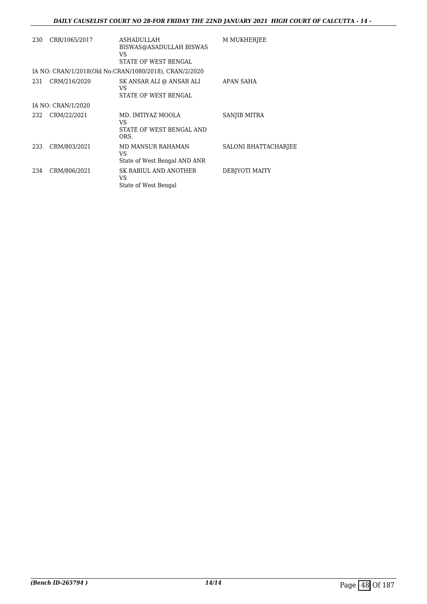| 230 | CRR/1065/2017      | <b>ASHADULLAH</b><br>BISWAS@ASADULLAH BISWAS<br>VS.<br>STATE OF WEST BENGAL | <b>M MUKHERJEE</b>          |
|-----|--------------------|-----------------------------------------------------------------------------|-----------------------------|
|     |                    | IA NO: CRAN/1/2018(Old No:CRAN/1080/2018), CRAN/2/2020                      |                             |
| 231 | CRM/216/2020       | SK ANSAR ALI @ ANSAR ALI<br>VS.<br>STATE OF WEST BENGAL                     | APAN SAHA                   |
|     | IA NO: CRAN/1/2020 |                                                                             |                             |
| 232 | CRM/22/2021        | MD. IMTIYAZ MOOLA<br>VS<br>STATE OF WEST BENGAL AND<br>ORS.                 | SANJIB MITRA                |
| 233 | CRM/803/2021       | <b>MD MANSUR RAHAMAN</b><br>VS<br>State of West Bengal AND ANR              | <b>SALONI BHATTACHARJEE</b> |
| 234 | CRM/806/2021       | SK RABIUL AND ANOTHER<br>VS<br>State of West Bengal                         | DEBJYOTI MAITY              |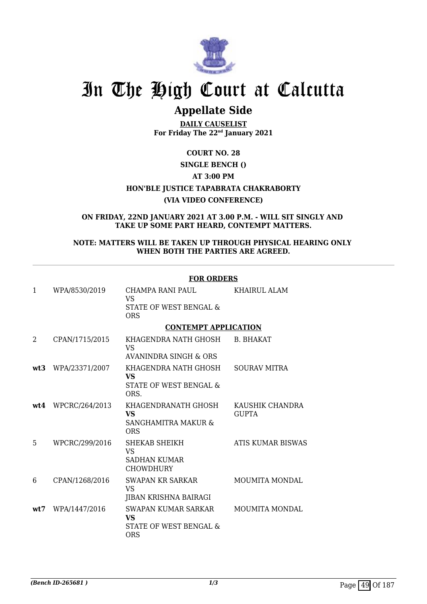

# **Appellate Side**

**DAILY CAUSELIST For Friday The 22nd January 2021**

**COURT NO. 28**

# **SINGLE BENCH ()**

# **AT 3:00 PM**

**HON'BLE JUSTICE TAPABRATA CHAKRABORTY**

# **(VIA VIDEO CONFERENCE)**

**ON FRIDAY, 22ND JANUARY 2021 AT 3.00 P.M. - WILL SIT SINGLY AND TAKE UP SOME PART HEARD, CONTEMPT MATTERS.**

# **NOTE: MATTERS WILL BE TAKEN UP THROUGH PHYSICAL HEARING ONLY WHEN BOTH THE PARTIES ARE AGREED.**

|      |                | L'AIZ AIZATIO                                                                   |                                 |
|------|----------------|---------------------------------------------------------------------------------|---------------------------------|
| 1    | WPA/8530/2019  | CHAMPA RANI PAUL<br><b>VS</b><br>STATE OF WEST BENGAL &<br><b>ORS</b>           | KHAIRUL ALAM                    |
|      |                | <b>CONTEMPT APPLICATION</b>                                                     |                                 |
| 2    | CPAN/1715/2015 | KHAGENDRA NATH GHOSH<br>VS.                                                     | <b>B. BHAKAT</b>                |
|      |                | AVANINDRA SINGH & ORS                                                           |                                 |
| wt3  | WPA/23371/2007 | KHAGENDRA NATH GHOSH<br>VS<br>STATE OF WEST BENGAL &<br>ORS.                    | <b>SOURAV MITRA</b>             |
| wt4  | WPCRC/264/2013 | KHAGENDRANATH GHOSH<br><b>VS</b><br>SANGHAMITRA MAKUR &<br><b>ORS</b>           | KAUSHIK CHANDRA<br><b>GUPTA</b> |
| 5    | WPCRC/299/2016 | SHEKAB SHEIKH<br><b>VS</b><br><b>SADHAN KUMAR</b><br><b>CHOWDHURY</b>           | ATIS KUMAR BISWAS               |
| 6    | CPAN/1268/2016 | <b>SWAPAN KR SARKAR</b><br>VS.<br>JIBAN KRISHNA BAIRAGI                         | <b>MOUMITA MONDAL</b>           |
| wt.7 | WPA/1447/2016  | <b>SWAPAN KUMAR SARKAR</b><br><b>VS</b><br>STATE OF WEST BENGAL &<br><b>ORS</b> | <b>MOUMITA MONDAL</b>           |

#### **FOR ORDERS**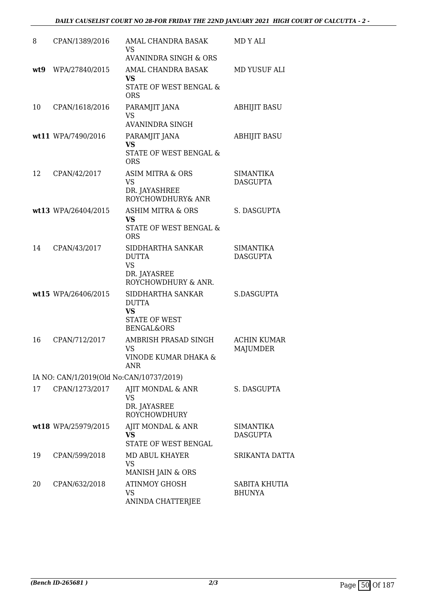| 8    | CPAN/1389/2016                           | AMAL CHANDRA BASAK<br>VS                  | MD Y ALI                              |
|------|------------------------------------------|-------------------------------------------|---------------------------------------|
|      |                                          | AVANINDRA SINGH & ORS                     |                                       |
| wt.9 | WPA/27840/2015                           | AMAL CHANDRA BASAK<br><b>VS</b>           | MD YUSUF ALI                          |
|      |                                          | STATE OF WEST BENGAL &<br><b>ORS</b>      |                                       |
| 10   | CPAN/1618/2016                           | PARAMJIT JANA<br><b>VS</b>                | <b>ABHIJIT BASU</b>                   |
|      |                                          | <b>AVANINDRA SINGH</b>                    |                                       |
|      | wt11 WPA/7490/2016                       | PARAMJIT JANA<br><b>VS</b>                | <b>ABHIJIT BASU</b>                   |
|      |                                          | STATE OF WEST BENGAL &<br><b>ORS</b>      |                                       |
| 12   | CPAN/42/2017                             | ASIM MITRA & ORS<br><b>VS</b>             | <b>SIMANTIKA</b><br><b>DASGUPTA</b>   |
|      |                                          | DR. JAYASHREE<br>ROYCHOWDHURY& ANR        |                                       |
|      | wt13 WPA/26404/2015                      | <b>ASHIM MITRA &amp; ORS</b><br><b>VS</b> | S. DASGUPTA                           |
|      |                                          | STATE OF WEST BENGAL &<br><b>ORS</b>      |                                       |
| 14   | CPAN/43/2017                             | SIDDHARTHA SANKAR<br><b>DUTTA</b>         | <b>SIMANTIKA</b><br><b>DASGUPTA</b>   |
|      |                                          | <b>VS</b>                                 |                                       |
|      |                                          | DR. JAYASREE<br>ROYCHOWDHURY & ANR.       |                                       |
|      | wt15 WPA/26406/2015                      | SIDDHARTHA SANKAR<br><b>DUTTA</b>         | S.DASGUPTA                            |
|      |                                          | <b>VS</b><br><b>STATE OF WEST</b>         |                                       |
|      |                                          | <b>BENGAL&amp;ORS</b>                     |                                       |
| 16   | CPAN/712/2017                            | AMBRISH PRASAD SINGH<br>VS                | <b>ACHIN KUMAR</b><br><b>MAJUMDER</b> |
|      |                                          | VINODE KUMAR DHAKA &<br>ANR               |                                       |
|      | IA NO: CAN/1/2019(Old No:CAN/10737/2019) |                                           |                                       |
| 17   | CPAN/1273/2017                           | AJIT MONDAL & ANR<br>VS.                  | S. DASGUPTA                           |
|      |                                          | DR. JAYASREE<br><b>ROYCHOWDHURY</b>       |                                       |
|      | wt18 WPA/25979/2015                      | AJIT MONDAL & ANR<br><b>VS</b>            | <b>SIMANTIKA</b><br><b>DASGUPTA</b>   |
|      |                                          | STATE OF WEST BENGAL                      |                                       |
| 19   | CPAN/599/2018                            | MD ABUL KHAYER                            | SRIKANTA DATTA                        |
|      |                                          | <b>VS</b><br>MANISH JAIN & ORS            |                                       |
| 20   | CPAN/632/2018                            | <b>ATINMOY GHOSH</b>                      | SABITA KHUTIA                         |
|      |                                          | VS<br>ANINDA CHATTERJEE                   | <b>BHUNYA</b>                         |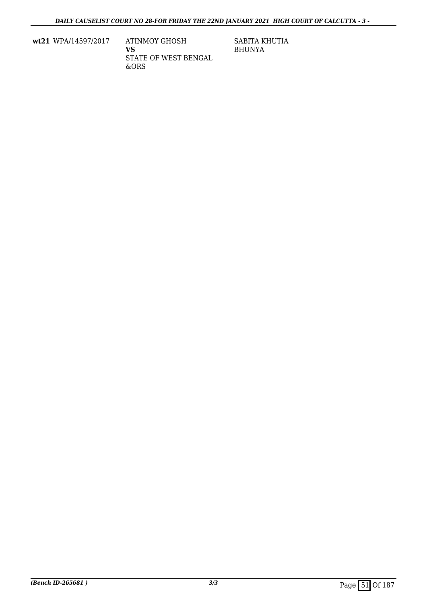**wt21** WPA/14597/2017 ATINMOY GHOSH

**VS** STATE OF WEST BENGAL &ORS

SABITA KHUTIA BHUNYA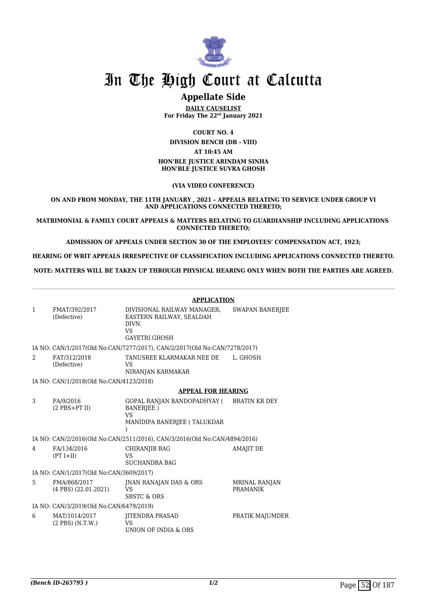

# **Appellate Side**

**DAILY CAUSELIST For Friday The 22nd January 2021**

**COURT NO. 4**

**DIVISION BENCH (DB - VIII) AT 10:45 AM**

#### **HON'BLE JUSTICE ARINDAM SINHA HON'BLE JUSTICE SUVRA GHOSH**

**(VIA VIDEO CONFERENCE)**

**ON AND FROM MONDAY, THE 11TH JANUARY , 2021 – APPEALS RELATING TO SERVICE UNDER GROUP VI AND APPLICATIONS CONNECTED THERETO;**

**MATRIMONIAL & FAMILY COURT APPEALS & MATTERS RELATING TO GUARDIANSHIP INCLUDING APPLICATIONS CONNECTED THERETO;**

**ADMISSION OF APPEALS UNDER SECTION 30 OF THE EMPLOYEES' COMPENSATION ACT, 1923;**

**HEARING OF WRIT APPEALS IRRESPECTIVE OF CLASSIFICATION INCLUDING APPLICATIONS CONNECTED THERETO.**

**NOTE: MATTERS WILL BE TAKEN UP THROUGH PHYSICAL HEARING ONLY WHEN BOTH THE PARTIES ARE AGREED.**

|                                                                           |                                          | <b>APPLICATION</b>                                                                                    |                                  |
|---------------------------------------------------------------------------|------------------------------------------|-------------------------------------------------------------------------------------------------------|----------------------------------|
| 1                                                                         | FMAT/392/2017<br>(Defective)             | DIVISIONAL RAILWAY MANAGER,<br>EASTERN RAILWAY, SEALDAH<br>DIVN.<br><b>VS</b><br><b>GAYETRI GHOSH</b> | SWAPAN BANERJEE                  |
|                                                                           |                                          | IA NO: CAN/1/2017(Old No:CAN/7277/2017), CAN/2/2017(Old No:CAN/7278/2017)                             |                                  |
| $\overline{2}$                                                            | FAT/312/2018<br>(Defective)              | TANUSREE KLARMAKAR NEE DE<br>VS.<br>NIRANJAN KARMAKAR                                                 | L. GHOSH                         |
|                                                                           | IA NO: CAN/1/2018(Old No:CAN/4123/2018)  |                                                                                                       |                                  |
|                                                                           |                                          | <b>APPEAL FOR HEARING</b>                                                                             |                                  |
| 3                                                                         | FA/9/2016<br>$(2$ PBS+PT II)             | GOPAL RANJAN BANDOPADHYAY (BRATIN KR DEY<br><b>BANERIEE</b> )<br>VS<br>MANIDIPA BANERJEE (TALUKDAR    |                                  |
| IA NO: CAN/2/2016(Old No:CAN/2511/2016), CAN/3/2016(Old No:CAN/4894/2016) |                                          |                                                                                                       |                                  |
| 4                                                                         | FA/134/2016<br>$(PT I+II)$               | CHIRANJIB BAG<br><b>VS</b><br><b>SUCHANDRA BAG</b>                                                    | <b>AMAJIT DE</b>                 |
|                                                                           | IA NO: CAN/1/2017(Old No:CAN/3609/2017)  |                                                                                                       |                                  |
| 5.                                                                        | FMA/868/2017<br>$(4$ PBS $)(22.01.2021)$ | JNAN RANAJAN DAS & ORS<br>VS<br><b>SBSTC &amp; ORS</b>                                                | MRINAL RANJAN<br><b>PRAMANIK</b> |
| IA NO: CAN/3/2019(Old No:CAN/6479/2019)                                   |                                          |                                                                                                       |                                  |
| 6                                                                         | MAT/1014/2017<br>$(2$ PBS $)$ $(N.T.W.)$ | <b>JITENDRA PRASAD</b><br>VS.<br>UNION OF INDIA & ORS                                                 | PRATIK MAJUMDER                  |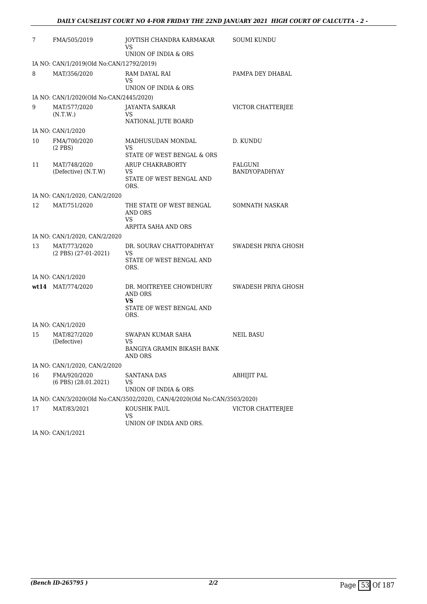| 7  | FMA/505/2019                                | JOYTISH CHANDRA KARMAKAR<br>VS                                                             | <b>SOUMI KUNDU</b>              |
|----|---------------------------------------------|--------------------------------------------------------------------------------------------|---------------------------------|
|    |                                             | UNION OF INDIA & ORS                                                                       |                                 |
|    | IA NO: CAN/1/2019(Old No:CAN/12792/2019)    |                                                                                            |                                 |
| 8  | MAT/356/2020                                | RAM DAYAL RAI<br>VS                                                                        | PAMPA DEY DHABAL                |
|    |                                             | UNION OF INDIA & ORS                                                                       |                                 |
|    | IA NO: CAN/1/2020(Old No:CAN/2445/2020)     |                                                                                            |                                 |
| 9  | MAT/577/2020<br>(N.T.W.)                    | <b>JAYANTA SARKAR</b><br>VS<br>NATIONAL JUTE BOARD                                         | VICTOR CHATTERJEE               |
|    | IA NO: CAN/1/2020                           |                                                                                            |                                 |
| 10 | FMA/700/2020<br>$(2$ PBS $)$                | MADHUSUDAN MONDAL<br>VS                                                                    | D. KUNDU                        |
|    |                                             | STATE OF WEST BENGAL & ORS                                                                 |                                 |
| 11 | MAT/748/2020<br>(Defective) (N.T.W)         | ARUP CHAKRABORTY<br>VS<br>STATE OF WEST BENGAL AND<br>ORS.                                 | FALGUNI<br><b>BANDYOPADHYAY</b> |
|    | IA NO: CAN/1/2020, CAN/2/2020               |                                                                                            |                                 |
| 12 | MAT/751/2020                                | THE STATE OF WEST BENGAL<br>AND ORS<br>VS<br>ARPITA SAHA AND ORS                           | SOMNATH NASKAR                  |
|    | IA NO: CAN/1/2020, CAN/2/2020               |                                                                                            |                                 |
| 13 | MAT/773/2020<br>(2 PBS) (27-01-2021)        | DR. SOURAV CHATTOPADHYAY<br>VS<br>STATE OF WEST BENGAL AND<br>ORS.                         | SWADESH PRIYA GHOSH             |
|    | IA NO: CAN/1/2020                           |                                                                                            |                                 |
|    | $wt14$ MAT/774/2020                         | DR. MOITREYEE CHOWDHURY<br><b>AND ORS</b><br><b>VS</b><br>STATE OF WEST BENGAL AND<br>ORS. | SWADESH PRIYA GHOSH             |
|    | IA NO: CAN/1/2020                           |                                                                                            |                                 |
| 15 | MAT/827/2020<br>(Defective)                 | SWAPAN KUMAR SAHA<br>VS<br>BANGIYA GRAMIN BIKASH BANK<br>AND ORS                           | <b>NEIL BASU</b>                |
|    | IA NO: CAN/1/2020, CAN/2/2020               |                                                                                            |                                 |
| 16 | FMA/920/2020<br>$(6$ PBS $)$ $(28.01.2021)$ | SANTANA DAS<br>VS<br>UNION OF INDIA & ORS                                                  | ABHIJIT PAL                     |
|    |                                             | IA NO: CAN/3/2020(Old No:CAN/3502/2020), CAN/4/2020(Old No:CAN/3503/2020)                  |                                 |
| 17 | MAT/83/2021                                 | KOUSHIK PAUL<br>VS                                                                         | VICTOR CHATTERJEE               |
|    | IA NO: CAN/1/2021                           | UNION OF INDIA AND ORS.                                                                    |                                 |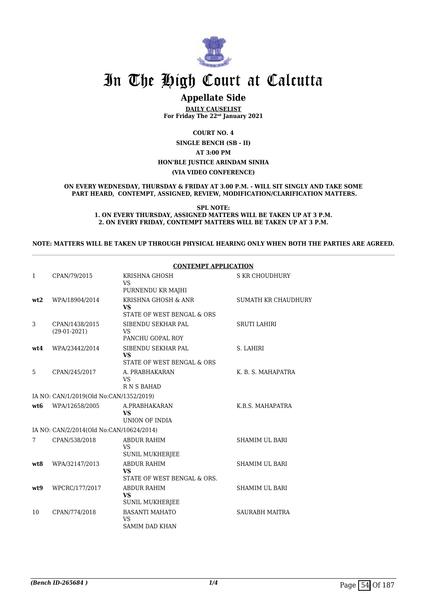

# **Appellate Side**

**DAILY CAUSELIST For Friday The 22nd January 2021**

**COURT NO. 4**

**SINGLE BENCH (SB - II) AT 3:00 PM HON'BLE JUSTICE ARINDAM SINHA (VIA VIDEO CONFERENCE)**

**ON EVERY WEDNESDAY, THURSDAY & FRIDAY AT 3.00 P.M. - WILL SIT SINGLY AND TAKE SOME PART HEARD, CONTEMPT, ASSIGNED, REVIEW, MODIFICATION/CLARIFICATION MATTERS.**

**SPL NOTE:**

**1. ON EVERY THURSDAY, ASSIGNED MATTERS WILL BE TAKEN UP AT 3 P.M. 2. ON EVERY FRIDAY, CONTEMPT MATTERS WILL BE TAKEN UP AT 3 P.M.**

#### **NOTE: MATTERS WILL BE TAKEN UP THROUGH PHYSICAL HEARING ONLY WHEN BOTH THE PARTIES ARE AGREED.**

|                 |                                          | <b>CONTEMPT APPLICATION</b>                                    |                            |
|-----------------|------------------------------------------|----------------------------------------------------------------|----------------------------|
| 1               | CPAN/79/2015                             | KRISHNA GHOSH<br><b>VS</b><br>PURNENDU KR MAJHI                | <b>S KR CHOUDHURY</b>      |
| wt2             | WPA/18904/2014                           | KRISHNA GHOSH & ANR<br><b>VS</b><br>STATE OF WEST BENGAL & ORS | <b>SUMATH KR CHAUDHURY</b> |
| 3               | CPAN/1438/2015<br>$(29-01-2021)$         | SIBENDU SEKHAR PAL<br><b>VS</b><br>PANCHU GOPAL ROY            | <b>SRUTI LAHIRI</b>        |
| wt4             | WPA/23442/2014                           | SIBENDU SEKHAR PAL<br><b>VS</b><br>STATE OF WEST BENGAL & ORS  | S. LAHIRI                  |
| 5               | CPAN/245/2017                            | A. PRABHAKARAN<br><b>VS</b><br><b>RNSBAHAD</b>                 | K. B. S. MAHAPATRA         |
|                 | IA NO: CAN/1/2019(Old No:CAN/1352/2019)  |                                                                |                            |
| wt <sub>6</sub> | WPA/12658/2005                           | A.PRABHAKARAN<br><b>VS</b><br>UNION OF INDIA                   | K.B.S. MAHAPATRA           |
|                 | IA NO: CAN/2/2014(Old No:CAN/10624/2014) |                                                                |                            |
| 7               | CPAN/538/2018                            | <b>ABDUR RAHIM</b><br><b>VS</b><br><b>SUNIL MUKHERJEE</b>      | <b>SHAMIM UL BARI</b>      |
| wt.8            | WPA/32147/2013                           | <b>ABDUR RAHIM</b><br><b>VS</b><br>STATE OF WEST BENGAL & ORS. | <b>SHAMIM UL BARI</b>      |
| wt9             | WPCRC/177/2017                           | <b>ABDUR RAHIM</b><br><b>VS</b><br><b>SUNIL MUKHERJEE</b>      | <b>SHAMIM UL BARI</b>      |
| 10              | CPAN/774/2018                            | <b>BASANTI MAHATO</b><br><b>VS</b><br><b>SAMIM DAD KHAN</b>    | <b>SAURABH MAITRA</b>      |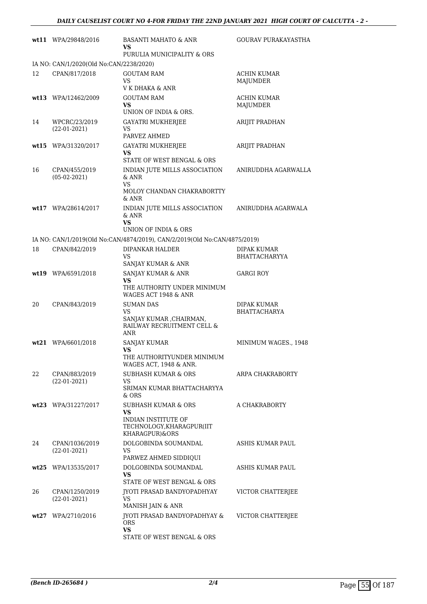|    | wt11 WPA/29848/2016                     | BASANTI MAHATO & ANR<br>VS                                                              | GOURAV PURAKAYASTHA            |
|----|-----------------------------------------|-----------------------------------------------------------------------------------------|--------------------------------|
|    |                                         | PURULIA MUNICIPALITY & ORS                                                              |                                |
|    | IA NO: CAN/1/2020(Old No:CAN/2238/2020) |                                                                                         |                                |
| 12 | CPAN/817/2018                           | GOUTAM RAM<br>VS.<br>V K DHAKA & ANR                                                    | <b>ACHIN KUMAR</b><br>MAJUMDER |
|    | wt13 WPA/12462/2009                     | GOUTAM RAM                                                                              | ACHIN KUMAR                    |
|    |                                         | VS.                                                                                     | MAJUMDER                       |
|    |                                         | UNION OF INDIA & ORS.                                                                   |                                |
| 14 | WPCRC/23/2019<br>$(22-01-2021)$         | <b>GAYATRI MUKHERJEE</b><br>VS<br>PARVEZ AHMED                                          | ARIJIT PRADHAN                 |
|    | wt15 WPA/31320/2017                     | <b>GAYATRI MUKHERJEE</b>                                                                | ARIJIT PRADHAN                 |
|    |                                         | VS<br>STATE OF WEST BENGAL & ORS                                                        |                                |
| 16 | CPAN/455/2019<br>$(05-02-2021)$         | INDIAN JUTE MILLS ASSOCIATION<br>$\&$ ANR<br>VS.<br>MOLOY CHANDAN CHAKRABORTTY<br>& ANR | ANIRUDDHA AGARWALLA            |
|    | wt17 WPA/28614/2017                     | INDIAN JUTE MILLS ASSOCIATION<br>& ANR<br>VS.                                           | ANIRUDDHA AGARWALA             |
|    |                                         | UNION OF INDIA & ORS                                                                    |                                |
|    |                                         | IA NO: CAN/1/2019(Old No:CAN/4874/2019), CAN/2/2019(Old No:CAN/4875/2019)               |                                |
| 18 | CPAN/842/2019                           | DIPANKAR HALDER                                                                         | <b>DIPAK KUMAR</b>             |
|    |                                         | VS<br>SANJAY KUMAR & ANR                                                                | BHATTACHARYYA                  |
|    | wt19 WPA/6591/2018                      | SANJAY KUMAR & ANR                                                                      | <b>GARGI ROY</b>               |
|    |                                         | VS<br>THE AUTHORITY UNDER MINIMUM<br>WAGES ACT 1948 & ANR                               |                                |
| 20 | CPAN/843/2019                           | <b>SUMAN DAS</b>                                                                        | DIPAK KUMAR                    |
|    |                                         | VS<br>SANJAY KUMAR , CHAIRMAN,<br>RAILWAY RECRUITMENT CELL &<br>ANR                     | <b>BHATTACHARYA</b>            |
|    | $wt21$ WPA/6601/2018                    | SANJAY KUMAR                                                                            | MINIMUM WAGES., 1948           |
|    |                                         | VS<br>THE AUTHORITYUNDER MINIMUM<br>WAGES ACT, 1948 & ANR.                              |                                |
| 22 | CPAN/883/2019                           | <b>SUBHASH KUMAR &amp; ORS</b>                                                          | ARPA CHAKRABORTY               |
|    | $(22-01-2021)$                          | VS<br>SRIMAN KUMAR BHATTACHARYYA<br>& ORS                                               |                                |
|    | wt23 WPA/31227/2017                     | SUBHASH KUMAR & ORS                                                                     | A CHAKRABORTY                  |
|    |                                         | VS.<br><b>INDIAN INSTITUTE OF</b><br>TECHNOLOGY, KHARAGPUR(IIT<br>KHARAGPUR)&ORS        |                                |
| 24 | CPAN/1036/2019<br>$(22-01-2021)$        | DOLGOBINDA SOUMANDAL<br>VS<br>PARWEZ AHMED SIDDIQUI                                     | ASHIS KUMAR PAUL               |
|    | wt25 WPA/13535/2017                     | DOLGOBINDA SOUMANDAL                                                                    | ASHIS KUMAR PAUL               |
|    |                                         | VS.                                                                                     |                                |
|    |                                         | STATE OF WEST BENGAL & ORS                                                              |                                |
| 26 | CPAN/1250/2019<br>$(22-01-2021)$        | JYOTI PRASAD BANDYOPADHYAY<br>VS                                                        | VICTOR CHATTERJEE              |
|    |                                         | MANISH JAIN & ANR                                                                       |                                |
|    | wt27 WPA/2710/2016                      | <b>IYOTI PRASAD BANDYOPADHYAY &amp;</b><br><b>ORS</b><br>VS.                            | VICTOR CHATTERJEE              |
|    |                                         | STATE OF WEST BENGAL & ORS                                                              |                                |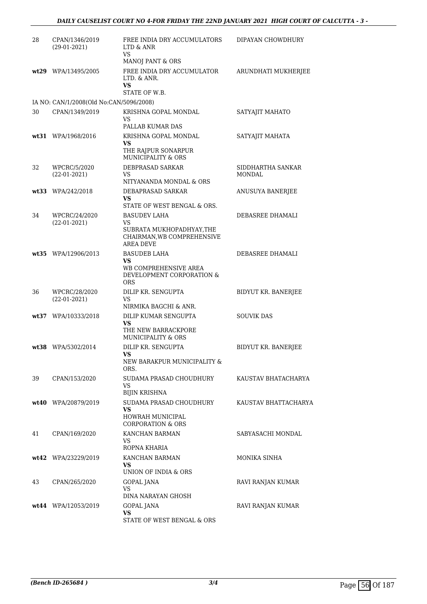| 28 | CPAN/1346/2019<br>$(29-01-2021)$        | FREE INDIA DRY ACCUMULATORS<br>LTD & ANR<br>VS                                                       | DIPAYAN CHOWDHURY    |
|----|-----------------------------------------|------------------------------------------------------------------------------------------------------|----------------------|
|    |                                         | MANOJ PANT & ORS                                                                                     |                      |
|    | wt29 WPA/13495/2005                     | FREE INDIA DRY ACCUMULATOR<br>LTD. & ANR.<br>VS                                                      | ARUNDHATI MUKHERJEE  |
|    |                                         | STATE OF W.B.                                                                                        |                      |
|    | IA NO: CAN/1/2008(Old No:CAN/5096/2008) |                                                                                                      |                      |
| 30 | CPAN/1349/2019                          | KRISHNA GOPAL MONDAL<br>VS.<br>PALLAB KUMAR DAS                                                      | SATYAJIT MAHATO      |
|    | wt31 WPA/1968/2016                      | KRISHNA GOPAL MONDAL<br><b>VS</b>                                                                    | SATYAJIT MAHATA      |
|    |                                         | THE RAJPUR SONARPUR<br><b>MUNICIPALITY &amp; ORS</b>                                                 |                      |
| 32 | WPCRC/5/2020                            | DEBPRASAD SARKAR                                                                                     | SIDDHARTHA SANKAR    |
|    | $(22-01-2021)$                          | VS.<br>NITYANANDA MONDAL & ORS                                                                       | <b>MONDAL</b>        |
|    | wt33 WPA/242/2018                       | DEBAPRASAD SARKAR                                                                                    | ANUSUYA BANERJEE     |
|    |                                         | VS<br>STATE OF WEST BENGAL & ORS.                                                                    |                      |
| 34 | WPCRC/24/2020                           | <b>BASUDEV LAHA</b>                                                                                  | DEBASREE DHAMALI     |
|    | $(22-01-2021)$                          | VS.<br>SUBRATA MUKHOPADHYAY, THE<br>CHAIRMAN, WB COMPREHENSIVE<br><b>AREA DEVE</b>                   |                      |
|    | wt35 WPA/12906/2013                     | <b>BASUDEB LAHA</b><br><b>VS</b><br>WB COMPREHENSIVE AREA<br>DEVELOPMENT CORPORATION &<br><b>ORS</b> | DEBASREE DHAMALI     |
| 36 | WPCRC/28/2020<br>$(22-01-2021)$         | DILIP KR. SENGUPTA<br>VS                                                                             | BIDYUT KR. BANERJEE  |
|    |                                         | NIRMIKA BAGCHI & ANR.                                                                                |                      |
|    | wt37 WPA/10333/2018                     | DILIP KUMAR SENGUPTA<br>VS<br>THE NEW BARRACKPORE<br>MUNICIPALITY & ORS                              | <b>SOUVIK DAS</b>    |
|    | wt38 WPA/5302/2014                      | DILIP KR. SENGUPTA<br>VS.<br>NEW BARAKPUR MUNICIPALITY &<br>ORS.                                     | BIDYUT KR. BANERJEE  |
| 39 | CPAN/153/2020                           | SUDAMA PRASAD CHOUDHURY<br>VS                                                                        | KAUSTAV BHATACHARYA  |
|    |                                         | <b>BIJIN KRISHNA</b>                                                                                 |                      |
|    | $wt40$ WPA/20879/2019                   | SUDAMA PRASAD CHOUDHURY<br><b>VS</b><br>HOWRAH MUNICIPAL<br><b>CORPORATION &amp; ORS</b>             | KAUSTAV BHATTACHARYA |
| 41 | CPAN/169/2020                           | KANCHAN BARMAN<br>VS.                                                                                | SABYASACHI MONDAL    |
|    |                                         | ROPNA KHARIA                                                                                         |                      |
|    | wt42 WPA/23229/2019                     | KANCHAN BARMAN<br>VS<br>UNION OF INDIA & ORS                                                         | MONIKA SINHA         |
| 43 | CPAN/265/2020                           | GOPAL JANA<br>VS<br>DINA NARAYAN GHOSH                                                               | RAVI RANJAN KUMAR    |
|    | wt44 WPA/12053/2019                     | GOPAL JANA<br><b>VS</b><br>STATE OF WEST BENGAL & ORS                                                | RAVI RANJAN KUMAR    |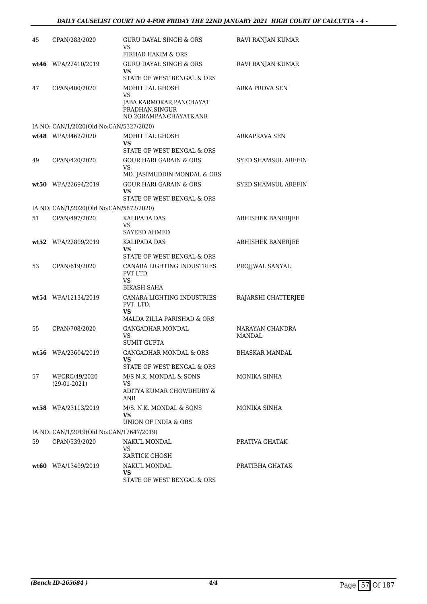| 45 | CPAN/283/2020                            | GURU DAYAL SINGH & ORS<br>VS<br>FIRHAD HAKIM & ORS                                                  | RAVI RANJAN KUMAR          |
|----|------------------------------------------|-----------------------------------------------------------------------------------------------------|----------------------------|
|    | $wt46$ WPA/22410/2019                    | <b>GURU DAYAL SINGH &amp; ORS</b><br>VS<br>STATE OF WEST BENGAL & ORS                               | RAVI RANJAN KUMAR          |
| 47 | CPAN/400/2020                            | MOHIT LAL GHOSH<br><b>VS</b><br>JABA KARMOKAR,PANCHAYAT<br>PRADHAN, SINGUR<br>NO.2GRAMPANCHAYAT&ANR | <b>ARKA PROVA SEN</b>      |
|    | IA NO: CAN/1/2020(Old No:CAN/5327/2020)  |                                                                                                     |                            |
|    | wt48 WPA/3462/2020                       | MOHIT LAL GHOSH<br>VS<br>STATE OF WEST BENGAL & ORS                                                 | ARKAPRAVA SEN              |
| 49 | CPAN/420/2020                            | <b>GOUR HARI GARAIN &amp; ORS</b><br>VS<br>MD. JASIMUDDIN MONDAL & ORS                              | SYED SHAMSUL AREFIN        |
|    | wt50 WPA/22694/2019                      | <b>GOUR HARI GARAIN &amp; ORS</b><br>VS<br>STATE OF WEST BENGAL & ORS                               | <b>SYED SHAMSUL AREFIN</b> |
|    | IA NO: CAN/1/2020(Old No:CAN/5872/2020)  |                                                                                                     |                            |
| 51 | CPAN/497/2020                            | <b>KALIPADA DAS</b><br><b>VS</b><br><b>SAYEED AHMED</b>                                             | <b>ABHISHEK BANERJEE</b>   |
|    | wt52 WPA/22809/2019                      | KALIPADA DAS<br>VS<br>STATE OF WEST BENGAL & ORS                                                    | <b>ABHISHEK BANERJEE</b>   |
| 53 | CPAN/619/2020                            | CANARA LIGHTING INDUSTRIES<br><b>PVT LTD</b><br><b>VS</b><br>BIKASH SAHA                            | PROJJWAL SANYAL            |
|    | wt54 WPA/12134/2019                      | CANARA LIGHTING INDUSTRIES<br>PVT. LTD.<br><b>VS</b><br>MALDA ZILLA PARISHAD & ORS                  | RAJARSHI CHATTERJEE        |
| 55 | CPAN/708/2020                            | <b>GANGADHAR MONDAL</b><br>VS<br><b>SUMIT GUPTA</b>                                                 | NARAYAN CHANDRA<br>MANDAL  |
|    | wt56 WPA/23604/2019                      | <b>GANGADHAR MONDAL &amp; ORS</b><br>VS<br>STATE OF WEST BENGAL & ORS                               | <b>BHASKAR MANDAL</b>      |
| 57 | WPCRC/49/2020<br>$(29-01-2021)$          | M/S N.K. MONDAL & SONS<br>VS.<br>ADITYA KUMAR CHOWDHURY &<br>ANR                                    | MONIKA SINHA               |
|    | wt58 WPA/23113/2019                      | M/S. N.K. MONDAL & SONS<br>VS<br>UNION OF INDIA & ORS                                               | MONIKA SINHA               |
|    | IA NO: CAN/1/2019(Old No:CAN/12647/2019) |                                                                                                     |                            |
| 59 | CPAN/539/2020                            | NAKUL MONDAL<br>VS<br>KARTICK GHOSH                                                                 | PRATIVA GHATAK             |
|    | wt60 WPA/13499/2019                      | NAKUL MONDAL<br>VS<br>STATE OF WEST BENGAL & ORS                                                    | PRATIBHA GHATAK            |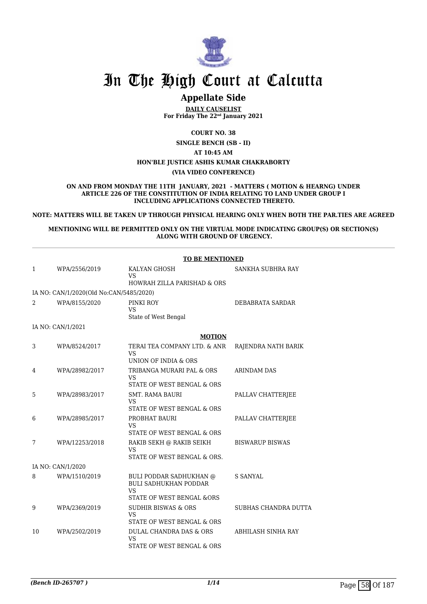

# **Appellate Side**

**DAILY CAUSELIST For Friday The 22nd January 2021**

**COURT NO. 38**

**SINGLE BENCH (SB - II)**

**AT 10:45 AM HON'BLE JUSTICE ASHIS KUMAR CHAKRABORTY**

**(VIA VIDEO CONFERENCE)**

**ON AND FROM MONDAY THE 11TH JANUARY, 2021 - MATTERS ( MOTION & HEARNG) UNDER ARTICLE 226 OF THE CONSTITUTION OF INDIA RELATING TO LAND UNDER GROUP I INCLUDING APPLICATIONS CONNECTED THERETO.**

**NOTE: MATTERS WILL BE TAKEN UP THROUGH PHYSICAL HEARING ONLY WHEN BOTH THE PAR.TIES ARE AGREED**

**MENTIONING WILL BE PERMITTED ONLY ON THE VIRTUAL MODE INDICATING GROUP(S) OR SECTION(S) ALONG WITH GROUND OF URGENCY.**

| SANKHA SUBHRA RAY<br>DEBABRATA SARDAR |
|---------------------------------------|
|                                       |
|                                       |
|                                       |
|                                       |
|                                       |
|                                       |
|                                       |
| RAJENDRA NATH BARIK                   |
|                                       |
| <b>ARINDAM DAS</b>                    |
|                                       |
| PALLAV CHATTERJEE                     |
| PALLAV CHATTERJEE                     |
|                                       |
| <b>BISWARUP BISWAS</b>                |
|                                       |
|                                       |
| <b>S SANYAL</b>                       |
|                                       |
| SUBHAS CHANDRA DUTTA                  |
|                                       |
| ABHILASH SINHA RAY                    |
|                                       |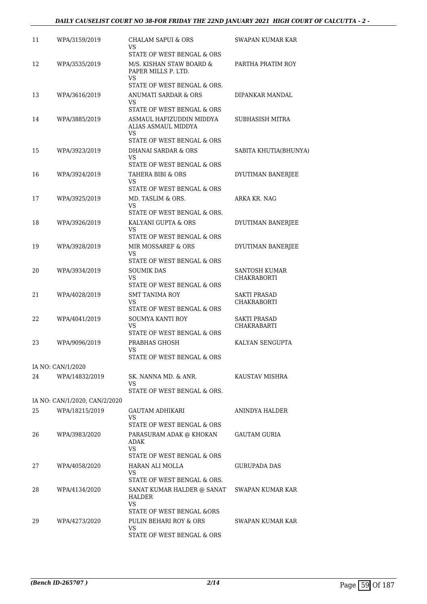| 11 | WPA/3159/2019                 | CHALAM SAPUI & ORS<br>VS<br>STATE OF WEST BENGAL & ORS                                   | SWAPAN KUMAR KAR                          |
|----|-------------------------------|------------------------------------------------------------------------------------------|-------------------------------------------|
| 12 | WPA/3535/2019                 | M/S. KISHAN STAW BOARD &<br>PAPER MILLS P. LTD.<br>VS<br>STATE OF WEST BENGAL & ORS.     | PARTHA PRATIM ROY                         |
| 13 | WPA/3616/2019                 | ANUMATI SARDAR & ORS<br>VS.<br>STATE OF WEST BENGAL & ORS                                | DIPANKAR MANDAL                           |
| 14 | WPA/3885/2019                 | ASMAUL HAFIZUDDIN MIDDYA<br>ALIAS ASMAUL MIDDYA<br>VS.<br>STATE OF WEST BENGAL & ORS     | SUBHASISH MITRA                           |
| 15 | WPA/3923/2019                 | DHANAI SARDAR & ORS<br>VS.                                                               | SABITA KHUTIA(BHUNYA)                     |
| 16 | WPA/3924/2019                 | STATE OF WEST BENGAL & ORS<br>TAHERA BIBI & ORS<br>VS                                    | DYUTIMAN BANERJEE                         |
| 17 | WPA/3925/2019                 | STATE OF WEST BENGAL & ORS<br>MD. TASLIM & ORS.<br>VS.                                   | ARKA KR. NAG                              |
| 18 | WPA/3926/2019                 | STATE OF WEST BENGAL & ORS.<br>KALYANI GUPTA & ORS<br>VS.                                | DYUTIMAN BANERJEE                         |
| 19 | WPA/3928/2019                 | STATE OF WEST BENGAL & ORS<br>MIR MOSSAREF & ORS<br>VS                                   | DYUTIMAN BANERJEE                         |
| 20 | WPA/3934/2019                 | STATE OF WEST BENGAL & ORS<br>SOUMIK DAS<br>VS.<br>STATE OF WEST BENGAL & ORS            | SANTOSH KUMAR<br><b>CHAKRABORTI</b>       |
| 21 | WPA/4028/2019                 | <b>SMT TANIMA ROY</b><br><b>VS</b><br>STATE OF WEST BENGAL & ORS                         | <b>SAKTI PRASAD</b><br><b>CHAKRABORTI</b> |
| 22 | WPA/4041/2019                 | SOUMYA KANTI ROY<br>VS.<br>STATE OF WEST BENGAL & ORS                                    | <b>SAKTI PRASAD</b><br>CHAKRABARTI        |
| 23 | WPA/9096/2019                 | PRABHAS GHOSH<br>VS<br>STATE OF WEST BENGAL & ORS                                        | KALYAN SENGUPTA                           |
|    | IA NO: CAN/1/2020             |                                                                                          |                                           |
| 24 | WPA/14832/2019                | SK. NANNA MD. & ANR.<br>VS.<br>STATE OF WEST BENGAL & ORS.                               | KAUSTAV MISHRA                            |
|    | IA NO: CAN/1/2020, CAN/2/2020 |                                                                                          |                                           |
| 25 | WPA/18215/2019                | GAUTAM ADHIKARI<br>VS<br>STATE OF WEST BENGAL & ORS                                      | ANINDYA HALDER                            |
| 26 | WPA/3983/2020                 | PARASURAM ADAK @ KHOKAN<br>ADAK<br>VS<br>STATE OF WEST BENGAL & ORS                      | <b>GAUTAM GURIA</b>                       |
| 27 | WPA/4058/2020                 | HARAN ALI MOLLA<br>VS.<br>STATE OF WEST BENGAL & ORS.                                    | GURUPADA DAS                              |
| 28 | WPA/4134/2020                 | SANAT KUMAR HALDER @ SANAT<br>HALDER<br>VS.                                              | SWAPAN KUMAR KAR                          |
| 29 | WPA/4273/2020                 | STATE OF WEST BENGAL &ORS<br>PULIN BEHARI ROY & ORS<br>VS.<br>STATE OF WEST BENGAL & ORS | SWAPAN KUMAR KAR                          |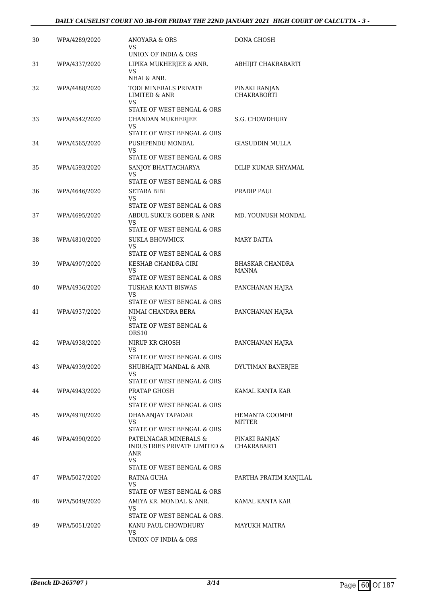# *DAILY CAUSELIST COURT NO 38-FOR FRIDAY THE 22ND JANUARY 2021 HIGH COURT OF CALCUTTA - 3 -*

| 30 | WPA/4289/2020 | ANOYARA & ORS<br>VS<br>UNION OF INDIA & ORS                                                       | DONA GHOSH                          |
|----|---------------|---------------------------------------------------------------------------------------------------|-------------------------------------|
| 31 | WPA/4337/2020 | LIPIKA MUKHERJEE & ANR.<br>VS.<br>NHAI & ANR.                                                     | ABHIJIT CHAKRABARTI                 |
| 32 | WPA/4488/2020 | TODI MINERALS PRIVATE<br><b>LIMITED &amp; ANR</b><br><b>VS</b>                                    | PINAKI RANJAN<br><b>CHAKRABORTI</b> |
|    |               | STATE OF WEST BENGAL & ORS                                                                        |                                     |
| 33 | WPA/4542/2020 | CHANDAN MUKHERJEE<br>VS.                                                                          | S.G. CHOWDHURY                      |
|    |               | STATE OF WEST BENGAL & ORS                                                                        |                                     |
| 34 | WPA/4565/2020 | PUSHPENDU MONDAL<br>VS.                                                                           | GIASUDDIN MULLA                     |
|    |               | STATE OF WEST BENGAL & ORS                                                                        |                                     |
| 35 | WPA/4593/2020 | SANJOY BHATTACHARYA<br>VS                                                                         | DILIP KUMAR SHYAMAL                 |
| 36 |               | STATE OF WEST BENGAL & ORS<br>SETARA BIBI                                                         | PRADIP PAUL                         |
|    | WPA/4646/2020 | VS<br>STATE OF WEST BENGAL & ORS                                                                  |                                     |
| 37 | WPA/4695/2020 | ABDUL SUKUR GODER & ANR                                                                           | MD. YOUNUSH MONDAL                  |
|    |               | VS.                                                                                               |                                     |
|    |               | STATE OF WEST BENGAL & ORS                                                                        |                                     |
| 38 | WPA/4810/2020 | <b>SUKLA BHOWMICK</b><br>VS.                                                                      | MARY DATTA                          |
|    |               | STATE OF WEST BENGAL & ORS                                                                        |                                     |
| 39 | WPA/4907/2020 | KESHAB CHANDRA GIRI<br>VS                                                                         | BHASKAR CHANDRA<br><b>MANNA</b>     |
|    |               | STATE OF WEST BENGAL & ORS                                                                        |                                     |
| 40 | WPA/4936/2020 | TUSHAR KANTI BISWAS<br>VS.<br>STATE OF WEST BENGAL & ORS                                          | PANCHANAN HAJRA                     |
| 41 | WPA/4937/2020 | NIMAI CHANDRA BERA                                                                                | PANCHANAN HAJRA                     |
|    |               | VS                                                                                                |                                     |
|    |               | STATE OF WEST BENGAL &<br>ORS10                                                                   |                                     |
| 42 | WPA/4938/2020 | NIRUP KR GHOSH                                                                                    | PANCHANAN HAJRA                     |
|    |               | VS<br>STATE OF WEST BENGAL & ORS                                                                  |                                     |
| 43 | WPA/4939/2020 | SHUBHAJIT MANDAL & ANR                                                                            | DYUTIMAN BANERJEE                   |
|    |               | VS.                                                                                               |                                     |
|    |               | STATE OF WEST BENGAL & ORS                                                                        |                                     |
| 44 | WPA/4943/2020 | PRATAP GHOSH<br>VS.                                                                               | KAMAL KANTA KAR                     |
|    |               | STATE OF WEST BENGAL & ORS                                                                        |                                     |
| 45 | WPA/4970/2020 | DHANANJAY TAPADAR<br>VS.                                                                          | HEMANTA COOMER<br><b>MITTER</b>     |
|    |               | STATE OF WEST BENGAL & ORS                                                                        |                                     |
| 46 | WPA/4990/2020 | PATELNAGAR MINERALS &<br>INDUSTRIES PRIVATE LIMITED &<br>ANR<br>VS.<br>STATE OF WEST BENGAL & ORS | PINAKI RANJAN<br><b>CHAKRABARTI</b> |
| 47 | WPA/5027/2020 | RATNA GUHA                                                                                        | PARTHA PRATIM KANJILAL              |
|    |               | VS.<br>STATE OF WEST BENGAL & ORS                                                                 |                                     |
| 48 | WPA/5049/2020 | AMIYA KR. MONDAL & ANR.                                                                           | KAMAL KANTA KAR                     |
|    |               | VS                                                                                                |                                     |
| 49 |               | STATE OF WEST BENGAL & ORS.<br>KANU PAUL CHOWDHURY                                                |                                     |
|    | WPA/5051/2020 | VS.<br>UNION OF INDIA & ORS                                                                       | MAYUKH MAITRA                       |
|    |               |                                                                                                   |                                     |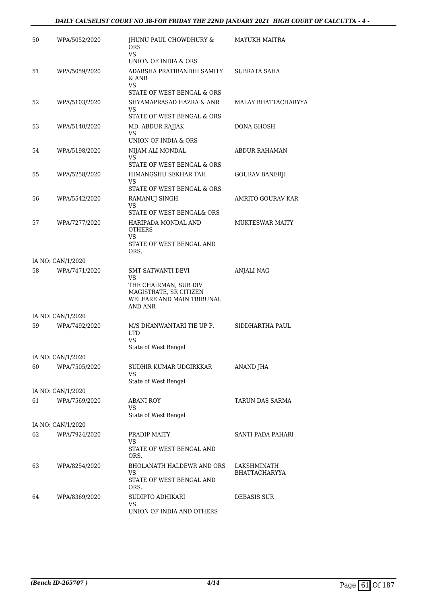| 50 | WPA/5052/2020     | JHUNU PAUL CHOWDHURY &<br><b>ORS</b><br>VS.                                                                         | MAYUKH MAITRA          |
|----|-------------------|---------------------------------------------------------------------------------------------------------------------|------------------------|
|    |                   | UNION OF INDIA & ORS                                                                                                |                        |
| 51 | WPA/5059/2020     | ADARSHA PRATIBANDHI SAMITY<br>& ANR<br>VS                                                                           | SUBRATA SAHA           |
|    |                   | STATE OF WEST BENGAL & ORS                                                                                          |                        |
| 52 | WPA/5103/2020     | SHYAMAPRASAD HAZRA & ANR<br>VS.<br>STATE OF WEST BENGAL & ORS                                                       | MALAY BHATTACHARYYA    |
| 53 | WPA/5140/2020     | MD. ABDUR RAJJAK                                                                                                    | DONA GHOSH             |
|    |                   | VS<br>UNION OF INDIA & ORS                                                                                          |                        |
| 54 | WPA/5198/2020     | NIJAM ALI MONDAL                                                                                                    | ABDUR RAHAMAN          |
|    |                   | VS<br>STATE OF WEST BENGAL & ORS                                                                                    |                        |
| 55 | WPA/5258/2020     | HIMANGSHU SEKHAR TAH                                                                                                | GOURAV BANERJI         |
|    |                   | VS.                                                                                                                 |                        |
|    |                   | STATE OF WEST BENGAL & ORS                                                                                          |                        |
| 56 | WPA/5542/2020     | RAMANUJ SINGH<br>VS.                                                                                                | AMRITO GOURAV KAR      |
|    |                   | STATE OF WEST BENGAL& ORS                                                                                           |                        |
| 57 | WPA/7277/2020     | HARIPADA MONDAL AND<br><b>OTHERS</b>                                                                                | <b>MUKTESWAR MAITY</b> |
|    |                   | VS.<br>STATE OF WEST BENGAL AND<br>ORS.                                                                             |                        |
|    | IA NO: CAN/1/2020 |                                                                                                                     |                        |
| 58 | WPA/7471/2020     | SMT SATWANTI DEVI<br>VS.<br>THE CHAIRMAN, SUB DIV<br>MAGISTRATE, SR CITIZEN<br>WELFARE AND MAIN TRIBUNAL<br>AND ANR | <b>ANJALI NAG</b>      |
|    | IA NO: CAN/1/2020 |                                                                                                                     |                        |
| 59 | WPA/7492/2020     | M/S DHANWANTARI TIE UP P.<br><b>LTD</b><br>VS.<br>State of West Bengal                                              | SIDDHARTHA PAUL        |
|    | IA NO: CAN/1/2020 |                                                                                                                     |                        |
| 60 | WPA/7505/2020     | SUDHIR KUMAR UDGIRKKAR<br>VS                                                                                        | ANAND JHA              |
|    |                   | State of West Bengal                                                                                                |                        |
|    | IA NO: CAN/1/2020 |                                                                                                                     |                        |
| 61 | WPA/7569/2020     | ABANI ROY<br>VS<br>State of West Bengal                                                                             | TARUN DAS SARMA        |
|    | IA NO: CAN/1/2020 |                                                                                                                     |                        |
| 62 | WPA/7924/2020     | PRADIP MAITY                                                                                                        | SANTI PADA PAHARI      |
|    |                   | VS<br>STATE OF WEST BENGAL AND<br>ORS.                                                                              |                        |
| 63 | WPA/8254/2020     | BHOLANATH HALDEWR AND ORS                                                                                           | LAKSHMINATH            |
|    |                   | VS.<br>STATE OF WEST BENGAL AND<br>ORS.                                                                             | BHATTACHARYYA          |
| 64 | WPA/8369/2020     | SUDIPTO ADHIKARI                                                                                                    | DEBASIS SUR            |
|    |                   | VS<br>UNION OF INDIA AND OTHERS                                                                                     |                        |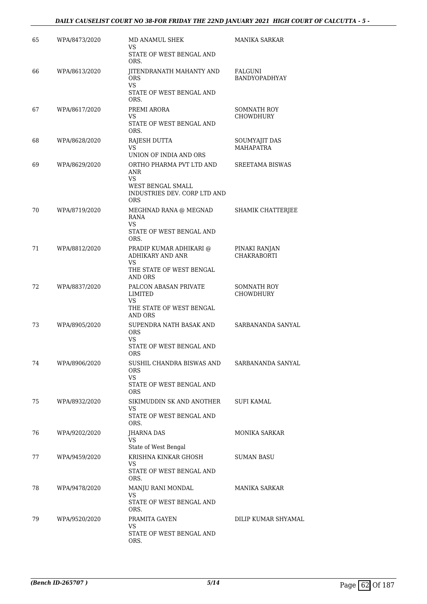# *DAILY CAUSELIST COURT NO 38-FOR FRIDAY THE 22ND JANUARY 2021 HIGH COURT OF CALCUTTA - 5 -*

| 65 | WPA/8473/2020 | MD ANAMUL SHEK<br>VS                                            | MANIKA SARKAR                          |
|----|---------------|-----------------------------------------------------------------|----------------------------------------|
|    |               | STATE OF WEST BENGAL AND<br>ORS.                                |                                        |
| 66 | WPA/8613/2020 | JITENDRANATH MAHANTY AND<br><b>ORS</b><br>VS.                   | FALGUNI<br><b>BANDYOPADHYAY</b>        |
|    |               | STATE OF WEST BENGAL AND<br>ORS.                                |                                        |
| 67 | WPA/8617/2020 | PREMI ARORA<br>VS                                               | SOMNATH ROY<br><b>CHOWDHURY</b>        |
|    |               | STATE OF WEST BENGAL AND<br>ORS.                                |                                        |
| 68 | WPA/8628/2020 | RAJESH DUTTA<br>VS                                              | SOUMYAJIT DAS<br><b>MAHAPATRA</b>      |
|    |               | UNION OF INDIA AND ORS                                          |                                        |
| 69 | WPA/8629/2020 | ORTHO PHARMA PVT LTD AND<br>ANR<br><b>VS</b>                    | SREETAMA BISWAS                        |
|    |               | WEST BENGAL SMALL<br>INDUSTRIES DEV. CORP LTD AND<br><b>ORS</b> |                                        |
| 70 | WPA/8719/2020 | MEGHNAD RANA @ MEGNAD<br>RANA<br>VS                             | SHAMIK CHATTERJEE                      |
|    |               | STATE OF WEST BENGAL AND<br>ORS.                                |                                        |
| 71 | WPA/8812/2020 | PRADIP KUMAR ADHIKARI @<br>ADHIKARY AND ANR<br>VS               | PINAKI RANJAN<br><b>CHAKRABORTI</b>    |
|    |               | THE STATE OF WEST BENGAL<br>AND ORS                             |                                        |
| 72 | WPA/8837/2020 | PALCON ABASAN PRIVATE<br>LIMITED<br>VS                          | <b>SOMNATH ROY</b><br><b>CHOWDHURY</b> |
|    |               | THE STATE OF WEST BENGAL<br>AND ORS                             |                                        |
| 73 | WPA/8905/2020 | SUPENDRA NATH BASAK AND<br><b>ORS</b><br>VS.                    | SARBANANDA SANYAL                      |
|    |               | STATE OF WEST BENGAL AND<br><b>ORS</b>                          |                                        |
| 74 | WPA/8906/2020 | SUSHIL CHANDRA BISWAS AND<br><b>ORS</b><br><b>VS</b>            | SARBANANDA SANYAL                      |
|    |               | STATE OF WEST BENGAL AND<br><b>ORS</b>                          |                                        |
| 75 | WPA/8932/2020 | SIKIMUDDIN SK AND ANOTHER<br>VS                                 | SUFI KAMAL                             |
|    |               | STATE OF WEST BENGAL AND<br>ORS.                                |                                        |
| 76 | WPA/9202/2020 | JHARNA DAS<br>VS                                                | <b>MONIKA SARKAR</b>                   |
| 77 | WPA/9459/2020 | State of West Bengal<br>KRISHNA KINKAR GHOSH                    | SUMAN BASU                             |
|    |               | VS<br>STATE OF WEST BENGAL AND<br>ORS.                          |                                        |
| 78 | WPA/9478/2020 | MANJU RANI MONDAL<br>VS                                         | MANIKA SARKAR                          |
|    |               | STATE OF WEST BENGAL AND<br>ORS.                                |                                        |
| 79 | WPA/9520/2020 | PRAMITA GAYEN<br>VS                                             | DILIP KUMAR SHYAMAL                    |
|    |               | STATE OF WEST BENGAL AND<br>ORS.                                |                                        |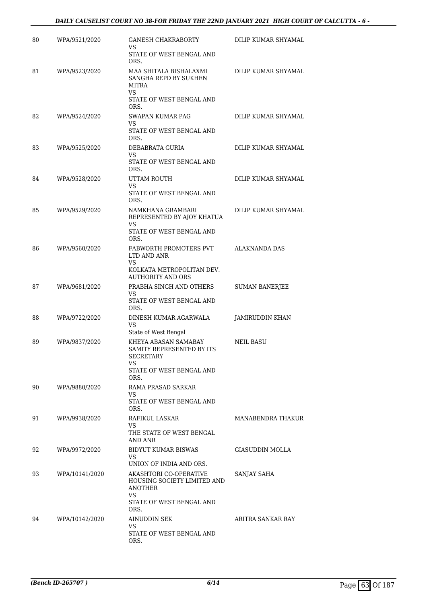# *DAILY CAUSELIST COURT NO 38-FOR FRIDAY THE 22ND JANUARY 2021 HIGH COURT OF CALCUTTA - 6 -*

| 80 | WPA/9521/2020  | <b>GANESH CHAKRABORTY</b><br>VS                                                                                                              | DILIP KUMAR SHYAMAL   |
|----|----------------|----------------------------------------------------------------------------------------------------------------------------------------------|-----------------------|
|    |                | STATE OF WEST BENGAL AND<br>ORS.                                                                                                             |                       |
| 81 | WPA/9523/2020  | MAA SHITALA BISHALAXMI<br>SANGHA REPD BY SUKHEN<br>MITRA<br>VS.<br>STATE OF WEST BENGAL AND                                                  | DILIP KUMAR SHYAMAL   |
| 82 | WPA/9524/2020  | ORS.<br>SWAPAN KUMAR PAG<br>VS<br>STATE OF WEST BENGAL AND                                                                                   | DILIP KUMAR SHYAMAL   |
| 83 | WPA/9525/2020  | ORS.<br>DEBABRATA GURIA<br>VS<br>STATE OF WEST BENGAL AND<br>ORS.                                                                            | DILIP KUMAR SHYAMAL   |
| 84 | WPA/9528/2020  | UTTAM ROUTH<br>VS<br>STATE OF WEST BENGAL AND                                                                                                | DILIP KUMAR SHYAMAL   |
| 85 | WPA/9529/2020  | ORS.<br>NAMKHANA GRAMBARI<br>REPRESENTED BY AJOY KHATUA                                                                                      | DILIP KUMAR SHYAMAL   |
|    |                | VS<br>STATE OF WEST BENGAL AND<br>ORS.                                                                                                       |                       |
| 86 | WPA/9560/2020  | FABWORTH PROMOTERS PVT<br>LTD AND ANR<br>VS<br>KOLKATA METROPOLITAN DEV.                                                                     | <b>ALAKNANDA DAS</b>  |
| 87 | WPA/9681/2020  | <b>AUTHORITY AND ORS</b><br>PRABHA SINGH AND OTHERS<br>VS<br>STATE OF WEST BENGAL AND                                                        | <b>SUMAN BANERJEE</b> |
| 88 | WPA/9722/2020  | ORS.<br>DINESH KUMAR AGARWALA<br><b>VS</b><br>State of West Bengal                                                                           | JAMIRUDDIN KHAN       |
| 89 | WPA/9837/2020  | KHEYA ABASAN SAMABAY<br>SAMITY REPRESENTED BY ITS<br><b>SECRETARY</b><br>VS.<br>STATE OF WEST BENGAL AND                                     | NEIL BASU             |
|    |                | ORS.                                                                                                                                         |                       |
| 90 | WPA/9880/2020  | RAMA PRASAD SARKAR<br>VS<br>STATE OF WEST BENGAL AND<br>ORS.                                                                                 |                       |
| 91 | WPA/9938/2020  | RAFIKUL LASKAR<br>VS.<br>THE STATE OF WEST BENGAL<br>AND ANR                                                                                 | MANABENDRA THAKUR     |
| 92 | WPA/9972/2020  | BIDYUT KUMAR BISWAS<br>VS.                                                                                                                   | GIASUDDIN MOLLA       |
| 93 | WPA/10141/2020 | UNION OF INDIA AND ORS.<br>AKASHTORI CO-OPERATIVE<br>HOUSING SOCIETY LIMITED AND<br><b>ANOTHER</b><br>VS<br>STATE OF WEST BENGAL AND<br>ORS. | SANJAY SAHA           |
| 94 | WPA/10142/2020 | AINUDDIN SEK<br>VS<br>STATE OF WEST BENGAL AND<br>ORS.                                                                                       | ARITRA SANKAR RAY     |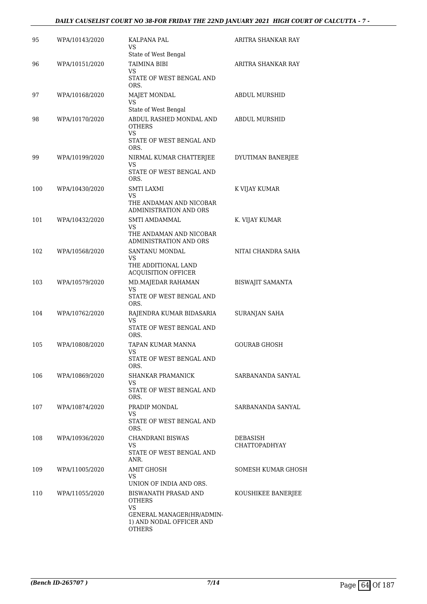# *DAILY CAUSELIST COURT NO 38-FOR FRIDAY THE 22ND JANUARY 2021 HIGH COURT OF CALCUTTA - 7 -*

| 95  | WPA/10143/2020 | KALPANA PAL<br>VS<br>State of West Bengal                                                                             | ARITRA SHANKAR RAY               |
|-----|----------------|-----------------------------------------------------------------------------------------------------------------------|----------------------------------|
| 96  | WPA/10151/2020 | <b>TAIMINA BIBI</b><br>VS<br>STATE OF WEST BENGAL AND<br>ORS.                                                         | ARITRA SHANKAR RAY               |
| 97  | WPA/10168/2020 | MAJET MONDAL<br>VS<br>State of West Bengal                                                                            | <b>ABDUL MURSHID</b>             |
| 98  | WPA/10170/2020 | ABDUL RASHED MONDAL AND<br>OTHERS<br>VS<br>STATE OF WEST BENGAL AND<br>ORS.                                           | ABDUL MURSHID                    |
| 99  | WPA/10199/2020 | NIRMAL KUMAR CHATTERJEE<br>VS<br>STATE OF WEST BENGAL AND<br>ORS.                                                     | DYUTIMAN BANERJEE                |
| 100 | WPA/10430/2020 | <b>SMTI LAXMI</b><br>VS<br>THE ANDAMAN AND NICOBAR<br>ADMINISTRATION AND ORS                                          | K VIJAY KUMAR                    |
| 101 | WPA/10432/2020 | SMTI AMDAMMAL<br>VS<br>THE ANDAMAN AND NICOBAR<br>ADMINISTRATION AND ORS                                              | K. VIJAY KUMAR                   |
| 102 | WPA/10568/2020 | SANTANU MONDAL<br>VS<br>THE ADDITIONAL LAND<br><b>ACQUISITION OFFICER</b>                                             | NITAI CHANDRA SAHA               |
| 103 | WPA/10579/2020 | MD.MAJEDAR RAHAMAN<br>VS<br>STATE OF WEST BENGAL AND<br>ORS.                                                          | <b>BISWAJIT SAMANTA</b>          |
| 104 | WPA/10762/2020 | RAJENDRA KUMAR BIDASARIA<br>VS<br>STATE OF WEST BENGAL AND<br>ORS.                                                    | SURANJAN SAHA                    |
| 105 | WPA/10808/2020 | TAPAN KUMAR MANNA<br>VS<br>STATE OF WEST BENGAL AND<br>ORS.                                                           | <b>GOURAB GHOSH</b>              |
| 106 | WPA/10869/2020 | SHANKAR PRAMANICK<br>VS<br>STATE OF WEST BENGAL AND<br>ORS.                                                           | SARBANANDA SANYAL                |
| 107 | WPA/10874/2020 | PRADIP MONDAL<br>VS<br>STATE OF WEST BENGAL AND<br>ORS.                                                               | SARBANANDA SANYAL                |
| 108 | WPA/10936/2020 | CHANDRANI BISWAS<br>VS.<br>STATE OF WEST BENGAL AND<br>ANR.                                                           | DEBASISH<br><b>CHATTOPADHYAY</b> |
| 109 | WPA/11005/2020 | AMIT GHOSH<br>VS.<br>UNION OF INDIA AND ORS.                                                                          | SOMESH KUMAR GHOSH               |
| 110 | WPA/11055/2020 | BISWANATH PRASAD AND<br><b>OTHERS</b><br>VS<br>GENERAL MANAGER(HR/ADMIN-<br>1) AND NODAL OFFICER AND<br><b>OTHERS</b> | KOUSHIKEE BANERJEE               |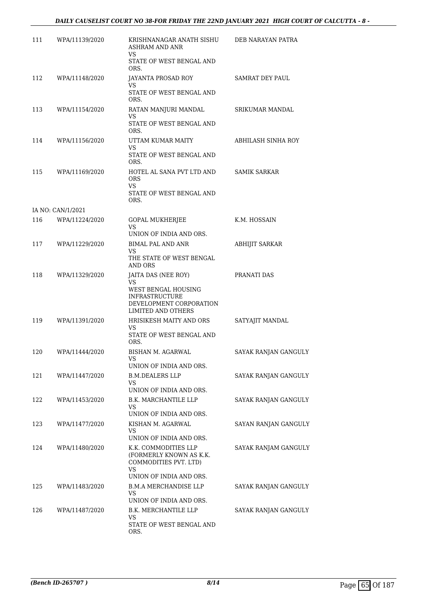| 111 | WPA/11139/2020    | KRISHNANAGAR ANATH SISHU<br><b>ASHRAM AND ANR</b><br>VS                                                   | DEB NARAYAN PATRA      |
|-----|-------------------|-----------------------------------------------------------------------------------------------------------|------------------------|
|     |                   | STATE OF WEST BENGAL AND<br>ORS.                                                                          |                        |
| 112 | WPA/11148/2020    | JAYANTA PROSAD ROY                                                                                        | <b>SAMRAT DEY PAUL</b> |
|     |                   | VS<br>STATE OF WEST BENGAL AND<br>ORS.                                                                    |                        |
| 113 | WPA/11154/2020    | RATAN MANJURI MANDAL                                                                                      | <b>SRIKUMAR MANDAL</b> |
|     |                   | VS<br>STATE OF WEST BENGAL AND<br>ORS.                                                                    |                        |
| 114 | WPA/11156/2020    | UTTAM KUMAR MAITY                                                                                         | ABHILASH SINHA ROY     |
|     |                   | VS<br>STATE OF WEST BENGAL AND<br>ORS.                                                                    |                        |
| 115 | WPA/11169/2020    | HOTEL AL SANA PVT LTD AND<br><b>ORS</b><br>VS.                                                            | SAMIK SARKAR           |
|     |                   | STATE OF WEST BENGAL AND<br>ORS.                                                                          |                        |
|     | IA NO: CAN/1/2021 |                                                                                                           |                        |
| 116 | WPA/11224/2020    | GOPAL MUKHERJEE<br>VS.<br>UNION OF INDIA AND ORS.                                                         | K.M. HOSSAIN           |
| 117 | WPA/11229/2020    | <b>BIMAL PAL AND ANR</b>                                                                                  | ABHIJIT SARKAR         |
|     |                   | <b>VS</b><br>THE STATE OF WEST BENGAL<br><b>AND ORS</b>                                                   |                        |
| 118 | WPA/11329/2020    | JAITA DAS (NEE ROY)                                                                                       | PRANATI DAS            |
|     |                   | VS<br>WEST BENGAL HOUSING<br><b>INFRASTRUCTURE</b><br>DEVELOPMENT CORPORATION<br>LIMITED AND OTHERS       |                        |
| 119 | WPA/11391/2020    | HRISIKESH MAITY AND ORS                                                                                   | SATYAJIT MANDAL        |
|     |                   | VS<br>STATE OF WEST BENGAL AND<br>ORS.                                                                    |                        |
| 120 | WPA/11444/2020    | BISHAN M. AGARWAL                                                                                         | SAYAK RANJAN GANGULY   |
|     |                   | VS<br>UNION OF INDIA AND ORS.                                                                             |                        |
| 121 | WPA/11447/2020    | <b>B.M.DEALERS LLP</b><br>VS.<br>UNION OF INDIA AND ORS.                                                  | SAYAK RANJAN GANGULY   |
| 122 | WPA/11453/2020    | B.K. MARCHANTILE LLP                                                                                      | SAYAK RANJAN GANGULY   |
|     |                   | VS<br>UNION OF INDIA AND ORS.                                                                             |                        |
| 123 | WPA/11477/2020    | KISHAN M. AGARWAL                                                                                         | SAYAN RANJAN GANGULY   |
|     |                   | VS<br>UNION OF INDIA AND ORS.                                                                             |                        |
| 124 | WPA/11480/2020    | K.K. COMMODITIES LLP<br>(FORMERLY KNOWN AS K.K.<br>COMMODITIES PVT. LTD)<br>VS<br>UNION OF INDIA AND ORS. | SAYAK RANJAM GANGULY   |
| 125 | WPA/11483/2020    | <b>B.M.A MERCHANDISE LLP</b>                                                                              | SAYAK RANJAN GANGULY   |
|     |                   | VS<br>UNION OF INDIA AND ORS.                                                                             |                        |
| 126 | WPA/11487/2020    | B.K. MERCHANTILE LLP                                                                                      | SAYAK RANJAN GANGULY   |
|     |                   | VS<br>STATE OF WEST BENGAL AND<br>ORS.                                                                    |                        |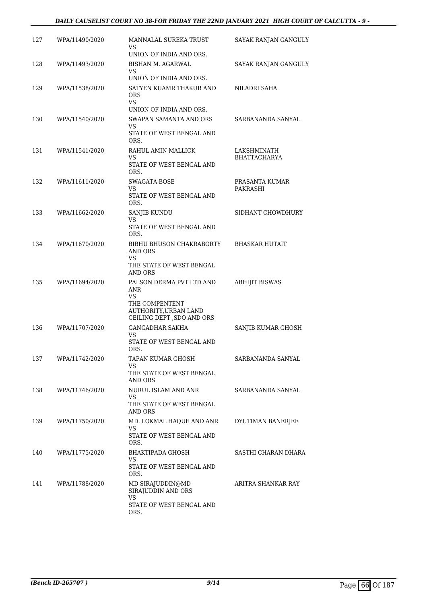# *DAILY CAUSELIST COURT NO 38-FOR FRIDAY THE 22ND JANUARY 2021 HIGH COURT OF CALCUTTA - 9 -*

| 127 | WPA/11490/2020 | MANNALAL SUREKA TRUST<br>VS<br>UNION OF INDIA AND ORS.                                                          | SAYAK RANJAN GANGULY               |
|-----|----------------|-----------------------------------------------------------------------------------------------------------------|------------------------------------|
| 128 | WPA/11493/2020 | BISHAN M. AGARWAL<br>VS.                                                                                        | SAYAK RANJAN GANGULY               |
| 129 | WPA/11538/2020 | UNION OF INDIA AND ORS.<br>SATYEN KUAMR THAKUR AND<br><b>ORS</b><br>VS.                                         | NILADRI SAHA                       |
| 130 | WPA/11540/2020 | UNION OF INDIA AND ORS.<br>SWAPAN SAMANTA AND ORS<br>VS<br>STATE OF WEST BENGAL AND<br>ORS.                     | SARBANANDA SANYAL                  |
| 131 | WPA/11541/2020 | RAHUL AMIN MALLICK<br>VS<br>STATE OF WEST BENGAL AND<br>ORS.                                                    | LAKSHMINATH<br><b>BHATTACHARYA</b> |
| 132 | WPA/11611/2020 | SWAGATA BOSE<br>VS<br>STATE OF WEST BENGAL AND<br>ORS.                                                          | PRASANTA KUMAR<br>PAKRASHI         |
| 133 | WPA/11662/2020 | SANJIB KUNDU<br>VS.<br>STATE OF WEST BENGAL AND<br>ORS.                                                         | SIDHANT CHOWDHURY                  |
| 134 | WPA/11670/2020 | BIBHU BHUSON CHAKRABORTY<br>AND ORS<br>VS<br>THE STATE OF WEST BENGAL<br>AND ORS                                | <b>BHASKAR HUTAIT</b>              |
| 135 | WPA/11694/2020 | PALSON DERMA PVT LTD AND<br>ANR<br>VS.<br>THE COMPENTENT<br>AUTHORITY, URBAN LAND<br>CEILING DEPT , SDO AND ORS | <b>ABHIJIT BISWAS</b>              |
| 136 | WPA/11707/2020 | <b>GANGADHAR SAKHA</b><br>VS<br>STATE OF WEST BENGAL AND<br>ORS.                                                | SANJIB KUMAR GHOSH                 |
| 137 | WPA/11742/2020 | TAPAN KUMAR GHOSH<br>VS<br>THE STATE OF WEST BENGAL<br>AND ORS                                                  | SARBANANDA SANYAL                  |
| 138 | WPA/11746/2020 | NURUL ISLAM AND ANR<br>VS.<br>THE STATE OF WEST BENGAL<br>AND ORS                                               | SARBANANDA SANYAL                  |
| 139 | WPA/11750/2020 | MD. LOKMAL HAQUE AND ANR<br>VS<br>STATE OF WEST BENGAL AND<br>ORS.                                              | DYUTIMAN BANERJEE                  |
| 140 | WPA/11775/2020 | BHAKTIPADA GHOSH<br>VS<br>STATE OF WEST BENGAL AND<br>ORS.                                                      | SASTHI CHARAN DHARA                |
| 141 | WPA/11788/2020 | MD SIRAJUDDIN@MD<br>SIRAJUDDIN AND ORS<br>VS<br>STATE OF WEST BENGAL AND<br>ORS.                                | ARITRA SHANKAR RAY                 |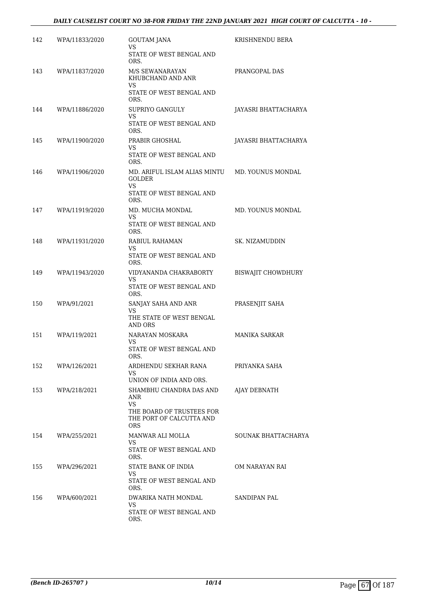| 142 | WPA/11833/2020 | GOUTAM JANA<br>VS                                                   | KRISHNENDU BERA      |
|-----|----------------|---------------------------------------------------------------------|----------------------|
|     |                | STATE OF WEST BENGAL AND<br>ORS.                                    |                      |
| 143 | WPA/11837/2020 | M/S SEWANARAYAN<br>KHUBCHAND AND ANR<br>VS                          | PRANGOPAL DAS        |
|     |                | STATE OF WEST BENGAL AND<br>ORS.                                    |                      |
| 144 | WPA/11886/2020 | SUPRIYO GANGULY<br>VS                                               | JAYASRI BHATTACHARYA |
|     |                | STATE OF WEST BENGAL AND<br>ORS.                                    |                      |
| 145 | WPA/11900/2020 | PRABIR GHOSHAL<br>VS                                                | JAYASRI BHATTACHARYA |
|     |                | STATE OF WEST BENGAL AND<br>ORS.                                    |                      |
| 146 | WPA/11906/2020 | MD. ARIFUL ISLAM ALIAS MINTU<br><b>GOLDER</b><br>VS.                | MD. YOUNUS MONDAL    |
|     |                | STATE OF WEST BENGAL AND<br>ORS.                                    |                      |
| 147 | WPA/11919/2020 | MD. MUCHA MONDAL<br>VS.                                             | MD. YOUNUS MONDAL    |
|     |                | STATE OF WEST BENGAL AND<br>ORS.                                    |                      |
| 148 | WPA/11931/2020 | RABIUL RAHAMAN<br>VS                                                | SK. NIZAMUDDIN       |
|     |                | STATE OF WEST BENGAL AND<br>ORS.                                    |                      |
| 149 | WPA/11943/2020 | VIDYANANDA CHAKRABORTY<br>VS                                        | BISWAJIT CHOWDHURY   |
|     |                | STATE OF WEST BENGAL AND<br>ORS.                                    |                      |
| 150 | WPA/91/2021    | SANJAY SAHA AND ANR<br>VS.                                          | PRASENJIT SAHA       |
|     |                | THE STATE OF WEST BENGAL<br><b>AND ORS</b>                          |                      |
| 151 | WPA/119/2021   | NARAYAN MOSKARA<br>VS.                                              | <b>MANIKA SARKAR</b> |
|     |                | STATE OF WEST BENGAL AND<br>ORS.                                    |                      |
| 152 | WPA/126/2021   | ARDHENDU SEKHAR RANA<br>VS.                                         | PRIYANKA SAHA        |
|     |                | UNION OF INDIA AND ORS.                                             |                      |
| 153 | WPA/218/2021   | SHAMBHU CHANDRA DAS AND<br>ANR<br>VS.                               | AJAY DEBNATH         |
|     |                | THE BOARD OF TRUSTEES FOR<br>THE PORT OF CALCUTTA AND<br><b>ORS</b> |                      |
| 154 | WPA/255/2021   | MANWAR ALI MOLLA<br>VS.                                             | SOUNAK BHATTACHARYA  |
|     |                | STATE OF WEST BENGAL AND<br>ORS.                                    |                      |
| 155 | WPA/296/2021   | STATE BANK OF INDIA<br>VS.                                          | OM NARAYAN RAI       |
|     |                | STATE OF WEST BENGAL AND<br>ORS.                                    |                      |
| 156 | WPA/600/2021   | DWARIKA NATH MONDAL<br>VS.                                          | SANDIPAN PAL         |
|     |                | STATE OF WEST BENGAL AND<br>ORS.                                    |                      |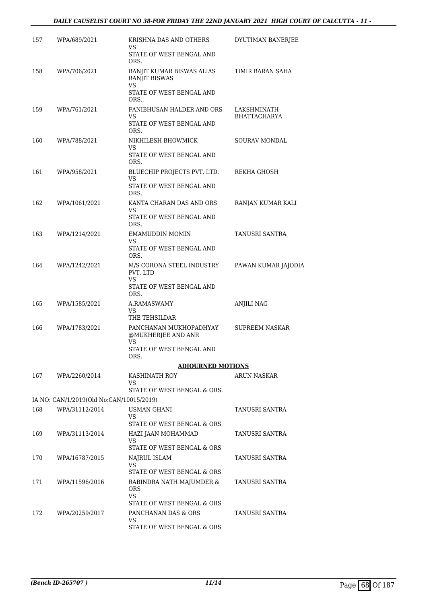# *DAILY CAUSELIST COURT NO 38-FOR FRIDAY THE 22ND JANUARY 2021 HIGH COURT OF CALCUTTA - 11 -*

| 157 | WPA/689/2021                             | KRISHNA DAS AND OTHERS<br>VS                            | DYUTIMAN BANERJEE    |
|-----|------------------------------------------|---------------------------------------------------------|----------------------|
|     |                                          | STATE OF WEST BENGAL AND<br>ORS.                        |                      |
| 158 | WPA/706/2021                             | RANJIT KUMAR BISWAS ALIAS<br><b>RANJIT BISWAS</b>       | TIMIR BARAN SAHA     |
|     |                                          | VS<br>STATE OF WEST BENGAL AND<br>ORS                   |                      |
| 159 | WPA/761/2021                             | FANIBHUSAN HALDER AND ORS                               | LAKSHMINATH          |
|     |                                          | VS<br>STATE OF WEST BENGAL AND<br>ORS.                  | <b>BHATTACHARYA</b>  |
| 160 | WPA/788/2021                             | NIKHILESH BHOWMICK<br>VS                                | <b>SOURAV MONDAL</b> |
|     |                                          | STATE OF WEST BENGAL AND<br>ORS.                        |                      |
| 161 | WPA/958/2021                             | BLUECHIP PROJECTS PVT. LTD.<br>VS                       | REKHA GHOSH          |
|     |                                          | STATE OF WEST BENGAL AND<br>ORS.                        |                      |
| 162 | WPA/1061/2021                            | KANTA CHARAN DAS AND ORS<br>VS                          | RANJAN KUMAR KALI    |
|     |                                          | STATE OF WEST BENGAL AND<br>ORS.                        |                      |
| 163 | WPA/1214/2021                            | <b>EMAMUDDIN MOMIN</b><br>VS                            | TANUSRI SANTRA       |
|     |                                          | STATE OF WEST BENGAL AND<br>ORS.                        |                      |
| 164 | WPA/1242/2021                            | M/S CORONA STEEL INDUSTRY<br>PVT. LTD<br>VS             | PAWAN KUMAR JAJODIA  |
|     |                                          | STATE OF WEST BENGAL AND<br>ORS.                        |                      |
| 165 | WPA/1585/2021                            | A.RAMASWAMY<br>VS                                       | <b>ANJILI NAG</b>    |
|     |                                          | THE TEHSILDAR                                           |                      |
| 166 | WPA/1783/2021                            | PANCHANAN MUKHOPADHYAY<br>@MUKHERJEE AND ANR<br>VS      | SUPREEM NASKAR       |
|     |                                          | STATE OF WEST BENGAL AND<br>ORS.                        |                      |
|     |                                          | <b>ADJOURNED MOTIONS</b>                                |                      |
| 167 | WPA/2260/2014                            | KASHINATH ROY<br>VS<br>STATE OF WEST BENGAL & ORS.      | ARUN NASKAR          |
|     | IA NO: CAN/1/2019(Old No:CAN/10015/2019) |                                                         |                      |
| 168 | WPA/31112/2014                           | USMAN GHANI                                             | TANUSRI SANTRA       |
|     |                                          | VS<br>STATE OF WEST BENGAL & ORS                        |                      |
| 169 | WPA/31113/2014                           | HAZI JAAN MOHAMMAD<br>VS.<br>STATE OF WEST BENGAL & ORS | TANUSRI SANTRA       |
| 170 | WPA/16787/2015                           | NAJRUL ISLAM                                            | TANUSRI SANTRA       |
|     |                                          | VS<br>STATE OF WEST BENGAL & ORS                        |                      |
| 171 | WPA/11596/2016                           | RABINDRA NATH MAJUMDER &<br>ORS                         | TANUSRI SANTRA       |
|     |                                          | VS.<br>STATE OF WEST BENGAL & ORS                       |                      |
| 172 | WPA/20259/2017                           | PANCHANAN DAS & ORS                                     | TANUSRI SANTRA       |
|     |                                          | VS<br>STATE OF WEST BENGAL & ORS                        |                      |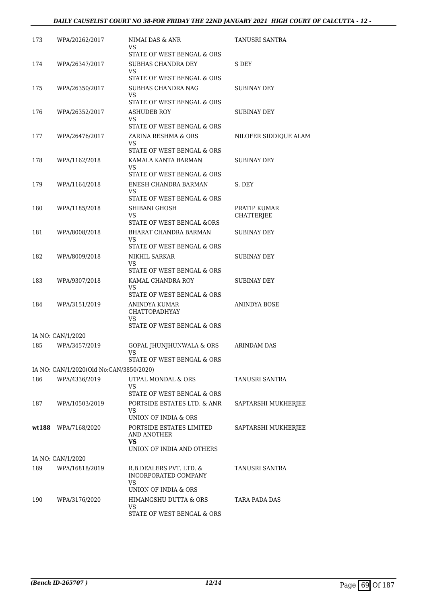# *DAILY CAUSELIST COURT NO 38-FOR FRIDAY THE 22ND JANUARY 2021 HIGH COURT OF CALCUTTA - 12 -*

| 173 | WPA/20262/2017                          | NIMAI DAS & ANR<br>VS                                                         | TANUSRI SANTRA        |
|-----|-----------------------------------------|-------------------------------------------------------------------------------|-----------------------|
| 174 | WPA/26347/2017                          | STATE OF WEST BENGAL & ORS<br>SUBHAS CHANDRA DEY                              | S DEY                 |
|     |                                         | VS                                                                            |                       |
|     |                                         | STATE OF WEST BENGAL & ORS                                                    |                       |
| 175 | WPA/26350/2017                          | SUBHAS CHANDRA NAG<br>VS                                                      | SUBINAY DEY           |
|     |                                         | STATE OF WEST BENGAL & ORS                                                    |                       |
| 176 | WPA/26352/2017                          | ASHUDEB ROY<br>VS                                                             | SUBINAY DEY           |
|     |                                         | STATE OF WEST BENGAL & ORS                                                    |                       |
| 177 | WPA/26476/2017                          | ZARINA RESHMA & ORS                                                           | NILOFER SIDDIQUE ALAM |
|     |                                         | VS<br>STATE OF WEST BENGAL & ORS                                              |                       |
| 178 | WPA/1162/2018                           | KAMALA KANTA BARMAN                                                           | SUBINAY DEY           |
|     |                                         | VS<br>STATE OF WEST BENGAL & ORS                                              |                       |
| 179 | WPA/1164/2018                           | ENESH CHANDRA BARMAN                                                          | S. DEY                |
|     |                                         | VS<br>STATE OF WEST BENGAL & ORS                                              |                       |
| 180 | WPA/1185/2018                           | SHIBANI GHOSH                                                                 | PRATIP KUMAR          |
|     |                                         | VS                                                                            | CHATTERJEE            |
| 181 |                                         | STATE OF WEST BENGAL &ORS<br>BHARAT CHANDRA BARMAN                            | SUBINAY DEY           |
|     | WPA/8008/2018                           | VS                                                                            |                       |
|     |                                         | STATE OF WEST BENGAL & ORS                                                    |                       |
| 182 | WPA/8009/2018                           | NIKHIL SARKAR<br>VS                                                           | SUBINAY DEY           |
|     |                                         | STATE OF WEST BENGAL & ORS                                                    |                       |
| 183 | WPA/9307/2018                           | KAMAL CHANDRA ROY<br>VS                                                       | SUBINAY DEY           |
| 184 | WPA/3151/2019                           | STATE OF WEST BENGAL & ORS<br>ANINDYA KUMAR                                   | ANINDYA BOSE          |
|     |                                         | <b>CHATTOPADHYAY</b><br>VS<br>STATE OF WEST BENGAL & ORS                      |                       |
|     | IA NO: CAN/1/2020                       |                                                                               |                       |
| 185 | WPA/3457/2019                           | GOPAL JHUNJHUNWALA & ORS<br>VS FOR THE VS.                                    | ARINDAM DAS           |
|     |                                         | STATE OF WEST BENGAL & ORS                                                    |                       |
|     | IA NO: CAN/1/2020(Old No:CAN/3850/2020) |                                                                               |                       |
| 186 | WPA/4336/2019                           | UTPAL MONDAL & ORS<br>VS                                                      | TANUSRI SANTRA        |
|     |                                         | STATE OF WEST BENGAL & ORS                                                    |                       |
| 187 | WPA/10503/2019                          | PORTSIDE ESTATES LTD. & ANR<br>VS                                             | SAPTARSHI MUKHERJEE   |
|     |                                         | UNION OF INDIA & ORS                                                          |                       |
|     | wt188 WPA/7168/2020                     | PORTSIDE ESTATES LIMITED<br>AND ANOTHER<br>VS<br>UNION OF INDIA AND OTHERS    | SAPTARSHI MUKHERJEE   |
|     | IA NO: CAN/1/2020                       |                                                                               |                       |
| 189 | WPA/16818/2019                          | R.B.DEALERS PVT. LTD. &<br>INCORPORATED COMPANY<br>VS<br>UNION OF INDIA & ORS | TANUSRI SANTRA        |
| 190 | WPA/3176/2020                           | HIMANGSHU DUTTA & ORS                                                         | TARA PADA DAS         |
|     |                                         | VS<br>STATE OF WEST BENGAL & ORS                                              |                       |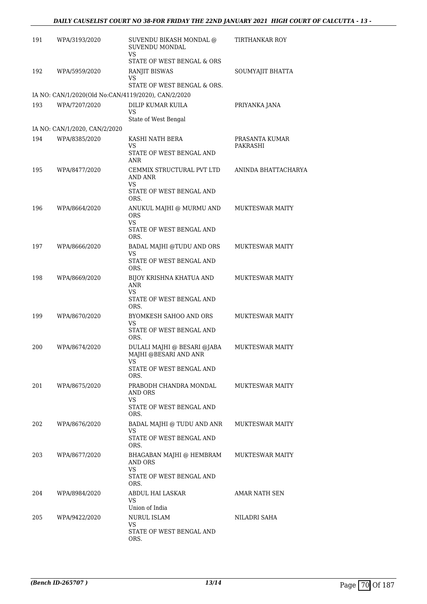| 191 | WPA/3193/2020                 | SUVENDU BIKASH MONDAL @<br>SUVENDU MONDAL<br>VS                                    | <b>TIRTHANKAR ROY</b>      |
|-----|-------------------------------|------------------------------------------------------------------------------------|----------------------------|
| 192 | WPA/5959/2020                 | STATE OF WEST BENGAL & ORS<br><b>RANJIT BISWAS</b><br>VS                           | SOUMYAJIT BHATTA           |
|     |                               | STATE OF WEST BENGAL & ORS.<br>IA NO: CAN/1/2020(Old No:CAN/4119/2020), CAN/2/2020 |                            |
| 193 | WPA/7207/2020                 | DILIP KUMAR KUILA<br>VS<br>State of West Bengal                                    | PRIYANKA JANA              |
|     | IA NO: CAN/1/2020, CAN/2/2020 |                                                                                    |                            |
| 194 | WPA/8385/2020                 | KASHI NATH BERA<br>VS<br>STATE OF WEST BENGAL AND<br>ANR                           | PRASANTA KUMAR<br>PAKRASHI |
| 195 | WPA/8477/2020                 | CEMMIX STRUCTURAL PVT LTD<br><b>AND ANR</b><br>VS<br>STATE OF WEST BENGAL AND      | ANINDA BHATTACHARYA        |
| 196 | WPA/8664/2020                 | ORS.<br>ANUKUL MAJHI @ MURMU AND<br><b>ORS</b><br>VS                               | <b>MUKTESWAR MAITY</b>     |
|     |                               | STATE OF WEST BENGAL AND<br>ORS.                                                   |                            |
| 197 | WPA/8666/2020                 | BADAL MAJHI @TUDU AND ORS<br>VS<br>STATE OF WEST BENGAL AND                        | <b>MUKTESWAR MAITY</b>     |
|     |                               | ORS.                                                                               |                            |
| 198 | WPA/8669/2020                 | BIJOY KRISHNA KHATUA AND<br>ANR<br>VS<br>STATE OF WEST BENGAL AND<br>ORS.          | <b>MUKTESWAR MAITY</b>     |
| 199 | WPA/8670/2020                 | BYOMKESH SAHOO AND ORS<br>VS<br>STATE OF WEST BENGAL AND<br>ORS.                   | <b>MUKTESWAR MAITY</b>     |
| 200 | WPA/8674/2020                 | DULALI MAJHI @ BESARI @JABA<br>MAJHI @BESARI AND ANR<br>VS.                        | <b>MUKTESWAR MAITY</b>     |
|     |                               | STATE OF WEST BENGAL AND<br>ORS.                                                   |                            |
| 201 | WPA/8675/2020                 | PRABODH CHANDRA MONDAL<br>AND ORS<br>VS<br>STATE OF WEST BENGAL AND                | <b>MUKTESWAR MAITY</b>     |
|     |                               | ORS.                                                                               |                            |
| 202 | WPA/8676/2020                 | BADAL MAJHI @ TUDU AND ANR<br>VS<br>STATE OF WEST BENGAL AND                       | <b>MUKTESWAR MAITY</b>     |
| 203 | WPA/8677/2020                 | ORS.<br>BHAGABAN MAJHI @ HEMBRAM                                                   | MUKTESWAR MAITY            |
|     |                               | AND ORS<br>VS<br>STATE OF WEST BENGAL AND<br>ORS.                                  |                            |
| 204 | WPA/8984/2020                 | ABDUL HAI LASKAR<br>VS<br>Union of India                                           | AMAR NATH SEN              |
| 205 | WPA/9422/2020                 | <b>NURUL ISLAM</b><br>VS<br>STATE OF WEST BENGAL AND<br>ORS.                       | NILADRI SAHA               |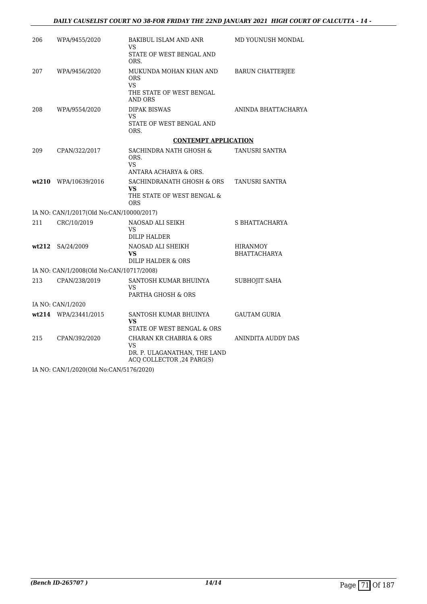| 206               | WPA/9455/2020                            | BAKIBUL ISLAM AND ANR<br>VS<br>STATE OF WEST BENGAL AND<br>ORS.                                    | MD YOUNUSH MONDAL                      |  |
|-------------------|------------------------------------------|----------------------------------------------------------------------------------------------------|----------------------------------------|--|
| 207               | WPA/9456/2020                            | MUKUNDA MOHAN KHAN AND<br><b>ORS</b><br><b>VS</b><br>THE STATE OF WEST BENGAL<br>AND ORS           | <b>BARUN CHATTERJEE</b>                |  |
| 208               | WPA/9554/2020                            | <b>DIPAK BISWAS</b><br>VS<br>STATE OF WEST BENGAL AND<br>ORS.                                      | ANINDA BHATTACHARYA                    |  |
|                   |                                          | <b>CONTEMPT APPLICATION</b>                                                                        |                                        |  |
| 209               | CPAN/322/2017                            | SACHINDRA NATH GHOSH &<br>ORS.<br><b>VS</b><br>ANTARA ACHARYA & ORS.                               | TANUSRI SANTRA                         |  |
|                   | wt210 WPA/10639/2016                     | SACHINDRANATH GHOSH & ORS<br><b>VS</b><br>THE STATE OF WEST BENGAL &<br><b>ORS</b>                 | TANUSRI SANTRA                         |  |
|                   | IA NO: CAN/1/2017(Old No:CAN/10000/2017) |                                                                                                    |                                        |  |
| 211               | CRC/10/2019                              | NAOSAD ALI SEIKH<br>VS<br>DILIP HALDER                                                             | S BHATTACHARYA                         |  |
|                   | wt212 SA/24/2009                         | NAOSAD ALI SHEIKH<br>VS.<br>DILIP HALDER & ORS                                                     | <b>HIRANMOY</b><br><b>BHATTACHARYA</b> |  |
|                   | IA NO: CAN/1/2008(Old No:CAN/10717/2008) |                                                                                                    |                                        |  |
| 213               | CPAN/238/2019                            | SANTOSH KUMAR BHUINYA<br>VS.<br>PARTHA GHOSH & ORS                                                 | SUBHOJIT SAHA                          |  |
| IA NO: CAN/1/2020 |                                          |                                                                                                    |                                        |  |
|                   | wt214 WPA/23441/2015                     | SANTOSH KUMAR BHUINYA<br><b>VS</b><br>STATE OF WEST BENGAL & ORS                                   | <b>GAUTAM GURIA</b>                    |  |
| 215               | CPAN/392/2020                            | CHARAN KR CHABRIA & ORS<br><b>VS</b><br>DR. P. ULAGANATHAN, THE LAND<br>ACQ COLLECTOR , 24 PARG(S) | ANINDITA AUDDY DAS                     |  |

IA NO: CAN/1/2020(Old No:CAN/5176/2020)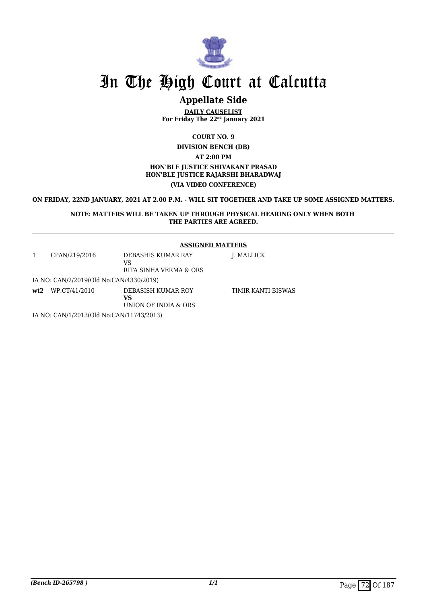

### **Appellate Side**

**DAILY CAUSELIST For Friday The 22nd January 2021**

**COURT NO. 9**

**DIVISION BENCH (DB)**

**AT 2:00 PM**

#### **HON'BLE JUSTICE SHIVAKANT PRASAD HON'BLE JUSTICE RAJARSHI BHARADWAJ (VIA VIDEO CONFERENCE)**

**ON FRIDAY, 22ND JANUARY, 2021 AT 2.00 P.M. - WILL SIT TOGETHER AND TAKE UP SOME ASSIGNED MATTERS.**

#### **NOTE: MATTERS WILL BE TAKEN UP THROUGH PHYSICAL HEARING ONLY WHEN BOTH THE PARTIES ARE AGREED.**

#### **ASSIGNED MATTERS**

| CPAN/219/2016                                                                                                                                                                                                                                                                                                                                                                                                     | DEBASHIS KUMAR RAY<br>VS<br>RITA SINHA VERMA & ORS | J. MALLICK         |
|-------------------------------------------------------------------------------------------------------------------------------------------------------------------------------------------------------------------------------------------------------------------------------------------------------------------------------------------------------------------------------------------------------------------|----------------------------------------------------|--------------------|
| IA NO: CAN/2/2019(Old No:CAN/4330/2019)                                                                                                                                                                                                                                                                                                                                                                           |                                                    |                    |
| $wt2$ WP.CT/41/2010                                                                                                                                                                                                                                                                                                                                                                                               | DEBASISH KUMAR ROY<br>VS<br>UNION OF INDIA & ORS   | TIMIR KANTI BISWAS |
| $\mathbf{r}$ , $\mathbf{r}$ , $\alpha$ , $\alpha$ , $\alpha$ , $\alpha$ , $\alpha$ , $\alpha$ , $\alpha$ , $\alpha$ , $\alpha$ , $\alpha$ , $\alpha$ , $\alpha$ , $\alpha$ , $\alpha$ , $\alpha$ , $\alpha$ , $\alpha$ , $\alpha$ , $\alpha$ , $\alpha$ , $\alpha$ , $\alpha$ , $\alpha$ , $\alpha$ , $\alpha$ , $\alpha$ , $\alpha$ , $\alpha$ , $\alpha$ , $\alpha$ , $\alpha$ , $\alpha$ , $\alpha$ , $\alpha$ |                                                    |                    |

IA NO: CAN/1/2013(Old No:CAN/11743/2013)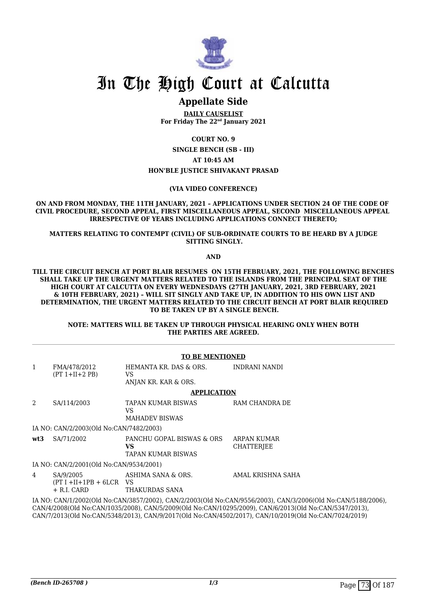

### **Appellate Side**

**DAILY CAUSELIST For Friday The 22nd January 2021**

**COURT NO. 9**

**SINGLE BENCH (SB - III) AT 10:45 AM HON'BLE JUSTICE SHIVAKANT PRASAD**

**(VIA VIDEO CONFERENCE)**

#### **ON AND FROM MONDAY, THE 11TH JANUARY, 2021 – APPLICATIONS UNDER SECTION 24 OF THE CODE OF CIVIL PROCEDURE, SECOND APPEAL, FIRST MISCELLANEOUS APPEAL, SECOND MISCELLANEOUS APPEAL IRRESPECTIVE OF YEARS INCLUDING APPLICATIONS CONNECT THERETO;**

#### **MATTERS RELATING TO CONTEMPT (CIVIL) OF SUB-ORDINATE COURTS TO BE HEARD BY A JUDGE SITTING SINGLY.**

**AND**

**TILL THE CIRCUIT BENCH AT PORT BLAIR RESUMES ON 15TH FEBRUARY, 2021, THE FOLLOWING BENCHES SHALL TAKE UP THE URGENT MATTERS RELATED TO THE ISLANDS FROM THE PRINCIPAL SEAT OF THE HIGH COURT AT CALCUTTA ON EVERY WEDNESDAYS (27TH JANUARY, 2021, 3RD FEBRUARY, 2021 & 10TH FEBRUARY, 2021) – WILL SIT SINGLY AND TAKE UP, IN ADDITION TO HIS OWN LIST AND DETERMINATION, THE URGENT MATTERS RELATED TO THE CIRCUIT BENCH AT PORT BLAIR REQUIRED TO BE TAKEN UP BY A SINGLE BENCH.**

#### **NOTE: MATTERS WILL BE TAKEN UP THROUGH PHYSICAL HEARING ONLY WHEN BOTH THE PARTIES ARE AGREED.**

|              |                                                          | <b>TO BE MENTIONED</b>                                        |                                                                                                                                                                                                                                                                                                                                |
|--------------|----------------------------------------------------------|---------------------------------------------------------------|--------------------------------------------------------------------------------------------------------------------------------------------------------------------------------------------------------------------------------------------------------------------------------------------------------------------------------|
| $\mathbf{1}$ | FMA/478/2012<br>$(PT 1+II+2 PB)$                         | HEMANTA KR. DAS & ORS.<br>VS.<br>ANJAN KR. KAR & ORS.         | INDRANI NANDI                                                                                                                                                                                                                                                                                                                  |
|              |                                                          | <b>APPLICATION</b>                                            |                                                                                                                                                                                                                                                                                                                                |
| 2            | SA/114/2003                                              | TAPAN KUMAR BISWAS<br>VS<br><b>MAHADEV BISWAS</b>             | RAM CHANDRA DE                                                                                                                                                                                                                                                                                                                 |
|              | IA NO: CAN/2/2003(Old No:CAN/7482/2003)                  |                                                               |                                                                                                                                                                                                                                                                                                                                |
| wt3          | SA/71/2002                                               | PANCHU GOPAL BISWAS & ORS<br>VS.<br><b>TAPAN KUMAR BISWAS</b> | ARPAN KUMAR<br><b>CHATTERIEE</b>                                                                                                                                                                                                                                                                                               |
|              | IA NO: CAN/2/2001 (Old No:CAN/9534/2001)                 |                                                               |                                                                                                                                                                                                                                                                                                                                |
| 4            | SA/9/2005<br>$(PT I + II + 1PB + 6LCR$ VS<br>+ R.I. CARD | ASHIMA SANA & ORS.<br>THAKURDAS SANA                          | AMAL KRISHNA SAHA                                                                                                                                                                                                                                                                                                              |
|              |                                                          |                                                               | IA NO: CAN/1/2002(Old No:CAN/3857/2002), CAN/2/2003(Old No:CAN/9556/2003), CAN/3/2006(Old No:CAN/5188/2006)<br>CAN/4/2008(Old No:CAN/1035/2008), CAN/5/2009(Old No:CAN/10295/2009), CAN/6/2013(Old No:CAN/5347/2013),<br>CAN/7/2013(Old No:CAN/5348/2013), CAN/9/2017(Old No:CAN/4502/2017), CAN/10/2019(Old No:CAN/7024/2019) |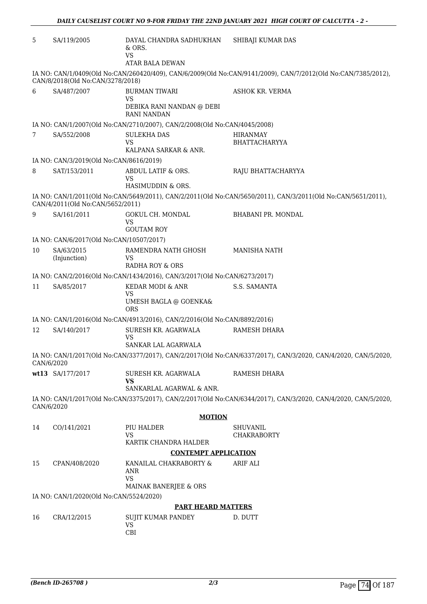| 5          | SA/119/2005                                            | DAYAL CHANDRA SADHUKHAN<br>$&$ ORS.<br><b>VS</b><br><b>ATAR BALA DEWAN</b>    | SHIBAJI KUMAR DAS                                                                                              |
|------------|--------------------------------------------------------|-------------------------------------------------------------------------------|----------------------------------------------------------------------------------------------------------------|
|            | CAN/8/2018(Old No:CAN/3278/2018)                       |                                                                               | IA NO: CAN/1/0409(Old No:CAN/260420/409), CAN/6/2009(Old No:CAN/9141/2009), CAN/7/2012(Old No:CAN/7385/2012),  |
| 6          | SA/487/2007                                            | <b>BURMAN TIWARI</b><br>VS<br>DEBIKA RANI NANDAN @ DEBI<br><b>RANI NANDAN</b> | ASHOK KR. VERMA                                                                                                |
|            |                                                        | IA NO: CAN/1/2007(Old No:CAN/2710/2007), CAN/2/2008(Old No:CAN/4045/2008)     |                                                                                                                |
| 7          | SA/552/2008                                            | <b>SULEKHA DAS</b><br>VS<br>KALPANA SARKAR & ANR.                             | HIRANMAY<br><b>BHATTACHARYYA</b>                                                                               |
|            | IA NO: CAN/3/2019(Old No:CAN/8616/2019)                |                                                                               |                                                                                                                |
| 8          | SAT/153/2011                                           | ABDUL LATIF & ORS.<br>VS<br>HASIMUDDIN & ORS.                                 | RAJU BHATTACHARYYA                                                                                             |
|            | CAN/4/2011(Old No:CAN/5652/2011)                       |                                                                               | IA NO: CAN/1/2011(Old No:CAN/5649/2011), CAN/2/2011(Old No:CAN/5650/2011), CAN/3/2011(Old No:CAN/5651/2011),   |
| 9          | SA/161/2011                                            | <b>GOKUL CH. MONDAL</b><br>VS                                                 | BHABANI PR. MONDAL                                                                                             |
|            |                                                        | <b>GOUTAM ROY</b>                                                             |                                                                                                                |
| 10         | IA NO: CAN/6/2017(Old No:CAN/10507/2017)<br>SA/63/2015 | RAMENDRA NATH GHOSH                                                           | <b>MANISHA NATH</b>                                                                                            |
|            | (Injunction)                                           | VS<br>RADHA ROY & ORS                                                         |                                                                                                                |
|            |                                                        | IA NO: CAN/2/2016(Old No:CAN/1434/2016), CAN/3/2017(Old No:CAN/6273/2017)     |                                                                                                                |
| 11         | SA/85/2017                                             | KEDAR MODI & ANR<br><b>VS</b><br>UMESH BAGLA @ GOENKA&<br><b>ORS</b>          | S.S. SAMANTA                                                                                                   |
|            |                                                        | IA NO: CAN/1/2016(Old No:CAN/4913/2016), CAN/2/2016(Old No:CAN/8892/2016)     |                                                                                                                |
| 12         | SA/140/2017                                            | SURESH KR. AGARWALA<br><b>VS</b>                                              | RAMESH DHARA                                                                                                   |
|            |                                                        | SANKAR LAL AGARWALA                                                           |                                                                                                                |
| CAN/6/2020 |                                                        |                                                                               | IA NO: CAN/1/2017(Old No:CAN/3377/2017), CAN/2/2017(Old No:CAN/6337/2017), CAN/3/2020, CAN/4/2020, CAN/5/2020, |
|            | wt13 SA/177/2017                                       | SURESH KR. AGARWALA<br><b>VS</b><br>SANKARLAL AGARWAL & ANR.                  | RAMESH DHARA                                                                                                   |
|            |                                                        |                                                                               | IA NO: CAN/1/2017(Old No:CAN/3375/2017), CAN/2/2017(Old No:CAN/6344/2017), CAN/3/2020, CAN/4/2020, CAN/5/2020, |
| CAN/6/2020 |                                                        | <b>MOTION</b>                                                                 |                                                                                                                |
| 14         | CO/141/2021                                            | PIU HALDER                                                                    | <b>SHUVANIL</b>                                                                                                |
|            |                                                        | <b>VS</b><br>KARTIK CHANDRA HALDER                                            | <b>CHAKRABORTY</b>                                                                                             |
|            |                                                        | <b>CONTEMPT APPLICATION</b>                                                   |                                                                                                                |
| 15         | CPAN/408/2020                                          | KANAILAL CHAKRABORTY &<br>ANR<br><b>VS</b><br>MAINAK BANERJEE & ORS           | ARIF ALI                                                                                                       |
|            | IA NO: CAN/1/2020(Old No:CAN/5524/2020)                |                                                                               |                                                                                                                |
|            |                                                        | <b>PART HEARD MATTERS</b>                                                     |                                                                                                                |
| 16         | CRA/12/2015                                            | SUJIT KUMAR PANDEY<br><b>VS</b><br>CBI                                        | D. DUTT                                                                                                        |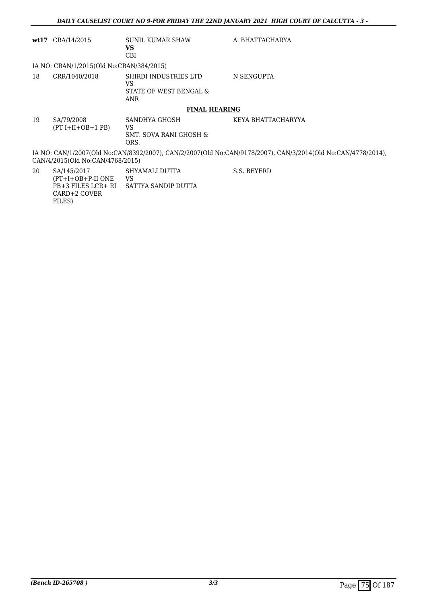|    | $wt17$ CRA/14/2015                                                                                                                               | SUNIL KUMAR SHAW<br><b>VS</b><br><b>CBI</b>                   | A. BHATTACHARYA    |  |  |
|----|--------------------------------------------------------------------------------------------------------------------------------------------------|---------------------------------------------------------------|--------------------|--|--|
|    | IA NO: CRAN/1/2015(Old No:CRAN/384/2015)                                                                                                         |                                                               |                    |  |  |
| 18 | CRR/1040/2018                                                                                                                                    | SHIRDI INDUSTRIES LTD<br>VS.<br>STATE OF WEST BENGAL &<br>ANR | N SENGUPTA         |  |  |
|    |                                                                                                                                                  | <b>FINAL HEARING</b>                                          |                    |  |  |
| 19 | SA/79/2008<br>$(PT I+II+OB+1 PB)$                                                                                                                | SANDHYA GHOSH<br><b>VS</b><br>SMT. SOVA RANI GHOSH &<br>ORS.  | KEYA BHATTACHARYYA |  |  |
|    | IA NO: CAN/1/2007(Old No:CAN/8392/2007), CAN/2/2007(Old No:CAN/9178/2007), CAN/3/2014(Old No:CAN/4778/2014),<br>CAN/4/2015(Old No:CAN/4768/2015) |                                                               |                    |  |  |
| 20 | SA/145/2017<br>(PT+I+OB+P-II ONE<br>PB+3 FILES LCR+ RI<br>CARD+2 COVER                                                                           | SHYAMALI DUTTA<br>VS.<br>SATTYA SANDIP DUTTA                  | S.S. BEYERD        |  |  |

FILES)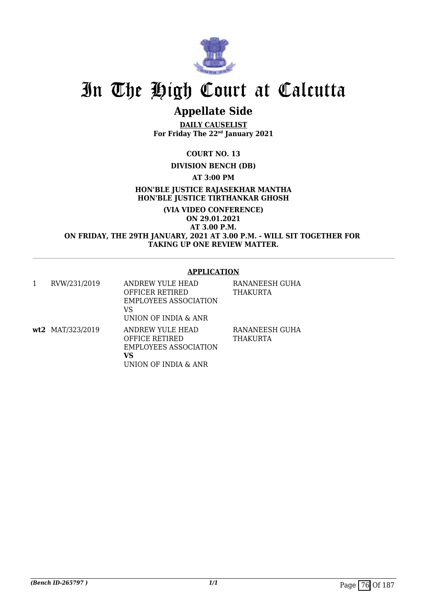

## **Appellate Side**

**DAILY CAUSELIST For Friday The 22nd January 2021**

**COURT NO. 13**

### **DIVISION BENCH (DB)**

**AT 3:00 PM**

**HON'BLE JUSTICE RAJASEKHAR MANTHA HON'BLE JUSTICE TIRTHANKAR GHOSH**

**(VIA VIDEO CONFERENCE) ON 29.01.2021 AT 3.00 P.M. ON FRIDAY, THE 29TH JANUARY, 2021 AT 3.00 P.M. - WILL SIT TOGETHER FOR TAKING UP ONE REVIEW MATTER.**

#### **APPLICATION**

| 1 | RVW/231/2019     | ANDREW YULE HEAD<br><b>OFFICER RETIRED</b><br>EMPLOYEES ASSOCIATION<br>VS<br>UNION OF INDIA & ANR | RANANEESH GUHA<br>THAKURTA        |
|---|------------------|---------------------------------------------------------------------------------------------------|-----------------------------------|
|   | wt2 MAT/323/2019 | ANDREW YULE HEAD<br><b>OFFICE RETIRED</b><br>EMPLOYEES ASSOCIATION<br>VS<br>UNION OF INDIA & ANR  | RANANEESH GUHA<br><b>THAKURTA</b> |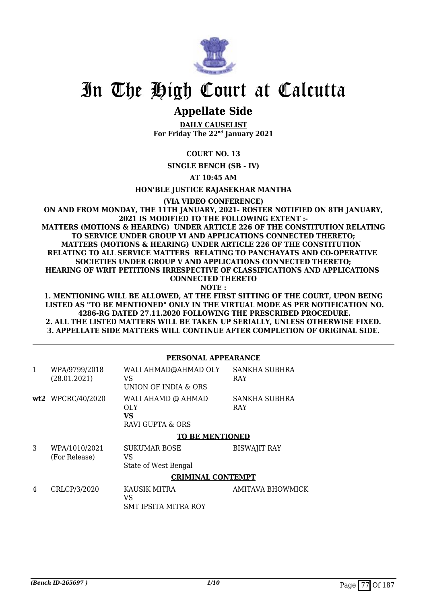

## **Appellate Side**

**DAILY CAUSELIST For Friday The 22nd January 2021**

**COURT NO. 13**

**SINGLE BENCH (SB - IV)**

**AT 10:45 AM**

**HON'BLE JUSTICE RAJASEKHAR MANTHA**

**(VIA VIDEO CONFERENCE)**

**ON AND FROM MONDAY, THE 11TH JANUARY, 2021- ROSTER NOTIFIED ON 8TH JANUARY, 2021 IS MODIFIED TO THE FOLLOWING EXTENT :- MATTERS (MOTIONS & HEARING) UNDER ARTICLE 226 OF THE CONSTITUTION RELATING TO SERVICE UNDER GROUP VI AND APPLICATIONS CONNECTED THERETO; MATTERS (MOTIONS & HEARING) UNDER ARTICLE 226 OF THE CONSTITUTION RELATING TO ALL SERVICE MATTERS RELATING TO PANCHAYATS AND CO-OPERATIVE SOCIETIES UNDER GROUP V AND APPLICATIONS CONNECTED THERETO; HEARING OF WRIT PETITIONS IRRESPECTIVE OF CLASSIFICATIONS AND APPLICATIONS CONNECTED THERETO**

**NOTE :**

**1. MENTIONING WILL BE ALLOWED, AT THE FIRST SITTING OF THE COURT, UPON BEING LISTED AS "TO BE MENTIONED" ONLY IN THE VIRTUAL MODE AS PER NOTIFICATION NO. 4286-RG DATED 27.11.2020 FOLLOWING THE PRESCRIBED PROCEDURE. 2. ALL THE LISTED MATTERS WILL BE TAKEN UP SERIALLY, UNLESS OTHERWISE FIXED. 3. APPELLATE SIDE MATTERS WILL CONTINUE AFTER COMPLETION OF ORIGINAL SIDE.**

**PERSONAL APPEARANCE**

| $\mathbf{1}$ | WPA/9799/2018<br>(28.01.2021)  | WALI AHMAD@AHMAD OLY<br>VS<br>UNION OF INDIA & ORS   | <b>SANKHA SUBHRA</b><br><b>RAY</b> |
|--------------|--------------------------------|------------------------------------------------------|------------------------------------|
|              | wt2 WPCRC/40/2020              | WALI AHAMD @ AHMAD<br>OLY.<br>VS<br>RAVI GUPTA & ORS | SANKHA SUBHRA<br><b>RAY</b>        |
|              |                                | <b>TO BE MENTIONED</b>                               |                                    |
| 3            | WPA/1010/2021<br>(For Release) | <b>SUKUMAR BOSE</b><br>VS<br>State of West Bengal    | <b>BISWAJIT RAY</b>                |
|              |                                | <b>CRIMINAL CONTEMPT</b>                             |                                    |
| 4            | CRLCP/3/2020                   | KAUSIK MITRA<br>VS<br><b>SMT IPSITA MITRA ROY</b>    | <b>AMITAVA BHOWMICK</b>            |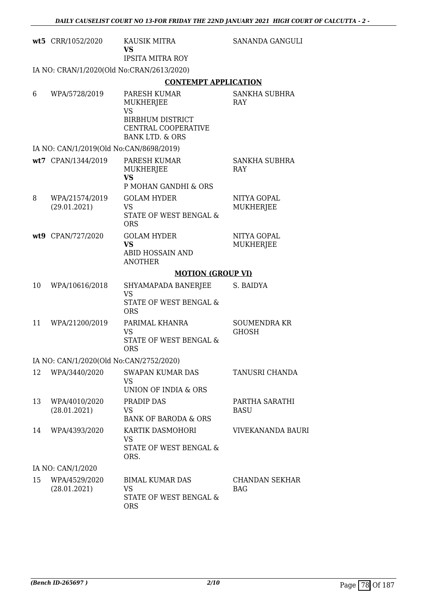|    | wt5 CRR/1052/2020                         | KAUSIK MITRA<br>VS.<br><b>IPSITA MITRA ROY</b>                               | SANANDA GANGULI                     |
|----|-------------------------------------------|------------------------------------------------------------------------------|-------------------------------------|
|    | IA NO: CRAN/1/2020(Old No:CRAN/2613/2020) |                                                                              |                                     |
|    |                                           | <b>CONTEMPT APPLICATION</b>                                                  |                                     |
| 6  | WPA/5728/2019                             | PARESH KUMAR<br><b>MUKHERJEE</b><br><b>VS</b>                                | SANKHA SUBHRA<br><b>RAY</b>         |
|    |                                           | <b>BIRBHUM DISTRICT</b><br>CENTRAL COOPERATIVE<br><b>BANK LTD. &amp; ORS</b> |                                     |
|    | IA NO: CAN/1/2019(Old No:CAN/8698/2019)   |                                                                              |                                     |
|    | wt7 CPAN/1344/2019                        | PARESH KUMAR<br>MUKHERJEE<br><b>VS</b><br>P MOHAN GANDHI & ORS               | SANKHA SUBHRA<br><b>RAY</b>         |
| 8  | WPA/21574/2019<br>(29.01.2021)            | <b>GOLAM HYDER</b><br><b>VS</b><br>STATE OF WEST BENGAL &<br><b>ORS</b>      | NITYA GOPAL<br>MUKHERJEE            |
|    | wt9 CPAN/727/2020                         | <b>GOLAM HYDER</b><br><b>VS</b><br>ABID HOSSAIN AND<br><b>ANOTHER</b>        | NITYA GOPAL<br><b>MUKHERJEE</b>     |
|    |                                           | <b>MOTION (GROUP VI)</b>                                                     |                                     |
| 10 | WPA/10616/2018                            | SHYAMAPADA BANERJEE<br><b>VS</b><br>STATE OF WEST BENGAL &<br><b>ORS</b>     | S. BAIDYA                           |
| 11 | WPA/21200/2019                            | PARIMAL KHANRA<br><b>VS</b><br>STATE OF WEST BENGAL &<br><b>ORS</b>          | <b>SOUMENDRA KR</b><br><b>GHOSH</b> |
|    | IA NO: CAN/1/2020(Old No:CAN/2752/2020)   |                                                                              |                                     |
| 12 | WPA/3440/2020                             | <b>SWAPAN KUMAR DAS</b><br>VS<br>UNION OF INDIA & ORS                        | TANUSRI CHANDA                      |
| 13 | WPA/4010/2020<br>(28.01.2021)             | PRADIP DAS<br>VS<br><b>BANK OF BARODA &amp; ORS</b>                          | PARTHA SARATHI<br><b>BASU</b>       |
| 14 | WPA/4393/2020                             | KARTIK DASMOHORI<br>VS<br>STATE OF WEST BENGAL &                             | VIVEKANANDA BAURI                   |
|    |                                           | ORS.                                                                         |                                     |
|    | IA NO: CAN/1/2020                         |                                                                              |                                     |
| 15 | WPA/4529/2020<br>(28.01.2021)             | <b>BIMAL KUMAR DAS</b><br>VS<br>STATE OF WEST BENGAL &<br><b>ORS</b>         | CHANDAN SEKHAR<br><b>BAG</b>        |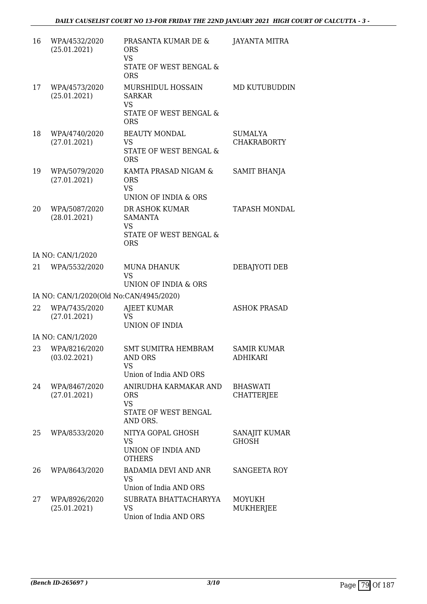| 16 | WPA/4532/2020<br>(25.01.2021)           | PRASANTA KUMAR DE &<br><b>ORS</b><br><b>VS</b><br>STATE OF WEST BENGAL &<br><b>ORS</b>  | <b>JAYANTA MITRA</b>                 |
|----|-----------------------------------------|-----------------------------------------------------------------------------------------|--------------------------------------|
| 17 | WPA/4573/2020<br>(25.01.2021)           | MURSHIDUL HOSSAIN<br><b>SARKAR</b><br><b>VS</b><br>STATE OF WEST BENGAL &<br><b>ORS</b> | MD KUTUBUDDIN                        |
| 18 | WPA/4740/2020<br>(27.01.2021)           | <b>BEAUTY MONDAL</b><br><b>VS</b><br>STATE OF WEST BENGAL &<br><b>ORS</b>               | <b>SUMALYA</b><br><b>CHAKRABORTY</b> |
| 19 | WPA/5079/2020<br>(27.01.2021)           | KAMTA PRASAD NIGAM &<br><b>ORS</b><br><b>VS</b><br>UNION OF INDIA & ORS                 | SAMIT BHANJA                         |
| 20 | WPA/5087/2020<br>(28.01.2021)           | DR ASHOK KUMAR<br><b>SAMANTA</b><br><b>VS</b><br>STATE OF WEST BENGAL &<br><b>ORS</b>   | <b>TAPASH MONDAL</b>                 |
|    | IA NO: CAN/1/2020                       |                                                                                         |                                      |
| 21 | WPA/5532/2020                           | <b>MUNA DHANUK</b><br><b>VS</b><br>UNION OF INDIA & ORS                                 | DEBAJYOTI DEB                        |
|    | IA NO: CAN/1/2020(Old No:CAN/4945/2020) |                                                                                         |                                      |
| 22 | WPA/7435/2020<br>(27.01.2021)           | AJEET KUMAR<br><b>VS</b><br><b>UNION OF INDIA</b>                                       | <b>ASHOK PRASAD</b>                  |
|    | IA NO: CAN/1/2020                       |                                                                                         |                                      |
| 23 | WPA/8216/2020<br>(03.02.2021)           | <b>SMT SUMITRA HEMBRAM</b><br>AND ORS<br><b>VS</b><br>Union of India AND ORS            | <b>SAMIR KUMAR</b><br>ADHIKARI       |
| 24 | WPA/8467/2020<br>(27.01.2021)           | ANIRUDHA KARMAKAR AND<br><b>ORS</b><br><b>VS</b><br>STATE OF WEST BENGAL<br>AND ORS.    | <b>BHASWATI</b><br><b>CHATTERJEE</b> |
| 25 | WPA/8533/2020                           | NITYA GOPAL GHOSH<br>VS<br>UNION OF INDIA AND<br><b>OTHERS</b>                          | SANAJIT KUMAR<br><b>GHOSH</b>        |
| 26 | WPA/8643/2020                           | <b>BADAMIA DEVI AND ANR</b><br><b>VS</b><br>Union of India AND ORS                      | <b>SANGEETA ROY</b>                  |
| 27 | WPA/8926/2020<br>(25.01.2021)           | SUBRATA BHATTACHARYYA<br>VS.<br>Union of India AND ORS                                  | <b>MOYUKH</b><br>MUKHERJEE           |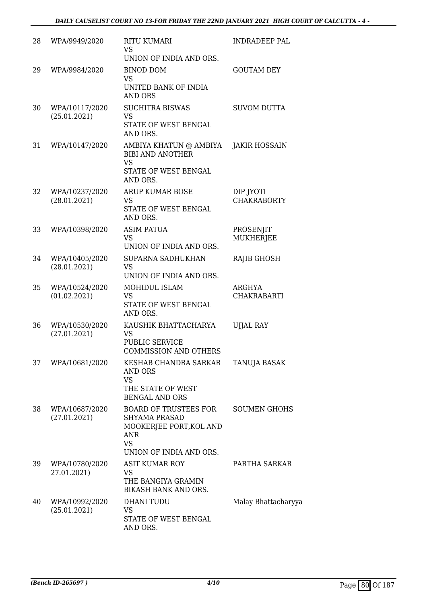| 28 | WPA/9949/2020                  | <b>RITU KUMARI</b><br><b>VS</b><br>UNION OF INDIA AND ORS.                                                                            | INDRADEEP PAL                   |
|----|--------------------------------|---------------------------------------------------------------------------------------------------------------------------------------|---------------------------------|
| 29 | WPA/9984/2020                  | <b>BINOD DOM</b><br><b>VS</b><br>UNITED BANK OF INDIA<br><b>AND ORS</b>                                                               | <b>GOUTAM DEY</b>               |
| 30 | WPA/10117/2020<br>(25.01.2021) | <b>SUCHITRA BISWAS</b><br><b>VS</b><br>STATE OF WEST BENGAL<br>AND ORS.                                                               | <b>SUVOM DUTTA</b>              |
| 31 | WPA/10147/2020                 | AMBIYA KHATUN @ AMBIYA<br><b>BIBI AND ANOTHER</b><br><b>VS</b><br>STATE OF WEST BENGAL<br>AND ORS.                                    | <b>JAKIR HOSSAIN</b>            |
| 32 | WPA/10237/2020<br>(28.01.2021) | <b>ARUP KUMAR BOSE</b><br><b>VS</b><br>STATE OF WEST BENGAL<br>AND ORS.                                                               | DIP JYOTI<br><b>CHAKRABORTY</b> |
| 33 | WPA/10398/2020                 | <b>ASIM PATUA</b><br><b>VS</b><br>UNION OF INDIA AND ORS.                                                                             | PROSENJIT<br><b>MUKHERJEE</b>   |
| 34 | WPA/10405/2020<br>(28.01.2021) | SUPARNA SADHUKHAN<br><b>VS</b><br>UNION OF INDIA AND ORS.                                                                             | <b>RAJIB GHOSH</b>              |
| 35 | WPA/10524/2020<br>(01.02.2021) | MOHIDUL ISLAM<br><b>VS</b><br>STATE OF WEST BENGAL<br>AND ORS.                                                                        | ARGHYA<br><b>CHAKRABARTI</b>    |
| 36 | WPA/10530/2020<br>(27.01.2021) | KAUSHIK BHATTACHARYA<br><b>VS</b><br><b>PUBLIC SERVICE</b><br><b>COMMISSION AND OTHERS</b>                                            | <b>UJJAL RAY</b>                |
| 37 | WPA/10681/2020                 | KESHAB CHANDRA SARKAR<br>AND ORS<br><b>VS</b><br>THE STATE OF WEST<br><b>BENGAL AND ORS</b>                                           | TANUJA BASAK                    |
| 38 | WPA/10687/2020<br>(27.01.2021) | <b>BOARD OF TRUSTEES FOR</b><br><b>SHYAMA PRASAD</b><br>MOOKERJEE PORT, KOL AND<br><b>ANR</b><br><b>VS</b><br>UNION OF INDIA AND ORS. | <b>SOUMEN GHOHS</b>             |
| 39 | WPA/10780/2020<br>27.01.2021)  | ASIT KUMAR ROY<br>VS<br>THE BANGIYA GRAMIN<br>BIKASH BANK AND ORS.                                                                    | PARTHA SARKAR                   |
| 40 | WPA/10992/2020<br>(25.01.2021) | DHANI TUDU<br>VS<br>STATE OF WEST BENGAL<br>AND ORS.                                                                                  | Malay Bhattacharyya             |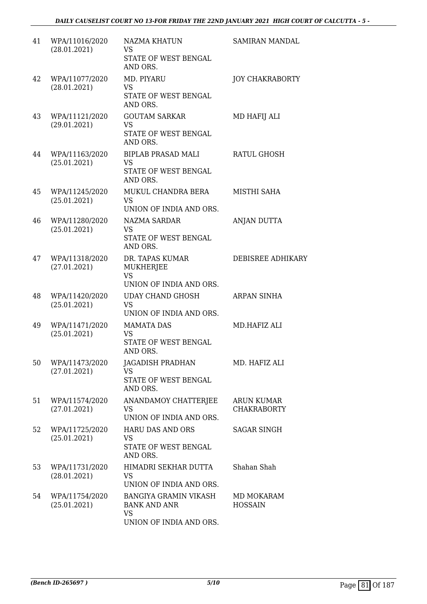| 41 | WPA/11016/2020<br>(28.01.2021) | NAZMA KHATUN<br>VS<br>STATE OF WEST BENGAL<br>AND ORS.                                      | SAMIRAN MANDAL                          |
|----|--------------------------------|---------------------------------------------------------------------------------------------|-----------------------------------------|
| 42 | WPA/11077/2020<br>(28.01.2021) | MD. PIYARU<br><b>VS</b><br>STATE OF WEST BENGAL<br>AND ORS.                                 | <b>JOY CHAKRABORTY</b>                  |
| 43 | WPA/11121/2020<br>(29.01.2021) | <b>GOUTAM SARKAR</b><br><b>VS</b><br>STATE OF WEST BENGAL<br>AND ORS.                       | MD HAFIJ ALI                            |
| 44 | WPA/11163/2020<br>(25.01.2021) | <b>BIPLAB PRASAD MALI</b><br><b>VS</b><br>STATE OF WEST BENGAL<br>AND ORS.                  | <b>RATUL GHOSH</b>                      |
| 45 | WPA/11245/2020<br>(25.01.2021) | MUKUL CHANDRA BERA<br><b>VS</b><br>UNION OF INDIA AND ORS.                                  | MISTHI SAHA                             |
| 46 | WPA/11280/2020<br>(25.01.2021) | <b>NAZMA SARDAR</b><br><b>VS</b><br>STATE OF WEST BENGAL<br>AND ORS.                        | ANJAN DUTTA                             |
| 47 | WPA/11318/2020<br>(27.01.2021) | DR. TAPAS KUMAR<br>MUKHERJEE<br><b>VS</b><br>UNION OF INDIA AND ORS.                        | DEBISREE ADHIKARY                       |
| 48 | WPA/11420/2020<br>(25.01.2021) | <b>UDAY CHAND GHOSH</b><br><b>VS</b><br>UNION OF INDIA AND ORS.                             | ARPAN SINHA                             |
| 49 | WPA/11471/2020<br>(25.01.2021) | <b>MAMATA DAS</b><br><b>VS</b><br>STATE OF WEST BENGAL<br>AND ORS.                          | MD.HAFIZ ALI                            |
| 50 | WPA/11473/2020<br>(27.01.2021) | JAGADISH PRADHAN<br><b>VS</b><br>STATE OF WEST BENGAL<br>AND ORS.                           | MD. HAFIZ ALI                           |
| 51 | WPA/11574/2020<br>(27.01.2021) | ANANDAMOY CHATTERJEE<br><b>VS</b><br>UNION OF INDIA AND ORS.                                | <b>ARUN KUMAR</b><br><b>CHAKRABORTY</b> |
| 52 | WPA/11725/2020<br>(25.01.2021) | <b>HARU DAS AND ORS</b><br><b>VS</b><br>STATE OF WEST BENGAL<br>AND ORS.                    | <b>SAGAR SINGH</b>                      |
| 53 | WPA/11731/2020<br>(28.01.2021) | HIMADRI SEKHAR DUTTA<br>VS<br>UNION OF INDIA AND ORS.                                       | Shahan Shah                             |
| 54 | WPA/11754/2020<br>(25.01.2021) | <b>BANGIYA GRAMIN VIKASH</b><br><b>BANK AND ANR</b><br><b>VS</b><br>UNION OF INDIA AND ORS. | MD MOKARAM<br><b>HOSSAIN</b>            |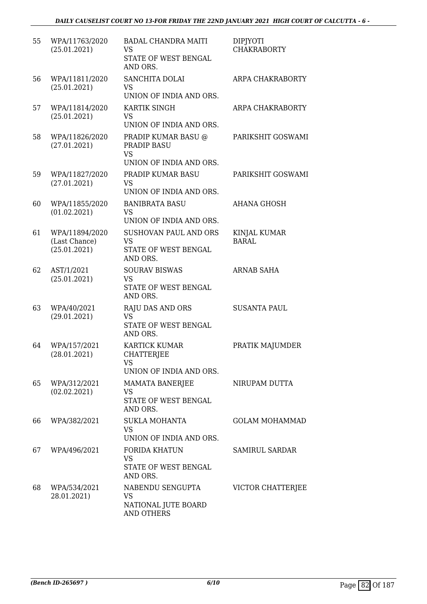| 55 | WPA/11763/2020<br>(25.01.2021)                  | <b>BADAL CHANDRA MAITI</b><br>VS<br>STATE OF WEST BENGAL<br>AND ORS.                              | <b>DIPJYOTI</b><br><b>CHAKRABORTY</b> |
|----|-------------------------------------------------|---------------------------------------------------------------------------------------------------|---------------------------------------|
| 56 | WPA/11811/2020<br>(25.01.2021)                  | SANCHITA DOLAI<br><b>VS</b><br>UNION OF INDIA AND ORS.                                            | ARPA CHAKRABORTY                      |
| 57 | WPA/11814/2020<br>(25.01.2021)                  | KARTIK SINGH<br><b>VS</b><br>UNION OF INDIA AND ORS.                                              | ARPA CHAKRABORTY                      |
| 58 | WPA/11826/2020<br>(27.01.2021)                  | PRADIP KUMAR BASU @<br>PRADIP BASU<br><b>VS</b>                                                   | PARIKSHIT GOSWAMI                     |
| 59 | WPA/11827/2020<br>(27.01.2021)                  | UNION OF INDIA AND ORS.<br>PRADIP KUMAR BASU<br><b>VS</b>                                         | PARIKSHIT GOSWAMI                     |
| 60 | WPA/11855/2020<br>(01.02.2021)                  | UNION OF INDIA AND ORS.<br><b>BANIBRATA BASU</b><br><b>VS</b>                                     | <b>AHANA GHOSH</b>                    |
| 61 | WPA/11894/2020<br>(Last Chance)<br>(25.01.2021) | UNION OF INDIA AND ORS.<br>SUSHOVAN PAUL AND ORS<br><b>VS</b><br>STATE OF WEST BENGAL<br>AND ORS. | <b>KINJAL KUMAR</b><br><b>BARAL</b>   |
| 62 | AST/1/2021<br>(25.01.2021)                      | <b>SOURAV BISWAS</b><br><b>VS</b><br>STATE OF WEST BENGAL<br>AND ORS.                             | <b>ARNAB SAHA</b>                     |
| 63 | WPA/40/2021<br>(29.01.2021)                     | <b>RAJU DAS AND ORS</b><br><b>VS</b><br>STATE OF WEST BENGAL<br>AND ORS.                          | <b>SUSANTA PAUL</b>                   |
| 64 | WPA/157/2021<br>(28.01.2021)                    | <b>KARTICK KUMAR</b><br><b>CHATTERJEE</b><br><b>VS</b><br>UNION OF INDIA AND ORS.                 | PRATIK MAJUMDER                       |
| 65 | WPA/312/2021<br>(02.02.2021)                    | MAMATA BANERJEE<br>VS<br>STATE OF WEST BENGAL<br>AND ORS.                                         | NIRUPAM DUTTA                         |
| 66 | WPA/382/2021                                    | <b>SUKLA MOHANTA</b><br><b>VS</b><br>UNION OF INDIA AND ORS.                                      | <b>GOLAM MOHAMMAD</b>                 |
| 67 | WPA/496/2021                                    | FORIDA KHATUN<br><b>VS</b><br>STATE OF WEST BENGAL<br>AND ORS.                                    | SAMIRUL SARDAR                        |
| 68 | WPA/534/2021<br>28.01.2021)                     | NABENDU SENGUPTA<br><b>VS</b><br>NATIONAL JUTE BOARD<br>AND OTHERS                                | VICTOR CHATTERJEE                     |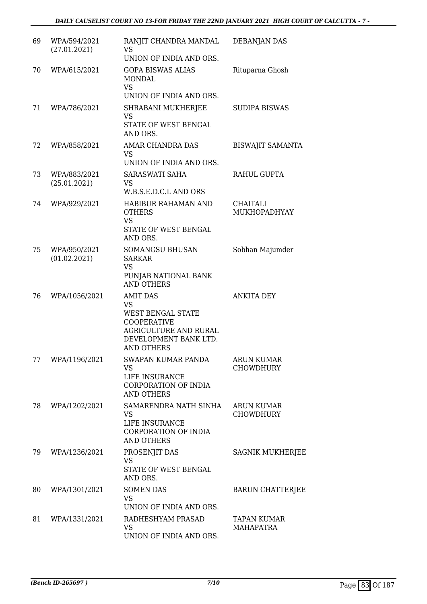| 69 | WPA/594/2021<br>(27.01.2021) | RANJIT CHANDRA MANDAL<br><b>VS</b><br>UNION OF INDIA AND ORS.                                                                                  | <b>DEBANJAN DAS</b>                    |
|----|------------------------------|------------------------------------------------------------------------------------------------------------------------------------------------|----------------------------------------|
| 70 | WPA/615/2021                 | <b>GOPA BISWAS ALIAS</b><br><b>MONDAL</b><br><b>VS</b><br>UNION OF INDIA AND ORS.                                                              | Rituparna Ghosh                        |
| 71 | WPA/786/2021                 | SHRABANI MUKHERJEE<br>VS<br>STATE OF WEST BENGAL<br>AND ORS.                                                                                   | <b>SUDIPA BISWAS</b>                   |
| 72 | WPA/858/2021                 | AMAR CHANDRA DAS<br>VS<br>UNION OF INDIA AND ORS.                                                                                              | <b>BISWAJIT SAMANTA</b>                |
| 73 | WPA/883/2021<br>(25.01.2021) | SARASWATI SAHA<br>VS<br>W.B.S.E.D.C.L AND ORS                                                                                                  | RAHUL GUPTA                            |
| 74 | WPA/929/2021                 | HABIBUR RAHAMAN AND<br><b>OTHERS</b><br><b>VS</b><br>STATE OF WEST BENGAL<br>AND ORS.                                                          | CHAITALI<br>MUKHOPADHYAY               |
| 75 | WPA/950/2021<br>(01.02.2021) | <b>SOMANGSU BHUSAN</b><br><b>SARKAR</b><br><b>VS</b><br>PUNJAB NATIONAL BANK<br><b>AND OTHERS</b>                                              | Sobhan Majumder                        |
| 76 | WPA/1056/2021                | <b>AMIT DAS</b><br>VS<br>WEST BENGAL STATE<br><b>COOPERATIVE</b><br><b>AGRICULTURE AND RURAL</b><br>DEVELOPMENT BANK LTD.<br><b>AND OTHERS</b> | <b>ANKITA DEY</b>                      |
| 77 | WPA/1196/2021                | SWAPAN KUMAR PANDA<br><b>VS</b><br>LIFE INSURANCE<br>CORPORATION OF INDIA<br><b>AND OTHERS</b>                                                 | <b>ARUN KUMAR</b><br><b>CHOWDHURY</b>  |
| 78 | WPA/1202/2021                | SAMARENDRA NATH SINHA<br>VS<br>LIFE INSURANCE<br><b>CORPORATION OF INDIA</b><br><b>AND OTHERS</b>                                              | <b>ARUN KUMAR</b><br><b>CHOWDHURY</b>  |
| 79 | WPA/1236/2021                | PROSENJIT DAS<br><b>VS</b><br>STATE OF WEST BENGAL<br>AND ORS.                                                                                 | <b>SAGNIK MUKHERJEE</b>                |
| 80 | WPA/1301/2021                | <b>SOMEN DAS</b><br><b>VS</b><br>UNION OF INDIA AND ORS.                                                                                       | <b>BARUN CHATTERJEE</b>                |
| 81 | WPA/1331/2021                | RADHESHYAM PRASAD<br><b>VS</b><br>UNION OF INDIA AND ORS.                                                                                      | <b>TAPAN KUMAR</b><br><b>MAHAPATRA</b> |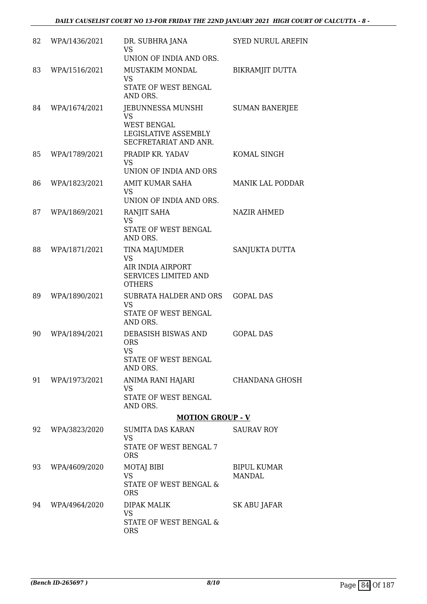| 82 | WPA/1436/2021 | DR. SUBHRA JANA<br><b>VS</b>                                        | <b>SYED NURUL AREFIN</b>            |
|----|---------------|---------------------------------------------------------------------|-------------------------------------|
|    |               | UNION OF INDIA AND ORS.                                             |                                     |
| 83 | WPA/1516/2021 | MUSTAKIM MONDAL<br><b>VS</b>                                        | BIKRAMJIT DUTTA                     |
|    |               | STATE OF WEST BENGAL<br>AND ORS.                                    |                                     |
| 84 | WPA/1674/2021 | JEBUNNESSA MUNSHI<br>VS                                             | <b>SUMAN BANERJEE</b>               |
|    |               | <b>WEST BENGAL</b><br>LEGISLATIVE ASSEMBLY<br>SECFRETARIAT AND ANR. |                                     |
| 85 | WPA/1789/2021 | PRADIP KR. YADAV<br>VS<br>UNION OF INDIA AND ORS                    | KOMAL SINGH                         |
| 86 | WPA/1823/2021 | AMIT KUMAR SAHA                                                     | <b>MANIK LAL PODDAR</b>             |
|    |               | <b>VS</b><br>UNION OF INDIA AND ORS.                                |                                     |
| 87 | WPA/1869/2021 | RANJIT SAHA<br><b>VS</b>                                            | NAZIR AHMED                         |
|    |               | STATE OF WEST BENGAL<br>AND ORS.                                    |                                     |
| 88 | WPA/1871/2021 | TINA MAJUMDER<br><b>VS</b>                                          | SANJUKTA DUTTA                      |
|    |               | AIR INDIA AIRPORT<br><b>SERVICES LIMITED AND</b><br><b>OTHERS</b>   |                                     |
| 89 | WPA/1890/2021 | SUBRATA HALDER AND ORS                                              | <b>GOPAL DAS</b>                    |
|    |               | <b>VS</b><br>STATE OF WEST BENGAL<br>AND ORS.                       |                                     |
| 90 | WPA/1894/2021 | DEBASISH BISWAS AND<br><b>ORS</b><br><b>VS</b>                      | <b>GOPAL DAS</b>                    |
|    |               | <b>STATE OF WEST BENGAL</b><br>AND ORS.                             |                                     |
| 91 | WPA/1973/2021 | ANIMA RANI HAJARI<br>VS                                             | CHANDANA GHOSH                      |
|    |               | STATE OF WEST BENGAL<br>AND ORS.                                    |                                     |
|    |               | <b>MOTION GROUP - V</b>                                             |                                     |
| 92 | WPA/3823/2020 | SUMITA DAS KARAN<br><b>VS</b>                                       | <b>SAURAV ROY</b>                   |
|    |               | STATE OF WEST BENGAL 7<br><b>ORS</b>                                |                                     |
| 93 | WPA/4609/2020 | MOTAJ BIBI<br><b>VS</b>                                             | <b>BIPUL KUMAR</b><br><b>MANDAL</b> |
|    |               | STATE OF WEST BENGAL &<br><b>ORS</b>                                |                                     |
| 94 | WPA/4964/2020 | DIPAK MALIK<br><b>VS</b>                                            | SK ABU JAFAR                        |
|    |               | STATE OF WEST BENGAL &<br><b>ORS</b>                                |                                     |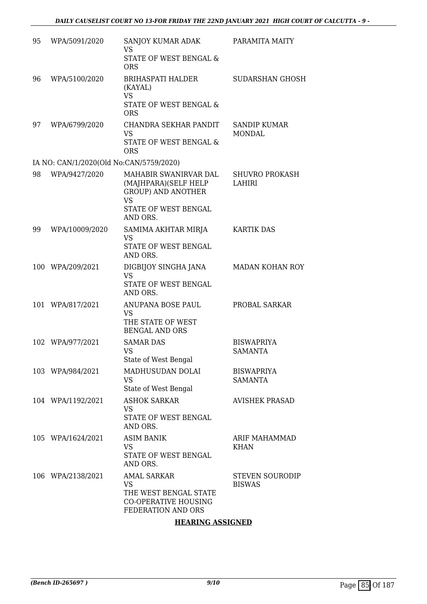| 95 | WPA/5091/2020                           | SANJOY KUMAR ADAK<br>VS.<br>STATE OF WEST BENGAL &<br><b>ORS</b>                                                            | PARAMITA MAITY                          |
|----|-----------------------------------------|-----------------------------------------------------------------------------------------------------------------------------|-----------------------------------------|
| 96 | WPA/5100/2020                           | <b>BRIHASPATI HALDER</b><br>(KAYAL)<br><b>VS</b><br>STATE OF WEST BENGAL &<br><b>ORS</b>                                    | SUDARSHAN GHOSH                         |
| 97 | WPA/6799/2020                           | CHANDRA SEKHAR PANDIT<br><b>VS</b><br>STATE OF WEST BENGAL &<br><b>ORS</b>                                                  | <b>SANDIP KUMAR</b><br><b>MONDAL</b>    |
|    | IA NO: CAN/1/2020(Old No:CAN/5759/2020) |                                                                                                                             |                                         |
| 98 | WPA/9427/2020                           | MAHABIR SWANIRVAR DAL<br>(MAJHPARA)(SELF HELP<br><b>GROUP) AND ANOTHER</b><br><b>VS</b><br>STATE OF WEST BENGAL<br>AND ORS. | <b>SHUVRO PROKASH</b><br>LAHIRI         |
| 99 | WPA/10009/2020                          | SAMIMA AKHTAR MIRJA<br><b>VS</b><br>STATE OF WEST BENGAL<br>AND ORS.                                                        | <b>KARTIK DAS</b>                       |
|    | 100 WPA/209/2021                        | DIGBIJOY SINGHA JANA<br><b>VS</b><br>STATE OF WEST BENGAL<br>AND ORS.                                                       | MADAN KOHAN ROY                         |
|    | 101 WPA/817/2021                        | ANUPANA BOSE PAUL<br>VS<br>THE STATE OF WEST<br><b>BENGAL AND ORS</b>                                                       | PROBAL SARKAR                           |
|    | 102 WPA/977/2021                        | <b>SAMAR DAS</b><br><b>VS</b><br>State of West Bengal                                                                       | <b>BISWAPRIYA</b><br>SAMANTA            |
|    | 103 WPA/984/2021                        | MADHUSUDAN DOLAI<br>VS.<br>State of West Bengal                                                                             | <b>BISWAPRIYA</b><br><b>SAMANTA</b>     |
|    | 104 WPA/1192/2021                       | <b>ASHOK SARKAR</b><br>VS<br>STATE OF WEST BENGAL<br>AND ORS.                                                               | <b>AVISHEK PRASAD</b>                   |
|    | 105 WPA/1624/2021                       | <b>ASIM BANIK</b><br><b>VS</b><br>STATE OF WEST BENGAL<br>AND ORS.                                                          | <b>ARIF MAHAMMAD</b><br><b>KHAN</b>     |
|    | 106 WPA/2138/2021                       | <b>AMAL SARKAR</b><br>VS<br>THE WEST BENGAL STATE<br><b>CO-OPERATIVE HOUSING</b><br>FEDERATION AND ORS                      | <b>STEVEN SOURODIP</b><br><b>BISWAS</b> |

### **HEARING ASSIGNED**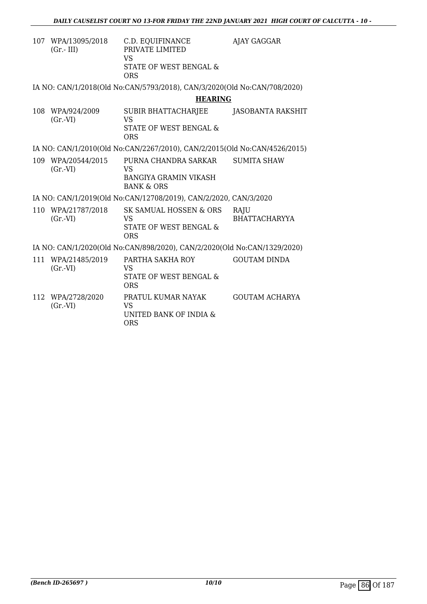| 107 | WPA/13095/2018<br>$(Gr.-III)$                                            | C.D. EQUIFINANCE<br>PRIVATE LIMITED<br><b>VS</b><br>STATE OF WEST BENGAL &<br>ORS | AJAY GAGGAR                  |  |  |  |
|-----|--------------------------------------------------------------------------|-----------------------------------------------------------------------------------|------------------------------|--|--|--|
|     |                                                                          | IA NO: CAN/1/2018(Old No:CAN/5793/2018), CAN/3/2020(Old No:CAN/708/2020)          |                              |  |  |  |
|     |                                                                          | <b>HEARING</b>                                                                    |                              |  |  |  |
| 108 | WPA/924/2009<br>$(Gr.-VI)$                                               | SUBIR BHATTACHARJEE<br>VS<br>STATE OF WEST BENGAL &<br><b>ORS</b>                 | JASOBANTA RAKSHIT            |  |  |  |
|     |                                                                          | IA NO: CAN/1/2010(Old No:CAN/2267/2010), CAN/2/2015(Old No:CAN/4526/2015)         |                              |  |  |  |
| 109 | WPA/20544/2015<br>$(Gr.-VI)$                                             | PURNA CHANDRA SARKAR<br>VS<br>BANGIYA GRAMIN VIKASH<br><b>BANK &amp; ORS</b>      | <b>SUMITA SHAW</b>           |  |  |  |
|     |                                                                          | IA NO: CAN/1/2019(Old No:CAN/12708/2019), CAN/2/2020, CAN/3/2020                  |                              |  |  |  |
| 110 | WPA/21787/2018<br>$(Gr.-VI)$                                             | SK SAMUAL HOSSEN & ORS<br><b>VS</b><br>STATE OF WEST BENGAL &<br><b>ORS</b>       | RAJU<br><b>BHATTACHARYYA</b> |  |  |  |
|     | IA NO: CAN/1/2020(Old No:CAN/898/2020), CAN/2/2020(Old No:CAN/1329/2020) |                                                                                   |                              |  |  |  |
| 111 | WPA/21485/2019<br>$(Gr.-VI)$                                             | PARTHA SAKHA ROY<br><b>VS</b><br>STATE OF WEST BENGAL &<br><b>ORS</b>             | <b>GOUTAM DINDA</b>          |  |  |  |

112 WPA/2728/2020 (Gr.-VI) PRATUL KUMAR NAYAK VS UNITED BANK OF INDIA & ORS GOUTAM ACHARYA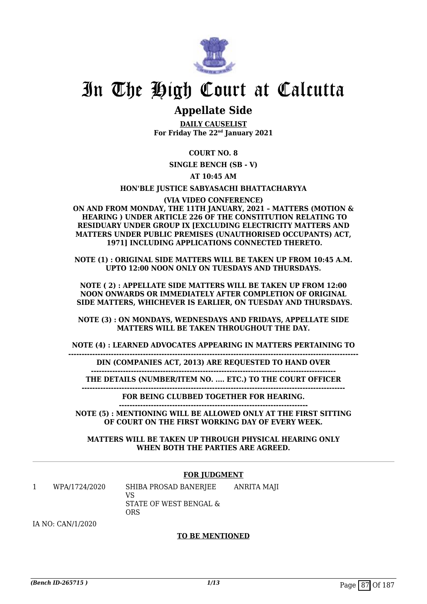

### **Appellate Side**

**DAILY CAUSELIST For Friday The 22nd January 2021**

**COURT NO. 8**

**SINGLE BENCH (SB - V)**

**AT 10:45 AM**

**HON'BLE JUSTICE SABYASACHI BHATTACHARYYA**

**(VIA VIDEO CONFERENCE) ON AND FROM MONDAY, THE 11TH JANUARY, 2021 – MATTERS (MOTION & HEARING ) UNDER ARTICLE 226 OF THE CONSTITUTION RELATING TO RESIDUARY UNDER GROUP IX [EXCLUDING ELECTRICITY MATTERS AND MATTERS UNDER PUBLIC PREMISES (UNAUTHORISED OCCUPANTS) ACT, 1971] INCLUDING APPLICATIONS CONNECTED THERETO.**

**NOTE (1) : ORIGINAL SIDE MATTERS WILL BE TAKEN UP FROM 10:45 A.M. UPTO 12:00 NOON ONLY ON TUESDAYS AND THURSDAYS.**

**NOTE ( 2) : APPELLATE SIDE MATTERS WILL BE TAKEN UP FROM 12:00 NOON ONWARDS OR IMMEDIATELY AFTER COMPLETION OF ORIGINAL SIDE MATTERS, WHICHEVER IS EARLIER, ON TUESDAY AND THURSDAYS.**

**NOTE (3) : ON MONDAYS, WEDNESDAYS AND FRIDAYS, APPELLATE SIDE MATTERS WILL BE TAKEN THROUGHOUT THE DAY.**

**NOTE (4) : LEARNED ADVOCATES APPEARING IN MATTERS PERTAINING TO**

**-------------------------------------------------------------------------------------------------------------**

**DIN (COMPANIES ACT, 2013) ARE REQUESTED TO HAND OVER --------------------------------------------------------------------------------------------**

**THE DETAILS (NUMBER/ITEM NO. .... ETC.) TO THE COURT OFFICER ---------------------------------------------------------------------------------------------------**

**FOR BEING CLUBBED TOGETHER FOR HEARING.**

**----------------------------------------------------------------------- NOTE (5) : MENTIONING WILL BE ALLOWED ONLY AT THE FIRST SITTING OF COURT ON THE FIRST WORKING DAY OF EVERY WEEK.**

**MATTERS WILL BE TAKEN UP THROUGH PHYSICAL HEARING ONLY WHEN BOTH THE PARTIES ARE AGREED.**

#### **FOR JUDGMENT**

1 WPA/1724/2020 SHIBA PROSAD BANERJEE VS STATE OF WEST BENGAL & ORS ANRITA MAJI

IA NO: CAN/1/2020

#### **TO BE MENTIONED**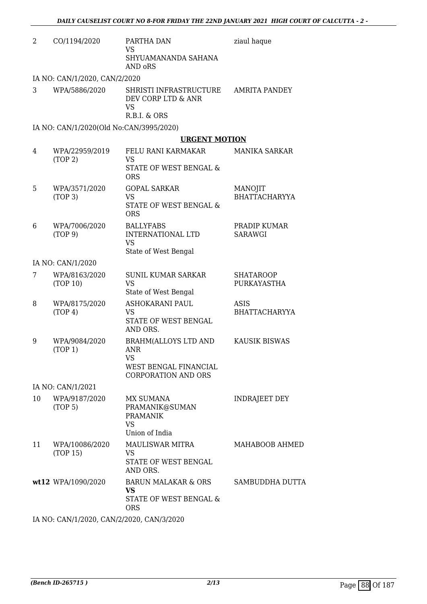| 2  | CO/1194/2020                              | PARTHA DAN<br><b>VS</b><br>SHYUAMANANDA SAHANA<br>AND oRS                                                     | ziaul haque                     |
|----|-------------------------------------------|---------------------------------------------------------------------------------------------------------------|---------------------------------|
|    | IA NO: CAN/1/2020, CAN/2/2020             |                                                                                                               |                                 |
| 3  | WPA/5886/2020                             | SHRISTI INFRASTRUCTURE<br>DEV CORP LTD & ANR<br><b>VS</b><br>R.B.I. & ORS                                     | <b>AMRITA PANDEY</b>            |
|    | IA NO: CAN/1/2020(Old No:CAN/3995/2020)   |                                                                                                               |                                 |
|    |                                           | <b>URGENT MOTION</b>                                                                                          |                                 |
| 4  | WPA/22959/2019<br>(TOP 2)                 | FELU RANI KARMAKAR<br><b>VS</b><br>STATE OF WEST BENGAL &<br><b>ORS</b>                                       | <b>MANIKA SARKAR</b>            |
| 5  | WPA/3571/2020<br>(TOP <sub>3</sub> )      | <b>GOPAL SARKAR</b><br><b>VS</b><br>STATE OF WEST BENGAL &<br><b>ORS</b>                                      | MANOJIT<br><b>BHATTACHARYYA</b> |
| 6  | WPA/7006/2020<br>(TOP 9)                  | <b>BALLYFABS</b><br><b>INTERNATIONAL LTD</b><br><b>VS</b><br>State of West Bengal                             | PRADIP KUMAR<br><b>SARAWGI</b>  |
|    | IA NO: CAN/1/2020                         |                                                                                                               |                                 |
| 7  | WPA/8163/2020<br>(TOP 10)                 | <b>SUNIL KUMAR SARKAR</b><br><b>VS</b><br>State of West Bengal                                                | <b>SHATAROOP</b><br>PURKAYASTHA |
| 8  | WPA/8175/2020<br>(TOP 4)                  | ASHOKARANI PAUL<br><b>VS</b><br>STATE OF WEST BENGAL<br>AND ORS.                                              | ASIS<br><b>BHATTACHARYYA</b>    |
| 9  | WPA/9084/2020<br>(TOP 1)                  | <b>BRAHM(ALLOYS LTD AND</b><br><b>ANR</b><br><b>VS</b><br>WEST BENGAL FINANCIAL<br><b>CORPORATION AND ORS</b> | <b>KAUSIK BISWAS</b>            |
|    | IA NO: CAN/1/2021                         |                                                                                                               |                                 |
| 10 | WPA/9187/2020<br>(TOP 5)                  | MX SUMANA<br>PRAMANIK@SUMAN<br><b>PRAMANIK</b><br><b>VS</b>                                                   | <b>INDRAJEET DEY</b>            |
|    |                                           | Union of India                                                                                                |                                 |
| 11 | WPA/10086/2020<br>(TOP 15)                | <b>MAULISWAR MITRA</b><br>VS<br>STATE OF WEST BENGAL<br>AND ORS.                                              | MAHABOOB AHMED                  |
|    | wt12 WPA/1090/2020                        | BARUN MALAKAR & ORS<br><b>VS</b><br>STATE OF WEST BENGAL &<br><b>ORS</b>                                      | SAMBUDDHA DUTTA                 |
|    | IA NO: CAN/1/2020, CAN/2/2020, CAN/3/2020 |                                                                                                               |                                 |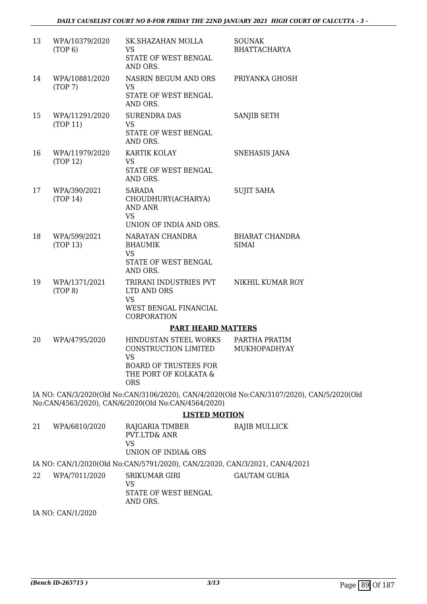| 13 | WPA/10379/2020<br>(TOP 6)  | <b>SK.SHAZAHAN MOLLA</b><br><b>VS</b>                               | <b>SOUNAK</b><br><b>BHATTACHARYA</b>                                                      |
|----|----------------------------|---------------------------------------------------------------------|-------------------------------------------------------------------------------------------|
|    |                            | STATE OF WEST BENGAL<br>AND ORS.                                    |                                                                                           |
| 14 | WPA/10881/2020<br>(TOP7)   | NASRIN BEGUM AND ORS<br><b>VS</b>                                   | PRIYANKA GHOSH                                                                            |
|    |                            | STATE OF WEST BENGAL<br>AND ORS.                                    |                                                                                           |
| 15 | WPA/11291/2020<br>(TOP 11) | <b>SURENDRA DAS</b><br><b>VS</b>                                    | <b>SANJIB SETH</b>                                                                        |
|    |                            | STATE OF WEST BENGAL<br>AND ORS.                                    |                                                                                           |
| 16 | WPA/11979/2020<br>(TOP 12) | KARTIK KOLAY<br><b>VS</b>                                           | SNEHASIS JANA                                                                             |
|    |                            | STATE OF WEST BENGAL<br>AND ORS.                                    |                                                                                           |
| 17 | WPA/390/2021<br>(TOP 14)   | <b>SARADA</b><br>CHOUDHURY(ACHARYA)                                 | <b>SUJIT SAHA</b>                                                                         |
|    |                            | <b>AND ANR</b><br><b>VS</b>                                         |                                                                                           |
|    |                            | UNION OF INDIA AND ORS.                                             |                                                                                           |
| 18 | WPA/599/2021<br>(TOP 13)   | NARAYAN CHANDRA<br><b>BHAUMIK</b><br><b>VS</b>                      | <b>BHARAT CHANDRA</b><br><b>SIMAI</b>                                                     |
|    |                            | STATE OF WEST BENGAL<br>AND ORS.                                    |                                                                                           |
| 19 | WPA/1371/2021<br>(TOP 8)   | TRIRANI INDUSTRIES PVT<br>LTD AND ORS<br><b>VS</b>                  | NIKHIL KUMAR ROY                                                                          |
|    |                            | WEST BENGAL FINANCIAL<br>CORPORATION                                |                                                                                           |
|    |                            | <b>PART HEARD MATTERS</b>                                           |                                                                                           |
| 20 | WPA/4795/2020              | HINDUSTAN STEEL WORKS<br>CONSTRUCTION LIMITED<br><b>VS</b>          | PARTHA PRATIM<br>MUKHOPADHYAY                                                             |
|    |                            | <b>BOARD OF TRUSTEES FOR</b><br>THE PORT OF KOLKATA &<br><b>ORS</b> |                                                                                           |
|    |                            | No:CAN/4563/2020), CAN/6/2020(Old No:CAN/4564/2020)                 | IA NO: CAN/3/2020(Old No:CAN/3106/2020), CAN/4/2020(Old No:CAN/3107/2020), CAN/5/2020(Old |
|    |                            | <b>LISTED MOTION</b>                                                |                                                                                           |
| 21 | WPA/6810/2020              | RAJGARIA TIMBER<br><b>PVT.LTD&amp; ANR</b><br><b>VS</b>             | RAJIB MULLICK                                                                             |

UNION OF INDIA& ORS

IA NO: CAN/1/2020(Old No:CAN/5791/2020), CAN/2/2020, CAN/3/2021, CAN/4/2021

22 WPA/7011/2020 SRIKUMAR GIRI VS STATE OF WEST BENGAL AND ORS. GAUTAM GURIA

IA NO: CAN/1/2020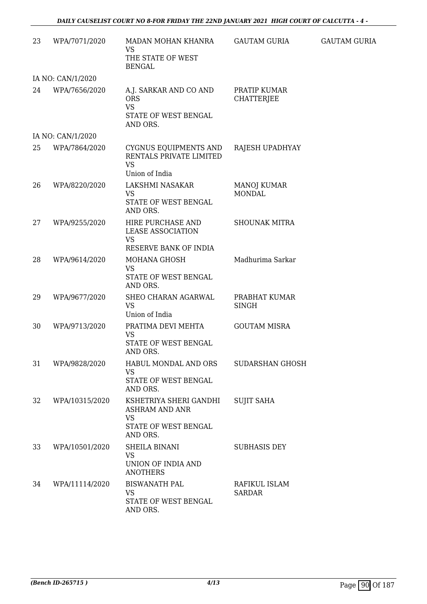| 23 | WPA/7071/2020     | MADAN MOHAN KHANRA<br>VS                                                                         | GAUTAM GURIA                        | <b>GAUTAM GURIA</b> |
|----|-------------------|--------------------------------------------------------------------------------------------------|-------------------------------------|---------------------|
|    |                   | THE STATE OF WEST<br><b>BENGAL</b>                                                               |                                     |                     |
|    | IA NO: CAN/1/2020 |                                                                                                  |                                     |                     |
| 24 | WPA/7656/2020     | A.J. SARKAR AND CO AND<br><b>ORS</b><br><b>VS</b><br>STATE OF WEST BENGAL<br>AND ORS.            | PRATIP KUMAR<br><b>CHATTERJEE</b>   |                     |
|    | IA NO: CAN/1/2020 |                                                                                                  |                                     |                     |
| 25 | WPA/7864/2020     | CYGNUS EQUIPMENTS AND<br>RENTALS PRIVATE LIMITED<br><b>VS</b><br>Union of India                  | RAJESH UPADHYAY                     |                     |
| 26 | WPA/8220/2020     | LAKSHMI NASAKAR<br><b>VS</b><br>STATE OF WEST BENGAL<br>AND ORS.                                 | <b>MANOJ KUMAR</b><br><b>MONDAL</b> |                     |
| 27 | WPA/9255/2020     | HIRE PURCHASE AND<br><b>LEASE ASSOCIATION</b><br><b>VS</b><br>RESERVE BANK OF INDIA              | <b>SHOUNAK MITRA</b>                |                     |
| 28 | WPA/9614/2020     | MOHANA GHOSH<br><b>VS</b><br>STATE OF WEST BENGAL<br>AND ORS.                                    | Madhurima Sarkar                    |                     |
| 29 | WPA/9677/2020     | SHEO CHARAN AGARWAL<br><b>VS</b><br>Union of India                                               | PRABHAT KUMAR<br><b>SINGH</b>       |                     |
| 30 | WPA/9713/2020     | PRATIMA DEVI MEHTA<br><b>VS</b><br>STATE OF WEST BENGAL<br>AND ORS.                              | <b>GOUTAM MISRA</b>                 |                     |
| 31 | WPA/9828/2020     | HABUL MONDAL AND ORS<br><b>VS</b><br>STATE OF WEST BENGAL<br>AND ORS.                            | SUDARSHAN GHOSH                     |                     |
| 32 | WPA/10315/2020    | KSHETRIYA SHERI GANDHI<br><b>ASHRAM AND ANR</b><br><b>VS</b><br>STATE OF WEST BENGAL<br>AND ORS. | <b>SUJIT SAHA</b>                   |                     |
| 33 | WPA/10501/2020    | SHEILA BINANI<br><b>VS</b><br>UNION OF INDIA AND<br><b>ANOTHERS</b>                              | <b>SUBHASIS DEY</b>                 |                     |
| 34 | WPA/11114/2020    | <b>BISWANATH PAL</b><br><b>VS</b><br>STATE OF WEST BENGAL<br>AND ORS.                            | RAFIKUL ISLAM<br><b>SARDAR</b>      |                     |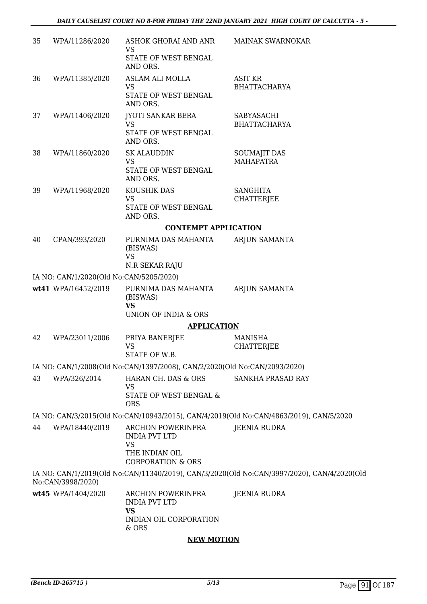| 35 | WPA/11286/2020                          | ASHOK GHORAI AND ANR<br>VS<br>STATE OF WEST BENGAL                                         | <b>MAINAK SWARNOKAR</b>                                                                    |
|----|-----------------------------------------|--------------------------------------------------------------------------------------------|--------------------------------------------------------------------------------------------|
|    |                                         | AND ORS.                                                                                   |                                                                                            |
| 36 | WPA/11385/2020                          | ASLAM ALI MOLLA                                                                            | ASIT KR                                                                                    |
|    |                                         | <b>VS</b><br>STATE OF WEST BENGAL<br>AND ORS.                                              | <b>BHATTACHARYA</b>                                                                        |
| 37 | WPA/11406/2020                          | <b>JYOTI SANKAR BERA</b><br><b>VS</b>                                                      | SABYASACHI<br><b>BHATTACHARYA</b>                                                          |
|    |                                         | STATE OF WEST BENGAL<br>AND ORS.                                                           |                                                                                            |
| 38 | WPA/11860/2020                          | <b>SK ALAUDDIN</b>                                                                         | <b>SOUMAJIT DAS</b>                                                                        |
|    |                                         | <b>VS</b><br>STATE OF WEST BENGAL<br>AND ORS.                                              | <b>MAHAPATRA</b>                                                                           |
| 39 | WPA/11968/2020                          | KOUSHIK DAS                                                                                | <b>SANGHITA</b>                                                                            |
|    |                                         | <b>VS</b><br>STATE OF WEST BENGAL<br>AND ORS.                                              | <b>CHATTERJEE</b>                                                                          |
|    |                                         | <b>CONTEMPT APPLICATION</b>                                                                |                                                                                            |
| 40 | CPAN/393/2020                           | PURNIMA DAS MAHANTA<br>(BISWAS)<br><b>VS</b>                                               | ARJUN SAMANTA                                                                              |
|    |                                         | N.R SEKAR RAJU                                                                             |                                                                                            |
|    | IA NO: CAN/1/2020(Old No:CAN/5205/2020) |                                                                                            |                                                                                            |
|    | wt41 WPA/16452/2019                     | PURNIMA DAS MAHANTA<br>(BISWAS)<br><b>VS</b>                                               | ARJUN SAMANTA                                                                              |
|    |                                         | UNION OF INDIA & ORS                                                                       |                                                                                            |
|    |                                         | <b>APPLICATION</b>                                                                         |                                                                                            |
| 42 | WPA/23011/2006                          | PRIYA BANERJEE<br><b>VS</b>                                                                | <b>MANISHA</b><br><b>CHATTERJEE</b>                                                        |
|    |                                         | STATE OF W.B.<br>IA NO: CAN/1/2008(Old No:CAN/1397/2008), CAN/2/2020(Old No:CAN/2093/2020) |                                                                                            |
| 43 | WPA/326/2014                            | HARAN CH. DAS & ORS                                                                        | SANKHA PRASAD RAY                                                                          |
|    |                                         | <b>VS</b><br>STATE OF WEST BENGAL &<br><b>ORS</b>                                          |                                                                                            |
|    |                                         |                                                                                            | IA NO: CAN/3/2015(Old No:CAN/10943/2015), CAN/4/2019(Old No:CAN/4863/2019), CAN/5/2020     |
| 44 | WPA/18440/2019                          | ARCHON POWERINFRA<br><b>INDIA PVT LTD</b><br><b>VS</b>                                     | <b>JEENIA RUDRA</b>                                                                        |
|    |                                         | THE INDIAN OIL<br><b>CORPORATION &amp; ORS</b>                                             |                                                                                            |
|    | No:CAN/3998/2020)                       |                                                                                            | IA NO: CAN/1/2019(Old No:CAN/11340/2019), CAN/3/2020(Old No:CAN/3997/2020), CAN/4/2020(Old |
|    | wt45 WPA/1404/2020                      | ARCHON POWERINFRA<br><b>INDIA PVT LTD</b><br><b>VS</b><br>INDIAN OIL CORPORATION           | <b>JEENIA RUDRA</b>                                                                        |
|    |                                         | & ORS<br><b>FILL BEATTAL</b>                                                               |                                                                                            |

#### **NEW MOTION**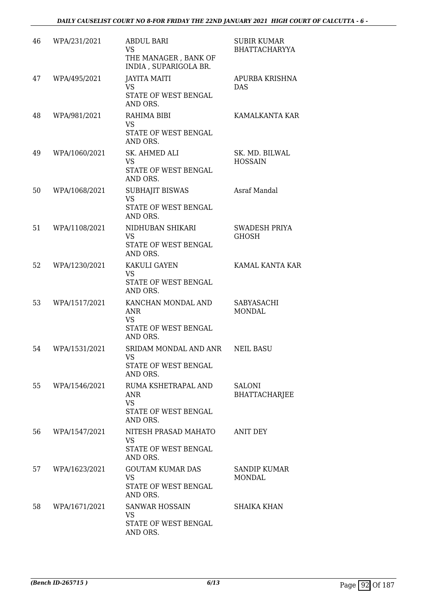| 46 | WPA/231/2021  | <b>ABDUL BARI</b><br><b>VS</b><br>THE MANAGER, BANK OF<br>INDIA, SUPARIGOLA BR.    | <b>SUBIR KUMAR</b><br><b>BHATTACHARYYA</b> |
|----|---------------|------------------------------------------------------------------------------------|--------------------------------------------|
| 47 | WPA/495/2021  | <b>JAYITA MAITI</b><br><b>VS</b><br>STATE OF WEST BENGAL<br>AND ORS.               | <b>APURBA KRISHNA</b><br><b>DAS</b>        |
| 48 | WPA/981/2021  | RAHIMA BIBI<br><b>VS</b><br>STATE OF WEST BENGAL<br>AND ORS.                       | KAMALKANTA KAR                             |
| 49 | WPA/1060/2021 | SK. AHMED ALI<br><b>VS</b><br>STATE OF WEST BENGAL<br>AND ORS.                     | SK. MD. BILWAL<br><b>HOSSAIN</b>           |
| 50 | WPA/1068/2021 | <b>SUBHAJIT BISWAS</b><br><b>VS</b><br>STATE OF WEST BENGAL<br>AND ORS.            | Asraf Mandal                               |
| 51 | WPA/1108/2021 | NIDHUBAN SHIKARI<br><b>VS</b><br>STATE OF WEST BENGAL<br>AND ORS.                  | <b>SWADESH PRIYA</b><br><b>GHOSH</b>       |
| 52 | WPA/1230/2021 | KAKULI GAYEN<br><b>VS</b><br>STATE OF WEST BENGAL<br>AND ORS.                      | KAMAL KANTA KAR                            |
| 53 | WPA/1517/2021 | KANCHAN MONDAL AND<br>ANR<br><b>VS</b><br>STATE OF WEST BENGAL<br>AND ORS.         | SABYASACHI<br><b>MONDAL</b>                |
| 54 | WPA/1531/2021 | SRIDAM MONDAL AND ANR<br>VS<br>STATE OF WEST BENGAL<br>AND ORS.                    | <b>NEIL BASU</b>                           |
| 55 | WPA/1546/2021 | RUMA KSHETRAPAL AND<br><b>ANR</b><br><b>VS</b><br>STATE OF WEST BENGAL<br>AND ORS. | <b>SALONI</b><br><b>BHATTACHARJEE</b>      |
| 56 | WPA/1547/2021 | NITESH PRASAD MAHATO<br><b>VS</b><br>STATE OF WEST BENGAL<br>AND ORS.              | <b>ANIT DEY</b>                            |
| 57 | WPA/1623/2021 | <b>GOUTAM KUMAR DAS</b><br><b>VS</b><br>STATE OF WEST BENGAL<br>AND ORS.           | <b>SANDIP KUMAR</b><br>MONDAL              |
| 58 | WPA/1671/2021 | <b>SANWAR HOSSAIN</b><br><b>VS</b><br>STATE OF WEST BENGAL<br>AND ORS.             | <b>SHAIKA KHAN</b>                         |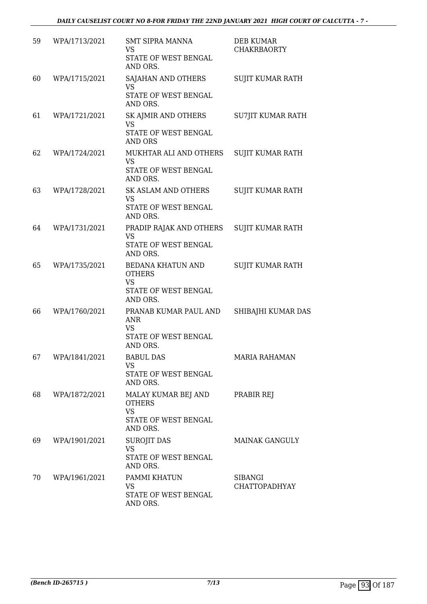| 59 | WPA/1713/2021 | <b>SMT SIPRA MANNA</b><br>VS<br>STATE OF WEST BENGAL<br>AND ORS.                      | <b>DEB KUMAR</b><br><b>CHAKRBAORTY</b> |
|----|---------------|---------------------------------------------------------------------------------------|----------------------------------------|
| 60 | WPA/1715/2021 | SAJAHAN AND OTHERS<br><b>VS</b><br>STATE OF WEST BENGAL<br>AND ORS.                   | SUJIT KUMAR RATH                       |
| 61 | WPA/1721/2021 | SK AJMIR AND OTHERS<br><b>VS</b><br>STATE OF WEST BENGAL<br><b>AND ORS</b>            | SU7JIT KUMAR RATH                      |
| 62 | WPA/1724/2021 | MUKHTAR ALI AND OTHERS<br><b>VS</b><br>STATE OF WEST BENGAL<br>AND ORS.               | <b>SUJIT KUMAR RATH</b>                |
| 63 | WPA/1728/2021 | <b>SK ASLAM AND OTHERS</b><br><b>VS</b><br>STATE OF WEST BENGAL<br>AND ORS.           | <b>SUJIT KUMAR RATH</b>                |
| 64 | WPA/1731/2021 | PRADIP RAJAK AND OTHERS<br><b>VS</b><br>STATE OF WEST BENGAL<br>AND ORS.              | <b>SUJIT KUMAR RATH</b>                |
| 65 | WPA/1735/2021 | BEDANA KHATUN AND<br><b>OTHERS</b><br><b>VS</b><br>STATE OF WEST BENGAL<br>AND ORS.   | <b>SUJIT KUMAR RATH</b>                |
| 66 | WPA/1760/2021 | PRANAB KUMAR PAUL AND<br><b>ANR</b><br>VS<br>STATE OF WEST BENGAL<br>AND ORS.         | SHIBAJHI KUMAR DAS                     |
| 67 | WPA/1841/2021 | <b>BABUL DAS</b><br><b>VS</b><br>STATE OF WEST BENGAL<br>AND ORS.                     | <b>MARIA RAHAMAN</b>                   |
| 68 | WPA/1872/2021 | MALAY KUMAR BEJ AND<br><b>OTHERS</b><br><b>VS</b><br>STATE OF WEST BENGAL<br>AND ORS. | PRABIR REJ                             |
| 69 | WPA/1901/2021 | <b>SUROJIT DAS</b><br><b>VS</b><br>STATE OF WEST BENGAL<br>AND ORS.                   | <b>MAINAK GANGULY</b>                  |
| 70 | WPA/1961/2021 | PAMMI KHATUN<br>VS.<br>STATE OF WEST BENGAL<br>AND ORS.                               | <b>SIBANGI</b><br><b>CHATTOPADHYAY</b> |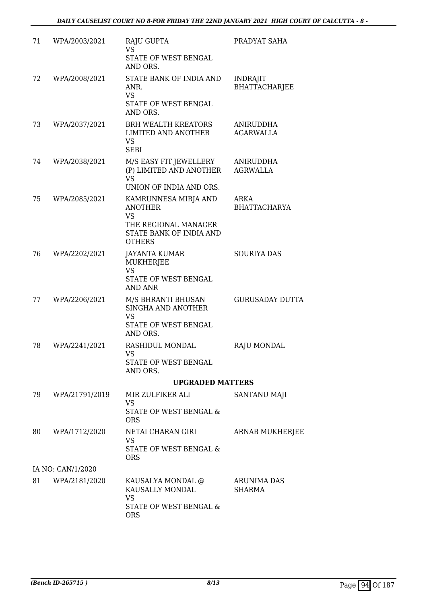| 71 | WPA/2003/2021     | RAJU GUPTA<br><b>VS</b><br>STATE OF WEST BENGAL<br>AND ORS.                                                             | PRADYAT SAHA                            |
|----|-------------------|-------------------------------------------------------------------------------------------------------------------------|-----------------------------------------|
| 72 | WPA/2008/2021     | STATE BANK OF INDIA AND<br>ANR.<br><b>VS</b><br>STATE OF WEST BENGAL<br>AND ORS.                                        | <b>INDRAJIT</b><br><b>BHATTACHARJEE</b> |
| 73 | WPA/2037/2021     | <b>BRH WEALTH KREATORS</b><br>LIMITED AND ANOTHER<br><b>VS</b><br><b>SEBI</b>                                           | ANIRUDDHA<br><b>AGARWALLA</b>           |
| 74 | WPA/2038/2021     | M/S EASY FIT JEWELLERY<br>(P) LIMITED AND ANOTHER<br><b>VS</b><br>UNION OF INDIA AND ORS.                               | ANIRUDDHA<br><b>AGRWALLA</b>            |
| 75 | WPA/2085/2021     | KAMRUNNESA MIRJA AND<br><b>ANOTHER</b><br><b>VS</b><br>THE REGIONAL MANAGER<br>STATE BANK OF INDIA AND<br><b>OTHERS</b> | ARKA<br><b>BHATTACHARYA</b>             |
| 76 | WPA/2202/2021     | <b>JAYANTA KUMAR</b><br><b>MUKHERJEE</b><br><b>VS</b><br>STATE OF WEST BENGAL<br><b>AND ANR</b>                         | <b>SOURIYA DAS</b>                      |
| 77 | WPA/2206/2021     | M/S BHRANTI BHUSAN<br>SINGHA AND ANOTHER<br><b>VS</b><br>STATE OF WEST BENGAL<br>AND ORS.                               | <b>GURUSADAY DUTTA</b>                  |
| 78 | WPA/2241/2021     | RASHIDUL MONDAL<br>VS.<br>STATE OF WEST BENGAL<br>AND ORS.                                                              | RAJU MONDAL                             |
|    |                   | <b>UPGRADED MATTERS</b>                                                                                                 |                                         |
| 79 | WPA/21791/2019    | MIR ZULFIKER ALI<br><b>VS</b><br>STATE OF WEST BENGAL &<br><b>ORS</b>                                                   | <b>SANTANU MAJI</b>                     |
| 80 | WPA/1712/2020     | NETAI CHARAN GIRI<br><b>VS</b><br>STATE OF WEST BENGAL &<br><b>ORS</b>                                                  | <b>ARNAB MUKHERJEE</b>                  |
|    | IA NO: CAN/1/2020 |                                                                                                                         |                                         |
| 81 | WPA/2181/2020     | KAUSALYA MONDAL @<br>KAUSALLY MONDAL<br><b>VS</b><br>STATE OF WEST BENGAL &<br><b>ORS</b>                               | <b>ARUNIMA DAS</b><br><b>SHARMA</b>     |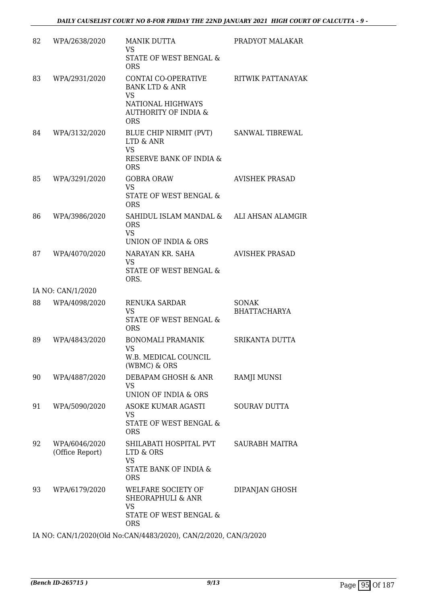| 82 | WPA/2638/2020                    | <b>MANIK DUTTA</b><br><b>VS</b><br>STATE OF WEST BENGAL &<br><b>ORS</b>                                                             | PRADYOT MALAKAR                     |
|----|----------------------------------|-------------------------------------------------------------------------------------------------------------------------------------|-------------------------------------|
| 83 | WPA/2931/2020                    | CONTAI CO-OPERATIVE<br><b>BANK LTD &amp; ANR</b><br><b>VS</b><br>NATIONAL HIGHWAYS<br><b>AUTHORITY OF INDIA &amp;</b><br><b>ORS</b> | RITWIK PATTANAYAK                   |
| 84 | WPA/3132/2020                    | BLUE CHIP NIRMIT (PVT)<br>LTD & ANR<br><b>VS</b><br>RESERVE BANK OF INDIA &<br><b>ORS</b>                                           | <b>SANWAL TIBREWAL</b>              |
| 85 | WPA/3291/2020                    | <b>GOBRA ORAW</b><br><b>VS</b><br>STATE OF WEST BENGAL &<br><b>ORS</b>                                                              | <b>AVISHEK PRASAD</b>               |
| 86 | WPA/3986/2020                    | SAHIDUL ISLAM MANDAL &<br><b>ORS</b><br><b>VS</b><br>UNION OF INDIA & ORS                                                           | ALI AHSAN ALAMGIR                   |
| 87 | WPA/4070/2020                    | NARAYAN KR. SAHA<br><b>VS</b><br>STATE OF WEST BENGAL &<br>ORS.                                                                     | <b>AVISHEK PRASAD</b>               |
|    | IA NO: CAN/1/2020                |                                                                                                                                     |                                     |
| 88 | WPA/4098/2020                    | <b>RENUKA SARDAR</b><br><b>VS</b><br>STATE OF WEST BENGAL &<br><b>ORS</b>                                                           | <b>SONAK</b><br><b>BHATTACHARYA</b> |
| 89 | WPA/4843/2020                    | <b>BONOMALI PRAMANIK</b><br><b>VS</b><br>W.B. MEDICAL COUNCIL<br>(WBMC) & ORS                                                       | <b>SRIKANTA DUTTA</b>               |
| 90 | WPA/4887/2020                    | DEBAPAM GHOSH & ANR<br><b>VS</b><br>UNION OF INDIA & ORS                                                                            | RAMJI MUNSI                         |
| 91 | WPA/5090/2020                    | ASOKE KUMAR AGASTI<br><b>VS</b><br>STATE OF WEST BENGAL &<br><b>ORS</b>                                                             | <b>SOURAV DUTTA</b>                 |
| 92 | WPA/6046/2020<br>(Office Report) | SHILABATI HOSPITAL PVT<br>LTD & ORS<br><b>VS</b><br>STATE BANK OF INDIA &<br><b>ORS</b>                                             | <b>SAURABH MAITRA</b>               |
| 93 | WPA/6179/2020                    | WELFARE SOCIETY OF<br><b>SHEORAPHULI &amp; ANR</b><br><b>VS</b><br>STATE OF WEST BENGAL &<br><b>ORS</b>                             | DIPANJAN GHOSH                      |

IA NO: CAN/1/2020(Old No:CAN/4483/2020), CAN/2/2020, CAN/3/2020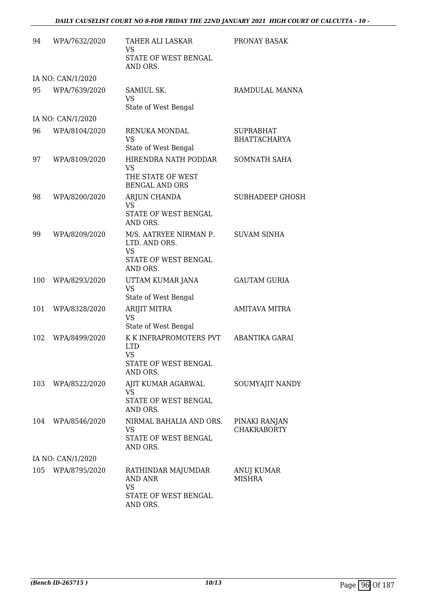| 94  | WPA/7632/2020     | <b>TAHER ALI LASKAR</b><br><b>VS</b><br><b>STATE OF WEST BENGAL</b><br>AND ORS.          | PRONAY BASAK                            |
|-----|-------------------|------------------------------------------------------------------------------------------|-----------------------------------------|
|     | IA NO: CAN/1/2020 |                                                                                          |                                         |
| 95  | WPA/7639/2020     | SAMIUL SK.<br><b>VS</b><br>State of West Bengal                                          | RAMDULAL MANNA                          |
|     | IA NO: CAN/1/2020 |                                                                                          |                                         |
| 96  | WPA/8104/2020     | RENUKA MONDAL<br><b>VS</b><br>State of West Bengal                                       | <b>SUPRABHAT</b><br><b>BHATTACHARYA</b> |
| 97  | WPA/8109/2020     | HIRENDRA NATH PODDAR<br><b>VS</b><br>THE STATE OF WEST<br><b>BENGAL AND ORS</b>          | SOMNATH SAHA                            |
| 98  | WPA/8200/2020     | ARJUN CHANDA<br><b>VS</b><br>STATE OF WEST BENGAL<br>AND ORS.                            | <b>SUBHADEEP GHOSH</b>                  |
| 99  | WPA/8209/2020     | M/S. AATRYEE NIRMAN P.<br>LTD. AND ORS.<br><b>VS</b><br>STATE OF WEST BENGAL<br>AND ORS. | <b>SUVAM SINHA</b>                      |
| 100 | WPA/8293/2020     | UTTAM KUMAR JANA<br><b>VS</b><br>State of West Bengal                                    | <b>GAUTAM GURIA</b>                     |
| 101 | WPA/8328/2020     | ARIJIT MITRA<br><b>VS</b><br>State of West Bengal                                        | <b>AMITAVA MITRA</b>                    |
| 102 | WPA/8499/2020     | K K INFRAPROMOTERS PVT<br><b>LTD</b><br><b>VS</b><br>STATE OF WEST BENGAL<br>AND ORS.    | ABANTIKA GARAI                          |
| 103 | WPA/8522/2020     | AJIT KUMAR AGARWAL<br><b>VS</b><br>STATE OF WEST BENGAL<br>AND ORS.                      | SOUMYAJIT NANDY                         |
| 104 | WPA/8546/2020     | NIRMAL BAHALIA AND ORS.<br>VS<br>STATE OF WEST BENGAL<br>AND ORS.                        | PINAKI RANJAN<br><b>CHAKRABORTY</b>     |
|     | IA NO: CAN/1/2020 |                                                                                          |                                         |
| 105 | WPA/8795/2020     | RATHINDAR MAJUMDAR<br>AND ANR<br><b>VS</b><br>STATE OF WEST BENGAL<br>AND ORS.           | ANUJ KUMAR<br><b>MISHRA</b>             |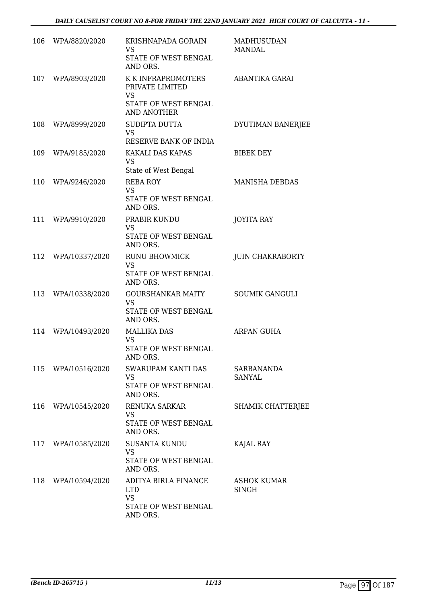| 106 | WPA/8820/2020      | KRISHNAPADA GORAIN<br>VS.<br>STATE OF WEST BENGAL<br>AND ORS.                                    | MADHUSUDAN<br><b>MANDAL</b>        |
|-----|--------------------|--------------------------------------------------------------------------------------------------|------------------------------------|
| 107 | WPA/8903/2020      | K K INFRAPROMOTERS<br>PRIVATE LIMITED<br><b>VS</b><br>STATE OF WEST BENGAL<br><b>AND ANOTHER</b> | ABANTIKA GARAI                     |
| 108 | WPA/8999/2020      | SUDIPTA DUTTA<br><b>VS</b><br>RESERVE BANK OF INDIA                                              | DYUTIMAN BANERJEE                  |
| 109 | WPA/9185/2020      | KAKALI DAS KAPAS<br><b>VS</b><br>State of West Bengal                                            | <b>BIBEK DEY</b>                   |
| 110 | WPA/9246/2020      | <b>REBA ROY</b><br><b>VS</b><br><b>STATE OF WEST BENGAL</b><br>AND ORS.                          | <b>MANISHA DEBDAS</b>              |
| 111 | WPA/9910/2020      | PRABIR KUNDU<br><b>VS</b><br>STATE OF WEST BENGAL<br>AND ORS.                                    | <b>JOYITA RAY</b>                  |
| 112 | WPA/10337/2020     | <b>RUNU BHOWMICK</b><br><b>VS</b><br>STATE OF WEST BENGAL<br>AND ORS.                            | <b>JUIN CHAKRABORTY</b>            |
| 113 | WPA/10338/2020     | <b>GOURSHANKAR MAITY</b><br><b>VS</b><br>STATE OF WEST BENGAL<br>AND ORS.                        | <b>SOUMIK GANGULI</b>              |
| 114 | WPA/10493/2020     | <b>MALLIKA DAS</b><br><b>VS</b><br>STATE OF WEST BENGAL<br>AND ORS.                              | ARPAN GUHA                         |
|     | 115 WPA/10516/2020 | SWARUPAM KANTI DAS<br><b>VS</b><br>STATE OF WEST BENGAL<br>AND ORS.                              | <b>SARBANANDA</b><br><b>SANYAL</b> |
|     | 116 WPA/10545/2020 | RENUKA SARKAR<br><b>VS</b><br>STATE OF WEST BENGAL<br>AND ORS.                                   | SHAMIK CHATTERJEE                  |
|     | 117 WPA/10585/2020 | <b>SUSANTA KUNDU</b><br><b>VS</b><br>STATE OF WEST BENGAL<br>AND ORS.                            | KAJAL RAY                          |
| 118 | WPA/10594/2020     | ADITYA BIRLA FINANCE<br><b>LTD</b><br><b>VS</b><br>STATE OF WEST BENGAL<br>AND ORS.              | <b>ASHOK KUMAR</b><br><b>SINGH</b> |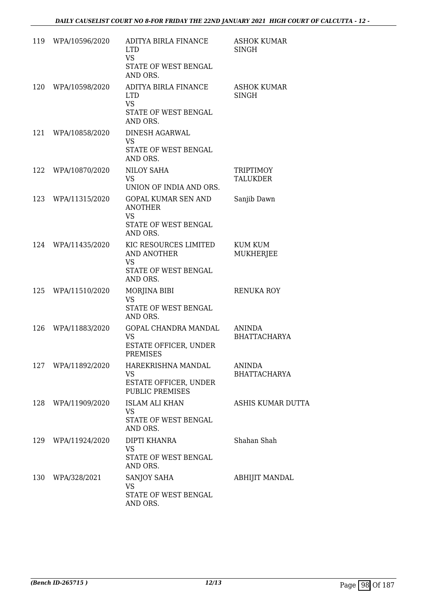|     | 119 WPA/10596/2020 | ADITYA BIRLA FINANCE<br><b>LTD</b><br><b>VS</b><br>STATE OF WEST BENGAL<br>AND ORS.           | <b>ASHOK KUMAR</b><br>SINGH          |
|-----|--------------------|-----------------------------------------------------------------------------------------------|--------------------------------------|
| 120 | WPA/10598/2020     | ADITYA BIRLA FINANCE<br><b>LTD</b><br><b>VS</b><br>STATE OF WEST BENGAL<br>AND ORS.           | <b>ASHOK KUMAR</b><br><b>SINGH</b>   |
| 121 | WPA/10858/2020     | DINESH AGARWAL<br><b>VS</b><br>STATE OF WEST BENGAL<br>AND ORS.                               |                                      |
| 122 | WPA/10870/2020     | NILOY SAHA<br>VS<br>UNION OF INDIA AND ORS.                                                   | TRIPTIMOY<br><b>TALUKDER</b>         |
| 123 | WPA/11315/2020     | <b>GOPAL KUMAR SEN AND</b><br><b>ANOTHER</b><br><b>VS</b><br>STATE OF WEST BENGAL<br>AND ORS. | Sanjib Dawn                          |
| 124 | WPA/11435/2020     | KIC RESOURCES LIMITED<br><b>AND ANOTHER</b><br><b>VS</b><br>STATE OF WEST BENGAL<br>AND ORS.  | KUM KUM<br>MUKHERJEE                 |
|     | 125 WPA/11510/2020 | MORJINA BIBI<br><b>VS</b><br>STATE OF WEST BENGAL<br>AND ORS.                                 | RENUKA ROY                           |
| 126 | WPA/11883/2020     | GOPAL CHANDRA MANDAL<br><b>VS</b><br>ESTATE OFFICER, UNDER<br>PREMISES                        | <b>ANINDA</b><br><b>BHATTACHARYA</b> |
|     | 127 WPA/11892/2020 | HAREKRISHNA MANDAL<br>VS<br>ESTATE OFFICER, UNDER<br><b>PUBLIC PREMISES</b>                   | ANINDA<br><b>BHATTACHARYA</b>        |
|     | 128 WPA/11909/2020 | <b>ISLAM ALI KHAN</b><br><b>VS</b><br>STATE OF WEST BENGAL<br>AND ORS.                        | ASHIS KUMAR DUTTA                    |
|     | 129 WPA/11924/2020 | DIPTI KHANRA<br><b>VS</b><br>STATE OF WEST BENGAL<br>AND ORS.                                 | Shahan Shah                          |
| 130 | WPA/328/2021       | SANJOY SAHA<br>VS<br>STATE OF WEST BENGAL<br>AND ORS.                                         | ABHIJIT MANDAL                       |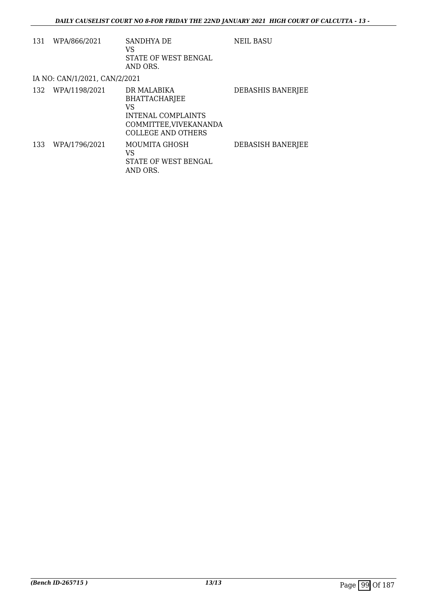| 131 | WPA/866/2021                  | <b>SANDHYA DE</b><br>VS<br>STATE OF WEST BENGAL<br>AND ORS.                                                                   | <b>NEIL BASU</b>         |
|-----|-------------------------------|-------------------------------------------------------------------------------------------------------------------------------|--------------------------|
|     | IA NO: CAN/1/2021, CAN/2/2021 |                                                                                                                               |                          |
|     | 132 WPA/1198/2021             | DR MALABIKA<br><b>BHATTACHARJEE</b><br>VS<br><b>INTENAL COMPLAINTS</b><br>COMMITTEE, VIVEKANANDA<br><b>COLLEGE AND OTHERS</b> | <b>DEBASHIS BANERJEE</b> |
| 133 | WPA/1796/2021                 | MOUMITA GHOSH<br>VS<br>STATE OF WEST BENGAL<br>AND ORS.                                                                       | DEBASISH BANERJEE        |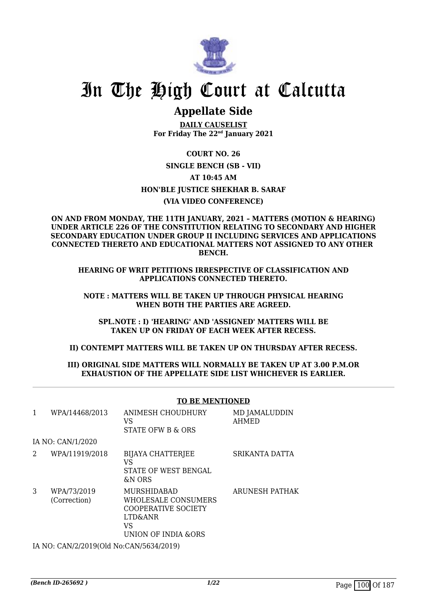

### **Appellate Side**

**DAILY CAUSELIST For Friday The 22nd January 2021**

**COURT NO. 26 SINGLE BENCH (SB - VII) AT 10:45 AM HON'BLE JUSTICE SHEKHAR B. SARAF (VIA VIDEO CONFERENCE)**

**ON AND FROM MONDAY, THE 11TH JANUARY, 2021 – MATTERS (MOTION & HEARING) UNDER ARTICLE 226 OF THE CONSTITUTION RELATING TO SECONDARY AND HIGHER SECONDARY EDUCATION UNDER GROUP II INCLUDING SERVICES AND APPLICATIONS CONNECTED THERETO AND EDUCATIONAL MATTERS NOT ASSIGNED TO ANY OTHER BENCH.**

**HEARING OF WRIT PETITIONS IRRESPECTIVE OF CLASSIFICATION AND APPLICATIONS CONNECTED THERETO.**

**NOTE : MATTERS WILL BE TAKEN UP THROUGH PHYSICAL HEARING WHEN BOTH THE PARTIES ARE AGREED.**

**SPL.NOTE : I) 'HEARING' AND 'ASSIGNED' MATTERS WILL BE TAKEN UP ON FRIDAY OF EACH WEEK AFTER RECESS.**

**II) CONTEMPT MATTERS WILL BE TAKEN UP ON THURSDAY AFTER RECESS.**

#### **III) ORIGINAL SIDE MATTERS WILL NORMALLY BE TAKEN UP AT 3.00 P.M.OR EXHAUSTION OF THE APPELLATE SIDE LIST WHICHEVER IS EARLIER.**

|   |                             | <b>TO BE MENTIONED</b>                                                                                   |                               |  |
|---|-----------------------------|----------------------------------------------------------------------------------------------------------|-------------------------------|--|
| 1 | WPA/14468/2013              | ANIMESH CHOUDHURY<br>VS<br>STATE OFW B & ORS                                                             | MD JAMALUDDIN<br><b>AHMED</b> |  |
|   | IA NO: CAN/1/2020           |                                                                                                          |                               |  |
| 2 | WPA/11919/2018              | <b>BIJAYA CHATTERJEE</b><br>VS<br>STATE OF WEST BENGAL<br>&N ORS                                         | SRIKANTA DATTA                |  |
| 3 | WPA/73/2019<br>(Correction) | MURSHIDABAD<br>WHOLESALE CONSUMERS<br><b>COOPERATIVE SOCIETY</b><br>LTD&ANR<br>VS<br>UNION OF INDIA &ORS | ARUNESH PATHAK                |  |

IA NO: CAN/2/2019(Old No:CAN/5634/2019)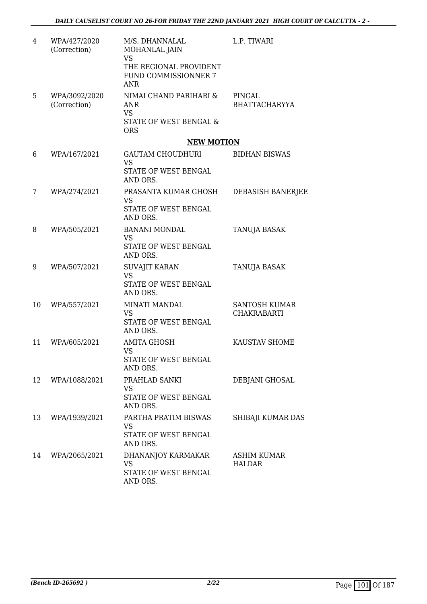| 4  | WPA/427/2020<br>(Correction)  | M/S. DHANNALAL<br>MOHANLAL JAIN<br><b>VS</b><br>THE REGIONAL PROVIDENT<br>FUND COMMISSIONNER 7<br><b>ANR</b> | L.P. TIWARI                                |
|----|-------------------------------|--------------------------------------------------------------------------------------------------------------|--------------------------------------------|
| 5  | WPA/3092/2020<br>(Correction) | NIMAI CHAND PARIHARI &<br>ANR<br><b>VS</b><br>STATE OF WEST BENGAL &<br><b>ORS</b>                           | PINGAL<br><b>BHATTACHARYYA</b>             |
|    |                               | <b>NEW MOTION</b>                                                                                            |                                            |
| 6  | WPA/167/2021                  | GAUTAM CHOUDHURI<br><b>VS</b>                                                                                | <b>BIDHAN BISWAS</b>                       |
|    |                               | STATE OF WEST BENGAL<br>AND ORS.                                                                             |                                            |
| 7  | WPA/274/2021                  | PRASANTA KUMAR GHOSH<br><b>VS</b>                                                                            | <b>DEBASISH BANERJEE</b>                   |
|    |                               | STATE OF WEST BENGAL<br>AND ORS.                                                                             |                                            |
| 8  | WPA/505/2021                  | <b>BANANI MONDAL</b><br><b>VS</b>                                                                            | TANUJA BASAK                               |
|    |                               | STATE OF WEST BENGAL<br>AND ORS.                                                                             |                                            |
| 9  | WPA/507/2021                  | <b>SUVAJIT KARAN</b><br><b>VS</b>                                                                            | <b>TANUJA BASAK</b>                        |
|    |                               | STATE OF WEST BENGAL<br>AND ORS.                                                                             |                                            |
| 10 | WPA/557/2021                  | <b>MINATI MANDAL</b><br><b>VS</b>                                                                            | <b>SANTOSH KUMAR</b><br><b>CHAKRABARTI</b> |
|    |                               | STATE OF WEST BENGAL<br>AND ORS.                                                                             |                                            |
| 11 | WPA/605/2021                  | <b>AMITA GHOSH</b><br><b>VS</b>                                                                              | KAUSTAV SHOME                              |
|    |                               | STATE OF WEST BENGAL<br>AND ORS.                                                                             |                                            |
| 12 | WPA/1088/2021                 | PRAHLAD SANKI<br><b>VS</b>                                                                                   | DEBJANI GHOSAL                             |
|    |                               | STATE OF WEST BENGAL<br>AND ORS.                                                                             |                                            |
| 13 | WPA/1939/2021                 | PARTHA PRATIM BISWAS<br>VS                                                                                   | SHIBAJI KUMAR DAS                          |
|    |                               | STATE OF WEST BENGAL<br>AND ORS.                                                                             |                                            |
| 14 | WPA/2065/2021                 | DHANANJOY KARMAKAR<br><b>VS</b>                                                                              | <b>ASHIM KUMAR</b><br><b>HALDAR</b>        |
|    |                               | STATE OF WEST BENGAL<br>AND ORS.                                                                             |                                            |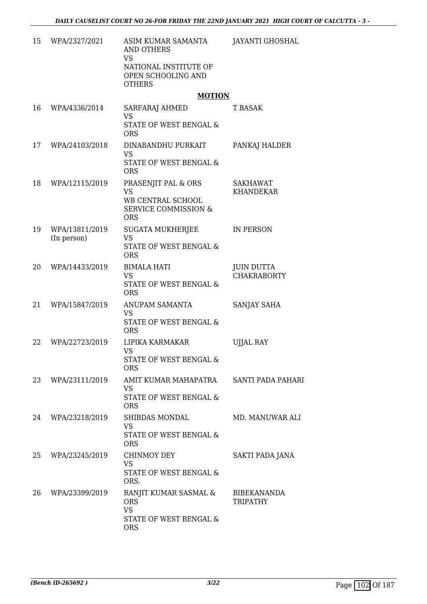| 15 | WPA/2327/2021                 | ASIM KUMAR SAMANTA<br><b>AND OTHERS</b><br><b>VS</b><br>NATIONAL INSTITUTE OF                          | JAYANTI GHOSHAL                         |
|----|-------------------------------|--------------------------------------------------------------------------------------------------------|-----------------------------------------|
|    |                               | OPEN SCHOOLING AND<br><b>OTHERS</b>                                                                    |                                         |
|    |                               | <b>MOTION</b>                                                                                          |                                         |
| 16 | WPA/4336/2014                 | SARFARAJ AHMED<br><b>VS</b><br>STATE OF WEST BENGAL &<br><b>ORS</b>                                    | T BASAK                                 |
| 17 | WPA/24103/2018                | DINABANDHU PURKAIT<br><b>VS</b><br>STATE OF WEST BENGAL &<br><b>ORS</b>                                | PANKAJ HALDER                           |
| 18 | WPA/12115/2019                | PRASENJIT PAL & ORS<br><b>VS</b><br>WB CENTRAL SCHOOL<br><b>SERVICE COMMISSION &amp;</b><br><b>ORS</b> | <b>SAKHAWAT</b><br><b>KHANDEKAR</b>     |
| 19 | WPA/13811/2019<br>(In person) | <b>SUGATA MUKHERJEE</b><br><b>VS</b><br>STATE OF WEST BENGAL &<br><b>ORS</b>                           | IN PERSON                               |
| 20 | WPA/14433/2019                | <b>BIMALA HATI</b><br><b>VS</b><br>STATE OF WEST BENGAL &<br><b>ORS</b>                                | <b>JUIN DUTTA</b><br><b>CHAKRABORTY</b> |
| 21 | WPA/15847/2019                | ANUPAM SAMANTA<br><b>VS</b><br>STATE OF WEST BENGAL &<br><b>ORS</b>                                    | SANJAY SAHA                             |
| 22 | WPA/22723/2019                | LIPIKA KARMAKAR<br><b>VS</b><br>STATE OF WEST BENGAL &<br><b>ORS</b>                                   | <b>UJJAL RAY</b>                        |
| 23 | WPA/23111/2019                | AMIT KUMAR MAHAPATRA<br><b>VS</b><br><b>STATE OF WEST BENGAL &amp;</b><br><b>ORS</b>                   | SANTI PADA PAHARI                       |
| 24 | WPA/23218/2019                | SHIBDAS MONDAL<br><b>VS</b><br>STATE OF WEST BENGAL &<br><b>ORS</b>                                    | MD. MANUWAR ALI                         |
| 25 | WPA/23245/2019                | CHINMOY DEY<br><b>VS</b><br>STATE OF WEST BENGAL &<br>ORS.                                             | SAKTI PADA JANA                         |
| 26 | WPA/23399/2019                | RANJIT KUMAR SASMAL &<br><b>ORS</b><br><b>VS</b><br>STATE OF WEST BENGAL &<br><b>ORS</b>               | <b>BIBEKANANDA</b><br><b>TRIPATHY</b>   |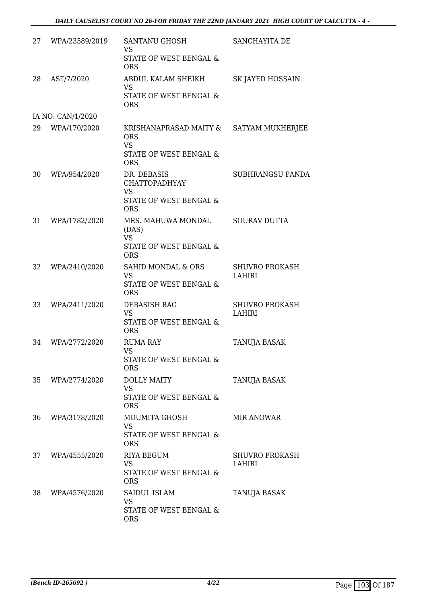| 27 | WPA/23589/2019    | SANTANU GHOSH<br><b>VS</b><br><b>STATE OF WEST BENGAL &amp;</b>                       | SANCHAYITA DE                   |
|----|-------------------|---------------------------------------------------------------------------------------|---------------------------------|
|    |                   | <b>ORS</b>                                                                            |                                 |
| 28 | AST/7/2020        | ABDUL KALAM SHEIKH<br><b>VS</b>                                                       | SK JAYED HOSSAIN                |
|    |                   | STATE OF WEST BENGAL &<br><b>ORS</b>                                                  |                                 |
|    | IA NO: CAN/1/2020 |                                                                                       |                                 |
| 29 | WPA/170/2020      | KRISHANAPRASAD MAITY &<br><b>ORS</b><br><b>VS</b>                                     | SATYAM MUKHERJEE                |
|    |                   | STATE OF WEST BENGAL &<br><b>ORS</b>                                                  |                                 |
| 30 | WPA/954/2020      | DR. DEBASIS<br><b>CHATTOPADHYAY</b><br><b>VS</b><br><b>STATE OF WEST BENGAL &amp;</b> | <b>SUBHRANGSU PANDA</b>         |
|    |                   | <b>ORS</b>                                                                            |                                 |
| 31 | WPA/1782/2020     | MRS. MAHUWA MONDAL<br>(DAS)<br><b>VS</b>                                              | <b>SOURAV DUTTA</b>             |
|    |                   | STATE OF WEST BENGAL &<br><b>ORS</b>                                                  |                                 |
| 32 | WPA/2410/2020     | <b>SAHID MONDAL &amp; ORS</b><br><b>VS</b><br>STATE OF WEST BENGAL &<br><b>ORS</b>    | <b>SHUVRO PROKASH</b><br>LAHIRI |
| 33 | WPA/2411/2020     | DEBASISH BAG                                                                          | <b>SHUVRO PROKASH</b>           |
|    |                   | <b>VS</b><br>STATE OF WEST BENGAL &<br><b>ORS</b>                                     | LAHIRI                          |
| 34 | WPA/2772/2020     | <b>RUMA RAY</b>                                                                       | <b>TANUJA BASAK</b>             |
|    |                   | <b>VS</b><br><b>STATE OF WEST BENGAL &amp;</b><br><b>ORS</b>                          |                                 |
| 35 | WPA/2774/2020     | <b>DOLLY MAITY</b><br>VS.                                                             | TANUJA BASAK                    |
|    |                   | STATE OF WEST BENGAL &<br><b>ORS</b>                                                  |                                 |
| 36 | WPA/3178/2020     | MOUMITA GHOSH<br><b>VS</b><br>STATE OF WEST BENGAL &<br><b>ORS</b>                    | <b>MIR ANOWAR</b>               |
| 37 | WPA/4555/2020     | <b>RIYA BEGUM</b><br><b>VS</b><br>STATE OF WEST BENGAL &<br><b>ORS</b>                | <b>SHUVRO PROKASH</b><br>LAHIRI |
| 38 | WPA/4576/2020     | SAIDUL ISLAM<br><b>VS</b><br>STATE OF WEST BENGAL &<br><b>ORS</b>                     | TANUJA BASAK                    |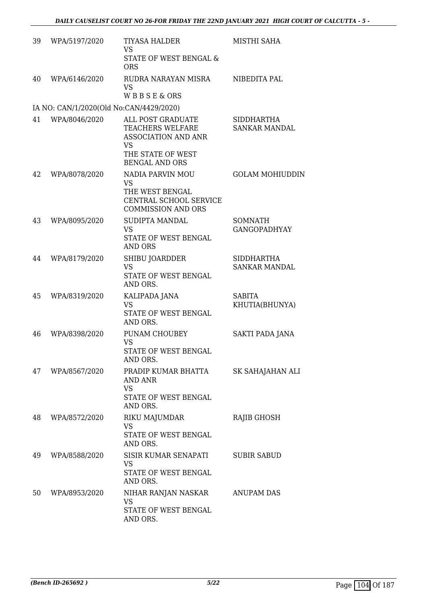| 39 | WPA/5197/2020                           | <b>TIYASA HALDER</b><br><b>VS</b>                                         | MISTHI SAHA                               |
|----|-----------------------------------------|---------------------------------------------------------------------------|-------------------------------------------|
|    |                                         | STATE OF WEST BENGAL &<br><b>ORS</b>                                      |                                           |
| 40 | WPA/6146/2020                           | RUDRA NARAYAN MISRA<br>VS                                                 | NIBEDITA PAL                              |
|    |                                         | WBBSE&ORS                                                                 |                                           |
|    | IA NO: CAN/1/2020(Old No:CAN/4429/2020) |                                                                           |                                           |
| 41 | WPA/8046/2020                           | ALL POST GRADUATE<br>TEACHERS WELFARE<br><b>ASSOCIATION AND ANR</b><br>VS | <b>SIDDHARTHA</b><br><b>SANKAR MANDAL</b> |
|    |                                         | THE STATE OF WEST<br><b>BENGAL AND ORS</b>                                |                                           |
| 42 | WPA/8078/2020                           | NADIA PARVIN MOU<br><b>VS</b>                                             | <b>GOLAM MOHIUDDIN</b>                    |
|    |                                         | THE WEST BENGAL<br>CENTRAL SCHOOL SERVICE<br><b>COMMISSION AND ORS</b>    |                                           |
| 43 | WPA/8095/2020                           | SUDIPTA MANDAL<br><b>VS</b><br>STATE OF WEST BENGAL<br><b>AND ORS</b>     | SOMNATH<br><b>GANGOPADHYAY</b>            |
| 44 | WPA/8179/2020                           | SHIBU JOARDDER<br><b>VS</b>                                               | <b>SIDDHARTHA</b><br><b>SANKAR MANDAL</b> |
|    |                                         | STATE OF WEST BENGAL<br>AND ORS.                                          |                                           |
| 45 | WPA/8319/2020                           | KALIPADA JANA<br><b>VS</b><br>STATE OF WEST BENGAL<br>AND ORS.            | <b>SABITA</b><br>KHUTIA(BHUNYA)           |
| 46 | WPA/8398/2020                           | PUNAM CHOUBEY<br>VS<br>STATE OF WEST BENGAL<br>AND ORS.                   | SAKTI PADA JANA                           |
| 47 | WPA/8567/2020                           | PRADIP KUMAR BHATTA<br>AND ANR<br><b>VS</b>                               | SK SAHAJAHAN ALI                          |
|    |                                         | STATE OF WEST BENGAL<br>AND ORS.                                          |                                           |
| 48 | WPA/8572/2020                           | RIKU MAJUMDAR<br>VS<br>STATE OF WEST BENGAL<br>AND ORS.                   | RAJIB GHOSH                               |
| 49 | WPA/8588/2020                           | SISIR KUMAR SENAPATI<br><b>VS</b><br>STATE OF WEST BENGAL<br>AND ORS.     | <b>SUBIR SABUD</b>                        |
| 50 | WPA/8953/2020                           | NIHAR RANJAN NASKAR<br>VS<br>STATE OF WEST BENGAL<br>AND ORS.             | <b>ANUPAM DAS</b>                         |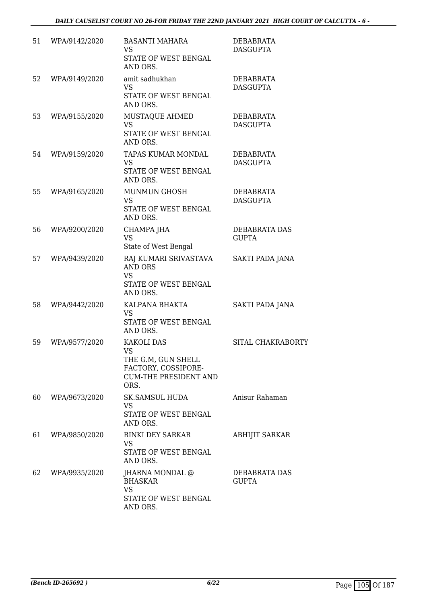| 51 | WPA/9142/2020 | <b>BASANTI MAHARA</b><br><b>VS</b><br>STATE OF WEST BENGAL<br>AND ORS.                                       | DEBABRATA<br><b>DASGUPTA</b>        |
|----|---------------|--------------------------------------------------------------------------------------------------------------|-------------------------------------|
| 52 | WPA/9149/2020 | amit sadhukhan<br><b>VS</b><br>STATE OF WEST BENGAL<br>AND ORS.                                              | <b>DEBABRATA</b><br><b>DASGUPTA</b> |
| 53 | WPA/9155/2020 | MUSTAQUE AHMED<br><b>VS</b><br>STATE OF WEST BENGAL<br>AND ORS.                                              | DEBABRATA<br><b>DASGUPTA</b>        |
| 54 | WPA/9159/2020 | TAPAS KUMAR MONDAL<br><b>VS</b><br>STATE OF WEST BENGAL<br>AND ORS.                                          | DEBABRATA<br><b>DASGUPTA</b>        |
| 55 | WPA/9165/2020 | MUNMUN GHOSH<br><b>VS</b><br>STATE OF WEST BENGAL<br>AND ORS.                                                | DEBABRATA<br><b>DASGUPTA</b>        |
| 56 | WPA/9200/2020 | CHAMPA JHA<br><b>VS</b><br>State of West Bengal                                                              | DEBABRATA DAS<br><b>GUPTA</b>       |
| 57 | WPA/9439/2020 | RAJ KUMARI SRIVASTAVA<br><b>AND ORS</b><br><b>VS</b><br>STATE OF WEST BENGAL<br>AND ORS.                     | SAKTI PADA JANA                     |
| 58 | WPA/9442/2020 | KALPANA BHAKTA<br><b>VS</b><br>STATE OF WEST BENGAL<br>AND ORS.                                              | SAKTI PADA JANA                     |
| 59 | WPA/9577/2020 | KAKOLI DAS<br><b>VS</b><br>THE G.M, GUN SHELL<br>FACTORY, COSSIPORE-<br><b>CUM-THE PRESIDENT AND</b><br>ORS. | SITAL CHAKRABORTY                   |
| 60 | WPA/9673/2020 | SK.SAMSUL HUDA<br><b>VS</b><br>STATE OF WEST BENGAL<br>AND ORS.                                              | Anisur Rahaman                      |
| 61 | WPA/9850/2020 | <b>RINKI DEY SARKAR</b><br><b>VS</b><br>STATE OF WEST BENGAL<br>AND ORS.                                     | <b>ABHIJIT SARKAR</b>               |
| 62 | WPA/9935/2020 | JHARNA MONDAL @<br><b>BHASKAR</b><br><b>VS</b><br>STATE OF WEST BENGAL<br>AND ORS.                           | DEBABRATA DAS<br><b>GUPTA</b>       |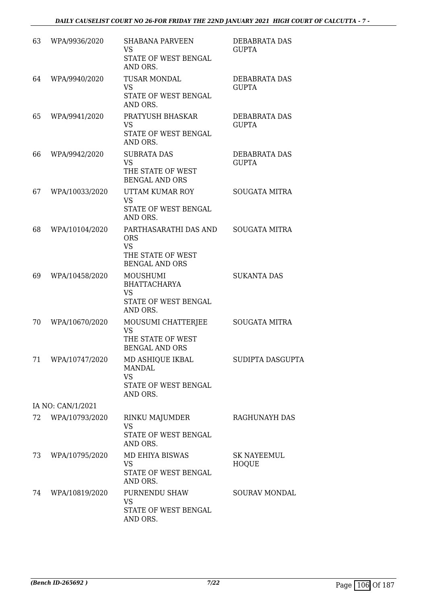| 63 | WPA/9936/2020     | <b>SHABANA PARVEEN</b><br><b>VS</b><br>STATE OF WEST BENGAL<br>AND ORS.                        | <b>DEBABRATA DAS</b><br><b>GUPTA</b> |
|----|-------------------|------------------------------------------------------------------------------------------------|--------------------------------------|
| 64 | WPA/9940/2020     | <b>TUSAR MONDAL</b><br><b>VS</b><br>STATE OF WEST BENGAL<br>AND ORS.                           | DEBABRATA DAS<br><b>GUPTA</b>        |
| 65 | WPA/9941/2020     | PRATYUSH BHASKAR<br>VS.<br>STATE OF WEST BENGAL<br>AND ORS.                                    | DEBABRATA DAS<br><b>GUPTA</b>        |
| 66 | WPA/9942/2020     | <b>SUBRATA DAS</b><br><b>VS</b><br>THE STATE OF WEST<br><b>BENGAL AND ORS</b>                  | DEBABRATA DAS<br><b>GUPTA</b>        |
| 67 | WPA/10033/2020    | UTTAM KUMAR ROY<br><b>VS</b><br>STATE OF WEST BENGAL<br>AND ORS.                               | <b>SOUGATA MITRA</b>                 |
| 68 | WPA/10104/2020    | PARTHASARATHI DAS AND<br><b>ORS</b><br><b>VS</b><br>THE STATE OF WEST<br><b>BENGAL AND ORS</b> | <b>SOUGATA MITRA</b>                 |
| 69 | WPA/10458/2020    | <b>MOUSHUMI</b><br><b>BHATTACHARYA</b><br><b>VS</b><br>STATE OF WEST BENGAL<br>AND ORS.        | <b>SUKANTA DAS</b>                   |
| 70 | WPA/10670/2020    | MOUSUMI CHATTERJEE<br><b>VS</b><br>THE STATE OF WEST<br><b>BENGAL AND ORS</b>                  | <b>SOUGATA MITRA</b>                 |
| 71 | WPA/10747/2020    | MD ASHIQUE IKBAL<br><b>MANDAL</b><br><b>VS</b><br>STATE OF WEST BENGAL<br>AND ORS.             | SUDIPTA DASGUPTA                     |
|    | IA NO: CAN/1/2021 |                                                                                                |                                      |
| 72 | WPA/10793/2020    | RINKU MAJUMDER<br><b>VS</b><br>STATE OF WEST BENGAL<br>AND ORS.                                | RAGHUNAYH DAS                        |
| 73 | WPA/10795/2020    | MD EHIYA BISWAS<br><b>VS</b><br>STATE OF WEST BENGAL<br>AND ORS.                               | SK NAYEEMUL<br><b>HOQUE</b>          |
| 74 | WPA/10819/2020    | PURNENDU SHAW<br><b>VS</b><br>STATE OF WEST BENGAL<br>AND ORS.                                 | SOURAV MONDAL                        |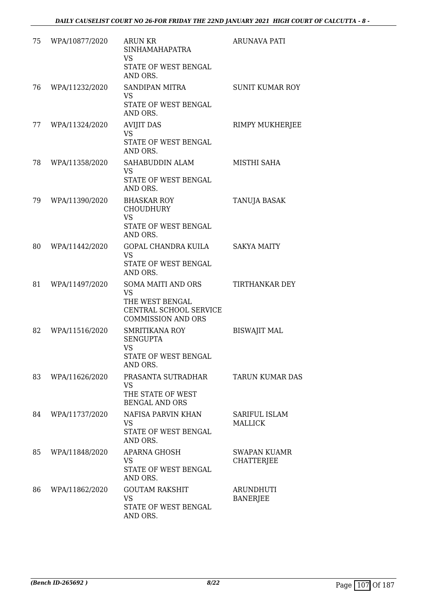| 75 | WPA/10877/2020 | <b>ARUN KR</b><br><b>SINHAMAHAPATRA</b><br>VS<br>STATE OF WEST BENGAL<br>AND ORS.                                | <b>ARUNAVA PATI</b>                      |
|----|----------------|------------------------------------------------------------------------------------------------------------------|------------------------------------------|
| 76 | WPA/11232/2020 | <b>SANDIPAN MITRA</b><br><b>VS</b><br>STATE OF WEST BENGAL<br>AND ORS.                                           | <b>SUNIT KUMAR ROY</b>                   |
| 77 | WPA/11324/2020 | <b>AVIJIT DAS</b><br>VS<br>STATE OF WEST BENGAL<br>AND ORS.                                                      | RIMPY MUKHERJEE                          |
| 78 | WPA/11358/2020 | SAHABUDDIN ALAM<br><b>VS</b><br>STATE OF WEST BENGAL<br>AND ORS.                                                 | MISTHI SAHA                              |
| 79 | WPA/11390/2020 | <b>BHASKAR ROY</b><br><b>CHOUDHURY</b><br><b>VS</b><br>STATE OF WEST BENGAL<br>AND ORS.                          | TANUJA BASAK                             |
| 80 | WPA/11442/2020 | <b>GOPAL CHANDRA KUILA</b><br><b>VS</b><br>STATE OF WEST BENGAL<br>AND ORS.                                      | <b>SAKYA MAITY</b>                       |
| 81 | WPA/11497/2020 | <b>SOMA MAITI AND ORS</b><br><b>VS</b><br>THE WEST BENGAL<br>CENTRAL SCHOOL SERVICE<br><b>COMMISSION AND ORS</b> | TIRTHANKAR DEY                           |
| 82 | WPA/11516/2020 | <b>SMRITIKANA ROY</b><br><b>SENGUPTA</b><br><b>VS</b><br>STATE OF WEST BENGAL<br>AND ORS.                        | <b>BISWAJIT MAL</b>                      |
| 83 | WPA/11626/2020 | PRASANTA SUTRADHAR<br>VS<br>THE STATE OF WEST<br><b>BENGAL AND ORS</b>                                           | <b>TARUN KUMAR DAS</b>                   |
| 84 | WPA/11737/2020 | NAFISA PARVIN KHAN<br><b>VS</b><br>STATE OF WEST BENGAL<br>AND ORS.                                              | SARIFUL ISLAM<br><b>MALLICK</b>          |
| 85 | WPA/11848/2020 | <b>APARNA GHOSH</b><br>VS<br>STATE OF WEST BENGAL<br>AND ORS.                                                    | <b>SWAPAN KUAMR</b><br><b>CHATTERJEE</b> |
| 86 | WPA/11862/2020 | <b>GOUTAM RAKSHIT</b><br><b>VS</b><br>STATE OF WEST BENGAL<br>AND ORS.                                           | <b>ARUNDHUTI</b><br><b>BANERJEE</b>      |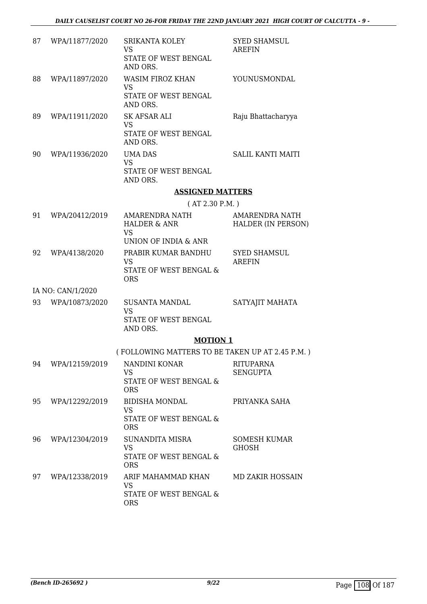| 87 | WPA/11877/2020    | <b>SRIKANTA KOLEY</b><br><b>VS</b><br>STATE OF WEST BENGAL<br>AND ORS.                | <b>SYED SHAMSUL</b><br><b>AREFIN</b>        |
|----|-------------------|---------------------------------------------------------------------------------------|---------------------------------------------|
| 88 | WPA/11897/2020    | <b>WASIM FIROZ KHAN</b><br><b>VS</b><br>STATE OF WEST BENGAL<br>AND ORS.              | YOUNUSMONDAL                                |
| 89 | WPA/11911/2020    | SK AFSAR ALI<br><b>VS</b><br>STATE OF WEST BENGAL<br>AND ORS.                         | Raju Bhattacharyya                          |
| 90 | WPA/11936/2020    | <b>UMA DAS</b><br><b>VS</b><br>STATE OF WEST BENGAL<br>AND ORS.                       | <b>SALIL KANTI MAITI</b>                    |
|    |                   | <b>ASSIGNED MATTERS</b>                                                               |                                             |
|    |                   | (AT 2.30 P.M.)                                                                        |                                             |
| 91 | WPA/20412/2019    | AMARENDRA NATH<br><b>HALDER &amp; ANR</b><br><b>VS</b>                                | AMARENDRA NATH<br><b>HALDER (IN PERSON)</b> |
|    |                   | UNION OF INDIA & ANR                                                                  |                                             |
| 92 | WPA/4138/2020     | PRABIR KUMAR BANDHU<br>VS<br>STATE OF WEST BENGAL &<br><b>ORS</b>                     | <b>SYED SHAMSUL</b><br><b>AREFIN</b>        |
|    | IA NO: CAN/1/2020 |                                                                                       |                                             |
| 93 | WPA/10873/2020    | <b>SUSANTA MANDAL</b><br><b>VS</b><br>STATE OF WEST BENGAL<br>AND ORS.                | SATYAJIT MAHATA                             |
|    |                   | <b>MOTION 1</b>                                                                       |                                             |
|    |                   | (FOLLOWING MATTERS TO BE TAKEN UP AT 2.45 P.M.)                                       |                                             |
| 94 | WPA/12159/2019    | NANDINI KONAR<br><b>VS</b><br>STATE OF WEST BENGAL &<br><b>ORS</b>                    | <b>RITUPARNA</b><br><b>SENGUPTA</b>         |
| 95 | WPA/12292/2019    | <b>BIDISHA MONDAL</b><br><b>VS</b><br><b>STATE OF WEST BENGAL &amp;</b><br><b>ORS</b> | PRIYANKA SAHA                               |
| 96 | WPA/12304/2019    | SUNANDITA MISRA<br><b>VS</b><br>STATE OF WEST BENGAL &<br><b>ORS</b>                  | <b>SOMESH KUMAR</b><br><b>GHOSH</b>         |
| 97 | WPA/12338/2019    | ARIF MAHAMMAD KHAN<br><b>VS</b><br>STATE OF WEST BENGAL &<br><b>ORS</b>               | <b>MD ZAKIR HOSSAIN</b>                     |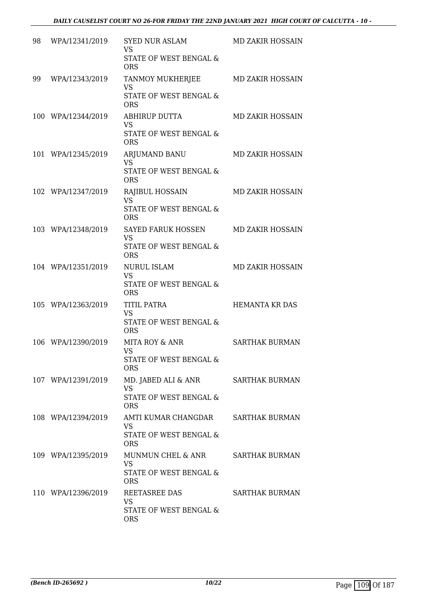| 98 | WPA/12341/2019     | <b>SYED NUR ASLAM</b><br><b>VS</b><br>STATE OF WEST BENGAL & | MD ZAKIR HOSSAIN        |
|----|--------------------|--------------------------------------------------------------|-------------------------|
|    |                    | <b>ORS</b>                                                   |                         |
| 99 | WPA/12343/2019     | TANMOY MUKHERJEE<br><b>VS</b>                                | MD ZAKIR HOSSAIN        |
|    |                    | STATE OF WEST BENGAL &<br><b>ORS</b>                         |                         |
|    | 100 WPA/12344/2019 | ABHIRUP DUTTA<br><b>VS</b>                                   | MD ZAKIR HOSSAIN        |
|    |                    | STATE OF WEST BENGAL &<br><b>ORS</b>                         |                         |
|    | 101 WPA/12345/2019 | <b>ARJUMAND BANU</b><br>VS                                   | MD ZAKIR HOSSAIN        |
|    |                    | <b>STATE OF WEST BENGAL &amp;</b><br><b>ORS</b>              |                         |
|    | 102 WPA/12347/2019 | <b>RAJIBUL HOSSAIN</b><br><b>VS</b>                          | <b>MD ZAKIR HOSSAIN</b> |
|    |                    | STATE OF WEST BENGAL &<br><b>ORS</b>                         |                         |
|    | 103 WPA/12348/2019 | SAYED FARUK HOSSEN<br><b>VS</b>                              | MD ZAKIR HOSSAIN        |
|    |                    | <b>STATE OF WEST BENGAL &amp;</b><br><b>ORS</b>              |                         |
|    | 104 WPA/12351/2019 | <b>NURUL ISLAM</b><br><b>VS</b>                              | <b>MD ZAKIR HOSSAIN</b> |
|    |                    | <b>STATE OF WEST BENGAL &amp;</b><br><b>ORS</b>              |                         |
|    | 105 WPA/12363/2019 | TITIL PATRA<br><b>VS</b>                                     | HEMANTA KR DAS          |
|    |                    | <b>STATE OF WEST BENGAL &amp;</b><br><b>ORS</b>              |                         |
|    | 106 WPA/12390/2019 | MITA ROY & ANR<br><b>VS</b>                                  | <b>SARTHAK BURMAN</b>   |
|    |                    | STATE OF WEST BENGAL &<br><b>ORS</b>                         |                         |
|    | 107 WPA/12391/2019 | MD. JABED ALI & ANR<br><b>VS</b>                             | <b>SARTHAK BURMAN</b>   |
|    |                    | STATE OF WEST BENGAL &<br><b>ORS</b>                         |                         |
|    | 108 WPA/12394/2019 | AMTI KUMAR CHANGDAR<br>VS                                    | <b>SARTHAK BURMAN</b>   |
|    |                    | <b>STATE OF WEST BENGAL &amp;</b><br><b>ORS</b>              |                         |
|    | 109 WPA/12395/2019 | MUNMUN CHEL & ANR<br><b>VS</b>                               | <b>SARTHAK BURMAN</b>   |
|    |                    | STATE OF WEST BENGAL &<br><b>ORS</b>                         |                         |
|    | 110 WPA/12396/2019 | REETASREE DAS<br>VS                                          | SARTHAK BURMAN          |
|    |                    | STATE OF WEST BENGAL &<br><b>ORS</b>                         |                         |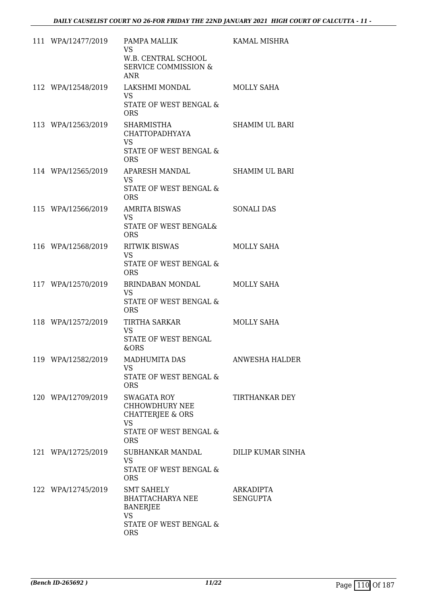| 111 WPA/12477/2019 | PAMPA MALLIK<br><b>VS</b><br>W.B. CENTRAL SCHOOL<br><b>SERVICE COMMISSION &amp;</b><br><b>ANR</b>                        | KAMAL MISHRA                 |
|--------------------|--------------------------------------------------------------------------------------------------------------------------|------------------------------|
| 112 WPA/12548/2019 | LAKSHMI MONDAL<br>VS<br>STATE OF WEST BENGAL &<br><b>ORS</b>                                                             | <b>MOLLY SAHA</b>            |
| 113 WPA/12563/2019 | SHARMISTHA<br><b>CHATTOPADHYAYA</b><br><b>VS</b><br>STATE OF WEST BENGAL &<br><b>ORS</b>                                 | SHAMIM UL BARI               |
| 114 WPA/12565/2019 | APARESH MANDAL<br>VS<br>STATE OF WEST BENGAL &<br><b>ORS</b>                                                             | SHAMIM UL BARI               |
| 115 WPA/12566/2019 | <b>AMRITA BISWAS</b><br><b>VS</b><br>STATE OF WEST BENGAL&<br><b>ORS</b>                                                 | <b>SONALI DAS</b>            |
| 116 WPA/12568/2019 | <b>RITWIK BISWAS</b><br>VS<br>STATE OF WEST BENGAL &<br><b>ORS</b>                                                       | <b>MOLLY SAHA</b>            |
| 117 WPA/12570/2019 | BRINDABAN MONDAL<br>VS.<br>STATE OF WEST BENGAL &<br><b>ORS</b>                                                          | <b>MOLLY SAHA</b>            |
| 118 WPA/12572/2019 | TIRTHA SARKAR<br>VS<br>STATE OF WEST BENGAL<br>&ORS                                                                      | <b>MOLLY SAHA</b>            |
| 119 WPA/12582/2019 | <b>MADHUMITA DAS</b><br>VS.<br>STATE OF WEST BENGAL &<br><b>ORS</b>                                                      | <b>ANWESHA HALDER</b>        |
| 120 WPA/12709/2019 | SWAGATA ROY<br><b>CHHOWDHURY NEE</b><br><b>CHATTERJEE &amp; ORS</b><br><b>VS</b><br>STATE OF WEST BENGAL &<br><b>ORS</b> | TIRTHANKAR DEY               |
| 121 WPA/12725/2019 | SUBHANKAR MANDAL<br>VS<br>STATE OF WEST BENGAL &<br><b>ORS</b>                                                           | <b>DILIP KUMAR SINHA</b>     |
| 122 WPA/12745/2019 | <b>SMT SAHELY</b><br>BHATTACHARYA NEE<br><b>BANERJEE</b><br>VS<br>STATE OF WEST BENGAL &<br><b>ORS</b>                   | ARKADIPTA<br><b>SENGUPTA</b> |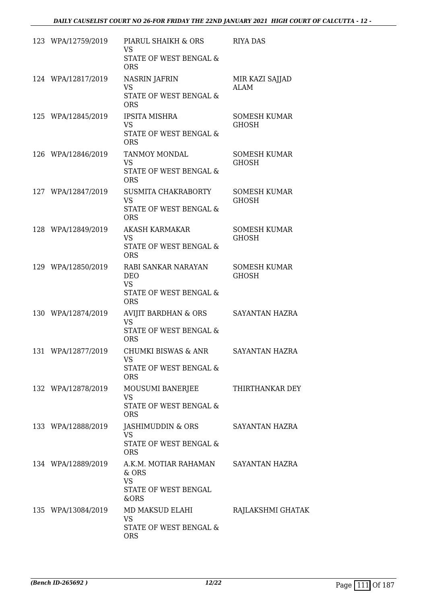| 123 WPA/12759/2019 | PIARUL SHAIKH & ORS<br><b>VS</b><br>STATE OF WEST BENGAL &<br><b>ORS</b>               | <b>RIYA DAS</b>                     |
|--------------------|----------------------------------------------------------------------------------------|-------------------------------------|
| 124 WPA/12817/2019 | <b>NASRIN JAFRIN</b><br><b>VS</b><br>STATE OF WEST BENGAL &<br><b>ORS</b>              | MIR KAZI SAJJAD<br><b>ALAM</b>      |
| 125 WPA/12845/2019 | <b>IPSITA MISHRA</b><br><b>VS</b><br>STATE OF WEST BENGAL &<br><b>ORS</b>              | <b>SOMESH KUMAR</b><br><b>GHOSH</b> |
| 126 WPA/12846/2019 | <b>TANMOY MONDAL</b><br><b>VS</b><br>STATE OF WEST BENGAL &<br><b>ORS</b>              | <b>SOMESH KUMAR</b><br><b>GHOSH</b> |
| 127 WPA/12847/2019 | SUSMITA CHAKRABORTY<br><b>VS</b><br>STATE OF WEST BENGAL &<br><b>ORS</b>               | <b>SOMESH KUMAR</b><br><b>GHOSH</b> |
| 128 WPA/12849/2019 | <b>AKASH KARMAKAR</b><br><b>VS</b><br>STATE OF WEST BENGAL &<br><b>ORS</b>             | <b>SOMESH KUMAR</b><br><b>GHOSH</b> |
| 129 WPA/12850/2019 | RABI SANKAR NARAYAN<br><b>DEO</b><br><b>VS</b><br>STATE OF WEST BENGAL &<br><b>ORS</b> | <b>SOMESH KUMAR</b><br><b>GHOSH</b> |
| 130 WPA/12874/2019 | AVIJIT BARDHAN & ORS<br><b>VS</b><br>STATE OF WEST BENGAL &<br><b>ORS</b>              | <b>SAYANTAN HAZRA</b>               |
| 131 WPA/12877/2019 | CHUMKI BISWAS & ANR<br>VS<br>STATE OF WEST BENGAL &<br><b>ORS</b>                      | SAYANTAN HAZRA                      |
| 132 WPA/12878/2019 | MOUSUMI BANERJEE<br><b>VS</b><br>STATE OF WEST BENGAL &<br><b>ORS</b>                  | THIRTHANKAR DEY                     |
| 133 WPA/12888/2019 | JASHIMUDDIN & ORS<br><b>VS</b><br>STATE OF WEST BENGAL &<br><b>ORS</b>                 | SAYANTAN HAZRA                      |
| 134 WPA/12889/2019 | A.K.M. MOTIAR RAHAMAN<br>& ORS<br><b>VS</b><br>STATE OF WEST BENGAL<br>&ORS            | SAYANTAN HAZRA                      |
| 135 WPA/13084/2019 | MD MAKSUD ELAHI<br><b>VS</b><br>STATE OF WEST BENGAL &<br><b>ORS</b>                   | RAJLAKSHMI GHATAK                   |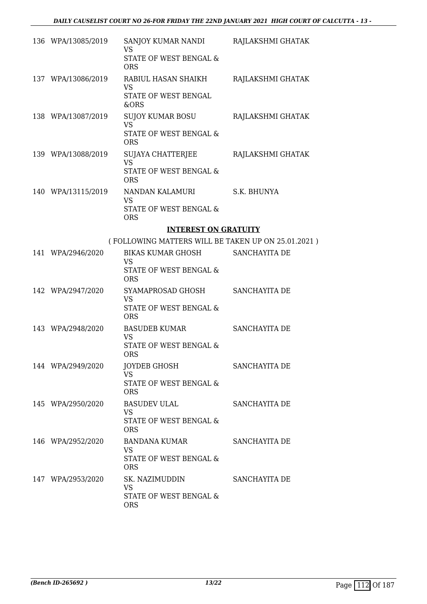| 136 WPA/13085/2019 | SANJOY KUMAR NANDI RAJLAKSHMI GHATAK<br><b>VS</b><br>STATE OF WEST BENGAL &<br><b>ORS</b> |                   |
|--------------------|-------------------------------------------------------------------------------------------|-------------------|
| 137 WPA/13086/2019 | RABIUL HASAN SHAIKH<br><b>VS</b><br>STATE OF WEST BENGAL<br>&ORS                          | RAJLAKSHMI GHATAK |
| 138 WPA/13087/2019 | SUJOY KUMAR BOSU<br><b>VS</b><br>STATE OF WEST BENGAL &<br><b>ORS</b>                     | RAJLAKSHMI GHATAK |
| 139 WPA/13088/2019 | SUJAYA CHATTERJEE<br><b>VS</b><br>STATE OF WEST BENGAL &<br><b>ORS</b>                    | RAJLAKSHMI GHATAK |
| 140 WPA/13115/2019 | NANDAN KALAMURI<br><b>VS</b><br>STATE OF WEST BENGAL &<br><b>ORS</b>                      | S.K. BHUNYA       |
|                    | <b>INTEREST ON GRATUITY</b>                                                               |                   |
|                    | (FOLLOWING MATTERS WILL BE TAKEN UP ON 25.01.2021)                                        |                   |
| 141 WPA/2946/2020  | BIKAS KUMAR GHOSH SANCHAYITA DE                                                           |                   |
|                    | <b>VS</b><br>STATE OF WEST BENGAL &<br><b>ORS</b>                                         |                   |
| 142 WPA/2947/2020  | SYAMAPROSAD GHOSH SANCHAYITA DE<br><b>VS</b><br>STATE OF WEST BENGAL &<br><b>ORS</b>      |                   |
| 143 WPA/2948/2020  | <b>BASUDEB KUMAR</b><br><b>VS</b><br><b>STATE OF WEST BENGAL &amp;</b><br><b>ORS</b>      | SANCHAYITA DE     |
| 144 WPA/2949/2020  | <b>JOYDEB GHOSH</b><br><b>VS</b><br>STATE OF WEST BENGAL &<br><b>ORS</b>                  | SANCHAYITA DE     |
| 145 WPA/2950/2020  | <b>BASUDEV ULAL</b><br>VS.<br>STATE OF WEST BENGAL &<br><b>ORS</b>                        | SANCHAYITA DE     |
| 146 WPA/2952/2020  | BANDANA KUMAR<br>VS<br>STATE OF WEST BENGAL &<br><b>ORS</b>                               | SANCHAYITA DE     |
| 147 WPA/2953/2020  | SK. NAZIMUDDIN<br><b>VS</b><br>STATE OF WEST BENGAL &<br><b>ORS</b>                       | SANCHAYITA DE     |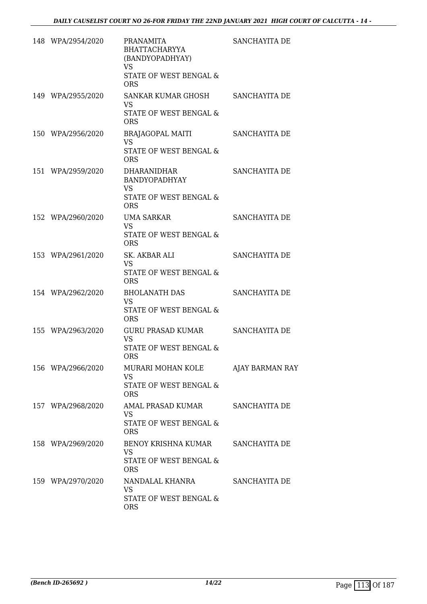| 148 WPA/2954/2020 | <b>PRANAMITA</b><br><b>BHATTACHARYYA</b><br>(BANDYOPADHYAY)<br><b>VS</b><br>STATE OF WEST BENGAL &<br><b>ORS</b> | SANCHAYITA DE   |
|-------------------|------------------------------------------------------------------------------------------------------------------|-----------------|
| 149 WPA/2955/2020 | SANKAR KUMAR GHOSH<br><b>VS</b><br>STATE OF WEST BENGAL &<br><b>ORS</b>                                          | SANCHAYITA DE   |
| 150 WPA/2956/2020 | <b>BRAJAGOPAL MAITI</b><br><b>VS</b><br>STATE OF WEST BENGAL &<br><b>ORS</b>                                     | SANCHAYITA DE   |
| 151 WPA/2959/2020 | <b>DHARANIDHAR</b><br><b>BANDYOPADHYAY</b><br><b>VS</b><br>STATE OF WEST BENGAL &<br><b>ORS</b>                  | SANCHAYITA DE   |
| 152 WPA/2960/2020 | <b>UMA SARKAR</b><br><b>VS</b><br>STATE OF WEST BENGAL &<br><b>ORS</b>                                           | SANCHAYITA DE   |
| 153 WPA/2961/2020 | SK. AKBAR ALI<br><b>VS</b><br>STATE OF WEST BENGAL &<br><b>ORS</b>                                               | SANCHAYITA DE   |
| 154 WPA/2962/2020 | <b>BHOLANATH DAS</b><br><b>VS</b><br>STATE OF WEST BENGAL &<br><b>ORS</b>                                        | SANCHAYITA DE   |
| 155 WPA/2963/2020 | <b>GURU PRASAD KUMAR</b><br><b>VS</b><br>STATE OF WEST BENGAL &<br><b>ORS</b>                                    | SANCHAYITA DE   |
| 156 WPA/2966/2020 | MURARI MOHAN KOLE<br><b>VS</b><br>STATE OF WEST BENGAL &<br><b>ORS</b>                                           | AJAY BARMAN RAY |
| 157 WPA/2968/2020 | AMAL PRASAD KUMAR<br><b>VS</b><br>STATE OF WEST BENGAL &<br><b>ORS</b>                                           | SANCHAYITA DE   |
| 158 WPA/2969/2020 | BENOY KRISHNA KUMAR<br>VS<br>STATE OF WEST BENGAL &<br><b>ORS</b>                                                | SANCHAYITA DE   |
| 159 WPA/2970/2020 | NANDALAL KHANRA<br><b>VS</b><br>STATE OF WEST BENGAL &<br><b>ORS</b>                                             | SANCHAYITA DE   |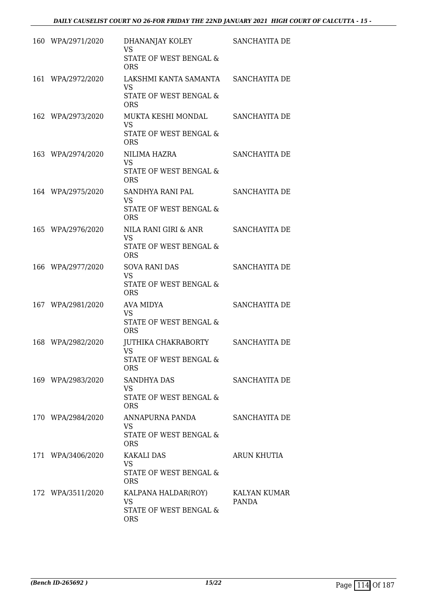| 160 WPA/2971/2020 | DHANANJAY KOLEY<br><b>VS</b><br>STATE OF WEST BENGAL &<br><b>ORS</b>                | SANCHAYITA DE         |
|-------------------|-------------------------------------------------------------------------------------|-----------------------|
| 161 WPA/2972/2020 | LAKSHMI KANTA SAMANTA SANCHAYITA DE<br>VS.<br>STATE OF WEST BENGAL &<br><b>ORS</b>  |                       |
| 162 WPA/2973/2020 | MUKTA KESHI MONDAL<br><b>VS</b><br>STATE OF WEST BENGAL &<br><b>ORS</b>             | SANCHAYITA DE         |
| 163 WPA/2974/2020 | NILIMA HAZRA<br><b>VS</b><br>STATE OF WEST BENGAL &<br><b>ORS</b>                   | SANCHAYITA DE         |
| 164 WPA/2975/2020 | SANDHYA RANI PAL<br><b>VS</b><br>STATE OF WEST BENGAL &<br><b>ORS</b>               | SANCHAYITA DE         |
| 165 WPA/2976/2020 | NILA RANI GIRI & ANR<br><b>VS</b><br>STATE OF WEST BENGAL &<br><b>ORS</b>           | SANCHAYITA DE         |
| 166 WPA/2977/2020 | <b>SOVA RANI DAS</b><br><b>VS</b><br>STATE OF WEST BENGAL &<br><b>ORS</b>           | SANCHAYITA DE         |
| 167 WPA/2981/2020 | AVA MIDYA<br><b>VS</b><br>STATE OF WEST BENGAL &<br><b>ORS</b>                      | SANCHAYITA DE         |
| 168 WPA/2982/2020 | JUTHIKA CHAKRABORTY<br><b>VS</b><br><b>STATE OF WEST BENGAL &amp;</b><br><b>ORS</b> | SANCHAYITA DE         |
| 169 WPA/2983/2020 | SANDHYA DAS<br>VS<br>STATE OF WEST BENGAL &<br><b>ORS</b>                           | SANCHAYITA DE         |
| 170 WPA/2984/2020 | ANNAPURNA PANDA<br>VS.<br>STATE OF WEST BENGAL &<br><b>ORS</b>                      | SANCHAYITA DE         |
| 171 WPA/3406/2020 | KAKALI DAS<br>VS.<br>STATE OF WEST BENGAL &<br><b>ORS</b>                           | ARUN KHUTIA           |
| 172 WPA/3511/2020 | KALPANA HALDAR(ROY)<br><b>VS</b><br>STATE OF WEST BENGAL &<br><b>ORS</b>            | KALYAN KUMAR<br>PANDA |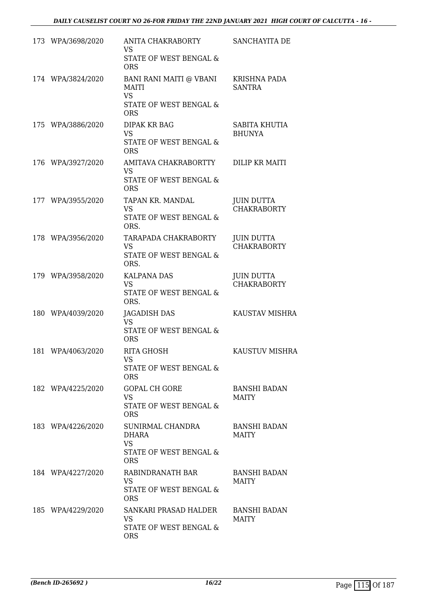| 173 WPA/3698/2020 | ANITA CHAKRABORTY<br><b>VS</b>                                     | SANCHAYITA DE                           |
|-------------------|--------------------------------------------------------------------|-----------------------------------------|
|                   | STATE OF WEST BENGAL &<br><b>ORS</b>                               |                                         |
| 174 WPA/3824/2020 | <b>BANI RANI MAITI @ VBANI</b><br><b>MAITI</b><br><b>VS</b>        | <b>KRISHNA PADA</b><br><b>SANTRA</b>    |
|                   | STATE OF WEST BENGAL &<br><b>ORS</b>                               |                                         |
| 175 WPA/3886/2020 | DIPAK KR BAG<br><b>VS</b>                                          | SABITA KHUTIA<br><b>BHUNYA</b>          |
|                   | STATE OF WEST BENGAL &<br><b>ORS</b>                               |                                         |
| 176 WPA/3927/2020 | AMITAVA CHAKRABORTTY<br><b>VS</b><br>STATE OF WEST BENGAL &        | DILIP KR MAITI                          |
|                   | <b>ORS</b>                                                         |                                         |
| 177 WPA/3955/2020 | TAPAN KR. MANDAL<br><b>VS</b><br><b>STATE OF WEST BENGAL &amp;</b> | <b>JUIN DUTTA</b><br><b>CHAKRABORTY</b> |
|                   | ORS.                                                               |                                         |
| 178 WPA/3956/2020 | TARAPADA CHAKRABORTY<br><b>VS</b>                                  | <b>JUIN DUTTA</b><br><b>CHAKRABORTY</b> |
|                   | STATE OF WEST BENGAL &<br>ORS.                                     |                                         |
| 179 WPA/3958/2020 | <b>KALPANA DAS</b><br><b>VS</b>                                    | <b>JUIN DUTTA</b><br><b>CHAKRABORTY</b> |
|                   | STATE OF WEST BENGAL &<br>ORS.                                     |                                         |
| 180 WPA/4039/2020 | JAGADISH DAS<br><b>VS</b>                                          | <b>KAUSTAV MISHRA</b>                   |
|                   | <b>STATE OF WEST BENGAL &amp;</b><br><b>ORS</b>                    |                                         |
| 181 WPA/4063/2020 | <b>RITA GHOSH</b><br><b>VS</b>                                     | <b>KAUSTUV MISHRA</b>                   |
|                   | STATE OF WEST BENGAL &<br><b>ORS</b>                               |                                         |
| 182 WPA/4225/2020 | <b>GOPAL CH GORE</b><br>VS.                                        | <b>BANSHI BADAN</b><br><b>MAITY</b>     |
|                   | STATE OF WEST BENGAL &<br><b>ORS</b>                               |                                         |
| 183 WPA/4226/2020 | SUNIRMAL CHANDRA<br>DHARA<br><b>VS</b>                             | <b>BANSHI BADAN</b><br><b>MAITY</b>     |
|                   | STATE OF WEST BENGAL &<br><b>ORS</b>                               |                                         |
| 184 WPA/4227/2020 | RABINDRANATH BAR<br><b>VS</b>                                      | <b>BANSHI BADAN</b><br><b>MAITY</b>     |
|                   | STATE OF WEST BENGAL &<br><b>ORS</b>                               |                                         |
| 185 WPA/4229/2020 | SANKARI PRASAD HALDER<br>VS                                        | <b>BANSHI BADAN</b><br>MAITY            |
|                   | STATE OF WEST BENGAL &<br><b>ORS</b>                               |                                         |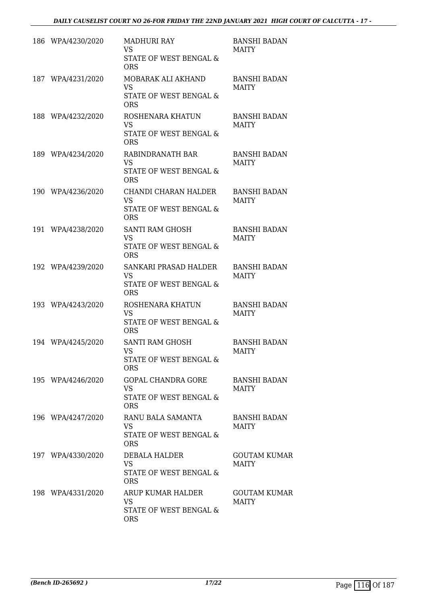|     | 186 WPA/4230/2020 | MADHURI RAY<br><b>VS</b><br>STATE OF WEST BENGAL &<br><b>ORS</b>                            | <b>BANSHI BADAN</b><br><b>MAITY</b> |
|-----|-------------------|---------------------------------------------------------------------------------------------|-------------------------------------|
| 187 | WPA/4231/2020     | MOBARAK ALI AKHAND<br><b>VS</b><br>STATE OF WEST BENGAL &<br><b>ORS</b>                     | <b>BANSHI BADAN</b><br><b>MAITY</b> |
|     | 188 WPA/4232/2020 | ROSHENARA KHATUN<br><b>VS</b><br>STATE OF WEST BENGAL &<br><b>ORS</b>                       | <b>BANSHI BADAN</b><br><b>MAITY</b> |
|     | 189 WPA/4234/2020 | RABINDRANATH BAR<br><b>VS</b><br>STATE OF WEST BENGAL &<br><b>ORS</b>                       | <b>BANSHI BADAN</b><br><b>MAITY</b> |
|     | 190 WPA/4236/2020 | <b>CHANDI CHARAN HALDER</b><br><b>VS</b><br><b>STATE OF WEST BENGAL &amp;</b><br><b>ORS</b> | <b>BANSHI BADAN</b><br><b>MAITY</b> |
|     | 191 WPA/4238/2020 | SANTI RAM GHOSH<br><b>VS</b><br>STATE OF WEST BENGAL &<br><b>ORS</b>                        | <b>BANSHI BADAN</b><br><b>MAITY</b> |
|     | 192 WPA/4239/2020 | SANKARI PRASAD HALDER<br><b>VS</b><br>STATE OF WEST BENGAL &<br><b>ORS</b>                  | <b>BANSHI BADAN</b><br><b>MAITY</b> |
|     | 193 WPA/4243/2020 | ROSHENARA KHATUN<br><b>VS</b><br>STATE OF WEST BENGAL &<br><b>ORS</b>                       | <b>BANSHI BADAN</b><br><b>MAITY</b> |
|     | 194 WPA/4245/2020 | <b>SANTI RAM GHOSH</b><br>VS<br>STATE OF WEST BENGAL &<br><b>ORS</b>                        | <b>BANSHI BADAN</b><br><b>MAITY</b> |
|     | 195 WPA/4246/2020 | <b>GOPAL CHANDRA GORE</b><br><b>VS</b><br>STATE OF WEST BENGAL &<br><b>ORS</b>              | <b>BANSHI BADAN</b><br><b>MAITY</b> |
|     | 196 WPA/4247/2020 | RANU BALA SAMANTA<br><b>VS</b><br><b>STATE OF WEST BENGAL &amp;</b><br><b>ORS</b>           | <b>BANSHI BADAN</b><br>MAITY        |
|     | 197 WPA/4330/2020 | DEBALA HALDER<br><b>VS</b><br>STATE OF WEST BENGAL &<br><b>ORS</b>                          | <b>GOUTAM KUMAR</b><br><b>MAITY</b> |
|     | 198 WPA/4331/2020 | ARUP KUMAR HALDER<br><b>VS</b><br>STATE OF WEST BENGAL &<br><b>ORS</b>                      | GOUTAM KUMAR<br><b>MAITY</b>        |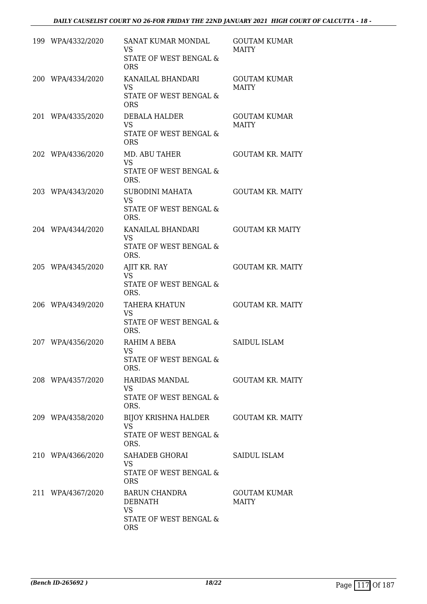| 199 WPA/4332/2020 | SANAT KUMAR MONDAL<br><b>VS</b><br>STATE OF WEST BENGAL &<br><b>ORS</b>                         | <b>GOUTAM KUMAR</b><br><b>MAITY</b> |
|-------------------|-------------------------------------------------------------------------------------------------|-------------------------------------|
| 200 WPA/4334/2020 | KANAILAL BHANDARI<br><b>VS</b><br>STATE OF WEST BENGAL &<br><b>ORS</b>                          | <b>GOUTAM KUMAR</b><br><b>MAITY</b> |
| 201 WPA/4335/2020 | <b>DEBALA HALDER</b><br><b>VS</b><br><b>STATE OF WEST BENGAL &amp;</b><br><b>ORS</b>            | <b>GOUTAM KUMAR</b><br><b>MAITY</b> |
| 202 WPA/4336/2020 | <b>MD. ABU TAHER</b><br><b>VS</b><br>STATE OF WEST BENGAL &<br>ORS.                             | <b>GOUTAM KR. MAITY</b>             |
| 203 WPA/4343/2020 | SUBODINI MAHATA<br><b>VS</b><br>STATE OF WEST BENGAL &<br>ORS.                                  | <b>GOUTAM KR. MAITY</b>             |
| 204 WPA/4344/2020 | KANAILAL BHANDARI<br><b>VS</b><br>STATE OF WEST BENGAL &<br>ORS.                                | <b>GOUTAM KR MAITY</b>              |
| 205 WPA/4345/2020 | AJIT KR. RAY<br><b>VS</b><br>STATE OF WEST BENGAL &<br>ORS.                                     | <b>GOUTAM KR. MAITY</b>             |
| 206 WPA/4349/2020 | TAHERA KHATUN<br><b>VS</b><br>STATE OF WEST BENGAL &<br>ORS.                                    | <b>GOUTAM KR. MAITY</b>             |
| 207 WPA/4356/2020 | RAHIM A BEBA<br><b>VS</b><br>STATE OF WEST BENGAL &<br>ORS.                                     | <b>SAIDUL ISLAM</b>                 |
| 208 WPA/4357/2020 | HARIDAS MANDAL<br><b>VS</b><br><b>STATE OF WEST BENGAL &amp;</b><br>ORS.                        | <b>GOUTAM KR. MAITY</b>             |
| 209 WPA/4358/2020 | BIJOY KRISHNA HALDER GOUTAM KR. MAITY<br><b>VS</b><br><b>STATE OF WEST BENGAL &amp;</b><br>ORS. |                                     |
| 210 WPA/4366/2020 | SAHADEB GHORAI<br><b>VS</b><br>STATE OF WEST BENGAL &<br><b>ORS</b>                             | SAIDUL ISLAM                        |
| 211 WPA/4367/2020 | BARUN CHANDRA<br><b>DEBNATH</b><br><b>VS</b><br>STATE OF WEST BENGAL &<br><b>ORS</b>            | <b>GOUTAM KUMAR</b><br><b>MAITY</b> |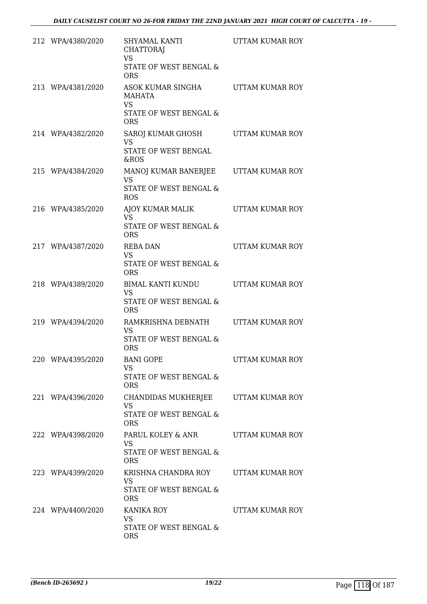| 212 WPA/4380/2020 | SHYAMAL KANTI<br><b>CHATTORAJ</b><br><b>VS</b><br>STATE OF WEST BENGAL &<br><b>ORS</b>   | UTTAM KUMAR ROY |
|-------------------|------------------------------------------------------------------------------------------|-----------------|
| 213 WPA/4381/2020 | ASOK KUMAR SINGHA<br><b>MAHATA</b><br><b>VS</b><br>STATE OF WEST BENGAL &<br><b>ORS</b>  | UTTAM KUMAR ROY |
| 214 WPA/4382/2020 | SAROJ KUMAR GHOSH<br><b>VS</b><br>STATE OF WEST BENGAL<br>&ROS                           | UTTAM KUMAR ROY |
| 215 WPA/4384/2020 | MANOJ KUMAR BANERJEE<br><b>VS</b><br><b>STATE OF WEST BENGAL &amp;</b><br><b>ROS</b>     | UTTAM KUMAR ROY |
| 216 WPA/4385/2020 | AJOY KUMAR MALIK<br><b>VS</b><br>STATE OF WEST BENGAL &<br><b>ORS</b>                    | UTTAM KUMAR ROY |
| 217 WPA/4387/2020 | <b>REBA DAN</b><br><b>VS</b><br>STATE OF WEST BENGAL &<br><b>ORS</b>                     | UTTAM KUMAR ROY |
| 218 WPA/4389/2020 | <b>BIMAL KANTI KUNDU</b><br><b>VS</b><br>STATE OF WEST BENGAL &<br><b>ORS</b>            | UTTAM KUMAR ROY |
| 219 WPA/4394/2020 | RAMKRISHNA DEBNATH<br><b>VS</b><br>STATE OF WEST BENGAL &<br>ORS                         | UTTAM KUMAR ROY |
| 220 WPA/4395/2020 | <b>BANI GOPE</b><br><b>VS</b><br>STATE OF WEST BENGAL &<br><b>ORS</b>                    | UTTAM KUMAR ROY |
| 221 WPA/4396/2020 | CHANDIDAS MUKHERJEE<br><b>VS</b><br>STATE OF WEST BENGAL &<br><b>ORS</b>                 | UTTAM KUMAR ROY |
| 222 WPA/4398/2020 | PARUL KOLEY & ANR<br><b>VS</b><br>STATE OF WEST BENGAL &<br><b>ORS</b>                   | UTTAM KUMAR ROY |
| 223 WPA/4399/2020 | KRISHNA CHANDRA ROY UTTAM KUMAR ROY<br><b>VS</b><br>STATE OF WEST BENGAL &<br><b>ORS</b> |                 |
| 224 WPA/4400/2020 | <b>KANIKA ROY</b><br><b>VS</b><br>STATE OF WEST BENGAL &<br><b>ORS</b>                   | UTTAM KUMAR ROY |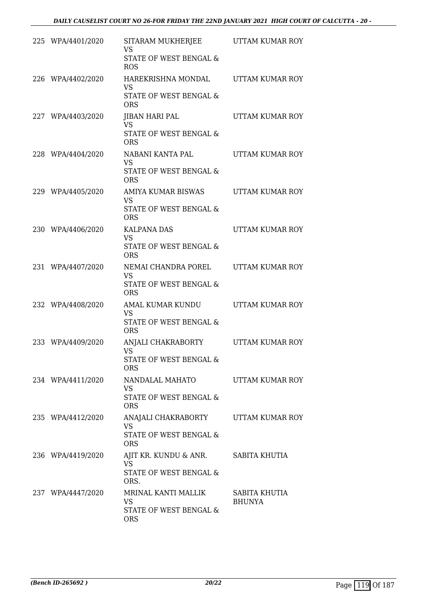| 225 WPA/4401/2020 | SITARAM MUKHERJEE<br><b>VS</b><br>STATE OF WEST BENGAL &<br><b>ROS</b>           | UTTAM KUMAR ROY                |
|-------------------|----------------------------------------------------------------------------------|--------------------------------|
| 226 WPA/4402/2020 | HAREKRISHNA MONDAL<br><b>VS</b><br>STATE OF WEST BENGAL &<br><b>ORS</b>          | UTTAM KUMAR ROY                |
| 227 WPA/4403/2020 | <b>JIBAN HARI PAL</b><br><b>VS</b><br>STATE OF WEST BENGAL &<br><b>ORS</b>       | UTTAM KUMAR ROY                |
| 228 WPA/4404/2020 | NABANI KANTA PAL<br><b>VS</b><br><b>STATE OF WEST BENGAL &amp;</b><br><b>ORS</b> | UTTAM KUMAR ROY                |
| 229 WPA/4405/2020 | AMIYA KUMAR BISWAS<br><b>VS</b><br>STATE OF WEST BENGAL &<br><b>ORS</b>          | UTTAM KUMAR ROY                |
| 230 WPA/4406/2020 | <b>KALPANA DAS</b><br><b>VS</b><br>STATE OF WEST BENGAL &<br><b>ORS</b>          | UTTAM KUMAR ROY                |
| 231 WPA/4407/2020 | NEMAI CHANDRA POREL<br><b>VS</b><br>STATE OF WEST BENGAL &<br><b>ORS</b>         | UTTAM KUMAR ROY                |
| 232 WPA/4408/2020 | AMAL KUMAR KUNDU<br><b>VS</b><br><b>STATE OF WEST BENGAL &amp;</b><br><b>ORS</b> | UTTAM KUMAR ROY                |
| 233 WPA/4409/2020 | ANJALI CHAKRABORTY<br><b>VS</b><br>STATE OF WEST BENGAL &<br><b>ORS</b>          | UTTAM KUMAR ROY                |
| 234 WPA/4411/2020 | NANDALAL MAHATO<br><b>VS</b><br>STATE OF WEST BENGAL &<br><b>ORS</b>             | UTTAM KUMAR ROY                |
| 235 WPA/4412/2020 | ANAJALI CHAKRABORTY<br><b>VS</b><br>STATE OF WEST BENGAL &<br><b>ORS</b>         | UTTAM KUMAR ROY                |
| 236 WPA/4419/2020 | AJIT KR. KUNDU & ANR.<br><b>VS</b><br>STATE OF WEST BENGAL &<br>ORS.             | SABITA KHUTIA                  |
| 237 WPA/4447/2020 | MRINAL KANTI MALLIK<br>VS<br>STATE OF WEST BENGAL &<br><b>ORS</b>                | SABITA KHUTIA<br><b>BHUNYA</b> |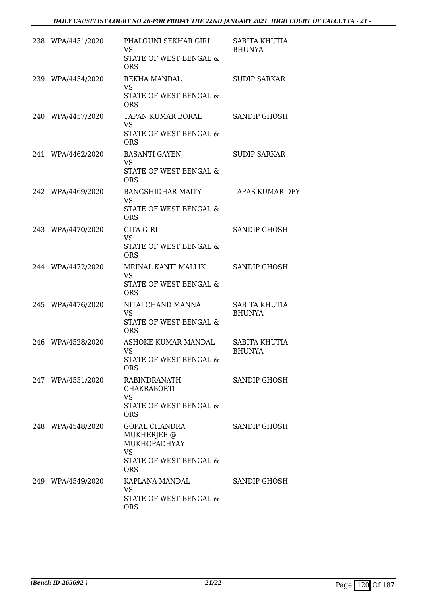| 238 WPA/4451/2020 | PHALGUNI SEKHAR GIRI<br><b>VS</b><br>STATE OF WEST BENGAL &<br><b>ORS</b>                                | SABITA KHUTIA<br><b>BHUNYA</b> |
|-------------------|----------------------------------------------------------------------------------------------------------|--------------------------------|
| 239 WPA/4454/2020 | REKHA MANDAL<br><b>VS</b><br>STATE OF WEST BENGAL &<br><b>ORS</b>                                        | <b>SUDIP SARKAR</b>            |
| 240 WPA/4457/2020 | TAPAN KUMAR BORAL<br>VS.<br><b>STATE OF WEST BENGAL &amp;</b><br><b>ORS</b>                              | <b>SANDIP GHOSH</b>            |
| 241 WPA/4462/2020 | <b>BASANTI GAYEN</b><br><b>VS</b><br>STATE OF WEST BENGAL &<br><b>ORS</b>                                | <b>SUDIP SARKAR</b>            |
| 242 WPA/4469/2020 | <b>BANGSHIDHAR MAITY</b><br><b>VS</b><br>STATE OF WEST BENGAL &<br><b>ORS</b>                            | <b>TAPAS KUMAR DEY</b>         |
| 243 WPA/4470/2020 | <b>GITA GIRI</b><br><b>VS</b><br>STATE OF WEST BENGAL &<br><b>ORS</b>                                    | <b>SANDIP GHOSH</b>            |
| 244 WPA/4472/2020 | MRINAL KANTI MALLIK<br><b>VS</b><br>STATE OF WEST BENGAL &<br><b>ORS</b>                                 | <b>SANDIP GHOSH</b>            |
| 245 WPA/4476/2020 | NITAI CHAND MANNA<br><b>VS</b><br>STATE OF WEST BENGAL &<br><b>ORS</b>                                   | SABITA KHUTIA<br><b>BHUNYA</b> |
| 246 WPA/4528/2020 | ASHOKE KUMAR MANDAL<br><b>VS</b><br>STATE OF WEST BENGAL &<br><b>ORS</b>                                 | SABITA KHUTIA<br><b>BHUNYA</b> |
| 247 WPA/4531/2020 | RABINDRANATH<br>CHAKRABORTI<br>VS.<br>STATE OF WEST BENGAL &<br><b>ORS</b>                               | SANDIP GHOSH                   |
| 248 WPA/4548/2020 | GOPAL CHANDRA<br><b>MUKHERJEE</b> @<br>MUKHOPADHYAY<br><b>VS</b><br>STATE OF WEST BENGAL &<br><b>ORS</b> | <b>SANDIP GHOSH</b>            |
| 249 WPA/4549/2020 | KAPLANA MANDAL<br><b>VS</b><br>STATE OF WEST BENGAL &<br><b>ORS</b>                                      | SANDIP GHOSH                   |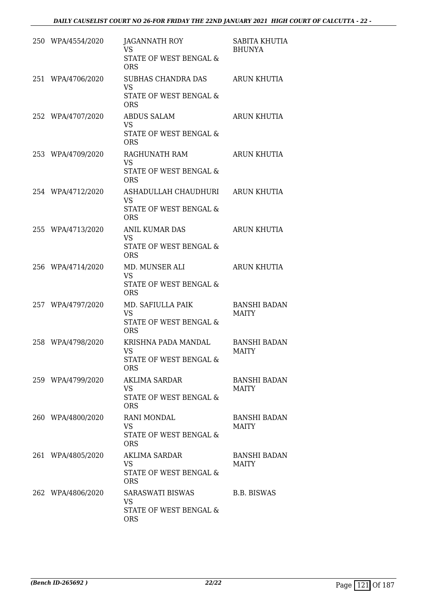| 250 WPA/4554/2020 | JAGANNATH ROY<br><b>VS</b><br><b>STATE OF WEST BENGAL &amp;</b><br><b>ORS</b> | SABITA KHUTIA<br><b>BHUNYA</b>      |
|-------------------|-------------------------------------------------------------------------------|-------------------------------------|
| 251 WPA/4706/2020 | SUBHAS CHANDRA DAS<br><b>VS</b><br>STATE OF WEST BENGAL &<br><b>ORS</b>       | ARUN KHUTIA                         |
| 252 WPA/4707/2020 | <b>ABDUS SALAM</b><br><b>VS</b><br>STATE OF WEST BENGAL &<br><b>ORS</b>       | ARUN KHUTIA                         |
| 253 WPA/4709/2020 | RAGHUNATH RAM<br>VS<br>STATE OF WEST BENGAL &<br><b>ORS</b>                   | <b>ARUN KHUTIA</b>                  |
| 254 WPA/4712/2020 | ASHADULLAH CHAUDHURI<br><b>VS</b><br>STATE OF WEST BENGAL &<br><b>ORS</b>     | ARUN KHUTIA                         |
| 255 WPA/4713/2020 | ANIL KUMAR DAS<br>VS<br>STATE OF WEST BENGAL &<br><b>ORS</b>                  | ARUN KHUTIA                         |
| 256 WPA/4714/2020 | MD. MUNSER ALI<br><b>VS</b><br>STATE OF WEST BENGAL &<br><b>ORS</b>           | <b>ARUN KHUTIA</b>                  |
| 257 WPA/4797/2020 | MD. SAFIULLA PAIK<br>VS<br>STATE OF WEST BENGAL &<br><b>ORS</b>               | <b>BANSHI BADAN</b><br><b>MAITY</b> |
| 258 WPA/4798/2020 | KRISHNA PADA MANDAL<br>VS<br>STATE OF WEST BENGAL &<br><b>ORS</b>             | <b>BANSHI BADAN</b><br><b>MAITY</b> |
| 259 WPA/4799/2020 | AKLIMA SARDAR<br>VS<br>STATE OF WEST BENGAL &<br><b>ORS</b>                   | <b>BANSHI BADAN</b><br><b>MAITY</b> |
| 260 WPA/4800/2020 | <b>RANI MONDAL</b><br>VS.<br>STATE OF WEST BENGAL &<br><b>ORS</b>             | <b>BANSHI BADAN</b><br><b>MAITY</b> |
| 261 WPA/4805/2020 | AKLIMA SARDAR<br>VS.<br>STATE OF WEST BENGAL &<br><b>ORS</b>                  | <b>BANSHI BADAN</b><br><b>MAITY</b> |
| 262 WPA/4806/2020 | SARASWATI BISWAS<br>VS<br>STATE OF WEST BENGAL &<br><b>ORS</b>                | B.B. BISWAS                         |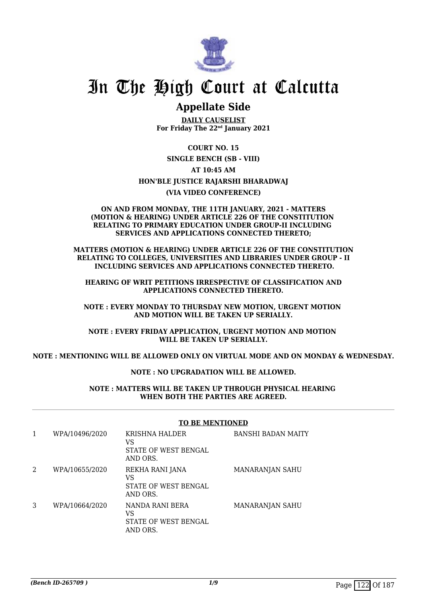

### **Appellate Side**

**DAILY CAUSELIST For Friday The 22nd January 2021**

**COURT NO. 15**

**SINGLE BENCH (SB - VIII)**

**AT 10:45 AM**

#### **HON'BLE JUSTICE RAJARSHI BHARADWAJ**

**(VIA VIDEO CONFERENCE)**

#### **ON AND FROM MONDAY, THE 11TH JANUARY, 2021 - MATTERS (MOTION & HEARING) UNDER ARTICLE 226 OF THE CONSTITUTION RELATING TO PRIMARY EDUCATION UNDER GROUP-II INCLUDING SERVICES AND APPLICATIONS CONNECTED THERETO;**

**MATTERS (MOTION & HEARING) UNDER ARTICLE 226 OF THE CONSTITUTION RELATING TO COLLEGES, UNIVERSITIES AND LIBRARIES UNDER GROUP - II INCLUDING SERVICES AND APPLICATIONS CONNECTED THERETO.**

 **HEARING OF WRIT PETITIONS IRRESPECTIVE OF CLASSIFICATION AND APPLICATIONS CONNECTED THERETO.**

**NOTE : EVERY MONDAY TO THURSDAY NEW MOTION, URGENT MOTION AND MOTION WILL BE TAKEN UP SERIALLY.**

**NOTE : EVERY FRIDAY APPLICATION, URGENT MOTION AND MOTION WILL BE TAKEN UP SERIALLY.**

**NOTE : MENTIONING WILL BE ALLOWED ONLY ON VIRTUAL MODE AND ON MONDAY & WEDNESDAY.**

#### **NOTE : NO UPGRADATION WILL BE ALLOWED.**

**NOTE : MATTERS WILL BE TAKEN UP THROUGH PHYSICAL HEARING WHEN BOTH THE PARTIES ARE AGREED.**

#### **TO BE MENTIONED**

| 1 | WPA/10496/2020 | <b>KRISHNA HALDER</b><br>VS<br>STATE OF WEST BENGAL<br>AND ORS. | <b>BANSHI BADAN MAITY</b> |
|---|----------------|-----------------------------------------------------------------|---------------------------|
| 2 | WPA/10655/2020 | REKHA RANI JANA<br>VS<br>STATE OF WEST BENGAL<br>AND ORS.       | MANARANJAN SAHU           |
| 3 | WPA/10664/2020 | NANDA RANI BERA<br>VS<br>STATE OF WEST BENGAL<br>AND ORS.       | <b>MANARANJAN SAHU</b>    |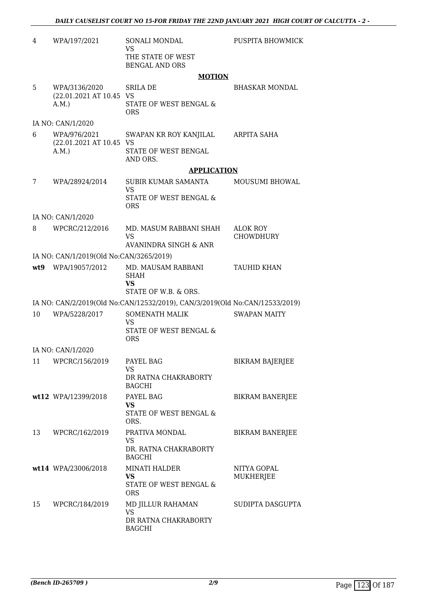| 4  | WPA/197/2021                            | SONALI MONDAL<br><b>VS</b>                                                  | PUSPITA BHOWMICK             |
|----|-----------------------------------------|-----------------------------------------------------------------------------|------------------------------|
|    |                                         | THE STATE OF WEST<br><b>BENGAL AND ORS</b>                                  |                              |
|    |                                         | <b>MOTION</b>                                                               |                              |
| 5  | WPA/3136/2020                           | SRILA DE                                                                    | <b>BHASKAR MONDAL</b>        |
|    | (22.01.2021 AT 10.45 VS<br>A.M.         | STATE OF WEST BENGAL &<br><b>ORS</b>                                        |                              |
|    | IA NO: CAN/1/2020                       |                                                                             |                              |
| 6  | WPA/976/2021<br>(22.01.2021 AT 10.45 VS | SWAPAN KR ROY KANJILAL                                                      | ARPITA SAHA                  |
|    | A.M.                                    | STATE OF WEST BENGAL<br>AND ORS.                                            |                              |
|    |                                         | <b>APPLICATION</b>                                                          |                              |
| 7  | WPA/28924/2014                          | SUBIR KUMAR SAMANTA<br><b>VS</b>                                            | <b>MOUSUMI BHOWAL</b>        |
|    |                                         | STATE OF WEST BENGAL &<br><b>ORS</b>                                        |                              |
|    | IA NO: CAN/1/2020                       |                                                                             |                              |
| 8  | WPCRC/212/2016                          | MD. MASUM RABBANI SHAH<br><b>VS</b>                                         | ALOK ROY<br><b>CHOWDHURY</b> |
|    |                                         | AVANINDRA SINGH & ANR                                                       |                              |
|    | IA NO: CAN/1/2019(Old No:CAN/3265/2019) |                                                                             |                              |
|    | wt9 WPA/19057/2012                      | MD. MAUSAM RABBANI<br><b>SHAH</b><br><b>VS</b>                              | <b>TAUHID KHAN</b>           |
|    |                                         | STATE OF W.B. & ORS.                                                        |                              |
|    |                                         | IA NO: CAN/2/2019(Old No:CAN/12532/2019), CAN/3/2019(Old No:CAN/12533/2019) |                              |
| 10 | WPA/5228/2017                           | SOMENATH MALIK<br><b>VS</b>                                                 | <b>SWAPAN MAITY</b>          |
|    |                                         | STATE OF WEST BENGAL &<br><b>ORS</b>                                        |                              |
|    | IA NO: CAN/1/2020                       |                                                                             |                              |
| 11 | WPCRC/156/2019                          | PAYEL BAG<br>VS.                                                            | <b>BIKRAM BAJERJEE</b>       |
|    |                                         | DR RATNA CHAKRABORTY<br><b>BAGCHI</b>                                       |                              |
|    | wt12 WPA/12399/2018                     | PAYEL BAG                                                                   | <b>BIKRAM BANERJEE</b>       |
|    |                                         | <b>VS</b><br>STATE OF WEST BENGAL &<br>ORS.                                 |                              |
| 13 | WPCRC/162/2019                          | PRATIVA MONDAL<br><b>VS</b>                                                 | <b>BIKRAM BANERJEE</b>       |
|    |                                         | DR. RATNA CHAKRABORTY<br><b>BAGCHI</b>                                      |                              |
|    | wt14 WPA/23006/2018                     | <b>MINATI HALDER</b><br><b>VS</b>                                           | NITYA GOPAL<br>MUKHERJEE     |
|    |                                         | STATE OF WEST BENGAL &<br><b>ORS</b>                                        |                              |
| 15 | WPCRC/184/2019                          | MD JILLUR RAHAMAN<br><b>VS</b>                                              | SUDIPTA DASGUPTA             |
|    |                                         | DR RATNA CHAKRABORTY<br><b>BAGCHI</b>                                       |                              |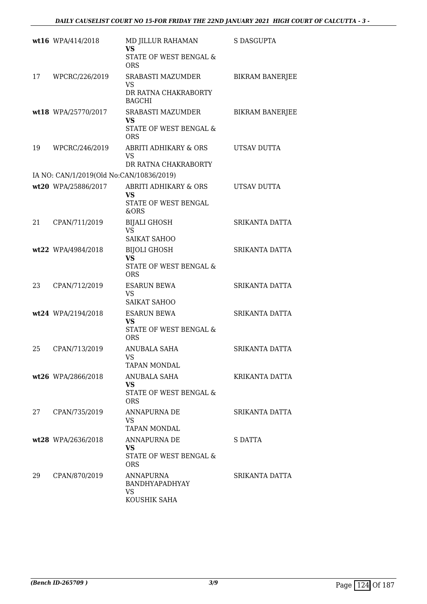|    | wt16 WPA/414/2018                        | MD JILLUR RAHAMAN<br><b>VS</b><br>STATE OF WEST BENGAL &<br><b>ORS</b>   | S DASGUPTA             |
|----|------------------------------------------|--------------------------------------------------------------------------|------------------------|
| 17 | WPCRC/226/2019                           | SRABASTI MAZUMDER<br>VS<br>DR RATNA CHAKRABORTY<br><b>BAGCHI</b>         | <b>BIKRAM BANERJEE</b> |
|    | wt18 WPA/25770/2017                      | SRABASTI MAZUMDER<br><b>VS</b><br>STATE OF WEST BENGAL &<br><b>ORS</b>   | <b>BIKRAM BANERJEE</b> |
| 19 | WPCRC/246/2019                           | ABRITI ADHIKARY & ORS<br><b>VS</b><br>DR RATNA CHAKRABORTY               | UTSAV DUTTA            |
|    | IA NO: CAN/1/2019(Old No:CAN/10836/2019) |                                                                          |                        |
|    | wt20 WPA/25886/2017                      | ABRITI ADHIKARY & ORS<br><b>VS</b><br>STATE OF WEST BENGAL<br>&ORS       | UTSAV DUTTA            |
| 21 | CPAN/711/2019                            | <b>BIJALI GHOSH</b><br><b>VS</b><br><b>SAIKAT SAHOO</b>                  | SRIKANTA DATTA         |
|    | wt22 WPA/4984/2018                       | <b>BIJOLI GHOSH</b><br><b>VS</b><br>STATE OF WEST BENGAL &<br><b>ORS</b> | <b>SRIKANTA DATTA</b>  |
| 23 | CPAN/712/2019                            | <b>ESARUN BEWA</b><br>VS<br>SAIKAT SAHOO                                 | SRIKANTA DATTA         |
|    | wt24 WPA/2194/2018                       | <b>ESARUN BEWA</b><br>VS<br>STATE OF WEST BENGAL &<br><b>ORS</b>         | SRIKANTA DATTA         |
| 25 | CPAN/713/2019                            | ANUBALA SAHA<br>VS<br><b>TAPAN MONDAL</b>                                | SRIKANTA DATTA         |
|    | wt26 WPA/2866/2018                       | ANUBALA SAHA<br>VS.<br><b>STATE OF WEST BENGAL &amp;</b><br><b>ORS</b>   | KRIKANTA DATTA         |
| 27 | CPAN/735/2019                            | ANNAPURNA DE<br><b>VS</b><br><b>TAPAN MONDAL</b>                         | SRIKANTA DATTA         |
|    | wt28 WPA/2636/2018                       | ANNAPURNA DE<br>VS.<br>STATE OF WEST BENGAL &<br>ORS                     | S DATTA                |
| 29 | CPAN/870/2019                            | ANNAPURNA<br>BANDHYAPADHYAY<br><b>VS</b><br>KOUSHIK SAHA                 | SRIKANTA DATTA         |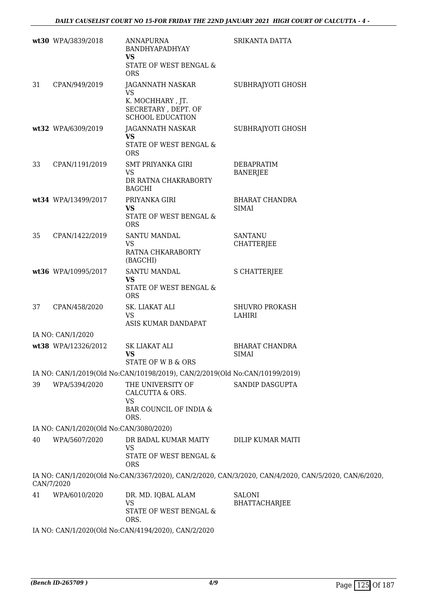|    | wt30 WPA/3839/2018                      | ANNAPURNA<br>BANDHYAPADHYAY<br><b>VS</b>                                            | SRIKANTA DATTA                                                                                       |
|----|-----------------------------------------|-------------------------------------------------------------------------------------|------------------------------------------------------------------------------------------------------|
|    |                                         | STATE OF WEST BENGAL &<br><b>ORS</b>                                                |                                                                                                      |
| 31 | CPAN/949/2019                           | JAGANNATH NASKAR<br><b>VS</b>                                                       | SUBHRAJYOTI GHOSH                                                                                    |
|    |                                         | K. MOCHHARY, JT.<br>SECRETARY, DEPT. OF<br><b>SCHOOL EDUCATION</b>                  |                                                                                                      |
|    | wt32 WPA/6309/2019                      | JAGANNATH NASKAR<br>VS<br>STATE OF WEST BENGAL &<br><b>ORS</b>                      | SUBHRAJYOTI GHOSH                                                                                    |
| 33 | CPAN/1191/2019                          | <b>SMT PRIYANKA GIRI</b><br><b>VS</b><br>DR RATNA CHAKRABORTY<br><b>BAGCHI</b>      | <b>DEBAPRATIM</b><br><b>BANERJEE</b>                                                                 |
|    | wt34 WPA/13499/2017                     | PRIYANKA GIRI<br><b>VS</b><br>STATE OF WEST BENGAL &<br><b>ORS</b>                  | <b>BHARAT CHANDRA</b><br><b>SIMAI</b>                                                                |
| 35 | CPAN/1422/2019                          | SANTU MANDAL<br><b>VS</b><br>RATNA CHKARABORTY<br>(BAGCHI)                          | <b>SANTANU</b><br><b>CHATTERJEE</b>                                                                  |
|    | wt36 WPA/10995/2017                     | <b>SANTU MANDAL</b><br><b>VS</b><br>STATE OF WEST BENGAL &<br><b>ORS</b>            | <b>S CHATTERJEE</b>                                                                                  |
| 37 | CPAN/458/2020                           | SK. LIAKAT ALI<br><b>VS</b><br>ASIS KUMAR DANDAPAT                                  | <b>SHUVRO PROKASH</b><br>LAHIRI                                                                      |
|    | IA NO: CAN/1/2020                       |                                                                                     |                                                                                                      |
|    | wt38 WPA/12326/2012                     | SK LIAKAT ALI<br>VS.<br>STATE OF W B & ORS                                          | <b>BHARAT CHANDRA</b><br>SIMAI                                                                       |
|    |                                         | IA NO: CAN/1/2019(Old No:CAN/10198/2019), CAN/2/2019(Old No:CAN/10199/2019)         |                                                                                                      |
| 39 | WPA/5394/2020                           | THE UNIVERSITY OF<br>CALCUTTA & ORS.<br><b>VS</b><br>BAR COUNCIL OF INDIA &<br>ORS. | SANDIP DASGUPTA                                                                                      |
|    | IA NO: CAN/1/2020(Old No:CAN/3080/2020) |                                                                                     |                                                                                                      |
| 40 | WPA/5607/2020                           | DR BADAL KUMAR MAITY<br><b>VS</b><br>STATE OF WEST BENGAL &<br><b>ORS</b>           | DILIP KUMAR MAITI                                                                                    |
|    | CAN/7/2020                              |                                                                                     | IA NO: CAN/1/2020(Old No:CAN/3367/2020), CAN/2/2020, CAN/3/2020, CAN/4/2020, CAN/5/2020, CAN/6/2020, |
| 41 | WPA/6010/2020                           | DR. MD. IQBAL ALAM<br><b>VS</b><br>STATE OF WEST BENGAL &<br>ORS.                   | <b>SALONI</b><br><b>BHATTACHARJEE</b>                                                                |

IA NO: CAN/1/2020(Old No:CAN/4194/2020), CAN/2/2020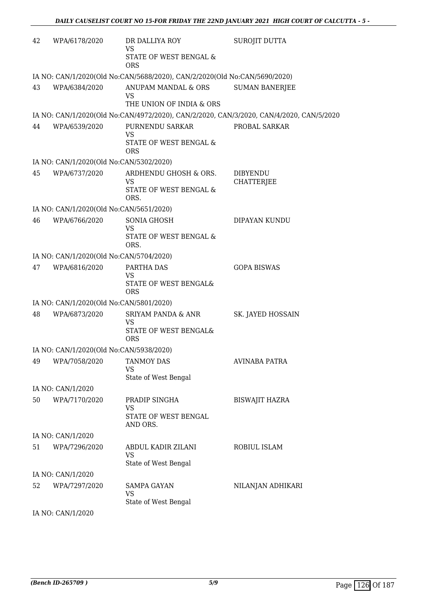| 42 | WPA/6178/2020                           | DR DALLIYA ROY<br><b>VS</b>                                                       | SUROJIT DUTTA                                                                           |
|----|-----------------------------------------|-----------------------------------------------------------------------------------|-----------------------------------------------------------------------------------------|
|    |                                         | STATE OF WEST BENGAL &<br><b>ORS</b>                                              |                                                                                         |
|    |                                         | IA NO: CAN/1/2020(Old No:CAN/5688/2020), CAN/2/2020(Old No:CAN/5690/2020)         |                                                                                         |
| 43 | WPA/6384/2020                           | ANUPAM MANDAL & ORS<br><b>VS</b>                                                  | <b>SUMAN BANERJEE</b>                                                                   |
|    |                                         | THE UNION OF INDIA & ORS                                                          | IA NO: CAN/1/2020(Old No:CAN/4972/2020), CAN/2/2020, CAN/3/2020, CAN/4/2020, CAN/5/2020 |
| 44 | WPA/6539/2020                           | PURNENDU SARKAR                                                                   | PROBAL SARKAR                                                                           |
|    |                                         | <b>VS</b>                                                                         |                                                                                         |
|    |                                         | STATE OF WEST BENGAL &<br><b>ORS</b>                                              |                                                                                         |
|    | IA NO: CAN/1/2020(Old No:CAN/5302/2020) |                                                                                   |                                                                                         |
| 45 | WPA/6737/2020                           | ARDHENDU GHOSH & ORS.<br><b>VS</b><br>STATE OF WEST BENGAL &<br>ORS.              | <b>DIBYENDU</b><br><b>CHATTERJEE</b>                                                    |
|    | IA NO: CAN/1/2020(Old No:CAN/5651/2020) |                                                                                   |                                                                                         |
| 46 | WPA/6766/2020                           | <b>SONIA GHOSH</b><br><b>VS</b><br>STATE OF WEST BENGAL &<br>ORS.                 | DIPAYAN KUNDU                                                                           |
|    | IA NO: CAN/1/2020(Old No:CAN/5704/2020) |                                                                                   |                                                                                         |
| 47 | WPA/6816/2020                           | PARTHA DAS                                                                        | <b>GOPA BISWAS</b>                                                                      |
|    |                                         | <b>VS</b><br>STATE OF WEST BENGAL&<br><b>ORS</b>                                  |                                                                                         |
|    | IA NO: CAN/1/2020(Old No:CAN/5801/2020) |                                                                                   |                                                                                         |
| 48 | WPA/6873/2020                           | <b>SRIYAM PANDA &amp; ANR</b><br><b>VS</b><br>STATE OF WEST BENGAL&<br><b>ORS</b> | SK. JAYED HOSSAIN                                                                       |
|    | IA NO: CAN/1/2020(Old No:CAN/5938/2020) |                                                                                   |                                                                                         |
| 49 | WPA/7058/2020                           | <b>TANMOY DAS</b><br><b>VS</b><br>State of West Bengal                            | <b>AVINABA PATRA</b>                                                                    |
|    | IA NO: CAN/1/2020                       |                                                                                   |                                                                                         |
| 50 | WPA/7170/2020                           | PRADIP SINGHA                                                                     | <b>BISWAJIT HAZRA</b>                                                                   |
|    |                                         | <b>VS</b><br>STATE OF WEST BENGAL<br>AND ORS.                                     |                                                                                         |
|    | IA NO: CAN/1/2020                       |                                                                                   |                                                                                         |
| 51 | WPA/7296/2020                           | ABDUL KADIR ZILANI<br><b>VS</b>                                                   | ROBIUL ISLAM                                                                            |
|    |                                         | State of West Bengal                                                              |                                                                                         |
|    | IA NO: CAN/1/2020                       |                                                                                   |                                                                                         |
| 52 | WPA/7297/2020                           | SAMPA GAYAN<br><b>VS</b><br>State of West Bengal                                  | NILANJAN ADHIKARI                                                                       |
|    | IA NO: CAN/1/2020                       |                                                                                   |                                                                                         |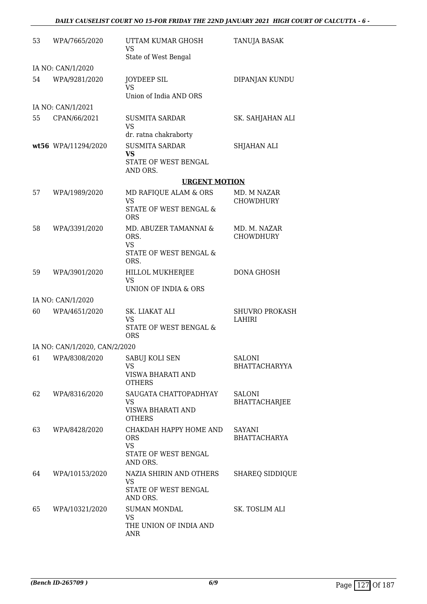| 53 | WPA/7665/2020                 | UTTAM KUMAR GHOSH<br>VS<br>State of West Bengal                                       | TANUJA BASAK                           |
|----|-------------------------------|---------------------------------------------------------------------------------------|----------------------------------------|
|    | IA NO: CAN/1/2020             |                                                                                       |                                        |
| 54 | WPA/9281/2020                 | <b>JOYDEEP SIL</b><br>VS<br>Union of India AND ORS                                    | DIPANJAN KUNDU                         |
|    | IA NO: CAN/1/2021             |                                                                                       |                                        |
| 55 | CPAN/66/2021                  | <b>SUSMITA SARDAR</b><br><b>VS</b>                                                    | SK. SAHJAHAN ALI                       |
|    | wt56 WPA/11294/2020           | dr. ratna chakraborty<br><b>SUSMITA SARDAR</b>                                        | <b>SHJAHAN ALI</b>                     |
|    |                               | <b>VS</b><br>STATE OF WEST BENGAL<br>AND ORS.                                         |                                        |
|    |                               | <b>URGENT MOTION</b>                                                                  |                                        |
| 57 | WPA/1989/2020                 | MD RAFIQUE ALAM & ORS                                                                 | MD. M NAZAR                            |
|    |                               | <b>VS</b><br>STATE OF WEST BENGAL &<br><b>ORS</b>                                     | <b>CHOWDHURY</b>                       |
| 58 | WPA/3391/2020                 | MD. ABUZER TAMANNAI &<br>ORS.<br><b>VS</b><br>STATE OF WEST BENGAL &                  | MD. M. NAZAR<br><b>CHOWDHURY</b>       |
|    |                               | ORS.                                                                                  |                                        |
| 59 | WPA/3901/2020                 | HILLOL MUKHERJEE<br><b>VS</b><br>UNION OF INDIA & ORS                                 | <b>DONA GHOSH</b>                      |
|    | IA NO: CAN/1/2020             |                                                                                       |                                        |
| 60 | WPA/4651/2020                 | SK. LIAKAT ALI<br><b>VS</b><br>STATE OF WEST BENGAL &<br><b>ORS</b>                   | <b>SHUVRO PROKASH</b><br><b>LAHIRI</b> |
|    | IA NO: CAN/1/2020, CAN/2/2020 |                                                                                       |                                        |
| 61 | WPA/8308/2020                 | SABUJ KOLI SEN<br>VS<br>VISWA BHARATI AND<br><b>OTHERS</b>                            | <b>SALONI</b><br><b>BHATTACHARYYA</b>  |
| 62 | WPA/8316/2020                 | SAUGATA CHATTOPADHYAY<br><b>VS</b><br>VISWA BHARATI AND                               | <b>SALONI</b><br><b>BHATTACHARJEE</b>  |
|    |                               | <b>OTHERS</b>                                                                         |                                        |
| 63 | WPA/8428/2020                 | CHAKDAH HAPPY HOME AND<br><b>ORS</b><br><b>VS</b><br>STATE OF WEST BENGAL<br>AND ORS. | <b>SAYANI</b><br><b>BHATTACHARYA</b>   |
| 64 | WPA/10153/2020                | NAZIA SHIRIN AND OTHERS<br>VS<br>STATE OF WEST BENGAL<br>AND ORS.                     | <b>SHAREQ SIDDIQUE</b>                 |
| 65 | WPA/10321/2020                | <b>SUMAN MONDAL</b><br><b>VS</b><br>THE UNION OF INDIA AND<br>ANR                     | SK. TOSLIM ALI                         |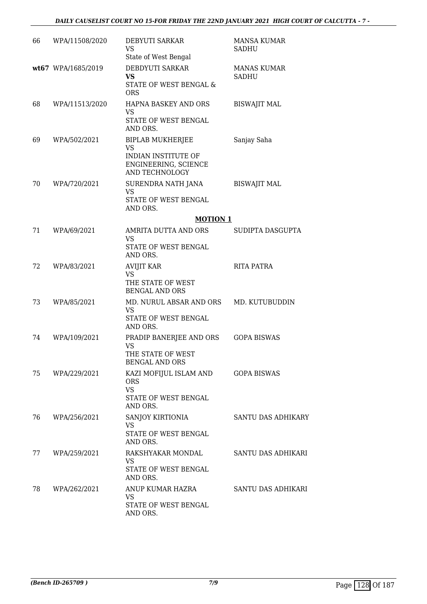| 66 | WPA/11508/2020     | DEBYUTI SARKAR<br><b>VS</b><br>State of West Bengal                                                          | <b>MANSA KUMAR</b><br>SADHU |
|----|--------------------|--------------------------------------------------------------------------------------------------------------|-----------------------------|
|    | wt67 WPA/1685/2019 | DEBDYUTI SARKAR<br><b>VS</b><br><b>STATE OF WEST BENGAL &amp;</b><br><b>ORS</b>                              | <b>MANAS KUMAR</b><br>SADHU |
| 68 | WPA/11513/2020     | HAPNA BASKEY AND ORS<br><b>VS</b><br>STATE OF WEST BENGAL<br>AND ORS.                                        | <b>BISWAJIT MAL</b>         |
| 69 | WPA/502/2021       | <b>BIPLAB MUKHERJEE</b><br><b>VS</b><br>INDIAN INSTITUTE OF<br>ENGINEERING, SCIENCE<br><b>AND TECHNOLOGY</b> | Sanjay Saha                 |
| 70 | WPA/720/2021       | SURENDRA NATH JANA<br><b>VS</b><br>STATE OF WEST BENGAL<br>AND ORS.                                          | <b>BISWAJIT MAL</b>         |
|    |                    | <b>MOTION 1</b>                                                                                              |                             |
| 71 | WPA/69/2021        | AMRITA DUTTA AND ORS<br><b>VS</b><br>STATE OF WEST BENGAL                                                    | SUDIPTA DASGUPTA            |
| 72 | WPA/83/2021        | AND ORS.<br><b>AVIJIT KAR</b><br><b>VS</b><br>THE STATE OF WEST                                              | <b>RITA PATRA</b>           |
| 73 | WPA/85/2021        | <b>BENGAL AND ORS</b><br>MD. NURUL ABSAR AND ORS<br><b>VS</b><br>STATE OF WEST BENGAL<br>AND ORS.            | MD. KUTUBUDDIN              |
| 74 | WPA/109/2021       | PRADIP BANERJEE AND ORS<br><b>VS</b><br>THE STATE OF WEST<br><b>BENGAL AND ORS</b>                           | <b>GOPA BISWAS</b>          |
| 75 | WPA/229/2021       | KAZI MOFIJUL ISLAM AND<br><b>ORS</b><br><b>VS</b><br>STATE OF WEST BENGAL<br>AND ORS.                        | <b>GOPA BISWAS</b>          |
| 76 | WPA/256/2021       | SANJOY KIRTIONIA<br><b>VS</b><br>STATE OF WEST BENGAL<br>AND ORS.                                            | SANTU DAS ADHIKARY          |
| 77 | WPA/259/2021       | RAKSHYAKAR MONDAL<br><b>VS</b><br>STATE OF WEST BENGAL<br>AND ORS.                                           | SANTU DAS ADHIKARI          |
| 78 | WPA/262/2021       | ANUP KUMAR HAZRA<br><b>VS</b><br>STATE OF WEST BENGAL<br>AND ORS.                                            | SANTU DAS ADHIKARI          |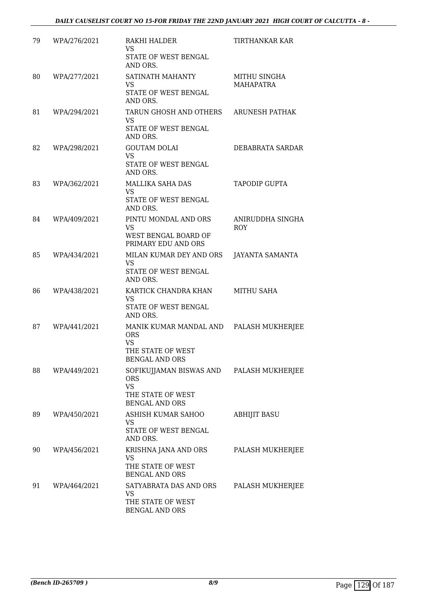| 79 | WPA/276/2021 | RAKHI HALDER<br>VS<br>STATE OF WEST BENGAL<br>AND ORS.                                           | TIRTHANKAR KAR                   |
|----|--------------|--------------------------------------------------------------------------------------------------|----------------------------------|
| 80 | WPA/277/2021 | SATINATH MAHANTY<br><b>VS</b><br>STATE OF WEST BENGAL<br>AND ORS.                                | MITHU SINGHA<br><b>MAHAPATRA</b> |
| 81 | WPA/294/2021 | TARUN GHOSH AND OTHERS<br><b>VS</b><br>STATE OF WEST BENGAL<br>AND ORS.                          | ARUNESH PATHAK                   |
| 82 | WPA/298/2021 | <b>GOUTAM DOLAI</b><br><b>VS</b><br>STATE OF WEST BENGAL<br>AND ORS.                             | DEBABRATA SARDAR                 |
| 83 | WPA/362/2021 | <b>MALLIKA SAHA DAS</b><br><b>VS</b><br>STATE OF WEST BENGAL<br>AND ORS.                         | <b>TAPODIP GUPTA</b>             |
| 84 | WPA/409/2021 | PINTU MONDAL AND ORS<br><b>VS</b><br>WEST BENGAL BOARD OF<br>PRIMARY EDU AND ORS                 | ANIRUDDHA SINGHA<br><b>ROY</b>   |
| 85 | WPA/434/2021 | MILAN KUMAR DEY AND ORS<br><b>VS</b><br>STATE OF WEST BENGAL<br>AND ORS.                         | <b>JAYANTA SAMANTA</b>           |
| 86 | WPA/438/2021 | KARTICK CHANDRA KHAN<br><b>VS</b><br>STATE OF WEST BENGAL<br>AND ORS.                            | MITHU SAHA                       |
| 87 | WPA/441/2021 | MANIK KUMAR MANDAL AND<br><b>ORS</b><br><b>VS</b><br>THE STATE OF WEST<br><b>BENGAL AND ORS</b>  | PALASH MUKHERJEE                 |
| 88 | WPA/449/2021 | SOFIKUJJAMAN BISWAS AND<br><b>ORS</b><br><b>VS</b><br>THE STATE OF WEST<br><b>BENGAL AND ORS</b> | PALASH MUKHERJEE                 |
| 89 | WPA/450/2021 | ASHISH KUMAR SAHOO<br><b>VS</b><br>STATE OF WEST BENGAL<br>AND ORS.                              | <b>ABHIJIT BASU</b>              |
| 90 | WPA/456/2021 | KRISHNA JANA AND ORS<br><b>VS</b><br>THE STATE OF WEST<br><b>BENGAL AND ORS</b>                  | PALASH MUKHERJEE                 |
| 91 | WPA/464/2021 | SATYABRATA DAS AND ORS<br>VS<br>THE STATE OF WEST<br><b>BENGAL AND ORS</b>                       | PALASH MUKHERJEE                 |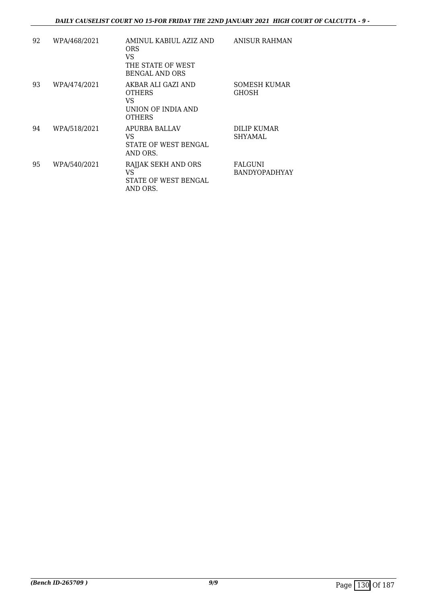| 92 | WPA/468/2021 | AMINUL KABIUL AZIZ AND<br><b>ORS</b><br>VS<br>THE STATE OF WEST<br><b>BENGAL AND ORS</b> | ANISUR RAHMAN                          |
|----|--------------|------------------------------------------------------------------------------------------|----------------------------------------|
| 93 | WPA/474/2021 | AKBAR ALI GAZI AND<br>OTHERS<br>VS<br>UNION OF INDIA AND<br><b>OTHERS</b>                | SOMESH KUMAR<br><b>GHOSH</b>           |
| 94 | WPA/518/2021 | APURBA BALLAV<br>VS<br>STATE OF WEST BENGAL<br>AND ORS.                                  | DILIP KUMAR<br><b>SHYAMAL</b>          |
| 95 | WPA/540/2021 | RAJJAK SEKH AND ORS<br>VS<br>STATE OF WEST BENGAL<br>AND ORS.                            | <b>FALGUNI</b><br><b>BANDYOPADHYAY</b> |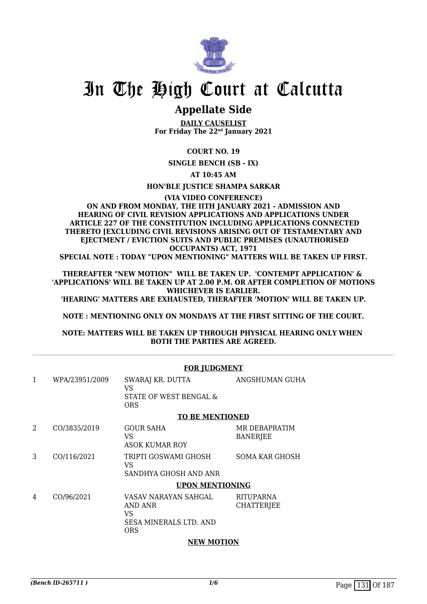

### **Appellate Side**

**DAILY CAUSELIST For Friday The 22nd January 2021**

#### **COURT NO. 19**

**SINGLE BENCH (SB - IX)**

**AT 10:45 AM**

#### **HON'BLE JUSTICE SHAMPA SARKAR**

#### **(VIA VIDEO CONFERENCE) ON AND FROM MONDAY, THE IITH JANUARY 2021 - ADMISSION AND HEARING OF CIVIL REVISION APPLICATIONS AND APPLICATIONS UNDER ARTICLE 227 OF THE CONSTITUTION INCLUDING APPLICATIONS CONNECTED THERETO [EXCLUDING CIVIL REVISIONS ARISING OUT OF TESTAMENTARY AND EJECTMENT / EVICTION SUITS AND PUBLIC PREMISES (UNAUTHORISED OCCUPANTS) ACT, 1971**

**SPECIAL NOTE : TODAY "UPON MENTIONING" MATTERS WILL BE TAKEN UP FIRST.**

**THEREAFTER "NEW MOTION" WILL BE TAKEN UP. 'CONTEMPT APPLICATION' & 'APPLICATIONS' WILL BE TAKEN UP AT 2.00 P.M. OR AFTER COMPLETION OF MOTIONS WHICHEVER IS EARLIER.** 

**'HEARING' MATTERS ARE EXHAUSTED, THERAFTER 'MOTION' WILL BE TAKEN UP.**

**NOTE : MENTIONING ONLY ON MONDAYS AT THE FIRST SITTING OF THE COURT.**

#### **NOTE: MATTERS WILL BE TAKEN UP THROUGH PHYSICAL HEARING ONLY WHEN BOTH THE PARTIES ARE AGREED.**

|              | <b>FOR JUDGMENT</b> |                                                                                      |                                       |  |
|--------------|---------------------|--------------------------------------------------------------------------------------|---------------------------------------|--|
| $\mathbf{1}$ | WPA/23951/2009      | SWARAJ KR. DUTTA<br>VS<br>STATE OF WEST BENGAL &<br><b>ORS</b>                       | ANGSHUMAN GUHA                        |  |
|              |                     | <b>TO BE MENTIONED</b>                                                               |                                       |  |
| 2            | CO/3835/2019        | <b>GOUR SAHA</b><br>VS<br>ASOK KUMAR ROY                                             | MR DEBAPRATIM<br><b>BANERJEE</b>      |  |
| 3            | CO/116/2021         | TRIPTI GOSWAMI GHOSH<br>VS<br>SANDHYA GHOSH AND ANR                                  | <b>SOMA KAR GHOSH</b>                 |  |
|              |                     | <b>UPON MENTIONING</b>                                                               |                                       |  |
| 4            | CO/96/2021          | VASAV NARAYAN SAHGAL<br>AND ANR<br>VS<br><b>SESA MINERALS LTD. AND</b><br><b>ORS</b> | <b>RITUPARNA</b><br><b>CHATTERJEE</b> |  |

#### **NEW MOTION**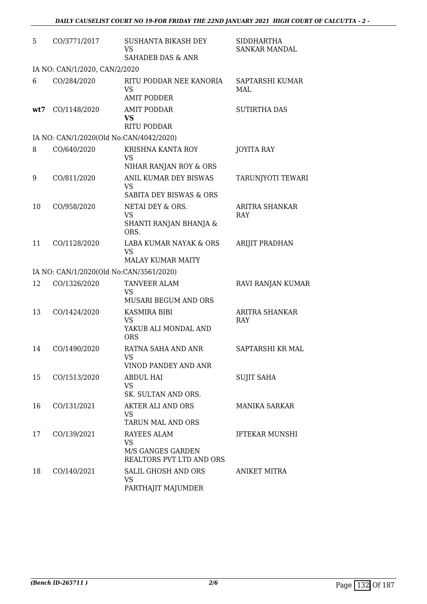| 5   | CO/3771/2017                            | SUSHANTA BIKASH DEY<br><b>VS</b><br><b>SAHADEB DAS &amp; ANR</b> | <b>SIDDHARTHA</b><br><b>SANKAR MANDAL</b> |
|-----|-----------------------------------------|------------------------------------------------------------------|-------------------------------------------|
|     | IA NO: CAN/1/2020, CAN/2/2020           |                                                                  |                                           |
| 6   | CO/284/2020                             | RITU PODDAR NEE KANORIA<br>VS                                    | SAPTARSHI KUMAR<br>MAL                    |
| wt7 | CO/1148/2020                            | <b>AMIT PODDER</b><br><b>AMIT PODDAR</b><br>VS                   | <b>SUTIRTHA DAS</b>                       |
|     |                                         | <b>RITU PODDAR</b>                                               |                                           |
|     | IA NO: CAN/1/2020(Old No:CAN/4042/2020) |                                                                  |                                           |
| 8   | CO/640/2020                             | KRISHNA KANTA ROY<br><b>VS</b><br>NIHAR RANJAN ROY & ORS         | <b>JOYITA RAY</b>                         |
| 9   | CO/811/2020                             | ANIL KUMAR DEY BISWAS<br><b>VS</b>                               | TARUNJYOTI TEWARI                         |
|     |                                         | SABITA DEY BISWAS & ORS                                          |                                           |
| 10  | CO/958/2020                             | NETAI DEY & ORS.<br><b>VS</b>                                    | ARITRA SHANKAR<br><b>RAY</b>              |
|     |                                         | SHANTI RANJAN BHANJA &<br>ORS.                                   |                                           |
| 11  | CO/1128/2020                            | LABA KUMAR NAYAK & ORS<br>VS                                     | ARIJIT PRADHAN                            |
|     |                                         | <b>MALAY KUMAR MAITY</b>                                         |                                           |
|     | IA NO: CAN/1/2020(Old No:CAN/3561/2020) |                                                                  |                                           |
| 12  | CO/1326/2020                            | <b>TANVEER ALAM</b><br><b>VS</b>                                 | RAVI RANJAN KUMAR                         |
| 13  | CO/1424/2020                            | <b>MUSARI BEGUM AND ORS</b><br><b>KASMIRA BIBI</b>               | <b>ARITRA SHANKAR</b>                     |
|     |                                         | <b>VS</b><br>YAKUB ALI MONDAL AND                                | RAY                                       |
|     |                                         | <b>ORS</b>                                                       |                                           |
| 14  | CO/1490/2020                            | RATNA SAHA AND ANR<br>VS                                         | SAPTARSHI KR MAL                          |
|     |                                         | VINOD PANDEY AND ANR                                             |                                           |
| 15  | CO/1513/2020                            | ABDUL HAI<br><b>VS</b><br>SK. SULTAN AND ORS.                    | <b>SUJIT SAHA</b>                         |
| 16  | CO/131/2021                             | <b>AKTER ALI AND ORS</b><br>VS                                   | <b>MANIKA SARKAR</b>                      |
|     |                                         | TARUN MAL AND ORS                                                |                                           |
| 17  | CO/139/2021                             | RAYEES ALAM<br><b>VS</b>                                         | <b>IFTEKAR MUNSHI</b>                     |
|     |                                         | M/S GANGES GARDEN<br>REALTORS PVT LTD AND ORS                    |                                           |
| 18  | CO/140/2021                             | SALIL GHOSH AND ORS<br><b>VS</b><br>PARTHAJIT MAJUMDER           | ANIKET MITRA                              |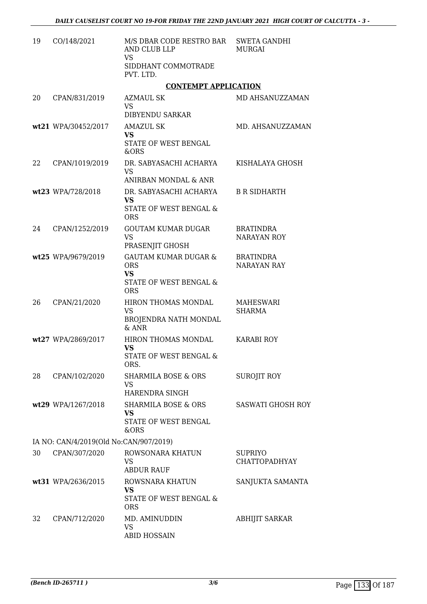| 19 | CO/148/2021                            | M/S DBAR CODE RESTRO BAR<br>AND CLUB LLP<br><b>VS</b><br>SIDDHANT COMMOTRADE<br>PVT. LTD.          | <b>SWETA GANDHI</b><br><b>MURGAI</b>   |
|----|----------------------------------------|----------------------------------------------------------------------------------------------------|----------------------------------------|
|    |                                        | <b>CONTEMPT APPLICATION</b>                                                                        |                                        |
| 20 | CPAN/831/2019                          | <b>AZMAUL SK</b><br><b>VS</b><br><b>DIBYENDU SARKAR</b>                                            | MD AHSANUZZAMAN                        |
|    | wt21 WPA/30452/2017                    | <b>AMAZUL SK</b><br><b>VS</b><br>STATE OF WEST BENGAL<br>&ORS                                      | MD. AHSANUZZAMAN                       |
| 22 | CPAN/1019/2019                         | DR. SABYASACHI ACHARYA<br><b>VS</b><br>ANIRBAN MONDAL & ANR                                        | KISHALAYA GHOSH                        |
|    | wt23 WPA/728/2018                      | DR. SABYASACHI ACHARYA<br><b>VS</b><br><b>STATE OF WEST BENGAL &amp;</b><br><b>ORS</b>             | <b>B R SIDHARTH</b>                    |
| 24 | CPAN/1252/2019                         | <b>GOUTAM KUMAR DUGAR</b><br><b>VS</b><br>PRASENJIT GHOSH                                          | <b>BRATINDRA</b><br>NARAYAN ROY        |
|    | wt25 WPA/9679/2019                     | <b>GAUTAM KUMAR DUGAR &amp;</b><br><b>ORS</b><br><b>VS</b><br>STATE OF WEST BENGAL &<br><b>ORS</b> | <b>BRATINDRA</b><br><b>NARAYAN RAY</b> |
| 26 | CPAN/21/2020                           | HIRON THOMAS MONDAL<br><b>VS</b><br>BROJENDRA NATH MONDAL<br>& ANR                                 | MAHESWARI<br><b>SHARMA</b>             |
|    | wt27 WPA/2869/2017                     | HIRON THOMAS MONDAL<br><b>VS</b><br>STATE OF WEST BENGAL &<br>ORS.                                 | <b>KARABI ROY</b>                      |
| 28 | CPAN/102/2020                          | <b>SHARMILA BOSE &amp; ORS</b><br>VS<br>HARENDRA SINGH                                             | SUROJIT ROY                            |
|    | wt29 WPA/1267/2018                     | <b>SHARMILA BOSE &amp; ORS</b><br><b>VS</b><br>STATE OF WEST BENGAL<br>&ORS                        | <b>SASWATI GHOSH ROY</b>               |
|    | IA NO: CAN/4/2019(Old No:CAN/907/2019) |                                                                                                    |                                        |
| 30 | CPAN/307/2020                          | ROWSONARA KHATUN<br>VS<br><b>ABDUR RAUF</b>                                                        | <b>SUPRIYO</b><br><b>CHATTOPADHYAY</b> |
|    | wt31 WPA/2636/2015                     | ROWSNARA KHATUN<br><b>VS</b><br>STATE OF WEST BENGAL &<br><b>ORS</b>                               | SANJUKTA SAMANTA                       |
| 32 | CPAN/712/2020                          | MD. AMINUDDIN<br><b>VS</b><br><b>ABID HOSSAIN</b>                                                  | <b>ABHIJIT SARKAR</b>                  |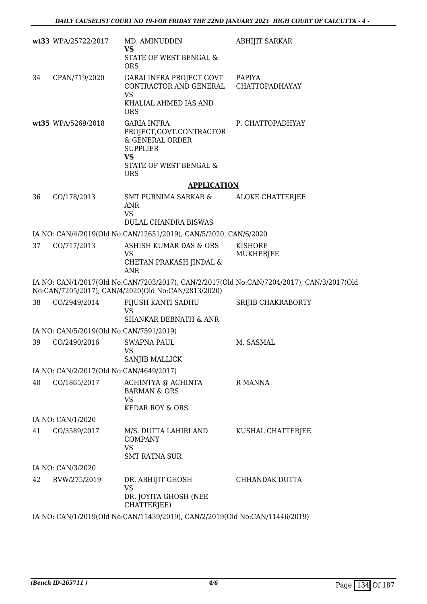|    | wt33 WPA/25722/2017                     | MD. AMINUDDIN<br><b>VS</b><br>STATE OF WEST BENGAL &                                                                                      | <b>ABHIJIT SARKAR</b>                                                                     |
|----|-----------------------------------------|-------------------------------------------------------------------------------------------------------------------------------------------|-------------------------------------------------------------------------------------------|
| 34 | CPAN/719/2020                           | <b>ORS</b><br>GARAI INFRA PROJECT GOVT<br>CONTRACTOR AND GENERAL<br><b>VS</b>                                                             | <b>PAPIYA</b><br>CHATTOPADHAYAY                                                           |
|    |                                         | KHALIAL AHMED IAS AND<br><b>ORS</b>                                                                                                       |                                                                                           |
|    | wt35 WPA/5269/2018                      | <b>GARIA INFRA</b><br>PROJECT, GOVT.CONTRACTOR<br>& GENERAL ORDER<br><b>SUPPLIER</b><br><b>VS</b><br>STATE OF WEST BENGAL &<br><b>ORS</b> | P. CHATTOPADHYAY                                                                          |
|    |                                         | <b>APPLICATION</b>                                                                                                                        |                                                                                           |
| 36 | CO/178/2013                             | SMT PURNIMA SARKAR &<br><b>ANR</b><br><b>VS</b>                                                                                           | <b>ALOKE CHATTERJEE</b>                                                                   |
|    |                                         | <b>DULAL CHANDRA BISWAS</b>                                                                                                               |                                                                                           |
|    |                                         | IA NO: CAN/4/2019(Old No:CAN/12651/2019), CAN/5/2020, CAN/6/2020                                                                          |                                                                                           |
| 37 | CO/717/2013                             | ASHISH KUMAR DAS & ORS<br><b>VS</b><br>CHETAN PRAKASH JINDAL &<br><b>ANR</b>                                                              | <b>KISHORE</b><br><b>MUKHERJEE</b>                                                        |
|    |                                         | No:CAN/7205/2017), CAN/4/2020(Old No:CAN/2813/2020)                                                                                       | IA NO: CAN/1/2017(Old No:CAN/7203/2017), CAN/2/2017(Old No:CAN/7204/2017), CAN/3/2017(Old |
| 38 | CO/2949/2014                            | PIJUSH KANTI SADHU<br>VS<br><b>SHANKAR DEBNATH &amp; ANR</b>                                                                              | SRIJIB CHAKRABORTY                                                                        |
|    | IA NO: CAN/5/2019(Old No:CAN/7591/2019) |                                                                                                                                           |                                                                                           |
| 39 | CO/2490/2016                            | <b>SWAPNA PAUL</b><br><b>VS</b><br>SANJIB MALLICK                                                                                         | M. SASMAL                                                                                 |
|    | IA NO: CAN/2/2017(Old No:CAN/4649/2017) |                                                                                                                                           |                                                                                           |
| 40 | CO/1865/2017                            | ACHINTYA @ ACHINTA<br><b>BARMAN &amp; ORS</b><br><b>VS</b>                                                                                | R MANNA                                                                                   |
|    |                                         | <b>KEDAR ROY &amp; ORS</b>                                                                                                                |                                                                                           |
|    | IA NO: CAN/1/2020                       |                                                                                                                                           |                                                                                           |
| 41 | CO/3589/2017                            | M/S. DUTTA LAHIRI AND<br><b>COMPANY</b><br><b>VS</b>                                                                                      | KUSHAL CHATTERJEE                                                                         |
|    |                                         | <b>SMT RATNA SUR</b>                                                                                                                      |                                                                                           |
| 42 | IA NO: CAN/3/2020<br>RVW/275/2019       | DR. ABHIJIT GHOSH                                                                                                                         | CHHANDAK DUTTA                                                                            |
|    |                                         | <b>VS</b><br>DR. JOYITA GHOSH (NEE<br>CHATTERJEE)                                                                                         |                                                                                           |
|    |                                         | IA NO: CAN/1/2019(Old No:CAN/11439/2019), CAN/2/2019(Old No:CAN/11446/2019)                                                               |                                                                                           |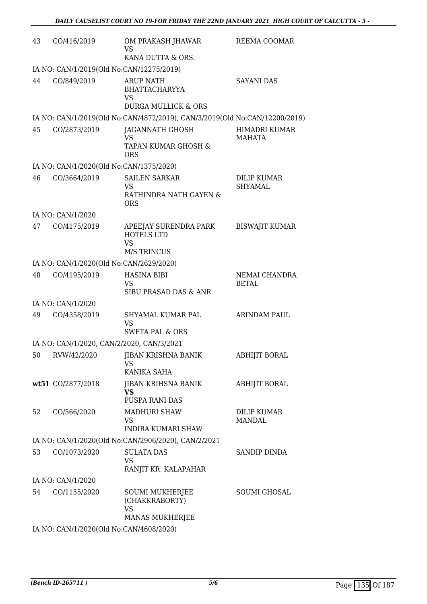| 43 | CO/416/2019                               | OM PRAKASH JHAWAR<br>VS<br>KANA DUTTA & ORS.                                            | REEMA COOMAR                         |
|----|-------------------------------------------|-----------------------------------------------------------------------------------------|--------------------------------------|
|    | IA NO: CAN/1/2019(Old No:CAN/12275/2019)  |                                                                                         |                                      |
| 44 | CO/849/2019                               | <b>ARUP NATH</b><br><b>BHATTACHARYYA</b><br><b>VS</b><br><b>DURGA MULLICK &amp; ORS</b> | <b>SAYANI DAS</b>                    |
|    |                                           | IA NO: CAN/1/2019(Old No:CAN/4872/2019), CAN/3/2019(Old No:CAN/12200/2019)              |                                      |
| 45 | CO/2873/2019                              | JAGANNATH GHOSH<br>VS<br>TAPAN KUMAR GHOSH &                                            | <b>HIMADRI KUMAR</b><br>MAHATA       |
|    | IA NO: CAN/1/2020(Old No:CAN/1375/2020)   | <b>ORS</b>                                                                              |                                      |
| 46 | CO/3664/2019                              | <b>SAILEN SARKAR</b><br><b>VS</b><br>RATHINDRA NATH GAYEN &<br><b>ORS</b>               | <b>DILIP KUMAR</b><br><b>SHYAMAL</b> |
|    | IA NO: CAN/1/2020                         |                                                                                         |                                      |
| 47 | CO/4175/2019                              | APEEJAY SURENDRA PARK<br><b>HOTELS LTD</b><br><b>VS</b><br><b>M/S TRINCUS</b>           | <b>BISWAJIT KUMAR</b>                |
|    | IA NO: CAN/1/2020(Old No:CAN/2629/2020)   |                                                                                         |                                      |
| 48 | CO/4195/2019                              | <b>HASINA BIBI</b><br><b>VS</b><br>SIBU PRASAD DAS & ANR                                | NEMAI CHANDRA<br><b>BETAL</b>        |
|    | IA NO: CAN/1/2020                         |                                                                                         |                                      |
| 49 | CO/4358/2019                              | SHYAMAL KUMAR PAL<br><b>VS</b><br><b>SWETA PAL &amp; ORS</b>                            | ARINDAM PAUL                         |
|    | IA NO: CAN/1/2020, CAN/2/2020, CAN/3/2021 |                                                                                         |                                      |
| 50 | RVW/42/2020                               | JIBAN KRISHNA BANIK<br>VS.<br>KANIKA SAHA                                               | ABHIJIT BORAL                        |
|    | wt51 CO/2877/2018                         | JIBAN KRIHSNA BANIK<br>VS.<br>PUSPA RANI DAS                                            | <b>ABHIJIT BORAL</b>                 |
| 52 | CO/566/2020                               | <b>MADHURI SHAW</b><br>VS.<br><b>INDIRA KUMARI SHAW</b>                                 | <b>DILIP KUMAR</b><br><b>MANDAL</b>  |
|    |                                           | IA NO: CAN/1/2020(Old No:CAN/2906/2020), CAN/2/2021                                     |                                      |
| 53 | CO/1073/2020                              | <b>SULATA DAS</b><br><b>VS</b><br>RANJIT KR. KALAPAHAR                                  | SANDIP DINDA                         |
|    | IA NO: CAN/1/2020                         |                                                                                         |                                      |
| 54 | CO/1155/2020                              | <b>SOUMI MUKHERJEE</b><br>(CHAKKRABORTY)<br><b>VS</b><br><b>MANAS MUKHERJEE</b>         | SOUMI GHOSAL                         |
|    | IA NO. CANILIZOZOCO No CANILOR 20020      |                                                                                         |                                      |

IA NO: CAN/1/2020(Old No:CAN/4608/2020)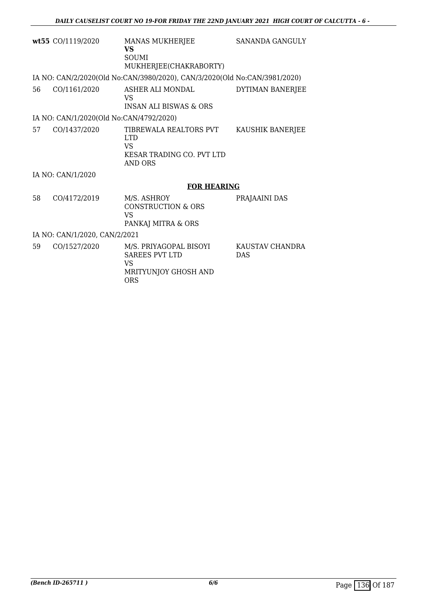|                               | wt55 CO/1119/2020                       | <b>MANAS MUKHERJEE</b><br><b>VS</b><br>SOUMI<br>MUKHERJEE(CHAKRABORTY)                    | <b>SANANDA GANGULY</b>        |  |
|-------------------------------|-----------------------------------------|-------------------------------------------------------------------------------------------|-------------------------------|--|
|                               |                                         | IA NO: CAN/2/2020(Old No:CAN/3980/2020), CAN/3/2020(Old No:CAN/3981/2020)                 |                               |  |
| 56                            | CO/1161/2020                            | ASHER ALI MONDAL<br>VS<br><b>INSAN ALI BISWAS &amp; ORS</b>                               | DYTIMAN BANERJEE              |  |
|                               | IA NO: CAN/1/2020(Old No:CAN/4792/2020) |                                                                                           |                               |  |
| 57                            | CO/1437/2020                            | TIBREWALA REALTORS PVT<br><b>LTD</b><br>VS<br>KESAR TRADING CO. PVT LTD<br><b>AND ORS</b> | KAUSHIK BANERJEE              |  |
|                               | IA NO: CAN/1/2020                       |                                                                                           |                               |  |
|                               |                                         | <b>FOR HEARING</b>                                                                        |                               |  |
| 58                            | CO/4172/2019                            | M/S. ASHROY<br>CONSTRUCTION & ORS<br><b>VS</b><br>PANKAJ MITRA & ORS                      | PRAJAAINI DAS                 |  |
| IA NO: CAN/1/2020, CAN/2/2021 |                                         |                                                                                           |                               |  |
| 59                            | CO/1527/2020                            | M/S. PRIYAGOPAL BISOYI<br><b>SAREES PVT LTD</b><br>VS<br>MRITYUNJOY GHOSH AND             | KAUSTAV CHANDRA<br><b>DAS</b> |  |

ORS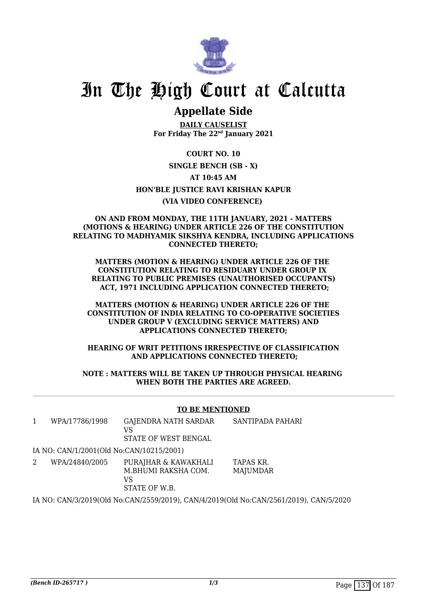

### **Appellate Side**

**DAILY CAUSELIST For Friday The 22nd January 2021**

**COURT NO. 10 SINGLE BENCH (SB - X) AT 10:45 AM HON'BLE JUSTICE RAVI KRISHAN KAPUR (VIA VIDEO CONFERENCE)** 

#### **ON AND FROM MONDAY, THE 11TH JANUARY, 2021 - MATTERS (MOTIONS & HEARING) UNDER ARTICLE 226 OF THE CONSTITUTION RELATING TO MADHYAMIK SIKSHYA KENDRA, INCLUDING APPLICATIONS CONNECTED THERETO;**

**MATTERS (MOTION & HEARING) UNDER ARTICLE 226 OF THE CONSTITUTION RELATING TO RESIDUARY UNDER GROUP IX RELATING TO PUBLIC PREMISES (UNAUTHORISED OCCUPANTS) ACT, 1971 INCLUDING APPLICATION CONNECTED THERETO;**

**MATTERS (MOTION & HEARING) UNDER ARTICLE 226 OF THE CONSTITUTION OF INDIA RELATING TO CO-OPERATIVE SOCIETIES UNDER GROUP V (EXCLUDING SERVICE MATTERS) AND APPLICATIONS CONNECTED THERETO;**

**HEARING OF WRIT PETITIONS IRRESPECTIVE OF CLASSIFICATION AND APPLICATIONS CONNECTED THERETO;**

**NOTE : MATTERS WILL BE TAKEN UP THROUGH PHYSICAL HEARING WHEN BOTH THE PARTIES ARE AGREED.**

#### **TO BE MENTIONED**

1 WPA/17786/1998 GAJENDRA NATH SARDAR  $V<sup>2</sup>$ STATE OF WEST BENGAL SANTIPADA PAHARI

IA NO: CAN/1/2001(Old No:CAN/10215/2001)

2 WPA/24840/2005 PURAJHAR & KAWAKHALI M.BHUMI RAKSHA COM. VS STATE OF W.B. TAPAS KR. **MAJUMDAR** 

IA NO: CAN/3/2019(Old No:CAN/2559/2019), CAN/4/2019(Old No:CAN/2561/2019), CAN/5/2020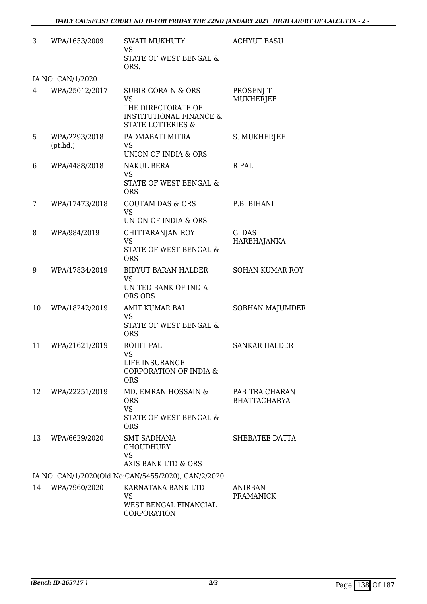| 3  | WPA/1653/2009             | <b>SWATI MUKHUTY</b><br><b>VS</b>                                                                                                      | <b>ACHYUT BASU</b>                    |
|----|---------------------------|----------------------------------------------------------------------------------------------------------------------------------------|---------------------------------------|
|    |                           | STATE OF WEST BENGAL &<br>ORS.                                                                                                         |                                       |
|    | IA NO: CAN/1/2020         |                                                                                                                                        |                                       |
| 4  | WPA/25012/2017            | <b>SUBIR GORAIN &amp; ORS</b><br><b>VS</b><br>THE DIRECTORATE OF<br><b>INSTITUTIONAL FINANCE &amp;</b><br><b>STATE LOTTERIES &amp;</b> | PROSENJIT<br><b>MUKHERJEE</b>         |
| 5  | WPA/2293/2018<br>(pt.hd.) | PADMABATI MITRA<br><b>VS</b><br>UNION OF INDIA & ORS                                                                                   | S. MUKHERJEE                          |
| 6  | WPA/4488/2018             | <b>NAKUL BERA</b><br><b>VS</b><br>STATE OF WEST BENGAL &<br><b>ORS</b>                                                                 | R PAL                                 |
| 7  | WPA/17473/2018            | <b>GOUTAM DAS &amp; ORS</b><br><b>VS</b><br>UNION OF INDIA & ORS                                                                       | P.B. BIHANI                           |
| 8  | WPA/984/2019              | CHITTARANJAN ROY<br><b>VS</b><br>STATE OF WEST BENGAL &<br><b>ORS</b>                                                                  | G. DAS<br><b>HARBHAJANKA</b>          |
| 9  | WPA/17834/2019            | <b>BIDYUT BARAN HALDER</b><br><b>VS</b><br>UNITED BANK OF INDIA<br>ORS ORS                                                             | <b>SOHAN KUMAR ROY</b>                |
| 10 | WPA/18242/2019            | AMIT KUMAR BAL<br><b>VS</b><br>STATE OF WEST BENGAL &<br><b>ORS</b>                                                                    | SOBHAN MAJUMDER                       |
| 11 | WPA/21621/2019            | <b>ROHIT PAL</b><br>VS<br>LIFE INSURANCE<br><b>CORPORATION OF INDIA &amp;</b><br><b>ORS</b>                                            | <b>SANKAR HALDER</b>                  |
| 12 | WPA/22251/2019            | MD. EMRAN HOSSAIN &<br><b>ORS</b><br><b>VS</b><br>STATE OF WEST BENGAL &<br><b>ORS</b>                                                 | PABITRA CHARAN<br><b>BHATTACHARYA</b> |
| 13 | WPA/6629/2020             | SMT SADHANA<br><b>CHOUDHURY</b><br><b>VS</b><br>AXIS BANK LTD & ORS                                                                    | SHEBATEE DATTA                        |
|    |                           | IA NO: CAN/1/2020(Old No:CAN/5455/2020), CAN/2/2020                                                                                    |                                       |
| 14 | WPA/7960/2020             | KARNATAKA BANK LTD<br><b>VS</b><br>WEST BENGAL FINANCIAL<br>CORPORATION                                                                | <b>ANIRBAN</b><br><b>PRAMANICK</b>    |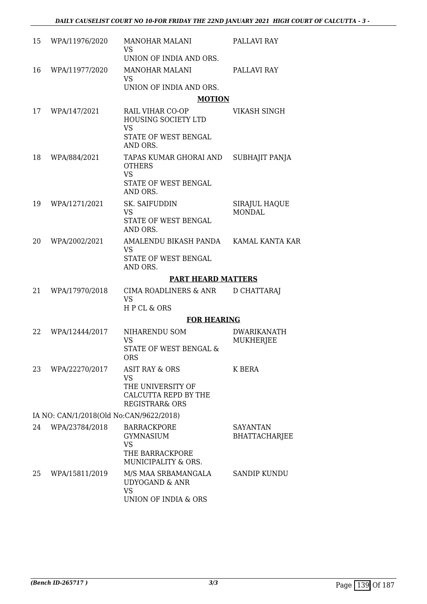| 15 | WPA/11976/2020                          | <b>MANOHAR MALANI</b><br><b>VS</b>                                                                               | PALLAVI RAY                            |
|----|-----------------------------------------|------------------------------------------------------------------------------------------------------------------|----------------------------------------|
|    |                                         | UNION OF INDIA AND ORS.                                                                                          |                                        |
| 16 | WPA/11977/2020                          | <b>MANOHAR MALANI</b><br><b>VS</b>                                                                               | PALLAVI RAY                            |
|    |                                         | UNION OF INDIA AND ORS.                                                                                          |                                        |
|    |                                         | <b>MOTION</b>                                                                                                    |                                        |
| 17 | WPA/147/2021                            | RAIL VIHAR CO-OP<br><b>HOUSING SOCIETY LTD</b><br><b>VS</b>                                                      | <b>VIKASH SINGH</b>                    |
|    |                                         | STATE OF WEST BENGAL<br>AND ORS.                                                                                 |                                        |
| 18 | WPA/884/2021                            | TAPAS KUMAR GHORAI AND<br><b>OTHERS</b><br><b>VS</b><br><b>STATE OF WEST BENGAL</b><br>AND ORS.                  | SUBHAJIT PANJA                         |
| 19 | WPA/1271/2021                           | <b>SK. SAIFUDDIN</b><br><b>VS</b><br><b>STATE OF WEST BENGAL</b><br>AND ORS.                                     | SIRAJUL HAQUE<br><b>MONDAL</b>         |
| 20 | WPA/2002/2021                           | AMALENDU BIKASH PANDA KAMAL KANTA KAR<br><b>VS</b><br>STATE OF WEST BENGAL<br>AND ORS.                           |                                        |
|    |                                         | <b>PART HEARD MATTERS</b>                                                                                        |                                        |
| 21 | WPA/17970/2018                          | CIMA ROADLINERS & ANR<br><b>VS</b><br>HPCL & ORS                                                                 | D CHATTARAJ                            |
|    |                                         | <b>FOR HEARING</b>                                                                                               |                                        |
| 22 | WPA/12444/2017                          | NIHARENDU SOM<br><b>VS</b><br>STATE OF WEST BENGAL &<br><b>ORS</b>                                               | <b>DWARIKANATH</b><br><b>MUKHERJEE</b> |
| 23 | WPA/22270/2017                          | <b>ASIT RAY &amp; ORS</b><br><b>VS</b><br>THE UNIVERSITY OF<br>CALCUTTA REPD BY THE<br><b>REGISTRAR&amp; ORS</b> | K BERA                                 |
|    | IA NO: CAN/1/2018(Old No:CAN/9622/2018) |                                                                                                                  |                                        |
| 24 | WPA/23784/2018                          | <b>BARRACKPORE</b><br><b>GYMNASIUM</b><br><b>VS</b>                                                              | SAYANTAN<br><b>BHATTACHARJEE</b>       |
|    |                                         | THE BARRACKPORE<br>MUNICIPALITY & ORS.                                                                           |                                        |
| 25 | WPA/15811/2019                          | M/S MAA SRBAMANGALA<br><b>UDYOGAND &amp; ANR</b><br><b>VS</b><br>UNION OF INDIA & ORS                            | SANDIP KUNDU                           |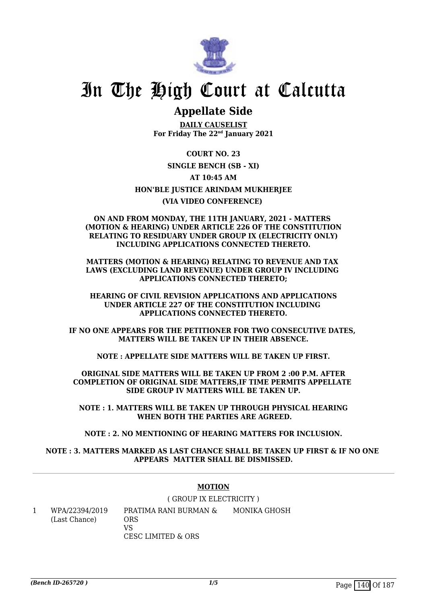

### **Appellate Side**

**DAILY CAUSELIST For Friday The 22nd January 2021**

**COURT NO. 23 SINGLE BENCH (SB - XI) AT 10:45 AM HON'BLE JUSTICE ARINDAM MUKHERJEE (VIA VIDEO CONFERENCE)** 

#### **ON AND FROM MONDAY, THE 11TH JANUARY, 2021 - MATTERS (MOTION & HEARING) UNDER ARTICLE 226 OF THE CONSTITUTION RELATING TO RESIDUARY UNDER GROUP IX (ELECTRICITY ONLY) INCLUDING APPLICATIONS CONNECTED THERETO.**

**MATTERS (MOTION & HEARING) RELATING TO REVENUE AND TAX LAWS (EXCLUDING LAND REVENUE) UNDER GROUP IV INCLUDING APPLICATIONS CONNECTED THERETO;**

**HEARING OF CIVIL REVISION APPLICATIONS AND APPLICATIONS UNDER ARTICLE 227 OF THE CONSTITUTION INCLUDING APPLICATIONS CONNECTED THERETO.**

**IF NO ONE APPEARS FOR THE PETITIONER FOR TWO CONSECUTIVE DATES, MATTERS WILL BE TAKEN UP IN THEIR ABSENCE.**

**NOTE : APPELLATE SIDE MATTERS WILL BE TAKEN UP FIRST.**

**ORIGINAL SIDE MATTERS WILL BE TAKEN UP FROM 2 :00 P.M. AFTER COMPLETION OF ORIGINAL SIDE MATTERS,IF TIME PERMITS APPELLATE SIDE GROUP IV MATTERS WILL BE TAKEN UP.**

**NOTE : 1. MATTERS WILL BE TAKEN UP THROUGH PHYSICAL HEARING WHEN BOTH THE PARTIES ARE AGREED.**

**NOTE : 2. NO MENTIONING OF HEARING MATTERS FOR INCLUSION.**

#### **NOTE : 3. MATTERS MARKED AS LAST CHANCE SHALL BE TAKEN UP FIRST & IF NO ONE APPEARS MATTER SHALL BE DISMISSED.**

#### **MOTION**

( GROUP IX ELECTRICITY ) PRATIMA RANI BURMAN &

1 WPA/22394/2019 (Last Chance) ORS VS CESC LIMITED & ORS MONIKA GHOSH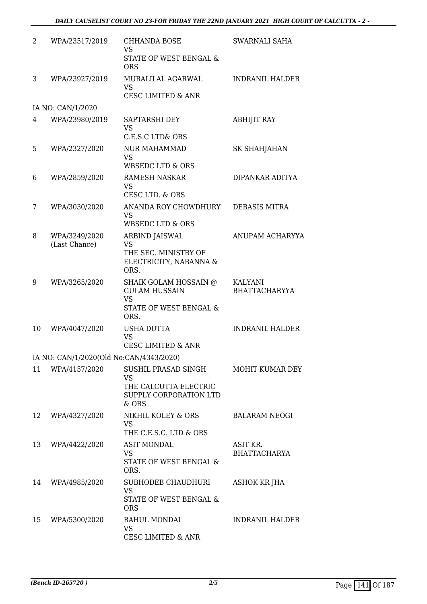| 2  | WPA/23517/2019                          | <b>CHHANDA BOSE</b>                                      | SWARNALI SAHA                          |
|----|-----------------------------------------|----------------------------------------------------------|----------------------------------------|
|    |                                         | <b>VS</b>                                                |                                        |
|    |                                         | STATE OF WEST BENGAL &<br><b>ORS</b>                     |                                        |
| 3  | WPA/23927/2019                          | MURALILAL AGARWAL                                        | <b>INDRANIL HALDER</b>                 |
|    |                                         | <b>VS</b><br><b>CESC LIMITED &amp; ANR</b>               |                                        |
|    | IA NO: CAN/1/2020                       |                                                          |                                        |
| 4  | WPA/23980/2019                          | SAPTARSHI DEY<br><b>VS</b>                               | <b>ABHIJIT RAY</b>                     |
|    |                                         | C.E.S.C LTD& ORS                                         |                                        |
| 5  | WPA/2327/2020                           | <b>NUR MAHAMMAD</b><br><b>VS</b>                         | SK SHAHJAHAN                           |
|    |                                         | <b>WBSEDC LTD &amp; ORS</b>                              |                                        |
| 6  | WPA/2859/2020                           | RAMESH NASKAR<br><b>VS</b><br>CESC LTD. & ORS            | DIPANKAR ADITYA                        |
| 7  | WPA/3030/2020                           | ANANDA ROY CHOWDHURY                                     | <b>DEBASIS MITRA</b>                   |
|    |                                         | <b>VS</b><br><b>WBSEDC LTD &amp; ORS</b>                 |                                        |
| 8  | WPA/3249/2020                           | ARBIND JAISWAL<br><b>VS</b>                              | ANUPAM ACHARYYA                        |
|    | (Last Chance)                           | THE SEC. MINISTRY OF                                     |                                        |
|    |                                         | ELECTRICITY, NABANNA &<br>ORS.                           |                                        |
| 9  | WPA/3265/2020                           | SHAIK GOLAM HOSSAIN @<br><b>GULAM HUSSAIN</b>            | KALYANI                                |
|    |                                         | <b>VS</b>                                                | <b>BHATTACHARYYA</b>                   |
|    |                                         | STATE OF WEST BENGAL &<br>ORS.                           |                                        |
| 10 | WPA/4047/2020                           | <b>USHA DUTTA</b>                                        | <b>INDRANIL HALDER</b>                 |
|    |                                         | <b>VS</b><br><b>CESC LIMITED &amp; ANR</b>               |                                        |
|    | IA NO: CAN/1/2020(Old No:CAN/4343/2020) |                                                          |                                        |
| 11 | WPA/4157/2020                           | SUSHIL PRASAD SINGH                                      | MOHIT KUMAR DEY                        |
|    |                                         | <b>VS</b>                                                |                                        |
|    |                                         | THE CALCUTTA ELECTRIC<br>SUPPLY CORPORATION LTD<br>& ORS |                                        |
| 12 | WPA/4327/2020                           | NIKHIL KOLEY & ORS                                       | <b>BALARAM NEOGI</b>                   |
|    |                                         | <b>VS</b>                                                |                                        |
|    |                                         | THE C.E.S.C. LTD & ORS                                   |                                        |
| 13 | WPA/4422/2020                           | <b>ASIT MONDAL</b><br><b>VS</b>                          | <b>ASIT KR.</b><br><b>BHATTACHARYA</b> |
|    |                                         | STATE OF WEST BENGAL &<br>ORS.                           |                                        |
| 14 | WPA/4985/2020                           | <b>SUBHODEB CHAUDHURI</b>                                | ASHOK KR JHA                           |
|    |                                         | <b>VS</b><br>STATE OF WEST BENGAL &                      |                                        |
|    |                                         | <b>ORS</b>                                               |                                        |
| 15 | WPA/5300/2020                           | RAHUL MONDAL                                             | <b>INDRANIL HALDER</b>                 |
|    |                                         | <b>VS</b><br><b>CESC LIMITED &amp; ANR</b>               |                                        |
|    |                                         |                                                          |                                        |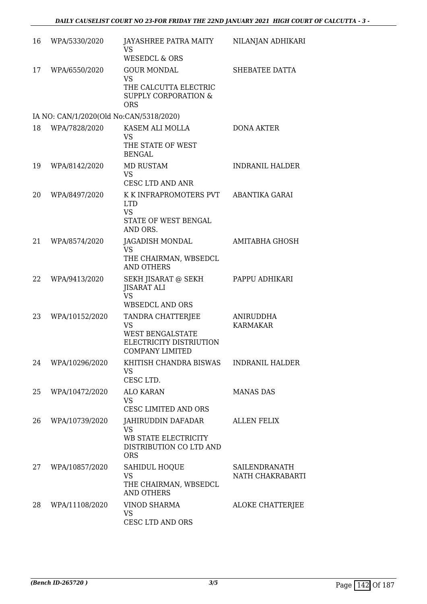| 16 | WPA/5330/2020                           | JAYASHREE PATRA MAITY<br><b>VS</b><br><b>WESEDCL &amp; ORS</b>                                            | NILANJAN ADHIKARI                 |
|----|-----------------------------------------|-----------------------------------------------------------------------------------------------------------|-----------------------------------|
| 17 | WPA/6550/2020                           | <b>GOUR MONDAL</b><br><b>VS</b><br>THE CALCUTTA ELECTRIC<br><b>SUPPLY CORPORATION &amp;</b><br><b>ORS</b> | SHEBATEE DATTA                    |
|    | IA NO: CAN/1/2020(Old No:CAN/5318/2020) |                                                                                                           |                                   |
| 18 | WPA/7828/2020                           | KASEM ALI MOLLA<br><b>VS</b><br>THE STATE OF WEST<br><b>BENGAL</b>                                        | <b>DONA AKTER</b>                 |
| 19 | WPA/8142/2020                           | <b>MD RUSTAM</b><br><b>VS</b><br><b>CESC LTD AND ANR</b>                                                  | <b>INDRANIL HALDER</b>            |
| 20 | WPA/8497/2020                           | K K INFRAPROMOTERS PVT<br><b>LTD</b><br><b>VS</b><br>STATE OF WEST BENGAL<br>AND ORS.                     | ABANTIKA GARAI                    |
| 21 | WPA/8574/2020                           | JAGADISH MONDAL<br><b>VS</b><br>THE CHAIRMAN, WBSEDCL<br><b>AND OTHERS</b>                                | <b>AMITABHA GHOSH</b>             |
| 22 | WPA/9413/2020                           | SEKH JISARAT @ SEKH<br>JISARAT ALI<br><b>VS</b><br><b>WBSEDCL AND ORS</b>                                 | PAPPU ADHIKARI                    |
| 23 | WPA/10152/2020                          | TANDRA CHATTERJEE<br><b>VS</b><br><b>WEST BENGALSTATE</b><br>ELECTRICITY DISTRIUTION<br>COMPANY LIMITED   | ANIRUDDHA<br><b>KARMAKAR</b>      |
| 24 | WPA/10296/2020                          | KHITISH CHANDRA BISWAS<br><b>VS</b><br>CESC LTD.                                                          | <b>INDRANIL HALDER</b>            |
| 25 | WPA/10472/2020                          | <b>ALO KARAN</b><br><b>VS</b><br>CESC LIMITED AND ORS                                                     | <b>MANAS DAS</b>                  |
| 26 | WPA/10739/2020                          | JAHIRUDDIN DAFADAR<br><b>VS</b><br>WB STATE ELECTRICITY<br>DISTRIBUTION CO LTD AND<br><b>ORS</b>          | <b>ALLEN FELIX</b>                |
| 27 | WPA/10857/2020                          | <b>SAHIDUL HOQUE</b><br><b>VS</b><br>THE CHAIRMAN, WBSEDCL<br><b>AND OTHERS</b>                           | SAILENDRANATH<br>NATH CHAKRABARTI |
| 28 | WPA/11108/2020                          | <b>VINOD SHARMA</b><br><b>VS</b><br>CESC LTD AND ORS                                                      | ALOKE CHATTERJEE                  |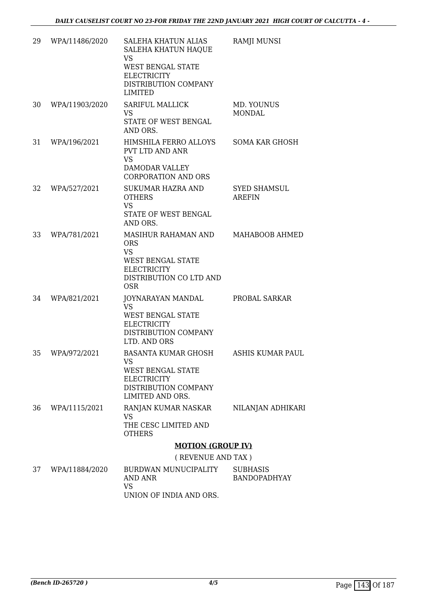| 29 | WPA/11486/2020 | <b>SALEHA KHATUN ALIAS</b><br>SALEHA KHATUN HAQUE<br><b>VS</b><br><b>WEST BENGAL STATE</b><br><b>ELECTRICITY</b><br>DISTRIBUTION COMPANY<br><b>LIMITED</b> | <b>RAMJI MUNSI</b>                     |
|----|----------------|------------------------------------------------------------------------------------------------------------------------------------------------------------|----------------------------------------|
| 30 | WPA/11903/2020 | <b>SARIFUL MALLICK</b><br><b>VS</b><br>STATE OF WEST BENGAL<br>AND ORS.                                                                                    | MD. YOUNUS<br><b>MONDAL</b>            |
| 31 | WPA/196/2021   | HIMSHILA FERRO ALLOYS<br>PVT LTD AND ANR<br><b>VS</b><br>DAMODAR VALLEY<br><b>CORPORATION AND ORS</b>                                                      | <b>SOMA KAR GHOSH</b>                  |
| 32 | WPA/527/2021   | <b>SUKUMAR HAZRA AND</b><br><b>OTHERS</b><br><b>VS</b><br>STATE OF WEST BENGAL<br>AND ORS.                                                                 | <b>SYED SHAMSUL</b><br><b>AREFIN</b>   |
| 33 | WPA/781/2021   | MASIHUR RAHAMAN AND<br><b>ORS</b><br><b>VS</b><br><b>WEST BENGAL STATE</b><br><b>ELECTRICITY</b><br>DISTRIBUTION CO LTD AND<br><b>OSR</b>                  | MAHABOOB AHMED                         |
| 34 | WPA/821/2021   | JOYNARAYAN MANDAL<br><b>VS</b><br><b>WEST BENGAL STATE</b><br><b>ELECTRICITY</b><br>DISTRIBUTION COMPANY<br>LTD. AND ORS                                   | PROBAL SARKAR                          |
| 35 | WPA/972/2021   | BASANTA KUMAR GHOSH<br>VS<br><b>WEST BENGAL STATE</b><br><b>ELECTRICITY</b><br>DISTRIBUTION COMPANY<br>LIMITED AND ORS.                                    | ASHIS KUMAR PAUL                       |
| 36 | WPA/1115/2021  | RANJAN KUMAR NASKAR<br><b>VS</b><br>THE CESC LIMITED AND<br><b>OTHERS</b>                                                                                  | NILANJAN ADHIKARI                      |
|    |                | <b>MOTION (GROUP IV)</b>                                                                                                                                   |                                        |
|    |                | (REVENUE AND TAX)                                                                                                                                          |                                        |
| 37 | WPA/11884/2020 | BURDWAN MUNUCIPALITY<br><b>AND ANR</b><br><b>VS</b>                                                                                                        | <b>SUBHASIS</b><br><b>BANDOPADHYAY</b> |

UNION OF INDIA AND ORS.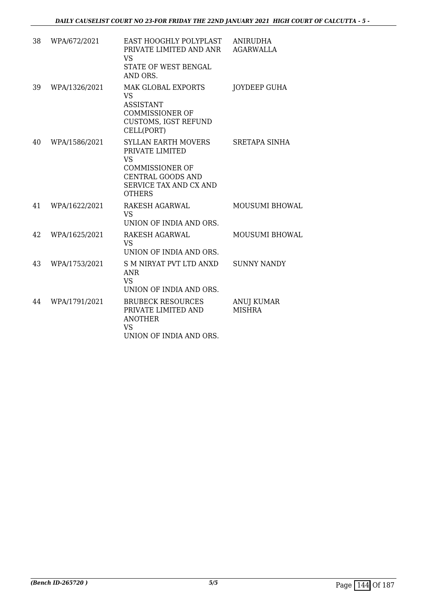| 38 | WPA/672/2021  | EAST HOOGHLY POLYPLAST<br>PRIVATE LIMITED AND ANR<br><b>VS</b><br>STATE OF WEST BENGAL<br>AND ORS.                                                   | <b>ANIRUDHA</b><br><b>AGARWALLA</b> |
|----|---------------|------------------------------------------------------------------------------------------------------------------------------------------------------|-------------------------------------|
| 39 | WPA/1326/2021 | <b>MAK GLOBAL EXPORTS</b><br><b>VS</b><br><b>ASSISTANT</b><br><b>COMMISSIONER OF</b><br><b>CUSTOMS, IGST REFUND</b><br>CELL(PORT)                    | JOYDEEP GUHA                        |
| 40 | WPA/1586/2021 | <b>SYLLAN EARTH MOVERS</b><br>PRIVATE LIMITED<br><b>VS</b><br><b>COMMISSIONER OF</b><br>CENTRAL GOODS AND<br>SERVICE TAX AND CX AND<br><b>OTHERS</b> | <b>SRETAPA SINHA</b>                |
| 41 | WPA/1622/2021 | RAKESH AGARWAL<br><b>VS</b><br>UNION OF INDIA AND ORS.                                                                                               | <b>MOUSUMI BHOWAL</b>               |
| 42 | WPA/1625/2021 | RAKESH AGARWAL<br><b>VS</b><br>UNION OF INDIA AND ORS.                                                                                               | MOUSUMI BHOWAL                      |
| 43 | WPA/1753/2021 | S M NIRYAT PVT LTD ANXD<br><b>ANR</b><br><b>VS</b><br>UNION OF INDIA AND ORS.                                                                        | <b>SUNNY NANDY</b>                  |
| 44 | WPA/1791/2021 | <b>BRUBECK RESOURCES</b><br>PRIVATE LIMITED AND<br><b>ANOTHER</b><br><b>VS</b><br>UNION OF INDIA AND ORS.                                            | <b>ANUJ KUMAR</b><br><b>MISHRA</b>  |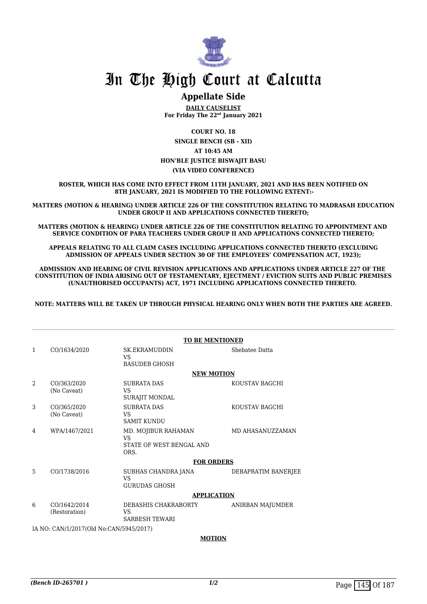

### **Appellate Side**

**DAILY CAUSELIST For Friday The 22nd January 2021**

**COURT NO. 18 SINGLE BENCH (SB - XII) AT 10:45 AM HON'BLE JUSTICE BISWAJIT BASU (VIA VIDEO CONFERENCE)**

**ROSTER, WHICH HAS COME INTO EFFECT FROM 11TH JANUARY, 2021 AND HAS BEEN NOTIFIED ON 8TH JANUARY, 2021 IS MODIFIED TO THE FOLLOWING EXTENT:-**

**MATTERS (MOTION & HEARING) UNDER ARTICLE 226 OF THE CONSTITUTION RELATING TO MADRASAH EDUCATION UNDER GROUP II AND APPLICATIONS CONNECTED THERETO;**

**MATTERS (MOTION & HEARING) UNDER ARTICLE 226 OF THE CONSTITUTION RELATING TO APPOINTMENT AND SERVICE CONDITION OF PARA TEACHERS UNDER GROUP II AND APPLICATIONS CONNECTED THERETO;**

**APPEALS RELATING TO ALL CLAIM CASES INCLUDING APPLICATIONS CONNECTED THERETO (EXCLUDING ADMISSION OF APPEALS UNDER SECTION 30 OF THE EMPLOYEES' COMPENSATION ACT, 1923);**

**ADMISSION AND HEARING OF CIVIL REVISION APPLICATIONS AND APPLICATIONS UNDER ARTICLE 227 OF THE CONSTITUTION OF INDIA ARISING OUT OF TESTAMENTARY, EJECTMENT / EVICTION SUITS AND PUBLIC PREMISES (UNAUTHORISED OCCUPANTS) ACT, 1971 INCLUDING APPLICATIONS CONNECTED THERETO.** 

**NOTE: MATTERS WILL BE TAKEN UP THROUGH PHYSICAL HEARING ONLY WHEN BOTH THE PARTIES ARE AGREED.**

|    | <b>TO BE MENTIONED</b>                  |                                                                      |                     |  |  |
|----|-----------------------------------------|----------------------------------------------------------------------|---------------------|--|--|
| 1  | CO/1634/2020                            | <b>SK.EKRAMUDDIN</b><br><b>VS</b>                                    | Shebatee Datta      |  |  |
|    |                                         | <b>BASUDEB GHOSH</b>                                                 |                     |  |  |
|    |                                         | <b>NEW MOTION</b>                                                    |                     |  |  |
| 2  | CO/363/2020<br>(No Caveat)              | <b>SUBRATA DAS</b><br><b>VS</b><br>SURAJIT MONDAL                    | KOUSTAV BAGCHI      |  |  |
| 3  | CO/365/2020<br>(No Caveat)              | <b>SUBRATA DAS</b><br>VS<br><b>SAMIT KUNDU</b>                       | KOUSTAV BAGCHI      |  |  |
| 4  | WPA/1467/2021                           | MD. MOJIBUR RAHAMAN<br><b>VS</b><br>STATE OF WEST BENGAL AND<br>ORS. | MD AHASANUZZAMAN    |  |  |
|    |                                         | <b>FOR ORDERS</b>                                                    |                     |  |  |
| 5. | CO/1738/2016                            | SUBHAS CHANDRA JANA<br><b>VS</b>                                     | DEBAPRATIM BANERJEE |  |  |
|    |                                         | <b>GURUDAS GHOSH</b>                                                 |                     |  |  |
|    |                                         | <b>APPLICATION</b>                                                   |                     |  |  |
| 6  | CO/1642/2014<br>(Restoration)           | DEBASHIS CHAKRABORTY<br>VS<br><b>SARBESH TEWARI</b>                  | ANIRBAN MAJUMDER    |  |  |
|    | IA NO: CAN/1/2017(Old No:CAN/5945/2017) |                                                                      |                     |  |  |
|    | <b>MOTION</b>                           |                                                                      |                     |  |  |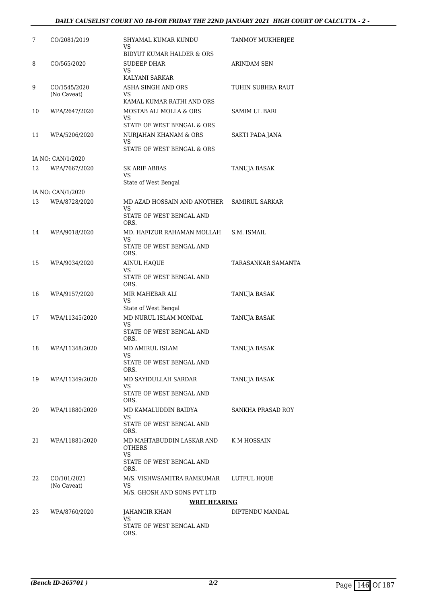#### *DAILY CAUSELIST COURT NO 18-FOR FRIDAY THE 22ND JANUARY 2021 HIGH COURT OF CALCUTTA - 2 -*

| 7  | CO/2081/2019                | SHYAMAL KUMAR KUNDU<br>VS                                                                   | TANMOY MUKHERJEE     |
|----|-----------------------------|---------------------------------------------------------------------------------------------|----------------------|
| 8  | CO/565/2020                 | BIDYUT KUMAR HALDER & ORS<br><b>SUDEEP DHAR</b><br>VS<br>KALYANI SARKAR                     | ARINDAM SEN          |
| 9  | CO/1545/2020<br>(No Caveat) | ASHA SINGH AND ORS<br>VS<br>KAMAL KUMAR RATHI AND ORS                                       | TUHIN SUBHRA RAUT    |
| 10 | WPA/2647/2020               | MOSTAB ALI MOLLA & ORS<br>VS<br>STATE OF WEST BENGAL & ORS                                  | <b>SAMIM UL BARI</b> |
| 11 | WPA/5206/2020               | NURJAHAN KHANAM & ORS<br>VS<br>STATE OF WEST BENGAL & ORS                                   | SAKTI PADA JANA      |
|    | IA NO: CAN/1/2020           |                                                                                             |                      |
| 12 | WPA/7667/2020               | <b>SK ARIF ABBAS</b><br>VS<br>State of West Bengal                                          | TANUJA BASAK         |
|    | IA NO: CAN/1/2020           |                                                                                             |                      |
| 13 | WPA/8728/2020               | MD AZAD HOSSAIN AND ANOTHER<br>VS<br>STATE OF WEST BENGAL AND                               | SAMIRUL SARKAR       |
| 14 | WPA/9018/2020               | ORS.<br>MD. HAFIZUR RAHAMAN MOLLAH<br>VS<br>STATE OF WEST BENGAL AND                        | S.M. ISMAIL          |
| 15 | WPA/9034/2020               | ORS.<br><b>AINUL HAQUE</b><br>VS<br>STATE OF WEST BENGAL AND                                | TARASANKAR SAMANTA   |
| 16 | WPA/9157/2020               | ORS.<br>MIR MAHEBAR ALI<br>VS                                                               | <b>TANUJA BASAK</b>  |
| 17 | WPA/11345/2020              | State of West Bengal<br>MD NURUL ISLAM MONDAL<br>VS<br>STATE OF WEST BENGAL AND             | <b>TANUJA BASAK</b>  |
| 18 | WPA/11348/2020              | ORS.<br>MD AMIRUL ISLAM<br>STATE OF WEST BENGAL AND                                         | <b>TANUJA BASAK</b>  |
| 19 | WPA/11349/2020              | ORS.<br>MD SAYIDULLAH SARDAR<br>VS<br>STATE OF WEST BENGAL AND                              | <b>TANUJA BASAK</b>  |
| 20 | WPA/11880/2020              | ORS.<br>MD KAMALUDDIN BAIDYA<br>VS<br>STATE OF WEST BENGAL AND                              | SANKHA PRASAD ROY    |
| 21 | WPA/11881/2020              | ORS.<br>MD MAHTABUDDIN LASKAR AND<br><b>OTHERS</b><br><b>VS</b><br>STATE OF WEST BENGAL AND | K M HOSSAIN          |
| 22 | CO/101/2021<br>(No Caveat)  | ORS.<br>M/S. VISHWSAMITRA RAMKUMAR<br>VS<br>M/S. GHOSH AND SONS PVT LTD                     | LUTFUL HQUE          |
|    |                             | <b>WRIT HEARING</b>                                                                         |                      |
| 23 | WPA/8760/2020               | JAHANGIR KHAN<br>VS<br>STATE OF WEST BENGAL AND<br>ORS.                                     | DIPTENDU MANDAL      |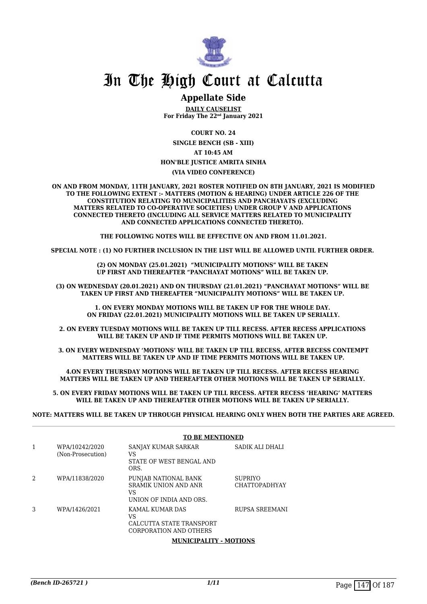

### **Appellate Side**

**DAILY CAUSELIST For Friday The 22nd January 2021**

**COURT NO. 24**

**SINGLE BENCH (SB - XIII) AT 10:45 AM HON'BLE JUSTICE AMRITA SINHA**

#### **(VIA VIDEO CONFERENCE)**

**ON AND FROM MONDAY, 11TH JANUARY, 2021 ROSTER NOTIFIED ON 8TH JANUARY, 2021 IS MODIFIED TO THE FOLLOWING EXTENT :- MATTERS (MOTION & HEARING) UNDER ARTICLE 226 OF THE CONSTITUTION RELATING TO MUNICIPALITIES AND PANCHAYATS (EXCLUDING MATTERS RELATED TO CO-OPERATIVE SOCIETIES) UNDER GROUP V AND APPLICATIONS CONNECTED THERETO (INCLUDING ALL SERVICE MATTERS RELATED TO MUNICIPALITY AND CONNECTED APPLICATIONS CONNECTED THERETO).** 

**THE FOLLOWING NOTES WILL BE EFFECTIVE ON AND FROM 11.01.2021.**

**SPECIAL NOTE : (1) NO FURTHER INCLUSION IN THE LIST WILL BE ALLOWED UNTIL FURTHER ORDER.** 

**(2) ON MONDAY (25.01.2021) "MUNICIPALITY MOTIONS" WILL BE TAKEN UP FIRST AND THEREAFTER "PANCHAYAT MOTIONS" WILL BE TAKEN UP.** 

**(3) ON WEDNESDAY (20.01.2021) AND ON THURSDAY (21.01.2021) "PANCHAYAT MOTIONS" WILL BE TAKEN UP FIRST AND THEREAFTER "MUNICIPALITY MOTIONS" WILL BE TAKEN UP.** 

**1. ON EVERY MONDAY MOTIONS WILL BE TAKEN UP FOR THE WHOLE DAY. ON FRIDAY (22.01.2021) MUNICIPALITY MOTIONS WILL BE TAKEN UP SERIALLY.**

**2. ON EVERY TUESDAY MOTIONS WILL BE TAKEN UP TILL RECESS. AFTER RECESS APPLICATIONS WILL BE TAKEN UP AND IF TIME PERMITS MOTIONS WILL BE TAKEN UP.** 

**3. ON EVERY WEDNESDAY 'MOTIONS' WILL BE TAKEN UP TILL RECESS, AFTER RECESS CONTEMPT MATTERS WILL BE TAKEN UP AND IF TIME PERMITS MOTIONS WILL BE TAKEN UP.**

**4.ON EVERY THURSDAY MOTIONS WILL BE TAKEN UP TILL RECESS. AFTER RECESS HEARING MATTERS WILL BE TAKEN UP AND THEREAFTER OTHER MOTIONS WILL BE TAKEN UP SERIALLY.** 

**5. ON EVERY FRIDAY MOTIONS WILL BE TAKEN UP TILL RECESS. AFTER RECESS 'HEARING' MATTERS WILL BE TAKEN UP AND THEREAFTER OTHER MOTIONS WILL BE TAKEN UP SERIALLY.** 

**NOTE: MATTERS WILL BE TAKEN UP THROUGH PHYSICAL HEARING ONLY WHEN BOTH THE PARTIES ARE AGREED.**

|                                     | TO BE MENTIONED                                                                      |                                 |  |
|-------------------------------------|--------------------------------------------------------------------------------------|---------------------------------|--|
| WPA/10242/2020<br>(Non-Prosecution) | SANJAY KUMAR SARKAR<br>VS<br>STATE OF WEST BENGAL AND<br>ORS.                        | SADIK ALI DHALI                 |  |
| WPA/11838/2020                      | PUNJAB NATIONAL BANK<br><b>SRAMIK UNION AND ANR</b><br>VS<br>UNION OF INDIA AND ORS. | SUPRIYO<br><b>CHATTOPADHYAY</b> |  |
| WPA/1426/2021                       | KAMAL KUMAR DAS<br>VS<br>CALCUTTA STATE TRANSPORT<br>CORPORATION AND OTHERS          | RUPSA SREEMANI                  |  |
|                                     |                                                                                      | --------                        |  |

#### **TO BE MENTIONED**

**MUNICIPALITY - MOTIONS**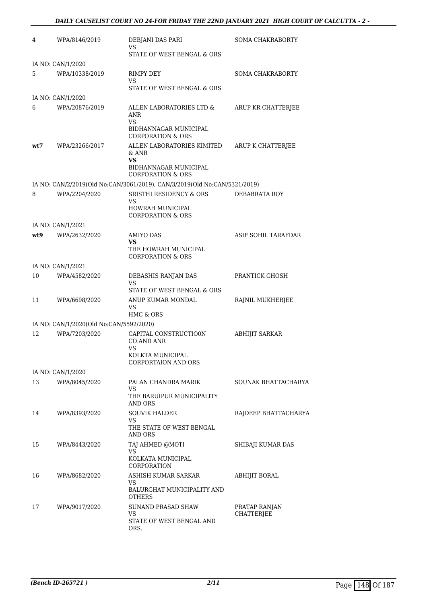| 4   | WPA/8146/2019                           | DEBJANI DAS PARI<br>VS<br>STATE OF WEST BENGAL & ORS                                                      | SOMA CHAKRABORTY                   |
|-----|-----------------------------------------|-----------------------------------------------------------------------------------------------------------|------------------------------------|
|     | IA NO: CAN/1/2020                       |                                                                                                           |                                    |
| 5   | WPA/10338/2019                          | RIMPY DEY<br>VS                                                                                           | SOMA CHAKRABORTY                   |
|     |                                         | STATE OF WEST BENGAL & ORS                                                                                |                                    |
|     | IA NO: CAN/1/2020                       |                                                                                                           |                                    |
| 6   | WPA/20876/2019                          | ALLEN LABORATORIES LTD &<br>ANR<br><b>VS</b>                                                              | ARUP KR CHATTERJEE                 |
|     |                                         | BIDHANNAGAR MUNICIPAL<br><b>CORPORATION &amp; ORS</b>                                                     |                                    |
| wt7 | WPA/23266/2017                          | ALLEN LABORATORIES KIMITED<br>& ANR<br><b>VS</b><br>BIDHANNAGAR MUNICIPAL<br><b>CORPORATION &amp; ORS</b> | ARUP K CHATTERJEE                  |
|     |                                         | IA NO: CAN/2/2019(Old No:CAN/3061/2019), CAN/3/2019(Old No:CAN/5321/2019)                                 |                                    |
| 8   | WPA/2204/2020                           | <b>SRISTHI RESIDENCY &amp; ORS</b>                                                                        | DEBABRATA ROY                      |
|     |                                         | VS<br>HOWRAH MUNICIPAL<br>CORPORATION & ORS                                                               |                                    |
|     | IA NO: CAN/1/2021                       |                                                                                                           |                                    |
| wt9 | WPA/2632/2020                           | AMIYO DAS                                                                                                 | ASIF SOHIL TARAFDAR                |
|     |                                         | VS<br>THE HOWRAH MUNICIPAL<br><b>CORPORATION &amp; ORS</b>                                                |                                    |
|     | IA NO: CAN/1/2021                       |                                                                                                           |                                    |
| 10  | WPA/4582/2020                           | DEBASHIS RANJAN DAS<br>VS<br>STATE OF WEST BENGAL & ORS                                                   | PRANTICK GHOSH                     |
| 11  | WPA/6698/2020                           | ANUP KUMAR MONDAL<br>VS<br>HMC & ORS                                                                      | RAJNIL MUKHERJEE                   |
|     | IA NO: CAN/1/2020(Old No:CAN/5592/2020) |                                                                                                           |                                    |
| 12  | WPA/7203/2020                           | CAPITAL CONSTRUCTIO0N                                                                                     | <b>ABHIJIT SARKAR</b>              |
|     |                                         | CO.AND ANR<br>VS<br>KOLKTA MUNICIPAL<br><b>CORPORTAION AND ORS</b>                                        |                                    |
|     | IA NO: CAN/1/2020                       |                                                                                                           |                                    |
| 13  | WPA/8045/2020                           | PALAN CHANDRA MARIK<br>VS.<br>THE BARUIPUR MUNICIPALITY                                                   | <b>SOUNAK BHATTACHARYA</b>         |
|     |                                         | AND ORS                                                                                                   |                                    |
| 14  | WPA/8393/2020                           | <b>SOUVIK HALDER</b><br>VS<br>THE STATE OF WEST BENGAL<br>AND ORS                                         | RAJDEEP BHATTACHARYA               |
| 15  | WPA/8443/2020                           | TAJ AHMED @MOTI<br>VS.<br>KOLKATA MUNICIPAL<br>CORPORATION                                                | SHIBAJI KUMAR DAS                  |
| 16  | WPA/8682/2020                           | ASHISH KUMAR SARKAR<br>VS<br>BALURGHAT MUNICIPALITY AND<br><b>OTHERS</b>                                  | ABHIJIT BORAL                      |
| 17  | WPA/9017/2020                           | SUNAND PRASAD SHAW<br>VS.<br>STATE OF WEST BENGAL AND<br>ORS.                                             | PRATAP RANJAN<br><b>CHATTERJEE</b> |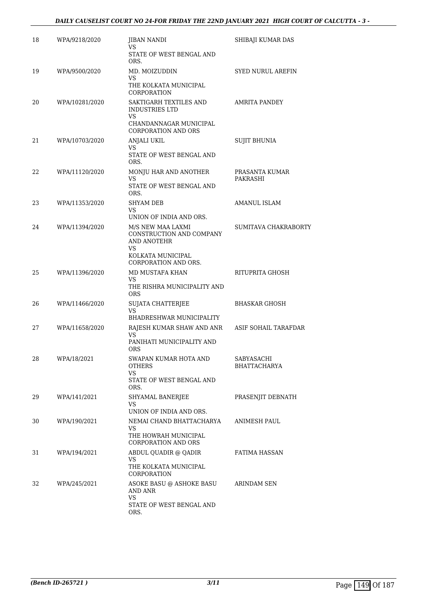#### *DAILY CAUSELIST COURT NO 24-FOR FRIDAY THE 22ND JANUARY 2021 HIGH COURT OF CALCUTTA - 3 -*

| 18 | WPA/9218/2020  | <b>JIBAN NANDI</b><br>VS<br>STATE OF WEST BENGAL AND<br>ORS.                                                    | SHIBAJI KUMAR DAS                 |
|----|----------------|-----------------------------------------------------------------------------------------------------------------|-----------------------------------|
| 19 | WPA/9500/2020  | MD. MOIZUDDIN<br>VS<br>THE KOLKATA MUNICIPAL<br>CORPORATION                                                     | <b>SYED NURUL AREFIN</b>          |
| 20 | WPA/10281/2020 | SAKTIGARH TEXTILES AND<br><b>INDUSTRIES LTD</b><br>VS.<br>CHANDANNAGAR MUNICIPAL<br><b>CORPORATION AND ORS</b>  | AMRITA PANDEY                     |
| 21 | WPA/10703/2020 | ANJALI UKIL<br>VS<br>STATE OF WEST BENGAL AND<br>ORS.                                                           | <b>SUJIT BHUNIA</b>               |
| 22 | WPA/11120/2020 | MONJU HAR AND ANOTHER<br>VS<br>STATE OF WEST BENGAL AND<br>ORS.                                                 | PRASANTA KUMAR<br>PAKRASHI        |
| 23 | WPA/11353/2020 | <b>SHYAM DEB</b><br>VS<br>UNION OF INDIA AND ORS.                                                               | AMANUL ISLAM                      |
| 24 | WPA/11394/2020 | M/S NEW MAA LAXMI<br>CONSTRUCTION AND COMPANY<br>AND ANOTEHR<br>VS<br>KOLKATA MUNICIPAL<br>CORPORATION AND ORS. | SUMITAVA CHAKRABORTY              |
| 25 | WPA/11396/2020 | MD MUSTAFA KHAN<br>VS.<br>THE RISHRA MUNICIPALITY AND<br><b>ORS</b>                                             | RITUPRITA GHOSH                   |
| 26 | WPA/11466/2020 | SUJATA CHATTERJEE<br>VS.<br>BHADRESHWAR MUNICIPALITY                                                            | BHASKAR GHOSH                     |
| 27 | WPA/11658/2020 | RAJESH KUMAR SHAW AND ANR<br>VS<br>PANIHATI MUNICIPALITY AND<br>ORS                                             | ASIF SOHAIL TARAFDAR              |
| 28 | WPA/18/2021    | SWAPAN KUMAR HOTA AND<br>OTHERS<br>VS.<br>STATE OF WEST BENGAL AND<br>ORS.                                      | SABYASACHI<br><b>BHATTACHARYA</b> |
| 29 | WPA/141/2021   | SHYAMAL BANERJEE<br>VS<br>UNION OF INDIA AND ORS.                                                               | PRASENJIT DEBNATH                 |
| 30 | WPA/190/2021   | NEMAI CHAND BHATTACHARYA<br>VS<br>THE HOWRAH MUNICIPAL<br><b>CORPORATION AND ORS</b>                            | ANIMESH PAUL                      |
| 31 | WPA/194/2021   | ABDUL QUADIR @ QADIR<br>VS<br>THE KOLKATA MUNICIPAL<br>CORPORATION                                              | FATIMA HASSAN                     |
| 32 | WPA/245/2021   | ASOKE BASU @ ASHOKE BASU<br>AND ANR<br>VS.<br>STATE OF WEST BENGAL AND<br>ORS.                                  | ARINDAM SEN                       |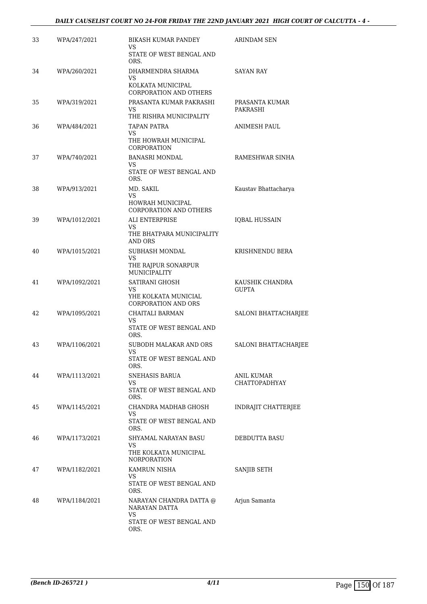| 33 | WPA/247/2021  | BIKASH KUMAR PANDEY                                                                | ARINDAM SEN                     |
|----|---------------|------------------------------------------------------------------------------------|---------------------------------|
|    |               | VS<br>STATE OF WEST BENGAL AND<br>ORS.                                             |                                 |
| 34 | WPA/260/2021  | DHARMENDRA SHARMA<br>VS<br>KOLKATA MUNICIPAL<br><b>CORPORATION AND OTHERS</b>      | <b>SAYAN RAY</b>                |
| 35 | WPA/319/2021  | PRASANTA KUMAR PAKRASHI<br>VS<br>THE RISHRA MUNICIPALITY                           | PRASANTA KUMAR<br>PAKRASHI      |
| 36 | WPA/484/2021  | <b>TAPAN PATRA</b><br>VS<br>THE HOWRAH MUNICIPAL<br>CORPORATION                    | ANIMESH PAUL                    |
| 37 | WPA/740/2021  | <b>BANASRI MONDAL</b><br>VS<br>STATE OF WEST BENGAL AND<br>ORS.                    | RAMESHWAR SINHA                 |
| 38 | WPA/913/2021  | MD. SAKIL<br>VS<br>HOWRAH MUNICIPAL<br>CORPORATION AND OTHERS                      | Kaustav Bhattacharya            |
| 39 | WPA/1012/2021 | <b>ALI ENTERPRISE</b><br>VS.<br>THE BHATPARA MUNICIPALITY<br><b>AND ORS</b>        | <b>IQBAL HUSSAIN</b>            |
| 40 | WPA/1015/2021 | SUBHASH MONDAL<br>VS<br>THE RAJPUR SONARPUR<br>MUNICIPALITY                        | KRISHNENDU BERA                 |
| 41 | WPA/1092/2021 | SATIRANI GHOSH<br>VS<br>YHE KOLKATA MUNICIAL<br><b>CORPORATION AND ORS</b>         | KAUSHIK CHANDRA<br><b>GUPTA</b> |
| 42 | WPA/1095/2021 | CHAITALI BARMAN<br>VS.<br>STATE OF WEST BENGAL AND<br>ORS.                         | SALONI BHATTACHARJEE            |
| 43 | WPA/1106/2021 | SUBODH MALAKAR AND ORS<br>VS<br>STATE OF WEST BENGAL AND<br>ORS.                   | SALONI BHATTACHARJEE            |
| 44 | WPA/1113/2021 | SNEHASIS BARUA<br>VS<br>STATE OF WEST BENGAL AND<br>ORS.                           | ANIL KUMAR<br>CHATTOPADHYAY     |
| 45 | WPA/1145/2021 | CHANDRA MADHAB GHOSH<br>VS.<br>STATE OF WEST BENGAL AND<br>ORS.                    | <b>INDRAJIT CHATTERJEE</b>      |
| 46 | WPA/1173/2021 | SHYAMAL NARAYAN BASU<br>VS<br>THE KOLKATA MUNICIPAL<br><b>NORPORATION</b>          | <b>DEBDUTTA BASU</b>            |
| 47 | WPA/1182/2021 | KAMRUN NISHA<br>VS.<br>STATE OF WEST BENGAL AND<br>ORS.                            | SANJIB SETH                     |
| 48 | WPA/1184/2021 | NARAYAN CHANDRA DATTA @<br>NARAYAN DATTA<br>VS<br>STATE OF WEST BENGAL AND<br>ORS. | Arjun Samanta                   |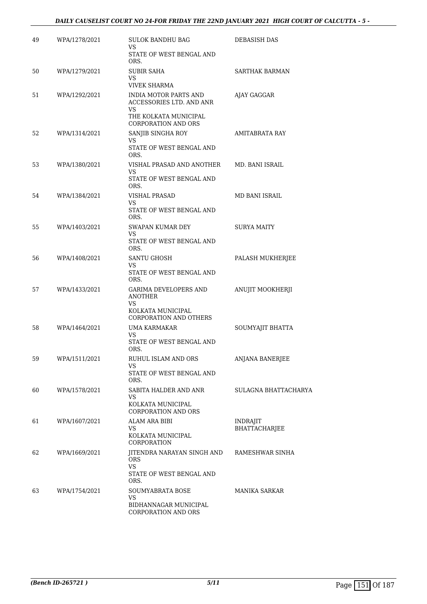| 49 | WPA/1278/2021 | <b>SULOK BANDHU BAG</b><br>VS                                                                                         | <b>DEBASISH DAS</b>              |
|----|---------------|-----------------------------------------------------------------------------------------------------------------------|----------------------------------|
|    |               | STATE OF WEST BENGAL AND<br>ORS.                                                                                      |                                  |
| 50 | WPA/1279/2021 | <b>SUBIR SAHA</b><br>VS.                                                                                              | <b>SARTHAK BARMAN</b>            |
|    |               | <b>VIVEK SHARMA</b>                                                                                                   |                                  |
| 51 | WPA/1292/2021 | <b>INDIA MOTOR PARTS AND</b><br>ACCESSORIES LTD. AND ANR<br>VS<br>THE KOLKATA MUNICIPAL<br><b>CORPORATION AND ORS</b> | AJAY GAGGAR                      |
| 52 | WPA/1314/2021 | SANJIB SINGHA ROY<br>VS.                                                                                              | AMITABRATA RAY                   |
|    |               | STATE OF WEST BENGAL AND<br>ORS.                                                                                      |                                  |
| 53 | WPA/1380/2021 | VISHAL PRASAD AND ANOTHER<br>VS                                                                                       | MD. BANI ISRAIL                  |
|    |               | STATE OF WEST BENGAL AND<br>ORS.                                                                                      |                                  |
| 54 | WPA/1384/2021 | <b>VISHAL PRASAD</b><br>VS.                                                                                           | MD BANI ISRAIL                   |
|    |               | STATE OF WEST BENGAL AND<br>ORS.                                                                                      |                                  |
| 55 | WPA/1403/2021 | <b>SWAPAN KUMAR DEY</b><br>VS.                                                                                        | SURYA MAITY                      |
|    |               | STATE OF WEST BENGAL AND<br>ORS.                                                                                      |                                  |
| 56 | WPA/1408/2021 | <b>SANTU GHOSH</b><br>VS.                                                                                             | PALASH MUKHERJEE                 |
|    |               | STATE OF WEST BENGAL AND<br>ORS.                                                                                      |                                  |
| 57 | WPA/1433/2021 | GARIMA DEVELOPERS AND<br>ANOTHER<br>VS.                                                                               | ANUJIT MOOKHERJI                 |
|    |               | KOLKATA MUNICIPAL<br><b>CORPORATION AND OTHERS</b>                                                                    |                                  |
| 58 | WPA/1464/2021 | UMA KARMAKAR<br>VS.                                                                                                   | SOUMYAJIT BHATTA                 |
|    |               | STATE OF WEST BENGAL AND<br>ORS.                                                                                      |                                  |
| 59 | WPA/1511/2021 | RUHUL ISLAM AND ORS<br>VS                                                                                             | ANJANA BANERJEE                  |
|    |               | STATE OF WEST BENGAL AND<br>ORS.                                                                                      |                                  |
| 60 | WPA/1578/2021 | SABITA HALDER AND ANR<br>VS.                                                                                          | SULAGNA BHATTACHARYA             |
|    |               | KOLKATA MUNICIPAL<br><b>CORPORATION AND ORS</b>                                                                       |                                  |
| 61 | WPA/1607/2021 | ALAM ARA BIBI<br>VS                                                                                                   | <b>INDRAJIT</b><br>BHATTACHARJEE |
|    |               | KOLKATA MUNICIPAL<br>CORPORATION                                                                                      |                                  |
| 62 | WPA/1669/2021 | JITENDRA NARAYAN SINGH AND<br><b>ORS</b><br><b>VS</b>                                                                 | RAMESHWAR SINHA                  |
|    |               | STATE OF WEST BENGAL AND<br>ORS.                                                                                      |                                  |
| 63 | WPA/1754/2021 | SOUMYABRATA BOSE<br>VS.                                                                                               | MANIKA SARKAR                    |
|    |               | BIDHANNAGAR MUNICIPAL<br>CORPORATION AND ORS                                                                          |                                  |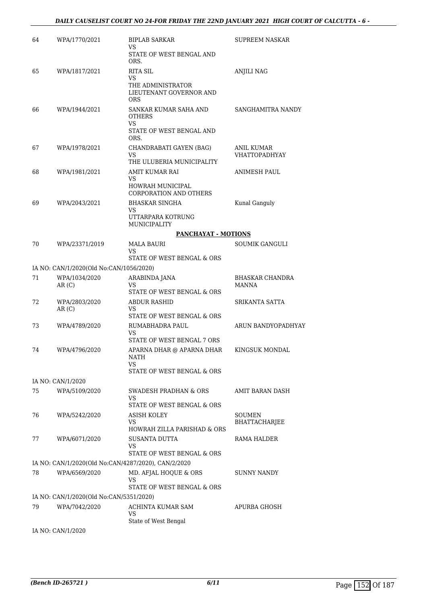| 64  | WPA/1770/2021                                                                     | <b>BIPLAB SARKAR</b><br>VS                                                          | SUPREEM NASKAR                     |
|-----|-----------------------------------------------------------------------------------|-------------------------------------------------------------------------------------|------------------------------------|
|     |                                                                                   | STATE OF WEST BENGAL AND<br>ORS.                                                    |                                    |
| 65  | WPA/1817/2021                                                                     | <b>RITA SIL</b><br>VS<br>THE ADMINISTRATOR<br>LIEUTENANT GOVERNOR AND<br><b>ORS</b> | ANJILI NAG                         |
| 66  | WPA/1944/2021                                                                     | SANKAR KUMAR SAHA AND<br><b>OTHERS</b><br><b>VS</b><br>STATE OF WEST BENGAL AND     | SANGHAMITRA NANDY                  |
| 67  | WPA/1978/2021                                                                     | ORS.<br>CHANDRABATI GAYEN (BAG)<br>VS                                               | ANIL KUMAR<br><b>VHATTOPADHYAY</b> |
| 68  | WPA/1981/2021                                                                     | THE ULUBERIA MUNICIPALITY<br>AMIT KUMAR RAI<br>VS                                   | <b>ANIMESH PAUL</b>                |
|     |                                                                                   | HOWRAH MUNICIPAL<br><b>CORPORATION AND OTHERS</b>                                   |                                    |
| 69  | WPA/2043/2021                                                                     | <b>BHASKAR SINGHA</b><br>VS                                                         | Kunal Ganguly                      |
|     |                                                                                   | UTTARPARA KOTRUNG<br><b>MUNICIPALITY</b>                                            |                                    |
|     |                                                                                   | PANCHAYAT - MOTIONS                                                                 |                                    |
| 70  | WPA/23371/2019                                                                    | MALA BAURI<br>VS<br>STATE OF WEST BENGAL & ORS                                      | SOUMIK GANGULI                     |
|     | IA NO: CAN/1/2020(Old No:CAN/1056/2020)                                           |                                                                                     |                                    |
| 71  | WPA/1034/2020                                                                     | ARABINDA JANA                                                                       | <b>BHASKAR CHANDRA</b>             |
|     | AR(C)                                                                             | VS<br>STATE OF WEST BENGAL & ORS                                                    | <b>MANNA</b>                       |
| 72  | WPA/2803/2020<br>AR(C)                                                            | ABDUR RASHID<br>VS<br>STATE OF WEST BENGAL & ORS                                    | SRIKANTA SATTA                     |
| 73  | WPA/4789/2020                                                                     | RUMABHADRA PAUL<br>VS                                                               | ARUN BANDYOPADHYAY                 |
| 74  | WPA/4796/2020                                                                     | STATE OF WEST BENGAL 7 ORS<br>APARNA DHAR @ APARNA DHAR<br>NATH<br>VS               | KINGSUK MONDAL                     |
|     |                                                                                   | STATE OF WEST BENGAL & ORS                                                          |                                    |
|     | IA NO: CAN/1/2020                                                                 |                                                                                     |                                    |
| 75  | WPA/5109/2020                                                                     | SWADESH PRADHAN & ORS<br>VS<br>STATE OF WEST BENGAL & ORS                           | AMIT BARAN DASH                    |
| 76  | WPA/5242/2020                                                                     | ASISH KOLEY<br>VS<br>HOWRAH ZILLA PARISHAD & ORS                                    | SOUMEN<br>BHATTACHARJEE            |
| 77  | WPA/6071/2020                                                                     | <b>SUSANTA DUTTA</b><br>VS                                                          | RAMA HALDER                        |
|     |                                                                                   | STATE OF WEST BENGAL & ORS                                                          |                                    |
|     |                                                                                   | IA NO: CAN/1/2020(Old No:CAN/4287/2020), CAN/2/2020                                 |                                    |
| 78  | WPA/6569/2020                                                                     | MD. AFJAL HOQUE & ORS<br>VS<br>STATE OF WEST BENGAL & ORS                           | SUNNY NANDY                        |
|     | IA NO: CAN/1/2020(Old No:CAN/5351/2020)                                           |                                                                                     |                                    |
| 79  | WPA/7042/2020                                                                     | ACHINTA KUMAR SAM<br>VS                                                             | APURBA GHOSH                       |
|     |                                                                                   | State of West Bengal                                                                |                                    |
| T A | $\overline{M}$ $\cap$ $\overline{M}$ $\overline{M}$ $\overline{M}$ $\overline{M}$ |                                                                                     |                                    |

IA NO: CAN/1/2020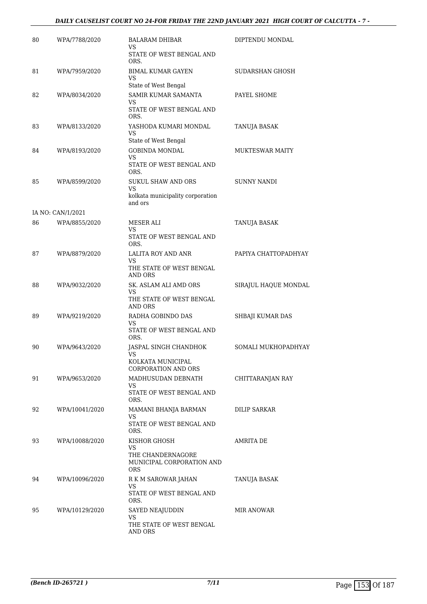#### *DAILY CAUSELIST COURT NO 24-FOR FRIDAY THE 22ND JANUARY 2021 HIGH COURT OF CALCUTTA - 7 -*

| 80 | WPA/7788/2020     | <b>BALARAM DHIBAR</b><br>VS<br>STATE OF WEST BENGAL AND      | DIPTENDU MONDAL        |
|----|-------------------|--------------------------------------------------------------|------------------------|
| 81 | WPA/7959/2020     | ORS.<br><b>BIMAL KUMAR GAYEN</b><br>VS                       | SUDARSHAN GHOSH        |
|    |                   | State of West Bengal                                         |                        |
| 82 | WPA/8034/2020     | SAMIR KUMAR SAMANTA<br>VS<br>STATE OF WEST BENGAL AND        | PAYEL SHOME            |
| 83 | WPA/8133/2020     | ORS.<br>YASHODA KUMARI MONDAL<br>VS                          | TANUJA BASAK           |
| 84 | WPA/8193/2020     | State of West Bengal<br><b>GOBINDA MONDAL</b>                | <b>MUKTESWAR MAITY</b> |
|    |                   | VS<br>STATE OF WEST BENGAL AND                               |                        |
| 85 | WPA/8599/2020     | ORS.<br><b>SUKUL SHAW AND ORS</b>                            | <b>SUNNY NANDI</b>     |
|    |                   | VS<br>kolkata municipality corporation<br>and ors            |                        |
|    | IA NO: CAN/1/2021 |                                                              |                        |
| 86 | WPA/8855/2020     | MESER ALI<br>VS                                              | TANUJA BASAK           |
|    |                   | STATE OF WEST BENGAL AND<br>ORS.                             |                        |
| 87 | WPA/8879/2020     | LALITA ROY AND ANR<br>VS                                     | PAPIYA CHATTOPADHYAY   |
|    |                   | THE STATE OF WEST BENGAL<br>AND ORS                          |                        |
| 88 | WPA/9032/2020     | SK. ASLAM ALI AMD ORS<br>VS<br>THE STATE OF WEST BENGAL      | SIRAJUL HAQUE MONDAL   |
| 89 | WPA/9219/2020     | AND ORS<br>RADHA GOBINDO DAS                                 | SHBAJI KUMAR DAS       |
|    |                   | VS<br>STATE OF WEST BENGAL AND<br>ORS.                       |                        |
| 90 | WPA/9643/2020     | JASPAL SINGH CHANDHOK<br>VS.                                 | SOMALI MUKHOPADHYAY    |
|    |                   | KOLKATA MUNICIPAL<br><b>CORPORATION AND ORS</b>              |                        |
| 91 | WPA/9653/2020     | MADHUSUDAN DEBNATH<br>VS                                     | CHITTARANJAN RAY       |
|    |                   | STATE OF WEST BENGAL AND<br>ORS.                             |                        |
| 92 | WPA/10041/2020    | MAMANI BHANJA BARMAN<br>VS.                                  | DILIP SARKAR           |
|    |                   | STATE OF WEST BENGAL AND<br>ORS.                             |                        |
| 93 | WPA/10088/2020    | KISHOR GHOSH<br>VS                                           | AMRITA DE              |
|    |                   | THE CHANDERNAGORE<br>MUNICIPAL CORPORATION AND<br><b>ORS</b> |                        |
| 94 | WPA/10096/2020    | R K M SAROWAR JAHAN<br>VS.                                   | TANUJA BASAK           |
|    |                   | STATE OF WEST BENGAL AND<br>ORS.                             |                        |
| 95 | WPA/10129/2020    | SAYED NEAJUDDIN<br>VS.                                       | MIR ANOWAR             |
|    |                   | THE STATE OF WEST BENGAL<br>AND ORS                          |                        |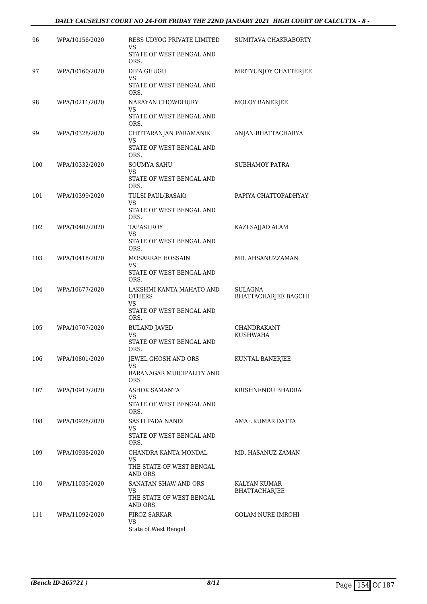#### *DAILY CAUSELIST COURT NO 24-FOR FRIDAY THE 22ND JANUARY 2021 HIGH COURT OF CALCUTTA - 8 -*

| 96  | WPA/10156/2020 | RESS UDYOG PRIVATE LIMITED<br>VS                       | SUMITAVA CHAKRABORTY            |
|-----|----------------|--------------------------------------------------------|---------------------------------|
|     |                | STATE OF WEST BENGAL AND<br>ORS.                       |                                 |
| 97  | WPA/10160/2020 | <b>DIPA GHUGU</b><br>VS                                | MRITYUNJOY CHATTERJEE           |
|     |                | STATE OF WEST BENGAL AND<br>ORS.                       |                                 |
| 98  | WPA/10211/2020 | NARAYAN CHOWDHURY<br>VS                                | MOLOY BANERJEE                  |
|     |                | STATE OF WEST BENGAL AND<br>ORS.                       |                                 |
| 99  | WPA/10328/2020 | CHITTARANJAN PARAMANIK<br>VS                           | ANJAN BHATTACHARYA              |
|     |                | STATE OF WEST BENGAL AND<br>ORS.                       |                                 |
| 100 | WPA/10332/2020 | SOUMYA SAHU<br>VS.                                     | <b>SUBHAMOY PATRA</b>           |
|     |                | STATE OF WEST BENGAL AND<br>ORS.                       |                                 |
| 101 | WPA/10399/2020 | TULSI PAUL(BASAK)<br>VS                                | PAPIYA CHATTOPADHYAY            |
|     |                | STATE OF WEST BENGAL AND<br>ORS.                       |                                 |
| 102 | WPA/10402/2020 | <b>TAPASI ROY</b><br>VS.                               | KAZI SAJJAD ALAM                |
|     |                | STATE OF WEST BENGAL AND<br>ORS.                       |                                 |
| 103 | WPA/10418/2020 | MOSARRAF HOSSAIN<br>VS                                 | MD. AHSANUZZAMAN                |
|     |                | STATE OF WEST BENGAL AND<br>ORS.                       |                                 |
| 104 | WPA/10677/2020 | LAKSHMI KANTA MAHATO AND<br><b>OTHERS</b><br><b>VS</b> | SULAGNA<br>BHATTACHARJEE BAGCHI |
|     |                | STATE OF WEST BENGAL AND<br>ORS.                       |                                 |
| 105 | WPA/10707/2020 | <b>BULAND JAVED</b><br><b>VS</b>                       | CHANDRAKANT<br>KUSHWAHA         |
|     |                | STATE OF WEST BENGAL AND<br>ORS.                       |                                 |
| 106 | WPA/10801/2020 | JEWEL GHOSH AND ORS<br>VS.                             | KUNTAL BANERJEE                 |
|     |                | BARANAGAR MUICIPALITY AND<br><b>ORS</b>                |                                 |
| 107 | WPA/10917/2020 | ASHOK SAMANTA<br>VS.                                   | KRISHNENDU BHADRA               |
|     |                | STATE OF WEST BENGAL AND<br>ORS.                       |                                 |
| 108 | WPA/10928/2020 | SASTI PADA NANDI<br>VS.                                | AMAL KUMAR DATTA                |
|     |                | STATE OF WEST BENGAL AND<br>ORS.                       |                                 |
| 109 | WPA/10938/2020 | CHANDRA KANTA MONDAL<br>VS.                            | MD. HASANUZ ZAMAN               |
|     |                | THE STATE OF WEST BENGAL<br>AND ORS                    |                                 |
| 110 | WPA/11035/2020 | SANATAN SHAW AND ORS<br>VS.                            | KALYAN KUMAR<br>BHATTACHARJEE   |
|     |                | THE STATE OF WEST BENGAL<br>AND ORS                    |                                 |
| 111 | WPA/11092/2020 | FIROZ SARKAR<br><b>VS</b>                              | <b>GOLAM NURE IMROHI</b>        |
|     |                | State of West Bengal                                   |                                 |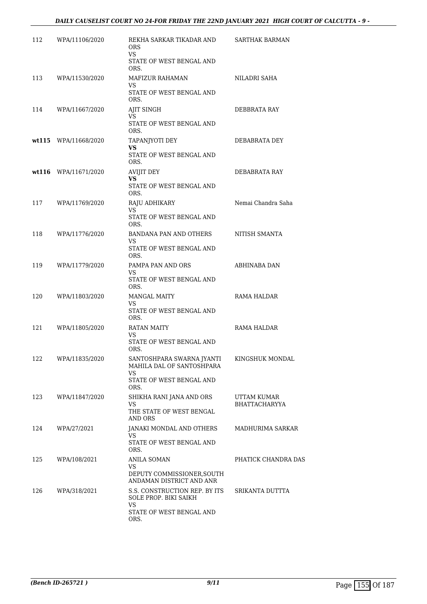| 112 | WPA/11106/2020       | REKHA SARKAR TIKADAR AND<br>ORS.<br><b>VS</b>                                                     | <b>SARTHAK BARMAN</b>        |
|-----|----------------------|---------------------------------------------------------------------------------------------------|------------------------------|
|     |                      | STATE OF WEST BENGAL AND<br>ORS.                                                                  |                              |
| 113 | WPA/11530/2020       | MAFIZUR RAHAMAN<br>VS.<br>STATE OF WEST BENGAL AND<br>ORS.                                        | NILADRI SAHA                 |
| 114 | WPA/11667/2020       | AJIT SINGH<br>VS<br>STATE OF WEST BENGAL AND<br>ORS.                                              | DEBBRATA RAY                 |
|     | wt115 WPA/11668/2020 | TAPANJYOTI DEY<br>VS.<br>STATE OF WEST BENGAL AND<br>ORS.                                         | DEBABRATA DEY                |
|     | wt116 WPA/11671/2020 | AVIJIT DEY<br>VS.<br>STATE OF WEST BENGAL AND<br>ORS.                                             | DEBABRATA RAY                |
| 117 | WPA/11769/2020       | RAJU ADHIKARY<br>VS<br>STATE OF WEST BENGAL AND<br>ORS.                                           | Nemai Chandra Saha           |
| 118 | WPA/11776/2020       | <b>BANDANA PAN AND OTHERS</b><br>VS<br>STATE OF WEST BENGAL AND<br>ORS.                           | NITISH SMANTA                |
| 119 | WPA/11779/2020       | PAMPA PAN AND ORS<br>VS<br>STATE OF WEST BENGAL AND<br>ORS.                                       | ABHINABA DAN                 |
| 120 | WPA/11803/2020       | <b>MANGAL MAITY</b><br>VS<br>STATE OF WEST BENGAL AND<br>ORS.                                     | RAMA HALDAR                  |
| 121 | WPA/11805/2020       | RATAN MAITY<br>VS.<br>STATE OF WEST BENGAL AND<br>ORS.                                            | RAMA HALDAR                  |
| 122 | WPA/11835/2020       | SANTOSHPARA SWARNA JYANTI<br>MAHILA DAL OF SANTOSHPARA<br>VS.<br>STATE OF WEST BENGAL AND<br>ORS. | KINGSHUK MONDAL              |
| 123 | WPA/11847/2020       | SHIKHA RANI JANA AND ORS<br>VS<br>THE STATE OF WEST BENGAL<br>AND ORS                             | UTTAM KUMAR<br>BHATTACHARYYA |
| 124 | WPA/27/2021          | JANAKI MONDAL AND OTHERS<br>VS.<br>STATE OF WEST BENGAL AND<br>ORS.                               | MADHURIMA SARKAR             |
| 125 | WPA/108/2021         | ANILA SOMAN<br>VS<br>DEPUTY COMMISSIONER, SOUTH<br>ANDAMAN DISTRICT AND ANR                       | PHATICK CHANDRA DAS          |
| 126 | WPA/318/2021         | S.S. CONSTRUCTION REP. BY ITS<br>SOLE PROP. BIKI SAIKH<br>VS<br>STATE OF WEST BENGAL AND<br>ORS.  | SRIKANTA DUTTTA              |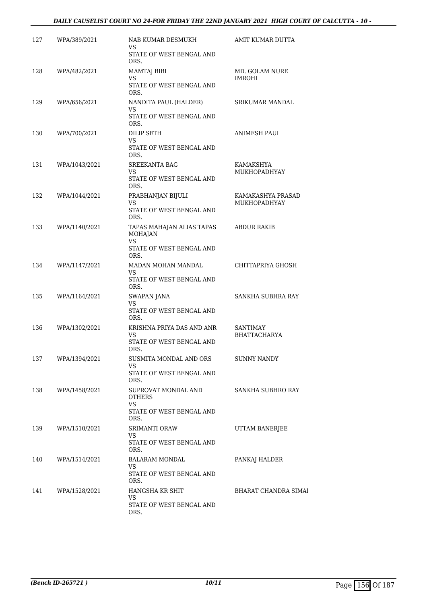#### *DAILY CAUSELIST COURT NO 24-FOR FRIDAY THE 22ND JANUARY 2021 HIGH COURT OF CALCUTTA - 10 -*

| 127 | WPA/389/2021  | NAB KUMAR DESMUKH<br>VS<br>STATE OF WEST BENGAL AND                                    | AMIT KUMAR DUTTA                  |
|-----|---------------|----------------------------------------------------------------------------------------|-----------------------------------|
| 128 | WPA/482/2021  | ORS.<br><b>MAMTAJ BIBI</b><br>VS<br>STATE OF WEST BENGAL AND<br>ORS.                   | MD. GOLAM NURE<br><b>IMROHI</b>   |
| 129 | WPA/656/2021  | NANDITA PAUL (HALDER)<br>VS<br>STATE OF WEST BENGAL AND<br>ORS.                        | SRIKUMAR MANDAL                   |
| 130 | WPA/700/2021  | DILIP SETH<br>VS.<br>STATE OF WEST BENGAL AND<br>ORS.                                  | ANIMESH PAUL                      |
| 131 | WPA/1043/2021 | <b>SREEKANTA BAG</b><br>VS.<br>STATE OF WEST BENGAL AND                                | KAMAKSHYA<br>MUKHOPADHYAY         |
| 132 | WPA/1044/2021 | ORS.<br>PRABHANJAN BIJULI<br>VS<br>STATE OF WEST BENGAL AND                            | KAMAKASHYA PRASAD<br>MUKHOPADHYAY |
| 133 | WPA/1140/2021 | ORS.<br>TAPAS MAHAJAN ALIAS TAPAS<br><b>MOHAJAN</b><br>VS.<br>STATE OF WEST BENGAL AND | <b>ABDUR RAKIB</b>                |
| 134 | WPA/1147/2021 | ORS.<br>MADAN MOHAN MANDAL<br>VS<br>STATE OF WEST BENGAL AND                           | CHITTAPRIYA GHOSH                 |
| 135 | WPA/1164/2021 | ORS.<br>SWAPAN JANA<br>VS.<br>STATE OF WEST BENGAL AND                                 | SANKHA SUBHRA RAY                 |
| 136 | WPA/1302/2021 | ORS.<br>KRISHNA PRIYA DAS AND ANR<br>VS.<br>STATE OF WEST BENGAL AND                   | SANTIMAY<br><b>BHATTACHARYA</b>   |
| 137 | WPA/1394/2021 | ORS.<br>SUSMITA MONDAL AND ORS<br>VS.<br>STATE OF WEST BENGAL AND                      | <b>SUNNY NANDY</b>                |
| 138 | WPA/1458/2021 | ORS.<br>SUPROVAT MONDAL AND<br>OTHERS<br>VS.<br>STATE OF WEST BENGAL AND               | SANKHA SUBHRO RAY                 |
| 139 | WPA/1510/2021 | ORS.<br>SRIMANTI ORAW<br>VS.<br>STATE OF WEST BENGAL AND                               | UTTAM BANERJEE                    |
| 140 | WPA/1514/2021 | ORS.<br>BALARAM MONDAL<br>VS.<br>STATE OF WEST BENGAL AND                              | PANKAJ HALDER                     |
| 141 | WPA/1528/2021 | ORS.<br>HANGSHA KR SHIT<br>VS.<br>STATE OF WEST BENGAL AND<br>ORS.                     | BHARAT CHANDRA SIMAI              |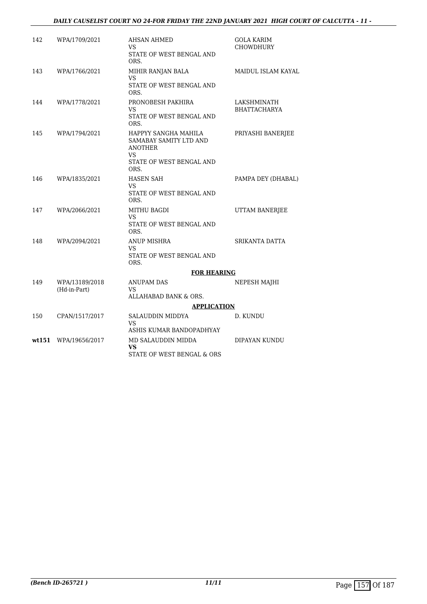#### *DAILY CAUSELIST COURT NO 24-FOR FRIDAY THE 22ND JANUARY 2021 HIGH COURT OF CALCUTTA - 11 -*

| 142   | WPA/1709/2021                  | AHSAN AHMED<br>VS.                                               | GOLA KARIM<br><b>CHOWDHURY</b>     |
|-------|--------------------------------|------------------------------------------------------------------|------------------------------------|
|       |                                | STATE OF WEST BENGAL AND<br>ORS.                                 |                                    |
| 143   | WPA/1766/2021                  | MIHIR RANJAN BALA<br>VS                                          | MAIDUL ISLAM KAYAL                 |
|       |                                | STATE OF WEST BENGAL AND<br>ORS.                                 |                                    |
| 144   | WPA/1778/2021                  | PRONOBESH PAKHIRA<br>VS                                          | LAKSHMINATH<br><b>BHATTACHARYA</b> |
|       |                                | STATE OF WEST BENGAL AND<br>ORS.                                 |                                    |
| 145   | WPA/1794/2021                  | HAPPYY SANGHA MAHILA<br>SAMABAY SAMITY LTD AND<br><b>ANOTHER</b> | PRIYASHI BANERJEE                  |
|       |                                | VS.                                                              |                                    |
|       |                                | STATE OF WEST BENGAL AND<br>ORS.                                 |                                    |
| 146   | WPA/1835/2021                  | <b>HASEN SAH</b><br>VS                                           | PAMPA DEY (DHABAL)                 |
|       |                                | STATE OF WEST BENGAL AND<br>ORS.                                 |                                    |
| 147   | WPA/2066/2021                  | <b>MITHU BAGDI</b><br>VS                                         | UTTAM BANERJEE                     |
|       |                                | STATE OF WEST BENGAL AND<br>ORS.                                 |                                    |
| 148   | WPA/2094/2021                  | <b>ANUP MISHRA</b><br>VS                                         | SRIKANTA DATTA                     |
|       |                                | STATE OF WEST BENGAL AND<br>ORS.                                 |                                    |
|       |                                | <b>FOR HEARING</b>                                               |                                    |
| 149   | WPA/13189/2018<br>(Hd-in-Part) | ANUPAM DAS<br>VS.                                                | NEPESH MAJHI                       |
|       |                                | ALLAHABAD BANK & ORS.                                            |                                    |
|       |                                | <b>APPLICATION</b>                                               |                                    |
| 150   | CPAN/1517/2017                 | SALAUDDIN MIDDYA<br><b>VS</b>                                    | D. KUNDU                           |
|       |                                | ASHIS KUMAR BANDOPADHYAY                                         |                                    |
| wt151 | WPA/19656/2017                 | MD SALAUDDIN MIDDA<br><b>VS</b>                                  | DIPAYAN KUNDU                      |
|       |                                | STATE OF WEST BENGAL & ORS                                       |                                    |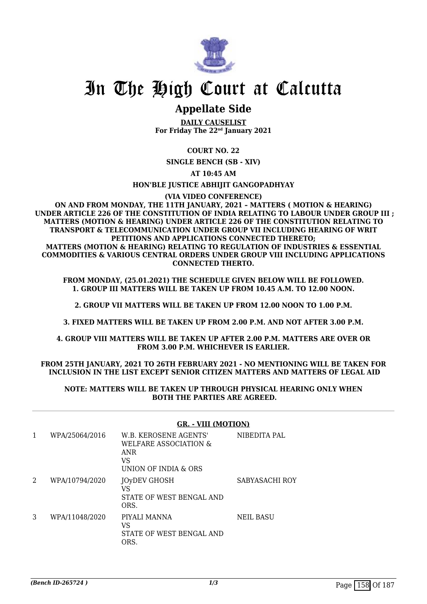

### **Appellate Side**

**DAILY CAUSELIST For Friday The 22nd January 2021**

#### **COURT NO. 22**

**SINGLE BENCH (SB - XIV)**

**AT 10:45 AM**

#### **HON'BLE JUSTICE ABHIJIT GANGOPADHYAY**

**(VIA VIDEO CONFERENCE)**

#### **ON AND FROM MONDAY, THE 11TH JANUARY, 2021 – MATTERS ( MOTION & HEARING) UNDER ARTICLE 226 OF THE CONSTITUTION OF INDIA RELATING TO LABOUR UNDER GROUP III ; MATTERS (MOTION & HEARING) UNDER ARTICLE 226 OF THE CONSTITUTION RELATING TO TRANSPORT & TELECOMMUNICATION UNDER GROUP VII INCLUDING HEARING OF WRIT PETITIONS AND APPLICATIONS CONNECTED THERETO; MATTERS (MOTION & HEARING) RELATING TO REGULATION OF INDUSTRIES & ESSENTIAL COMMODITIES & VARIOUS CENTRAL ORDERS UNDER GROUP VIII INCLUDING APPLICATIONS CONNECTED THERTO.**

**FROM MONDAY, (25.01.2021) THE SCHEDULE GIVEN BELOW WILL BE FOLLOWED. 1. GROUP III MATTERS WILL BE TAKEN UP FROM 10.45 A.M. TO 12.00 NOON.**

**2. GROUP VII MATTERS WILL BE TAKEN UP FROM 12.00 NOON TO 1.00 P.M.**

**3. FIXED MATTERS WILL BE TAKEN UP FROM 2.00 P.M. AND NOT AFTER 3.00 P.M.**

**4. GROUP VIII MATTERS WILL BE TAKEN UP AFTER 2.00 P.M. MATTERS ARE OVER OR FROM 3.00 P.M. WHICHEVER IS EARLIER.**

#### **FROM 25TH JANUARY, 2021 TO 26TH FEBRUARY 2021 - NO MENTIONING WILL BE TAKEN FOR INCLUSION IN THE LIST EXCEPT SENIOR CITIZEN MATTERS AND MATTERS OF LEGAL AID**

#### **NOTE: MATTERS WILL BE TAKEN UP THROUGH PHYSICAL HEARING ONLY WHEN BOTH THE PARTIES ARE AGREED.**

|   |                | ,                                                                                   |                  |
|---|----------------|-------------------------------------------------------------------------------------|------------------|
| 1 | WPA/25064/2016 | W.B. KEROSENE AGENTS'<br>WELFARE ASSOCIATION &<br>ANR<br>VS<br>UNION OF INDIA & ORS | NIBEDITA PAL     |
| 2 | WPA/10794/2020 | <b>JOyDEV GHOSH</b><br>VS<br>STATE OF WEST BENGAL AND<br>ORS.                       | SABYASACHI ROY   |
| 3 | WPA/11048/2020 | PIYALI MANNA<br>VS<br>STATE OF WEST BENGAL AND<br>ORS.                              | <b>NEIL BASU</b> |

#### **GR. - VIII (MOTION)**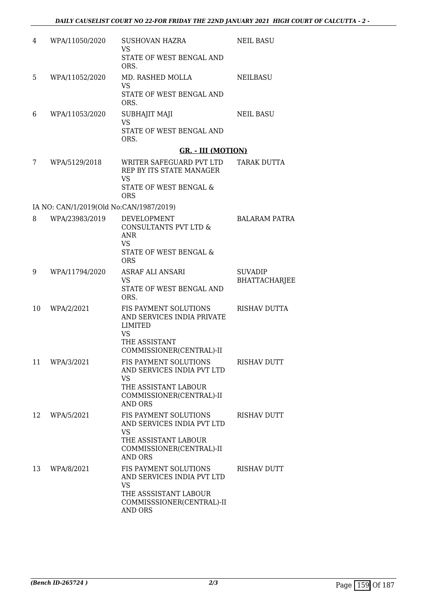| 4  | WPA/11050/2020                          | <b>SUSHOVAN HAZRA</b><br>VS.                                                         | <b>NEIL BASU</b>                |
|----|-----------------------------------------|--------------------------------------------------------------------------------------|---------------------------------|
|    |                                         | STATE OF WEST BENGAL AND<br>ORS.                                                     |                                 |
| 5  | WPA/11052/2020                          | MD. RASHED MOLLA<br>VS                                                               | <b>NEILBASU</b>                 |
|    |                                         | STATE OF WEST BENGAL AND<br>ORS.                                                     |                                 |
| 6  | WPA/11053/2020                          | SUBHAJIT MAJI<br><b>VS</b>                                                           | <b>NEIL BASU</b>                |
|    |                                         | STATE OF WEST BENGAL AND<br>ORS.                                                     |                                 |
|    |                                         | <b>GR. - III (MOTION)</b>                                                            |                                 |
| 7  | WPA/5129/2018                           | WRITER SAFEGUARD PVT LTD<br>REP BY ITS STATE MANAGER<br>VS<br>STATE OF WEST BENGAL & | TARAK DUTTA                     |
|    |                                         | <b>ORS</b>                                                                           |                                 |
|    | IA NO: CAN/1/2019(Old No:CAN/1987/2019) |                                                                                      |                                 |
| 8  | WPA/23983/2019                          | DEVELOPMENT<br>CONSULTANTS PVT LTD &<br>ANR<br>VS                                    | BALARAM PATRA                   |
|    |                                         | STATE OF WEST BENGAL &<br><b>ORS</b>                                                 |                                 |
| 9  | WPA/11794/2020                          | ASRAF ALI ANSARI<br>VS                                                               | <b>SUVADIP</b><br>BHATTACHARJEE |
|    |                                         | STATE OF WEST BENGAL AND<br>ORS.                                                     |                                 |
| 10 | WPA/2/2021                              | FIS PAYMENT SOLUTIONS<br>AND SERVICES INDIA PRIVATE<br>LIMITED<br><b>VS</b>          | <b>RISHAV DUTTA</b>             |
|    |                                         | THE ASSISTANT<br>COMMISSIONER(CENTRAL)-II                                            |                                 |
| 11 | WPA/3/2021                              | FIS PAYMENT SOLUTIONS<br>AND SERVICES INDIA PVT LTD<br>VS                            | RISHAV DUTT                     |
|    |                                         | THE ASSISTANT LABOUR<br>COMMISSIONER(CENTRAL)-II<br><b>AND ORS</b>                   |                                 |
| 12 | WPA/5/2021                              | FIS PAYMENT SOLUTIONS<br>AND SERVICES INDIA PVT LTD<br><b>VS</b>                     | RISHAV DUTT                     |
|    |                                         | THE ASSISTANT LABOUR<br>COMMISSIONER(CENTRAL)-II<br><b>AND ORS</b>                   |                                 |
| 13 | WPA/8/2021                              | FIS PAYMENT SOLUTIONS<br>AND SERVICES INDIA PVT LTD<br>VS                            | RISHAV DUTT                     |
|    |                                         | THE ASSSISTANT LABOUR<br>COMMISSSIONER(CENTRAL)-II<br>AND ORS                        |                                 |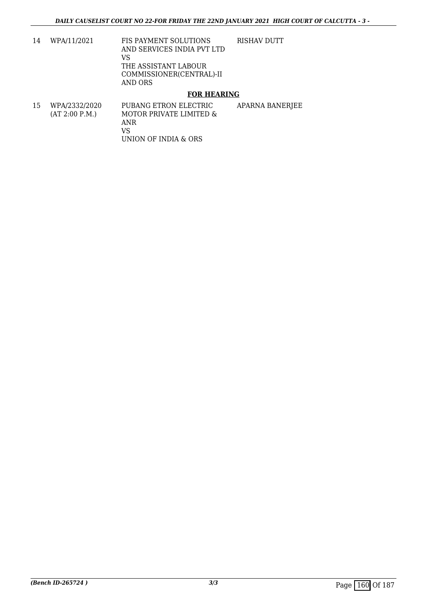14 WPA/11/2021 FIS PAYMENT SOLUTIONS AND SERVICES INDIA PVT LTD VS THE ASSISTANT LABOUR COMMISSIONER(CENTRAL)-II AND ORS RISHAV DUTT

#### **FOR HEARING**

15 WPA/2332/2020 (AT 2:00 P.M.) PUBANG ETRON ELECTRIC MOTOR PRIVATE LIMITED & ANR VS UNION OF INDIA & ORS APARNA BANERJEE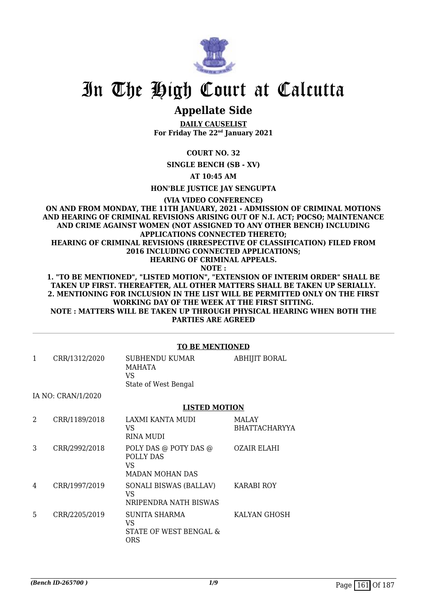

## **Appellate Side**

**DAILY CAUSELIST For Friday The 22nd January 2021**

#### **COURT NO. 32**

**SINGLE BENCH (SB - XV)**

**AT 10:45 AM**

**HON'BLE JUSTICE JAY SENGUPTA**

**(VIA VIDEO CONFERENCE)**

**ON AND FROM MONDAY, THE 11TH JANUARY, 2021 - ADMISSION OF CRIMINAL MOTIONS AND HEARING OF CRIMINAL REVISIONS ARISING OUT OF N.I. ACT; POCSO; MAINTENANCE AND CRIME AGAINST WOMEN (NOT ASSIGNED TO ANY OTHER BENCH) INCLUDING APPLICATIONS CONNECTED THERETO; HEARING OF CRIMINAL REVISIONS (IRRESPECTIVE OF CLASSIFICATION) FILED FROM 2016 INCLUDING CONNECTED APPLICATIONS; HEARING OF CRIMINAL APPEALS. NOTE : 1. "TO BE MENTIONED", "LISTED MOTION", "EXTENSION OF INTERIM ORDER" SHALL BE**

**TAKEN UP FIRST. THEREAFTER, ALL OTHER MATTERS SHALL BE TAKEN UP SERIALLY. 2. MENTIONING FOR INCLUSION IN THE LIST WILL BE PERMITTED ONLY ON THE FIRST WORKING DAY OF THE WEEK AT THE FIRST SITTING. NOTE : MATTERS WILL BE TAKEN UP THROUGH PHYSICAL HEARING WHEN BOTH THE PARTIES ARE AGREED**

|   | <b>TO BE MENTIONED</b> |                                                                     |                                      |  |  |
|---|------------------------|---------------------------------------------------------------------|--------------------------------------|--|--|
| 1 | CRR/1312/2020          | SUBHENDU KUMAR<br>MAHATA<br>VS.<br>State of West Bengal             | <b>ABHIJIT BORAL</b>                 |  |  |
|   | IA NO: CRAN/1/2020     |                                                                     |                                      |  |  |
|   |                        | <b>LISTED MOTION</b>                                                |                                      |  |  |
| 2 | CRR/1189/2018          | LAXMI KANTA MUDI<br>VS<br>RINA MUDI                                 | <b>MALAY</b><br><b>BHATTACHARYYA</b> |  |  |
| 3 | CRR/2992/2018          | POLY DAS @ POTY DAS @<br>POLLY DAS<br>VS.<br><b>MADAN MOHAN DAS</b> | <b>OZAIR ELAHI</b>                   |  |  |
| 4 | CRR/1997/2019          | SONALI BISWAS (BALLAV)<br>VS.<br>NRIPENDRA NATH BISWAS              | <b>KARABI ROY</b>                    |  |  |
| 5 | CRR/2205/2019          | SUNITA SHARMA<br>VS.<br>STATE OF WEST BENGAL &<br><b>ORS</b>        | KALYAN GHOSH                         |  |  |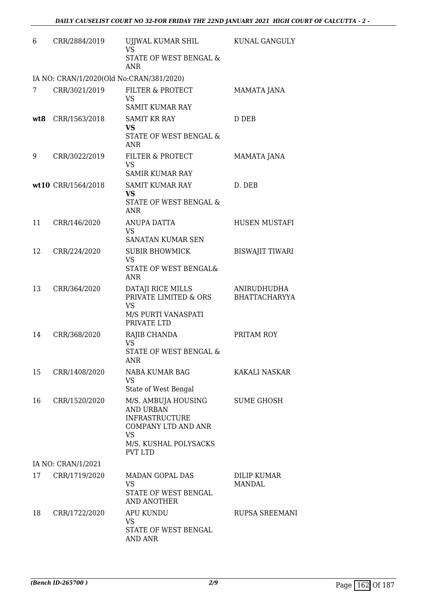| 6   | CRR/2884/2019                            | UJJWAL KUMAR SHIL<br><b>VS</b>                                                                       | KUNAL GANGULY                       |
|-----|------------------------------------------|------------------------------------------------------------------------------------------------------|-------------------------------------|
|     |                                          | STATE OF WEST BENGAL &<br><b>ANR</b>                                                                 |                                     |
|     | IA NO: CRAN/1/2020(Old No:CRAN/381/2020) |                                                                                                      |                                     |
| 7   | CRR/3021/2019                            | FILTER & PROTECT<br><b>VS</b>                                                                        | MAMATA JANA                         |
|     |                                          | <b>SAMIT KUMAR RAY</b>                                                                               |                                     |
| wt8 | CRR/1563/2018                            | <b>SAMIT KR RAY</b><br><b>VS</b>                                                                     | D DEB                               |
|     |                                          | STATE OF WEST BENGAL &<br>ANR                                                                        |                                     |
| 9   | CRR/3022/2019                            | FILTER & PROTECT<br><b>VS</b><br><b>SAMIR KUMAR RAY</b>                                              | MAMATA JANA                         |
|     | wt10 CRR/1564/2018                       | <b>SAMIT KUMAR RAY</b>                                                                               | D. DEB                              |
|     |                                          | <b>VS</b><br><b>STATE OF WEST BENGAL &amp;</b><br><b>ANR</b>                                         |                                     |
| 11  | CRR/146/2020                             | <b>ANUPA DATTA</b><br>VS.                                                                            | <b>HUSEN MUSTAFI</b>                |
|     |                                          | SANATAN KUMAR SEN                                                                                    |                                     |
| 12  | CRR/224/2020                             | <b>SUBIR BHOWMICK</b><br><b>VS</b><br>STATE OF WEST BENGAL&                                          | <b>BISWAJIT TIWARI</b>              |
|     |                                          | <b>ANR</b>                                                                                           |                                     |
| 13  | CRR/364/2020                             | DATAJI RICE MILLS<br>PRIVATE LIMITED & ORS<br>VS                                                     | ANIRUDHUDHA<br><b>BHATTACHARYYA</b> |
|     |                                          | M/S PURTI VANASPATI<br>PRIVATE LTD                                                                   |                                     |
| 14  | CRR/368/2020                             | RAJIB CHANDA<br><b>VS</b><br>STATE OF WEST BENGAL &                                                  | PRITAM ROY                          |
| 15  | CRR/1408/2020                            | <b>ANR</b><br>NABA KUMAR BAG<br>VS.                                                                  | KAKALI NASKAR                       |
|     |                                          | State of West Bengal                                                                                 |                                     |
| 16  | CRR/1520/2020                            | M/S. AMBUJA HOUSING<br><b>AND URBAN</b><br><b>INFRASTRUCTURE</b><br><b>COMPANY LTD AND ANR</b><br>VS | <b>SUME GHOSH</b>                   |
|     |                                          | M/S. KUSHAL POLYSACKS<br><b>PVT LTD</b>                                                              |                                     |
|     | IA NO: CRAN/1/2021                       |                                                                                                      |                                     |
| 17  | CRR/1719/2020                            | MADAN GOPAL DAS<br>VS                                                                                | <b>DILIP KUMAR</b><br>MANDAL        |
|     |                                          | STATE OF WEST BENGAL<br><b>AND ANOTHER</b>                                                           |                                     |
| 18  | CRR/1722/2020                            | <b>APU KUNDU</b><br>VS                                                                               | RUPSA SREEMANI                      |
|     |                                          | STATE OF WEST BENGAL<br><b>AND ANR</b>                                                               |                                     |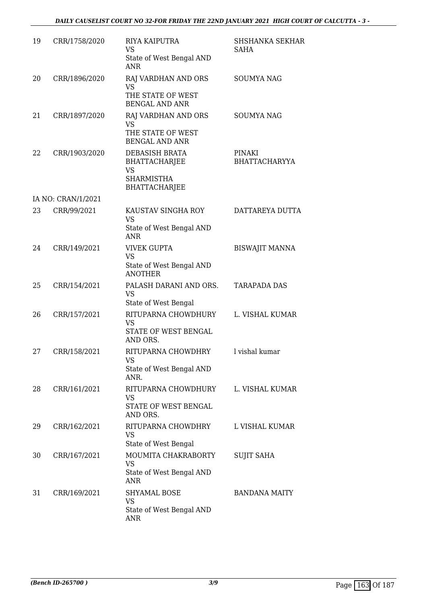| 19 | CRR/1758/2020      | RIYA KAIPUTRA<br><b>VS</b><br>State of West Bengal AND<br>ANR.                                   | <b>SHSHANKA SEKHAR</b><br>SAHA |
|----|--------------------|--------------------------------------------------------------------------------------------------|--------------------------------|
| 20 | CRR/1896/2020      | RAJ VARDHAN AND ORS<br><b>VS</b><br>THE STATE OF WEST<br><b>BENGAL AND ANR</b>                   | <b>SOUMYA NAG</b>              |
| 21 | CRR/1897/2020      | RAJ VARDHAN AND ORS<br><b>VS</b><br>THE STATE OF WEST<br><b>BENGAL AND ANR</b>                   | <b>SOUMYA NAG</b>              |
| 22 | CRR/1903/2020      | DEBASISH BRATA<br><b>BHATTACHARJEE</b><br><b>VS</b><br><b>SHARMISTHA</b><br><b>BHATTACHARJEE</b> | PINAKI<br>BHATTACHARYYA        |
|    | IA NO: CRAN/1/2021 |                                                                                                  |                                |
| 23 | CRR/99/2021        | KAUSTAV SINGHA ROY<br><b>VS</b><br>State of West Bengal AND<br><b>ANR</b>                        | DATTAREYA DUTTA                |
| 24 | CRR/149/2021       | <b>VIVEK GUPTA</b><br><b>VS</b><br>State of West Bengal AND<br><b>ANOTHER</b>                    | <b>BISWAJIT MANNA</b>          |
| 25 | CRR/154/2021       | PALASH DARANI AND ORS.<br><b>VS</b><br>State of West Bengal                                      | <b>TARAPADA DAS</b>            |
| 26 | CRR/157/2021       | RITUPARNA CHOWDHURY<br><b>VS</b><br>STATE OF WEST BENGAL<br>AND ORS.                             | L. VISHAL KUMAR                |
| 27 | CRR/158/2021       | RITUPARNA CHOWDHRY<br><b>VS</b><br>State of West Bengal AND<br>ANR.                              | l vishal kumar                 |
| 28 | CRR/161/2021       | RITUPARNA CHOWDHURY<br>VS<br>STATE OF WEST BENGAL<br>AND ORS.                                    | L. VISHAL KUMAR                |
| 29 | CRR/162/2021       | RITUPARNA CHOWDHRY<br><b>VS</b><br>State of West Bengal                                          | L VISHAL KUMAR                 |
| 30 | CRR/167/2021       | MOUMITA CHAKRABORTY<br><b>VS</b><br>State of West Bengal AND<br><b>ANR</b>                       | <b>SUJIT SAHA</b>              |
| 31 | CRR/169/2021       | <b>SHYAMAL BOSE</b><br>VS<br>State of West Bengal AND<br><b>ANR</b>                              | <b>BANDANA MAITY</b>           |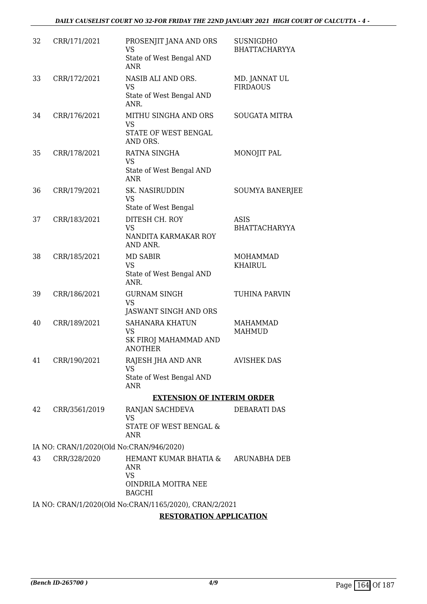| 32 | CRR/171/2021  | PROSENJIT JANA AND ORS<br><b>VS</b><br>State of West Bengal AND<br><b>ANR</b>     | <b>SUSNIGDHO</b><br>BHATTACHARYYA |
|----|---------------|-----------------------------------------------------------------------------------|-----------------------------------|
| 33 | CRR/172/2021  | NASIB ALI AND ORS.<br><b>VS</b><br>State of West Bengal AND<br>ANR.               | MD. JANNAT UL<br><b>FIRDAOUS</b>  |
| 34 | CRR/176/2021  | MITHU SINGHA AND ORS<br><b>VS</b><br>STATE OF WEST BENGAL<br>AND ORS.             | <b>SOUGATA MITRA</b>              |
| 35 | CRR/178/2021  | RATNA SINGHA<br>VS<br>State of West Bengal AND<br><b>ANR</b>                      | MONOJIT PAL                       |
| 36 | CRR/179/2021  | SK. NASIRUDDIN<br><b>VS</b><br>State of West Bengal                               | <b>SOUMYA BANERJEE</b>            |
| 37 | CRR/183/2021  | DITESH CH. ROY<br><b>VS</b><br>NANDITA KARMAKAR ROY<br>AND ANR.                   | ASIS<br><b>BHATTACHARYYA</b>      |
| 38 | CRR/185/2021  | <b>MD SABIR</b><br><b>VS</b><br>State of West Bengal AND<br>ANR.                  | <b>MOHAMMAD</b><br><b>KHAIRUL</b> |
| 39 | CRR/186/2021  | <b>GURNAM SINGH</b><br><b>VS</b><br>JASWANT SINGH AND ORS                         | TUHINA PARVIN                     |
| 40 | CRR/189/2021  | <b>SAHANARA KHATUN</b><br><b>VS</b><br>SK FIROJ MAHAMMAD AND<br><b>ANOTHER</b>    | <b>MAHAMMAD</b><br><b>MAHMUD</b>  |
| 41 | CRR/190/2021  | RAJESH JHA AND ANR<br>VS<br>State of West Bengal AND<br><b>ANR</b>                | <b>AVISHEK DAS</b>                |
|    |               | <b>EXTENSION OF INTERIM ORDER</b>                                                 |                                   |
| 42 | CRR/3561/2019 | RANJAN SACHDEVA<br><b>VS</b>                                                      | <b>DEBARATI DAS</b>               |
|    |               | <b>STATE OF WEST BENGAL &amp;</b><br><b>ANR</b>                                   |                                   |
|    |               | IA NO: CRAN/1/2020(Old No:CRAN/946/2020)                                          |                                   |
| 43 | CRR/328/2020  | HEMANT KUMAR BHATIA &<br>ANR<br><b>VS</b><br>OINDRILA MOITRA NEE<br><b>BAGCHI</b> | <b>ARUNABHA DEB</b>               |
|    |               | IA NO: CRAN/1/2020(Old No:CRAN/1165/2020), CRAN/2/2021                            |                                   |
|    |               | <b>RESTORATION APPLICATION</b>                                                    |                                   |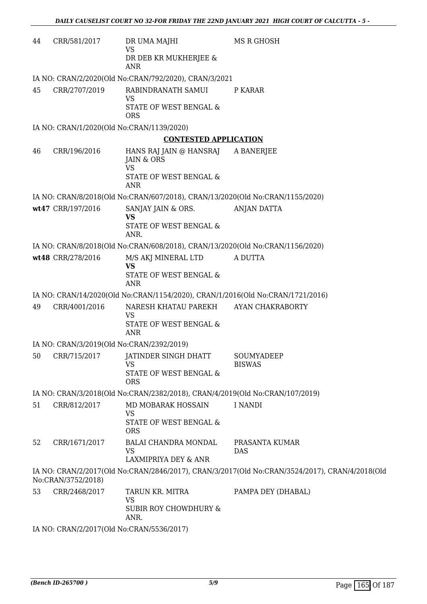| 44 | CRR/581/2017       | DR UMA MAJHI<br><b>VS</b>                                                      | MS R GHOSH                                                                                     |
|----|--------------------|--------------------------------------------------------------------------------|------------------------------------------------------------------------------------------------|
|    |                    | DR DEB KR MUKHERJEE &<br><b>ANR</b>                                            |                                                                                                |
|    |                    | IA NO: CRAN/2/2020(Old No:CRAN/792/2020), CRAN/3/2021                          |                                                                                                |
| 45 | CRR/2707/2019      | RABINDRANATH SAMUI<br><b>VS</b>                                                | P KARAR                                                                                        |
|    |                    | STATE OF WEST BENGAL &<br><b>ORS</b>                                           |                                                                                                |
|    |                    | IA NO: CRAN/1/2020(Old No:CRAN/1139/2020)                                      |                                                                                                |
|    |                    | <b>CONTESTED APPLICATION</b>                                                   |                                                                                                |
| 46 | CRR/196/2016       | HANS RAJ JAIN @ HANSRAJ<br>JAIN & ORS<br><b>VS</b>                             | A BANERJEE                                                                                     |
|    |                    | STATE OF WEST BENGAL &<br><b>ANR</b>                                           |                                                                                                |
|    |                    | IA NO: CRAN/8/2018(Old No:CRAN/607/2018), CRAN/13/2020(Old No:CRAN/1155/2020)  |                                                                                                |
|    | wt47 CRR/197/2016  | SANJAY JAIN & ORS.                                                             | <b>ANJAN DATTA</b>                                                                             |
|    |                    | <b>VS</b><br>STATE OF WEST BENGAL &<br>ANR.                                    |                                                                                                |
|    |                    | IA NO: CRAN/8/2018(Old No:CRAN/608/2018), CRAN/13/2020(Old No:CRAN/1156/2020)  |                                                                                                |
|    | wt48 CRR/278/2016  | M/S AKJ MINERAL LTD<br><b>VS</b>                                               | A DUTTA                                                                                        |
|    |                    | STATE OF WEST BENGAL &<br><b>ANR</b>                                           |                                                                                                |
|    |                    | IA NO: CRAN/14/2020(Old No:CRAN/1154/2020), CRAN/1/2016(Old No:CRAN/1721/2016) |                                                                                                |
| 49 | CRR/4001/2016      | NARESH KHATAU PAREKH<br><b>VS</b>                                              | AYAN CHAKRABORTY                                                                               |
|    |                    | STATE OF WEST BENGAL &<br><b>ANR</b>                                           |                                                                                                |
|    |                    | IA NO: CRAN/3/2019(Old No:CRAN/2392/2019)                                      |                                                                                                |
| 50 | CRR/715/2017       | JATINDER SINGH DHATT<br>VS                                                     | SOUMYADEEP<br><b>BISWAS</b>                                                                    |
|    |                    | STATE OF WEST BENGAL &<br><b>ORS</b>                                           |                                                                                                |
|    |                    | IA NO: CRAN/3/2018(Old No:CRAN/2382/2018), CRAN/4/2019(Old No:CRAN/107/2019)   |                                                                                                |
| 51 | CRR/812/2017       | MD MOBARAK HOSSAIN<br>VS                                                       | I NANDI                                                                                        |
|    |                    | STATE OF WEST BENGAL &<br><b>ORS</b>                                           |                                                                                                |
| 52 | CRR/1671/2017      | <b>BALAI CHANDRA MONDAL</b><br><b>VS</b>                                       | PRASANTA KUMAR<br><b>DAS</b>                                                                   |
|    |                    | LAXMIPRIYA DEY & ANR                                                           |                                                                                                |
|    | No:CRAN/3752/2018) |                                                                                | IA NO: CRAN/2/2017(Old No:CRAN/2846/2017), CRAN/3/2017(Old No:CRAN/3524/2017), CRAN/4/2018(Old |
| 53 | CRR/2468/2017      | TARUN KR. MITRA<br><b>VS</b>                                                   | PAMPA DEY (DHABAL)                                                                             |
|    |                    | SUBIR ROY CHOWDHURY &<br>ANR.                                                  |                                                                                                |
|    |                    | $10017(011)$ $\mu$ , $2011(017)$                                               |                                                                                                |

IA NO: CRAN/2/2017(Old No:CRAN/5536/2017)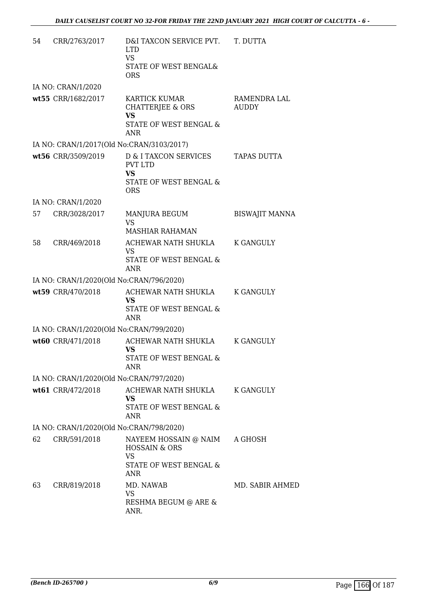| 54 | CRR/2763/2017      | D&I TAXCON SERVICE PVT.<br><b>LTD</b><br><b>VS</b><br>STATE OF WEST BENGAL&<br><b>ORS</b>               | T. DUTTA              |
|----|--------------------|---------------------------------------------------------------------------------------------------------|-----------------------|
|    | IA NO: CRAN/1/2020 |                                                                                                         |                       |
|    | wt55 CRR/1682/2017 | <b>KARTICK KUMAR</b><br>CHATTERJEE & ORS<br><b>VS</b><br>STATE OF WEST BENGAL &<br><b>ANR</b>           | RAMENDRA LAL<br>AUDDY |
|    |                    | IA NO: CRAN/1/2017(Old No:CRAN/3103/2017)                                                               |                       |
|    | wt56 CRR/3509/2019 | D & I TAXCON SERVICES<br><b>PVT LTD</b><br><b>VS</b><br><b>STATE OF WEST BENGAL &amp;</b><br><b>ORS</b> | <b>TAPAS DUTTA</b>    |
|    | IA NO: CRAN/1/2020 |                                                                                                         |                       |
|    | 57 CRR/3028/2017   | MANJURA BEGUM<br><b>VS</b><br>MASHIAR RAHAMAN                                                           | <b>BISWAJIT MANNA</b> |
| 58 | CRR/469/2018       | ACHEWAR NATH SHUKLA<br><b>VS</b><br>STATE OF WEST BENGAL &<br><b>ANR</b>                                | <b>K GANGULY</b>      |
|    |                    | IA NO: CRAN/1/2020(Old No:CRAN/796/2020)                                                                |                       |
|    | wt59 CRR/470/2018  | ACHEWAR NATH SHUKLA K GANGULY<br>VS<br>STATE OF WEST BENGAL &<br><b>ANR</b>                             |                       |
|    |                    | IA NO: CRAN/1/2020(Old No:CRAN/799/2020)                                                                |                       |
|    | wt60 CRR/471/2018  | ACHEWAR NATH SHUKLA<br><b>VS</b><br>STATE OF WEST BENGAL &<br>ANR                                       | K GANGULY             |
|    |                    | IA NO: CRAN/1/2020(Old No:CRAN/797/2020)                                                                |                       |
|    | wt61 CRR/472/2018  | ACHEWAR NATH SHUKLA<br><b>VS</b><br>STATE OF WEST BENGAL &<br><b>ANR</b>                                | K GANGULY             |
|    |                    | IA NO: CRAN/1/2020(Old No:CRAN/798/2020)                                                                |                       |
| 62 | CRR/591/2018       | NAYEEM HOSSAIN @ NAIM<br><b>HOSSAIN &amp; ORS</b><br><b>VS</b><br>STATE OF WEST BENGAL &<br><b>ANR</b>  | A GHOSH               |
| 63 | CRR/819/2018       | MD. NAWAB<br><b>VS</b><br>RESHMA BEGUM @ ARE &<br>ANR.                                                  | MD. SABIR AHMED       |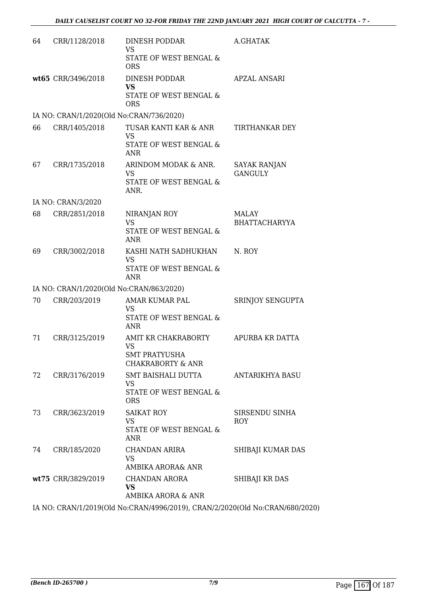| 64 | CRR/1128/2018                            | DINESH PODDAR<br><b>VS</b><br>STATE OF WEST BENGAL &<br><b>ORS</b>                       | A.GHATAK                              |
|----|------------------------------------------|------------------------------------------------------------------------------------------|---------------------------------------|
|    | wt65 CRR/3496/2018                       | DINESH PODDAR<br><b>VS</b><br>STATE OF WEST BENGAL &<br><b>ORS</b>                       | APZAL ANSARI                          |
|    | IA NO: CRAN/1/2020(Old No:CRAN/736/2020) |                                                                                          |                                       |
| 66 | CRR/1405/2018                            | TUSAR KANTI KAR & ANR<br><b>VS</b><br>STATE OF WEST BENGAL &<br>ANR                      | TIRTHANKAR DEY                        |
| 67 | CRR/1735/2018                            | ARINDOM MODAK & ANR.<br><b>VS</b><br><b>STATE OF WEST BENGAL &amp;</b><br>ANR.           | <b>SAYAK RANJAN</b><br><b>GANGULY</b> |
|    | IA NO: CRAN/3/2020                       |                                                                                          |                                       |
| 68 | CRR/2851/2018                            | NIRANJAN ROY<br><b>VS</b><br>STATE OF WEST BENGAL &<br>ANR                               | <b>MALAY</b><br><b>BHATTACHARYYA</b>  |
| 69 | CRR/3002/2018                            | KASHI NATH SADHUKHAN<br><b>VS</b><br>STATE OF WEST BENGAL &<br><b>ANR</b>                | N. ROY                                |
|    | IA NO: CRAN/1/2020(Old No:CRAN/863/2020) |                                                                                          |                                       |
| 70 | CRR/203/2019                             | AMAR KUMAR PAL<br><b>VS</b><br><b>STATE OF WEST BENGAL &amp;</b><br>ANR                  | SRINJOY SENGUPTA                      |
| 71 | CRR/3125/2019                            | AMIT KR CHAKRABORTY<br><b>VS</b><br><b>SMT PRATYUSHA</b><br><b>CHAKRABORTY &amp; ANR</b> | APURBA KR DATTA                       |
| 72 | CRR/3176/2019                            | SMT BAISHALI DUTTA<br>VS<br>STATE OF WEST BENGAL &<br><b>ORS</b>                         | ANTARIKHYA BASU                       |
| 73 | CRR/3623/2019                            | <b>SAIKAT ROY</b><br><b>VS</b><br>STATE OF WEST BENGAL &<br><b>ANR</b>                   | SIRSENDU SINHA<br>ROY                 |
| 74 | CRR/185/2020                             | CHANDAN ARIRA<br><b>VS</b><br>AMBIKA ARORA& ANR                                          | SHIBAJI KUMAR DAS                     |
|    | wt75 CRR/3829/2019                       | CHANDAN ARORA<br><b>VS</b><br>AMBIKA ARORA & ANR                                         | SHIBAJI KR DAS                        |

IA NO: CRAN/1/2019(Old No:CRAN/4996/2019), CRAN/2/2020(Old No:CRAN/680/2020)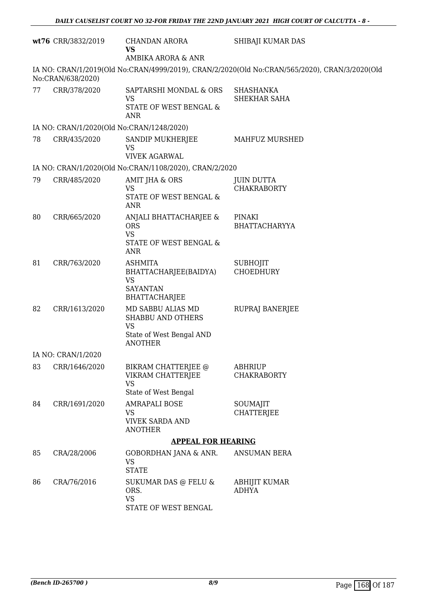|    | wt76 CRR/3832/2019                        | CHANDAN ARORA<br><b>VS</b><br>AMBIKA ARORA & ANR                                                         | SHIBAJI KUMAR DAS                                                                             |
|----|-------------------------------------------|----------------------------------------------------------------------------------------------------------|-----------------------------------------------------------------------------------------------|
|    | No:CRAN/638/2020)                         |                                                                                                          | IA NO: CRAN/1/2019(Old No:CRAN/4999/2019), CRAN/2/2020(Old No:CRAN/565/2020), CRAN/3/2020(Old |
| 77 | CRR/378/2020                              | SAPTARSHI MONDAL & ORS<br><b>VS</b><br>STATE OF WEST BENGAL &<br><b>ANR</b>                              | <b>SHASHANKA</b><br>SHEKHAR SAHA                                                              |
|    | IA NO: CRAN/1/2020(Old No:CRAN/1248/2020) |                                                                                                          |                                                                                               |
| 78 | CRR/435/2020                              | SANDIP MUKHERJEE<br><b>VS</b><br><b>VIVEK AGARWAL</b>                                                    | MAHFUZ MURSHED                                                                                |
|    |                                           | IA NO: CRAN/1/2020(Old No:CRAN/1108/2020), CRAN/2/2020                                                   |                                                                                               |
| 79 | CRR/485/2020                              | AMIT JHA & ORS<br>VS<br>STATE OF WEST BENGAL &<br><b>ANR</b>                                             | <b>JUIN DUTTA</b><br><b>CHAKRABORTY</b>                                                       |
| 80 | CRR/665/2020                              | ANJALI BHATTACHARJEE &<br><b>ORS</b><br><b>VS</b><br>STATE OF WEST BENGAL &<br><b>ANR</b>                | PINAKI<br><b>BHATTACHARYYA</b>                                                                |
| 81 | CRR/763/2020                              | <b>ASHMITA</b><br>BHATTACHARJEE(BAIDYA)<br><b>VS</b><br><b>SAYANTAN</b><br><b>BHATTACHARJEE</b>          | <b>SUBHOJIT</b><br><b>CHOEDHURY</b>                                                           |
| 82 | CRR/1613/2020                             | MD SABBU ALIAS MD<br><b>SHABBU AND OTHERS</b><br><b>VS</b><br>State of West Bengal AND<br><b>ANOTHER</b> | RUPRAJ BANERJEE                                                                               |
|    | IA NO: CRAN/1/2020                        |                                                                                                          |                                                                                               |
| 83 | CRR/1646/2020                             | BIKRAM CHATTERJEE @<br>VIKRAM CHATTERJEE<br><b>VS</b><br>State of West Bengal                            | <b>ABHRIUP</b><br><b>CHAKRABORTY</b>                                                          |
| 84 | CRR/1691/2020                             | <b>AMRAPALI BOSE</b><br><b>VS</b><br><b>VIVEK SARDA AND</b><br><b>ANOTHER</b>                            | SOUMAJIT<br><b>CHATTERJEE</b>                                                                 |
|    |                                           | <b>APPEAL FOR HEARING</b>                                                                                |                                                                                               |
| 85 | CRA/28/2006                               | GOBORDHAN JANA & ANR.<br><b>VS</b><br><b>STATE</b>                                                       | <b>ANSUMAN BERA</b>                                                                           |
| 86 | CRA/76/2016                               | SUKUMAR DAS @ FELU &<br>ORS.<br><b>VS</b><br>STATE OF WEST BENGAL                                        | ABHIJIT KUMAR<br><b>ADHYA</b>                                                                 |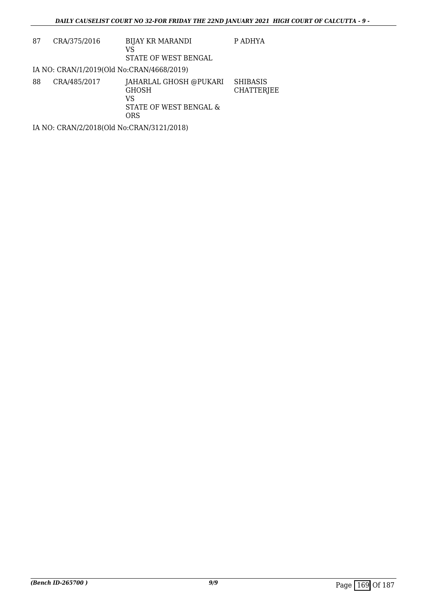| 87 | CRA/375/2016 | <b>BIJAY KR MARANDI</b><br>VS                                                 | P ADHYA                       |
|----|--------------|-------------------------------------------------------------------------------|-------------------------------|
|    |              | STATE OF WEST BENGAL                                                          |                               |
|    |              | IA NO: CRAN/1/2019(Old No:CRAN/4668/2019)                                     |                               |
| 88 | CRA/485/2017 | JAHARLAL GHOSH @PUKARI<br><b>GHOSH</b><br>VS<br>STATE OF WEST BENGAL &<br>ORS | <b>SHIBASIS</b><br>CHATTERJEE |
|    |              | IA NO: CRAN/2/2018(Old No:CRAN/3121/2018)                                     |                               |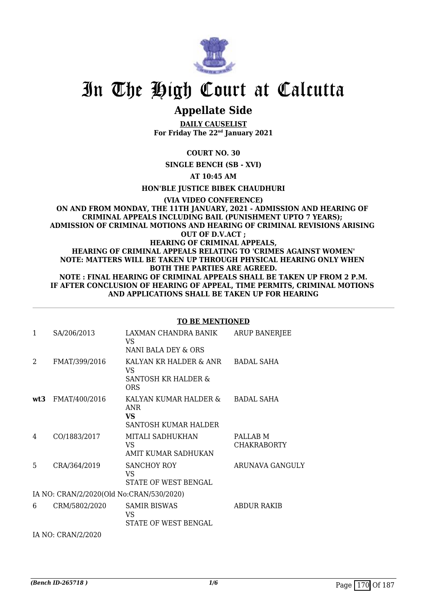

## **Appellate Side**

**DAILY CAUSELIST For Friday The 22nd January 2021**

#### **COURT NO. 30**

**SINGLE BENCH (SB - XVI)**

**AT 10:45 AM**

**HON'BLE JUSTICE BIBEK CHAUDHURI**

#### **(VIA VIDEO CONFERENCE) ON AND FROM MONDAY, THE 11TH JANUARY, 2021 - ADMISSION AND HEARING OF CRIMINAL APPEALS INCLUDING BAIL (PUNISHMENT UPTO 7 YEARS); ADMISSION OF CRIMINAL MOTIONS AND HEARING OF CRIMINAL REVISIONS ARISING OUT OF D.V.ACT ; HEARING OF CRIMINAL APPEALS, HEARING OF CRIMINAL APPEALS RELATING TO 'CRIMES AGAINST WOMEN' NOTE: MATTERS WILL BE TAKEN UP THROUGH PHYSICAL HEARING ONLY WHEN BOTH THE PARTIES ARE AGREED. NOTE : FINAL HEARING OF CRIMINAL APPEALS SHALL BE TAKEN UP FROM 2 P.M. IF AFTER CONCLUSION OF HEARING OF APPEAL, TIME PERMITS, CRIMINAL MOTIONS AND APPLICATIONS SHALL BE TAKEN UP FOR HEARING**

| $\mathbf{1}$ | SA/206/2013                              | LAXMAN CHANDRA BANIK<br>VS.<br>NANI BALA DEY & ORS          | ARUP BANERJEE                  |
|--------------|------------------------------------------|-------------------------------------------------------------|--------------------------------|
| 2            | FMAT/399/2016                            | KALYAN KR HALDER & ANR<br>VS.<br>SANTOSH KR HALDER &<br>ORS | <b>BADAL SAHA</b>              |
| wt3          | FMAT/400/2016                            | KALYAN KUMAR HALDER &<br>ANR<br>VS.<br>SANTOSH KUMAR HALDER | <b>BADAL SAHA</b>              |
| 4            | CO/1883/2017                             | MITALI SADHUKHAN<br>VS.<br>AMIT KUMAR SADHUKAN              | PALLAB M<br><b>CHAKRABORTY</b> |
| 5            | CRA/364/2019                             | <b>SANCHOY ROY</b><br>VS<br>STATE OF WEST BENGAL            | ARUNAVA GANGULY                |
|              | IA NO: CRAN/2/2020(Old No:CRAN/530/2020) |                                                             |                                |
| 6            | CRM/5802/2020                            | <b>SAMIR BISWAS</b><br>VS<br>STATE OF WEST BENGAL           | <b>ABDUR RAKIB</b>             |
|              | IA NO: CRAN/2/2020                       |                                                             |                                |

#### **TO BE MENTIONED**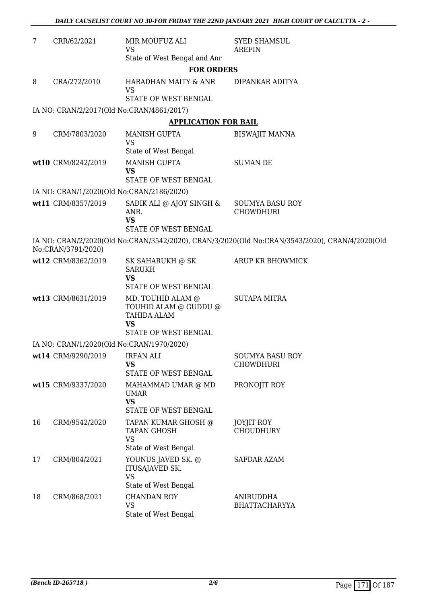| 7  | CRR/62/2021                               | MIR MOUFUZ ALI<br><b>VS</b>                                                                    | <b>SYED SHAMSUL</b><br><b>AREFIN</b>                                                           |
|----|-------------------------------------------|------------------------------------------------------------------------------------------------|------------------------------------------------------------------------------------------------|
|    |                                           | State of West Bengal and Anr                                                                   |                                                                                                |
|    |                                           | <b>FOR ORDERS</b>                                                                              |                                                                                                |
| 8  | CRA/272/2010                              | HARADHAN MAITY & ANR<br><b>VS</b><br>STATE OF WEST BENGAL                                      | DIPANKAR ADITYA                                                                                |
|    | IA NO: CRAN/2/2017(Old No:CRAN/4861/2017) |                                                                                                |                                                                                                |
|    |                                           | <b>APPLICATION FOR BAIL</b>                                                                    |                                                                                                |
| 9  | CRM/7803/2020                             | <b>MANISH GUPTA</b><br><b>VS</b>                                                               | <b>BISWAJIT MANNA</b>                                                                          |
|    |                                           | State of West Bengal                                                                           |                                                                                                |
|    | wt10 CRM/8242/2019                        | <b>MANISH GUPTA</b><br><b>VS</b>                                                               | <b>SUMAN DE</b>                                                                                |
|    |                                           | STATE OF WEST BENGAL                                                                           |                                                                                                |
|    | IA NO: CRAN/1/2020(Old No:CRAN/2186/2020) |                                                                                                |                                                                                                |
|    | wt11 CRM/8357/2019                        | SADIK ALI @ AJOY SINGH &<br>ANR.<br><b>VS</b>                                                  | <b>SOUMYA BASU ROY</b><br><b>CHOWDHURI</b>                                                     |
|    |                                           | STATE OF WEST BENGAL                                                                           |                                                                                                |
|    | No:CRAN/3791/2020)                        |                                                                                                | IA NO: CRAN/2/2020(Old No:CRAN/3542/2020), CRAN/3/2020(Old No:CRAN/3543/2020), CRAN/4/2020(Old |
|    | wt12 CRM/8362/2019                        | SK SAHARUKH @ SK<br><b>SARUKH</b><br><b>VS</b><br>STATE OF WEST BENGAL                         | ARUP KR BHOWMICK                                                                               |
|    | wt13 CRM/8631/2019                        | MD. TOUHID ALAM @<br>TOUHID ALAM @ GUDDU @<br>TAHIDA ALAM<br><b>VS</b><br>STATE OF WEST BENGAL | <b>SUTAPA MITRA</b>                                                                            |
|    | IA NO: CRAN/1/2020(Old No:CRAN/1970/2020) |                                                                                                |                                                                                                |
|    | wt14 CRM/9290/2019 IRFAN ALI              | VS                                                                                             | SOUMYA BASU ROY<br><b>CHOWDHURI</b>                                                            |
|    |                                           | STATE OF WEST BENGAL                                                                           |                                                                                                |
|    | wt15 CRM/9337/2020                        | MAHAMMAD UMAR @ MD<br><b>UMAR</b><br><b>VS</b><br>STATE OF WEST BENGAL                         | PRONOJIT ROY                                                                                   |
| 16 | CRM/9542/2020                             | TAPAN KUMAR GHOSH @<br>TAPAN GHOSH<br><b>VS</b><br>State of West Bengal                        | JOYJIT ROY<br><b>CHOUDHURY</b>                                                                 |
| 17 | CRM/804/2021                              | YOUNUS JAVED SK. @<br>ITUSAJAVED SK.<br><b>VS</b><br>State of West Bengal                      | SAFDAR AZAM                                                                                    |
| 18 | CRM/868/2021                              | <b>CHANDAN ROY</b><br><b>VS</b><br>State of West Bengal                                        | ANIRUDDHA<br><b>BHATTACHARYYA</b>                                                              |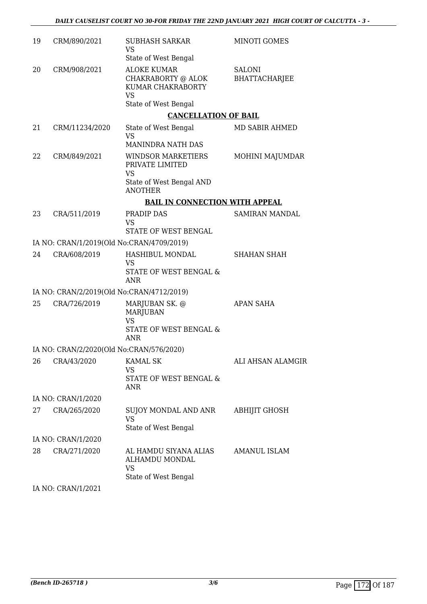| 19 | CRM/890/2021                              | <b>SUBHASH SARKAR</b><br><b>VS</b>                                                     | <b>MINOTI GOMES</b>                   |
|----|-------------------------------------------|----------------------------------------------------------------------------------------|---------------------------------------|
|    |                                           | State of West Bengal                                                                   |                                       |
| 20 | CRM/908/2021                              | <b>ALOKE KUMAR</b><br>CHAKRABORTY @ ALOK<br>KUMAR CHAKRABORTY<br><b>VS</b>             | <b>SALONI</b><br><b>BHATTACHARJEE</b> |
|    |                                           | State of West Bengal                                                                   |                                       |
|    |                                           | <b>CANCELLATION OF BAIL</b>                                                            |                                       |
| 21 | CRM/11234/2020                            | State of West Bengal<br><b>VS</b>                                                      | MD SABIR AHMED                        |
|    |                                           | <b>MANINDRA NATH DAS</b>                                                               |                                       |
| 22 | CRM/849/2021                              | WINDSOR MARKETIERS<br>PRIVATE LIMITED<br><b>VS</b>                                     | MOHINI MAJUMDAR                       |
|    |                                           | State of West Bengal AND<br><b>ANOTHER</b>                                             |                                       |
|    |                                           | <b>BAIL IN CONNECTION WITH APPEAL</b>                                                  |                                       |
| 23 | CRA/511/2019                              | PRADIP DAS<br><b>VS</b>                                                                | SAMIRAN MANDAL                        |
|    |                                           | <b>STATE OF WEST BENGAL</b>                                                            |                                       |
|    | IA NO: CRAN/1/2019(Old No:CRAN/4709/2019) |                                                                                        |                                       |
| 24 | CRA/608/2019                              | HASHIBUL MONDAL<br><b>VS</b><br>STATE OF WEST BENGAL &<br><b>ANR</b>                   | <b>SHAHAN SHAH</b>                    |
|    | IA NO: CRAN/2/2019(Old No:CRAN/4712/2019) |                                                                                        |                                       |
| 25 | CRA/726/2019                              | MARJUBAN SK. @<br><b>MARJUBAN</b><br><b>VS</b><br>STATE OF WEST BENGAL &<br><b>ANR</b> | APAN SAHA                             |
|    | IA NO: CRAN/2/2020(Old No:CRAN/576/2020)  |                                                                                        |                                       |
| 26 | CRA/43/2020                               | <b>KAMAL SK</b>                                                                        | <b>ALI AHSAN ALAMGIR</b>              |
|    |                                           | <b>VS</b><br>STATE OF WEST BENGAL &<br><b>ANR</b>                                      |                                       |
|    | IA NO: CRAN/1/2020                        |                                                                                        |                                       |
| 27 | CRA/265/2020                              | SUJOY MONDAL AND ANR<br><b>VS</b><br>State of West Bengal                              | ABHIJIT GHOSH                         |
|    | IA NO: CRAN/1/2020                        |                                                                                        |                                       |
| 28 | CRA/271/2020                              | AL HAMDU SIYANA ALIAS<br>ALHAMDU MONDAL<br><b>VS</b><br>State of West Bengal           | AMANUL ISLAM                          |
|    | IA NO: CRAN/1/2021                        |                                                                                        |                                       |
|    |                                           |                                                                                        |                                       |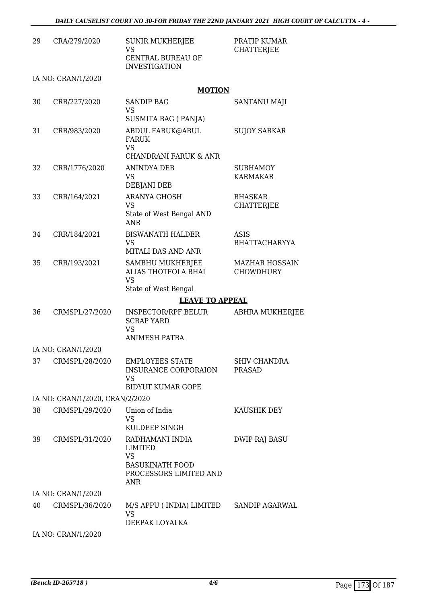| 29 | CRA/279/2020                    | <b>SUNIR MUKHERJEE</b><br><b>VS</b><br>CENTRAL BUREAU OF<br><b>INVESTIGATION</b>                   | PRATIP KUMAR<br><b>CHATTERJEE</b>         |
|----|---------------------------------|----------------------------------------------------------------------------------------------------|-------------------------------------------|
|    | IA NO: CRAN/1/2020              |                                                                                                    |                                           |
|    |                                 | <b>MOTION</b>                                                                                      |                                           |
| 30 | CRR/227/2020                    | <b>SANDIP BAG</b><br><b>VS</b><br>SUSMITA BAG (PANJA)                                              | SANTANU MAJI                              |
| 31 | CRR/983/2020                    | ABDUL FARUK@ABUL<br><b>FARUK</b><br><b>VS</b>                                                      | <b>SUJOY SARKAR</b>                       |
|    |                                 | <b>CHANDRANI FARUK &amp; ANR</b>                                                                   |                                           |
| 32 | CRR/1776/2020                   | ANINDYA DEB<br><b>VS</b><br><b>DEBJANI DEB</b>                                                     | <b>SUBHAMOY</b><br>KARMAKAR               |
| 33 | CRR/164/2021                    | <b>ARANYA GHOSH</b><br><b>VS</b><br>State of West Bengal AND<br><b>ANR</b>                         | <b>BHASKAR</b><br><b>CHATTERJEE</b>       |
| 34 | CRR/184/2021                    | <b>BISWANATH HALDER</b><br><b>VS</b><br>MITALI DAS AND ANR                                         | <b>ASIS</b><br><b>BHATTACHARYYA</b>       |
| 35 | CRR/193/2021                    | SAMBHU MUKHERJEE<br>ALIAS THOTFOLA BHAI<br><b>VS</b><br>State of West Bengal                       | <b>MAZHAR HOSSAIN</b><br><b>CHOWDHURY</b> |
|    |                                 | <b>LEAVE TO APPEAL</b>                                                                             |                                           |
| 36 | CRMSPL/27/2020                  | INSPECTOR/RPF,BELUR<br><b>SCRAP YARD</b><br><b>VS</b><br><b>ANIMESH PATRA</b>                      | <b>ABHRA MUKHERJEE</b>                    |
|    |                                 |                                                                                                    |                                           |
|    | IA NO: CRAN/1/2020              |                                                                                                    |                                           |
| 37 | CRMSPL/28/2020                  | <b>EMPLOYEES STATE</b><br><b>INSURANCE CORPORAION</b><br><b>VS</b><br><b>BIDYUT KUMAR GOPE</b>     | <b>SHIV CHANDRA</b><br><b>PRASAD</b>      |
|    | IA NO: CRAN/1/2020, CRAN/2/2020 |                                                                                                    |                                           |
| 38 | CRMSPL/29/2020                  | Union of India<br><b>VS</b><br>KULDEEP SINGH                                                       | KAUSHIK DEY                               |
| 39 | CRMSPL/31/2020                  | RADHAMANI INDIA<br>LIMITED<br><b>VS</b><br><b>BASUKINATH FOOD</b><br>PROCESSORS LIMITED AND<br>ANR | <b>DWIP RAJ BASU</b>                      |
|    | IA NO: CRAN/1/2020              |                                                                                                    |                                           |
| 40 | CRMSPL/36/2020                  | M/S APPU ( INDIA) LIMITED<br><b>VS</b><br>DEEPAK LOYALKA                                           | SANDIP AGARWAL                            |
|    | IA NO: CRAN/1/2020              |                                                                                                    |                                           |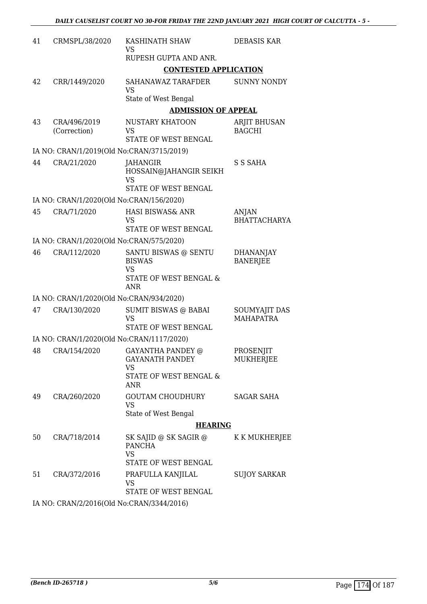| 41 | CRMSPL/38/2020                            | KASHINATH SHAW<br>VS<br>RUPESH GUPTA AND ANR.            | DEBASIS KAR                              |
|----|-------------------------------------------|----------------------------------------------------------|------------------------------------------|
|    |                                           | <b>CONTESTED APPLICATION</b>                             |                                          |
|    |                                           |                                                          |                                          |
| 42 | CRR/1449/2020                             | SAHANAWAZ TARAFDER<br><b>VS</b>                          | <b>SUNNY NONDY</b>                       |
|    |                                           | State of West Bengal                                     |                                          |
|    |                                           | <b>ADMISSION OF APPEAL</b>                               |                                          |
| 43 | CRA/496/2019<br>(Correction)              | NUSTARY KHATOON<br>VS                                    | ARJIT BHUSAN<br><b>BAGCHI</b>            |
|    |                                           | STATE OF WEST BENGAL                                     |                                          |
|    | IA NO: CRAN/1/2019(Old No:CRAN/3715/2019) |                                                          |                                          |
| 44 | CRA/21/2020                               | JAHANGIR<br>HOSSAIN@JAHANGIR SEIKH<br><b>VS</b>          | S S SAHA                                 |
|    |                                           | STATE OF WEST BENGAL                                     |                                          |
|    | IA NO: CRAN/1/2020(Old No:CRAN/156/2020)  |                                                          |                                          |
| 45 | CRA/71/2020                               | <b>HASI BISWAS&amp; ANR</b><br><b>VS</b>                 | ANJAN<br><b>BHATTACHARYA</b>             |
|    |                                           | STATE OF WEST BENGAL                                     |                                          |
|    | IA NO: CRAN/1/2020(Old No:CRAN/575/2020)  |                                                          |                                          |
| 46 | CRA/112/2020                              | SANTU BISWAS @ SENTU<br><b>BISWAS</b><br><b>VS</b>       | <b>DHANANJAY</b><br><b>BANERJEE</b>      |
|    |                                           | STATE OF WEST BENGAL &<br><b>ANR</b>                     |                                          |
|    | IA NO: CRAN/1/2020(Old No:CRAN/934/2020)  |                                                          |                                          |
| 47 | CRA/130/2020                              | <b>SUMIT BISWAS @ BABAI</b><br><b>VS</b>                 | <b>SOUMYAJIT DAS</b><br><b>MAHAPATRA</b> |
|    |                                           | STATE OF WEST BENGAL                                     |                                          |
|    | IA NO: CRAN/1/2020(Old No:CRAN/1117/2020) |                                                          |                                          |
| 48 | CRA/154/2020                              | <b>GAYANTHA PANDEY @</b><br>GAYANATH PANDEY<br><b>VS</b> | PROSENJIT<br><b>MUKHERJEE</b>            |
|    |                                           | STATE OF WEST BENGAL &<br><b>ANR</b>                     |                                          |
| 49 | CRA/260/2020                              | GOUTAM CHOUDHURY<br>VS                                   | <b>SAGAR SAHA</b>                        |
|    |                                           | State of West Bengal                                     |                                          |
|    |                                           | <b>HEARING</b>                                           |                                          |
| 50 | CRA/718/2014                              | SK SAJID @ SK SAGIR @<br><b>PANCHA</b><br><b>VS</b>      | K K MUKHERJEE                            |
|    |                                           | STATE OF WEST BENGAL                                     |                                          |
| 51 | CRA/372/2016                              | PRAFULLA KANJILAL<br>VS                                  | <b>SUJOY SARKAR</b>                      |
|    |                                           | STATE OF WEST BENGAL                                     |                                          |
|    | IA NO: CRAN/2/2016(Old No:CRAN/3344/2016) |                                                          |                                          |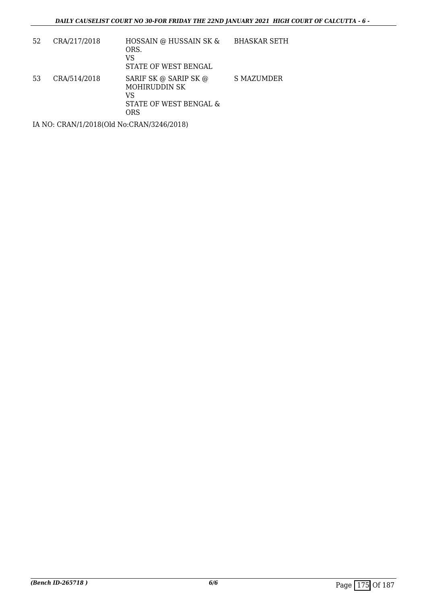| 52 | CRA/217/2018 | HOSSAIN @ HUSSAIN SK &<br>ORS.<br>VS<br>STATE OF WEST BENGAL                         | <b>BHASKAR SETH</b> |
|----|--------------|--------------------------------------------------------------------------------------|---------------------|
| 53 | CRA/514/2018 | SARIF SK @ SARIP SK @<br><b>MOHIRUDDIN SK</b><br>VS<br>STATE OF WEST BENGAL &<br>ORS | <b>S MAZUMDER</b>   |
|    |              |                                                                                      |                     |

IA NO: CRAN/1/2018(Old No:CRAN/3246/2018)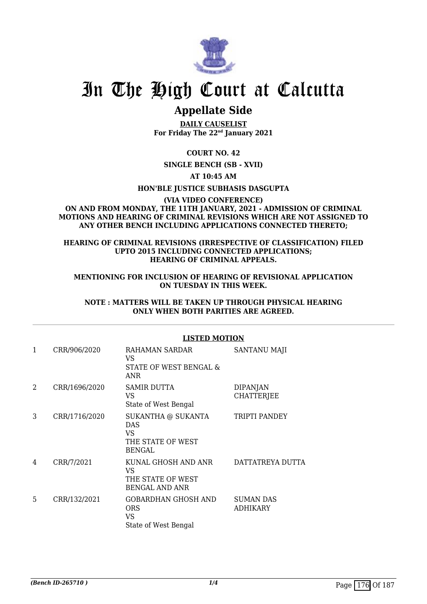

## **Appellate Side**

**DAILY CAUSELIST For Friday The 22nd January 2021**

**COURT NO. 42**

**SINGLE BENCH (SB - XVII)**

**AT 10:45 AM**

**HON'BLE JUSTICE SUBHASIS DASGUPTA**

#### **(VIA VIDEO CONFERENCE) ON AND FROM MONDAY, THE 11TH JANUARY, 2021 - ADMISSION OF CRIMINAL MOTIONS AND HEARING OF CRIMINAL REVISIONS WHICH ARE NOT ASSIGNED TO ANY OTHER BENCH INCLUDING APPLICATIONS CONNECTED THERETO;**

#### **HEARING OF CRIMINAL REVISIONS (IRRESPECTIVE OF CLASSIFICATION) FILED UPTO 2015 INCLUDING CONNECTED APPLICATIONS; HEARING OF CRIMINAL APPEALS.**

**MENTIONING FOR INCLUSION OF HEARING OF REVISIONAL APPLICATION ON TUESDAY IN THIS WEEK.**

**NOTE : MATTERS WILL BE TAKEN UP THROUGH PHYSICAL HEARING ONLY WHEN BOTH PARITIES ARE AGREED.**

#### **LISTED MOTION**

| 1 | CRR/906/2020  | RAHAMAN SARDAR<br>VS.<br>STATE OF WEST BENGAL &<br>ANR                 | <b>SANTANU MAJI</b>                  |
|---|---------------|------------------------------------------------------------------------|--------------------------------------|
| 2 | CRR/1696/2020 | <b>SAMIR DUTTA</b><br>VS.<br>State of West Bengal                      | <b>DIPANJAN</b><br><b>CHATTERJEE</b> |
| 3 | CRR/1716/2020 | SUKANTHA @ SUKANTA<br><b>DAS</b><br>VS.<br>THE STATE OF WEST<br>BENGAL | TRIPTI PANDEY                        |
| 4 | CRR/7/2021    | KUNAL GHOSH AND ANR<br>VS.<br>THE STATE OF WEST<br>BENGAL AND ANR      | DATTATREYA DUTTA                     |
| 5 | CRR/132/2021  | GOBARDHAN GHOSH AND<br><b>ORS</b><br>VS<br>State of West Bengal        | SUMAN DAS<br><b>ADHIKARY</b>         |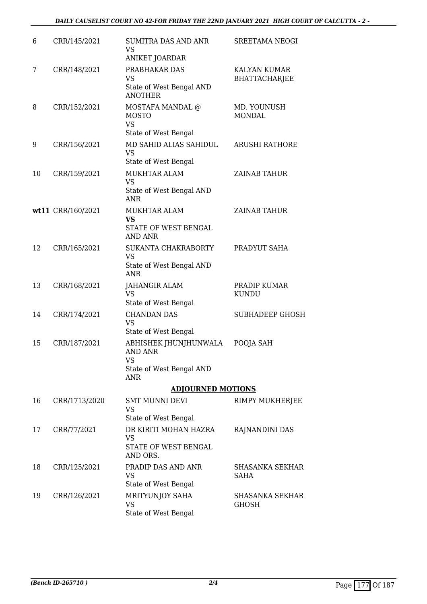| 6  | CRR/145/2021      | <b>SUMITRA DAS AND ANR</b><br>VS<br>ANIKET JOARDAR                                      | SREETAMA NEOGI                              |
|----|-------------------|-----------------------------------------------------------------------------------------|---------------------------------------------|
| 7  | CRR/148/2021      | PRABHAKAR DAS<br><b>VS</b><br>State of West Bengal AND<br><b>ANOTHER</b>                | <b>KALYAN KUMAR</b><br><b>BHATTACHARJEE</b> |
| 8  | CRR/152/2021      | MOSTAFA MANDAL @<br><b>MOSTO</b><br><b>VS</b><br>State of West Bengal                   | MD. YOUNUSH<br><b>MONDAL</b>                |
| 9  | CRR/156/2021      | MD SAHID ALIAS SAHIDUL<br><b>VS</b><br>State of West Bengal                             | <b>ARUSHI RATHORE</b>                       |
| 10 | CRR/159/2021      | MUKHTAR ALAM<br><b>VS</b><br>State of West Bengal AND<br><b>ANR</b>                     | <b>ZAINAB TAHUR</b>                         |
|    | wt11 CRR/160/2021 | MUKHTAR ALAM<br><b>VS</b><br>STATE OF WEST BENGAL<br><b>AND ANR</b>                     | ZAINAB TAHUR                                |
| 12 | CRR/165/2021      | SUKANTA CHAKRABORTY<br><b>VS</b><br>State of West Bengal AND<br><b>ANR</b>              | PRADYUT SAHA                                |
| 13 | CRR/168/2021      | JAHANGIR ALAM<br><b>VS</b><br>State of West Bengal                                      | PRADIP KUMAR<br><b>KUNDU</b>                |
| 14 | CRR/174/2021      | <b>CHANDAN DAS</b><br><b>VS</b><br>State of West Bengal                                 | <b>SUBHADEEP GHOSH</b>                      |
| 15 | CRR/187/2021      | ABHISHEK JHUNJHUNWALA<br><b>AND ANR</b><br>VS<br>State of West Bengal AND<br><b>ANR</b> | POOJA SAH                                   |
|    |                   | <b>ADJOURNED MOTIONS</b>                                                                |                                             |
| 16 | CRR/1713/2020     | <b>SMT MUNNI DEVI</b><br><b>VS</b><br>State of West Bengal                              | RIMPY MUKHERJEE                             |
| 17 | CRR/77/2021       | DR KIRITI MOHAN HAZRA<br><b>VS</b><br>STATE OF WEST BENGAL<br>AND ORS.                  | RAJNANDINI DAS                              |
| 18 | CRR/125/2021      | PRADIP DAS AND ANR<br>VS<br>State of West Bengal                                        | <b>SHASANKA SEKHAR</b><br><b>SAHA</b>       |
| 19 | CRR/126/2021      | MRITYUNJOY SAHA<br><b>VS</b><br>State of West Bengal                                    | <b>SHASANKA SEKHAR</b><br><b>GHOSH</b>      |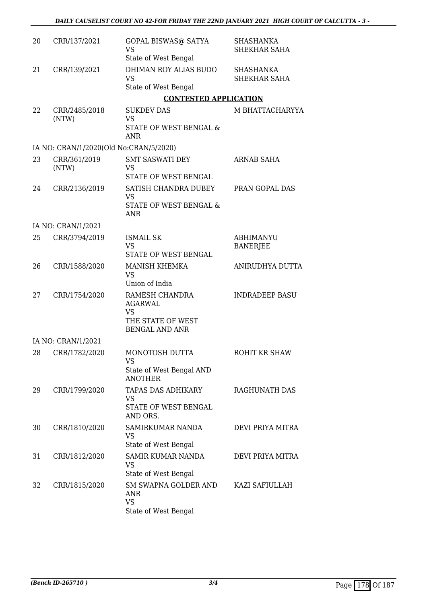| 20 | CRR/137/2021                           | <b>GOPAL BISWAS@ SATYA</b><br><b>VS</b><br>State of West Bengal                             | <b>SHASHANKA</b><br><b>SHEKHAR SAHA</b> |
|----|----------------------------------------|---------------------------------------------------------------------------------------------|-----------------------------------------|
| 21 | CRR/139/2021                           | DHIMAN ROY ALIAS BUDO<br><b>VS</b><br>State of West Bengal                                  | <b>SHASHANKA</b><br><b>SHEKHAR SAHA</b> |
|    |                                        | <b>CONTESTED APPLICATION</b>                                                                |                                         |
| 22 | CRR/2485/2018<br>(NTW)                 | <b>SUKDEV DAS</b><br><b>VS</b><br>STATE OF WEST BENGAL &<br><b>ANR</b>                      | M BHATTACHARYYA                         |
|    | IA NO: CRAN/1/2020(Old No:CRAN/5/2020) |                                                                                             |                                         |
| 23 | CRR/361/2019<br>(NTW)                  | <b>SMT SASWATI DEY</b><br><b>VS</b><br>STATE OF WEST BENGAL                                 | ARNAB SAHA                              |
| 24 | CRR/2136/2019                          | SATISH CHANDRA DUBEY<br>VS<br><b>STATE OF WEST BENGAL &amp;</b><br><b>ANR</b>               | PRAN GOPAL DAS                          |
|    | IA NO: CRAN/1/2021                     |                                                                                             |                                         |
| 25 | CRR/3794/2019                          | <b>ISMAIL SK</b><br><b>VS</b><br>STATE OF WEST BENGAL                                       | <b>ABHIMANYU</b><br><b>BANERJEE</b>     |
| 26 | CRR/1588/2020                          | <b>MANISH KHEMKA</b><br><b>VS</b><br>Union of India                                         | ANIRUDHYA DUTTA                         |
| 27 | CRR/1754/2020                          | RAMESH CHANDRA<br><b>AGARWAL</b><br><b>VS</b><br>THE STATE OF WEST<br><b>BENGAL AND ANR</b> | <b>INDRADEEP BASU</b>                   |
|    | IA NO: CRAN/1/2021                     |                                                                                             |                                         |
| 28 | CRR/1782/2020                          | MONOTOSH DUTTA<br><b>VS</b><br>State of West Bengal AND<br><b>ANOTHER</b>                   | ROHIT KR SHAW                           |
| 29 | CRR/1799/2020                          | TAPAS DAS ADHIKARY<br>VS<br>STATE OF WEST BENGAL<br>AND ORS.                                | RAGHUNATH DAS                           |
| 30 | CRR/1810/2020                          | SAMIRKUMAR NANDA<br><b>VS</b><br>State of West Bengal                                       | DEVI PRIYA MITRA                        |
| 31 | CRR/1812/2020                          | <b>SAMIR KUMAR NANDA</b><br><b>VS</b><br>State of West Bengal                               | DEVI PRIYA MITRA                        |
| 32 | CRR/1815/2020                          | <b>SM SWAPNA GOLDER AND</b><br>ANR<br><b>VS</b><br>State of West Bengal                     | KAZI SAFIULLAH                          |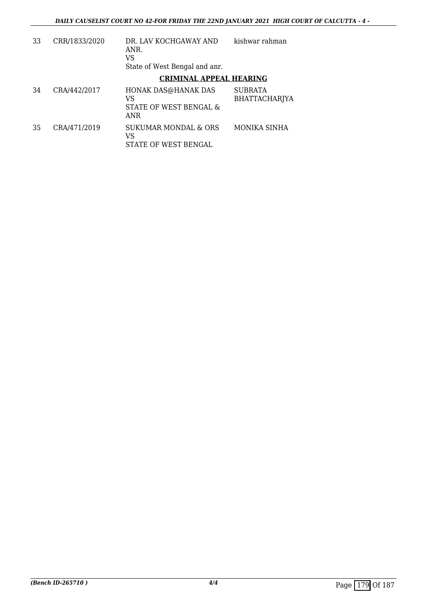| 33 | CRR/1833/2020 | DR. LAV KOCHGAWAY AND<br>ANR.<br>VS<br>State of West Bengal and anr. | kishwar rahman                  |
|----|---------------|----------------------------------------------------------------------|---------------------------------|
|    |               | <b>CRIMINAL APPEAL HEARING</b>                                       |                                 |
| 34 | CRA/442/2017  | HONAK DAS@HANAK DAS<br>VS<br>STATE OF WEST BENGAL &<br><b>ANR</b>    | SUBRATA<br><b>BHATTACHARJYA</b> |
| 35 | CRA/471/2019  | SUKUMAR MONDAL & ORS<br>VS<br>STATE OF WEST BENGAL                   | MONIKA SINHA                    |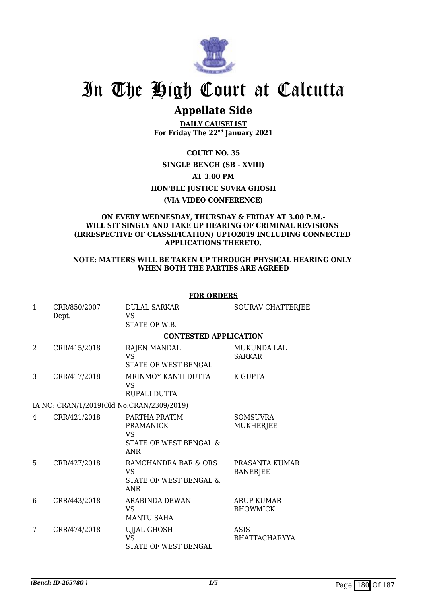

# In The High Court at Calcutta

### **Appellate Side**

**DAILY CAUSELIST For Friday The 22nd January 2021**

**COURT NO. 35 SINGLE BENCH (SB - XVIII) AT 3:00 PM HON'BLE JUSTICE SUVRA GHOSH (VIA VIDEO CONFERENCE)**

#### **ON EVERY WEDNESDAY, THURSDAY & FRIDAY AT 3.00 P.M.- WILL SIT SINGLY AND TAKE UP HEARING OF CRIMINAL REVISIONS (IRRESPECTIVE OF CLASSIFICATION) UPTO2019 INCLUDING CONNECTED APPLICATIONS THERETO.**

### **NOTE: MATTERS WILL BE TAKEN UP THROUGH PHYSICAL HEARING ONLY WHEN BOTH THE PARTIES ARE AGREED**

|              |                                           | <b>FOR ORDERS</b>                                                                    |                                      |  |
|--------------|-------------------------------------------|--------------------------------------------------------------------------------------|--------------------------------------|--|
| $\mathbf{1}$ | CRR/850/2007<br>Dept.                     | <b>DULAL SARKAR</b><br><b>VS</b><br>STATE OF W.B.                                    | SOURAV CHATTERJEE                    |  |
|              |                                           | <b>CONTESTED APPLICATION</b>                                                         |                                      |  |
| 2            | CRR/415/2018                              | <b>RAJEN MANDAL</b><br><b>VS</b><br>STATE OF WEST BENGAL                             | <b>MUKUNDA LAL</b><br><b>SARKAR</b>  |  |
| 3            | CRR/417/2018                              | MRINMOY KANTI DUTTA<br><b>VS</b><br>RUPALI DUTTA                                     | <b>K GUPTA</b>                       |  |
|              | IA NO: CRAN/1/2019(Old No:CRAN/2309/2019) |                                                                                      |                                      |  |
| 4            | CRR/421/2018                              | PARTHA PRATIM<br>PRAMANICK<br><b>VS</b><br>STATE OF WEST BENGAL &<br><b>ANR</b>      | <b>SOMSUVRA</b><br><b>MUKHERJEE</b>  |  |
| 5            | CRR/427/2018                              | RAMCHANDRA BAR & ORS<br><b>VS</b><br><b>STATE OF WEST BENGAL &amp;</b><br><b>ANR</b> | PRASANTA KUMAR<br><b>BANERJEE</b>    |  |
| 6            | CRR/443/2018                              | <b>ARABINDA DEWAN</b><br><b>VS</b><br><b>MANTU SAHA</b>                              | <b>ARUP KUMAR</b><br><b>BHOWMICK</b> |  |
| 7            | CRR/474/2018                              | UJJAL GHOSH<br><b>VS</b><br><b>STATE OF WEST BENGAL</b>                              | ASIS<br><b>BHATTACHARYYA</b>         |  |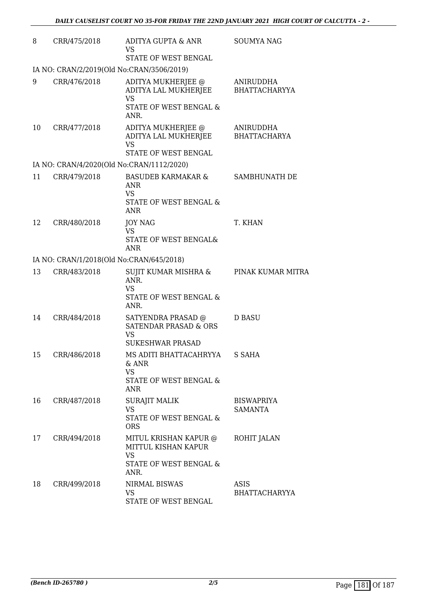| 8  | CRR/475/2018                              | ADITYA GUPTA & ANR<br><b>VS</b><br>STATE OF WEST BENGAL                                          | <b>SOUMYA NAG</b>                   |
|----|-------------------------------------------|--------------------------------------------------------------------------------------------------|-------------------------------------|
|    | IA NO: CRAN/2/2019(Old No:CRAN/3506/2019) |                                                                                                  |                                     |
| 9  | CRR/476/2018                              | ADITYA MUKHERJEE @<br>ADITYA LAL MUKHERJEE<br><b>VS</b><br>STATE OF WEST BENGAL &<br>ANR.        | ANIRUDDHA<br><b>BHATTACHARYYA</b>   |
| 10 | CRR/477/2018                              | ADITYA MUKHERJEE @<br>ADITYA LAL MUKHERJEE<br><b>VS</b><br>STATE OF WEST BENGAL                  | ANIRUDDHA<br><b>BHATTACHARYA</b>    |
|    | IA NO: CRAN/4/2020(Old No:CRAN/1112/2020) |                                                                                                  |                                     |
| 11 | CRR/479/2018                              | <b>BASUDEB KARMAKAR &amp;</b><br><b>ANR</b><br><b>VS</b><br>STATE OF WEST BENGAL &<br><b>ANR</b> | SAMBHUNATH DE                       |
| 12 | CRR/480/2018                              | <b>JOY NAG</b><br><b>VS</b><br>STATE OF WEST BENGAL&<br>ANR                                      | T. KHAN                             |
|    | IA NO: CRAN/1/2018(Old No:CRAN/645/2018)  |                                                                                                  |                                     |
| 13 | CRR/483/2018                              | SUJIT KUMAR MISHRA &<br>ANR.<br><b>VS</b><br>STATE OF WEST BENGAL &<br>ANR.                      | PINAK KUMAR MITRA                   |
| 14 | CRR/484/2018                              | SATYENDRA PRASAD @<br><b>SATENDAR PRASAD &amp; ORS</b><br><b>VS</b><br><b>SUKESHWAR PRASAD</b>   | D BASU                              |
| 15 | CRR/486/2018                              | MS ADITI BHATTACAHRYYA<br>$&$ ANR<br><b>VS</b><br>STATE OF WEST BENGAL &<br><b>ANR</b>           | S SAHA                              |
| 16 | CRR/487/2018                              | <b>SURAJIT MALIK</b><br>VS<br>STATE OF WEST BENGAL &<br><b>ORS</b>                               | <b>BISWAPRIYA</b><br><b>SAMANTA</b> |
| 17 | CRR/494/2018                              | MITUL KRISHAN KAPUR @<br>MITTUL KISHAN KAPUR<br><b>VS</b><br>STATE OF WEST BENGAL &              | ROHIT JALAN                         |
|    |                                           | ANR.                                                                                             |                                     |
| 18 | CRR/499/2018                              | NIRMAL BISWAS<br><b>VS</b><br>STATE OF WEST BENGAL                                               | ASIS<br><b>BHATTACHARYYA</b>        |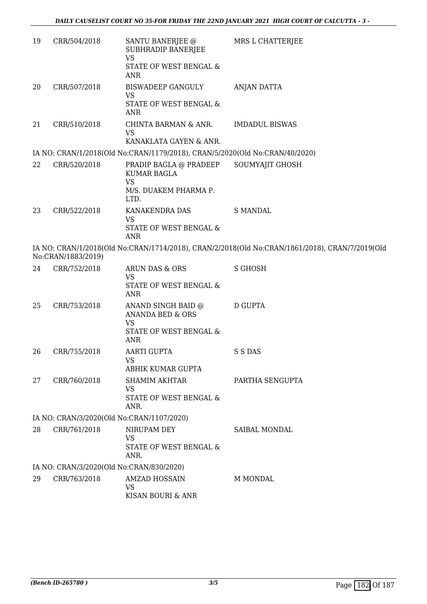| 19 | CRR/504/2018                                                                                                         | SANTU BANERJEE @<br>SUBHRADIP BANERJEE                                              | MRS L CHATTERJEE      |  |  |
|----|----------------------------------------------------------------------------------------------------------------------|-------------------------------------------------------------------------------------|-----------------------|--|--|
|    |                                                                                                                      | <b>VS</b><br>STATE OF WEST BENGAL &<br><b>ANR</b>                                   |                       |  |  |
| 20 | CRR/507/2018                                                                                                         | <b>BISWADEEP GANGULY</b><br><b>VS</b><br>STATE OF WEST BENGAL &<br><b>ANR</b>       | ANJAN DATTA           |  |  |
| 21 | CRR/510/2018                                                                                                         | CHINTA BARMAN & ANR.<br><b>VS</b><br>KANAKLATA GAYEN & ANR.                         | <b>IMDADUL BISWAS</b> |  |  |
|    |                                                                                                                      | IA NO: CRAN/1/2018(Old No:CRAN/1179/2018), CRAN/5/2020(Old No:CRAN/40/2020)         |                       |  |  |
| 22 | CRR/520/2018                                                                                                         | PRADIP BAGLA @ PRADEEP<br>KUMAR BAGLA<br><b>VS</b><br>M/S. DUAKEM PHARMA P.<br>LTD. | SOUMYAJIT GHOSH       |  |  |
| 23 | CRR/522/2018                                                                                                         | KANAKENDRA DAS<br><b>VS</b><br>STATE OF WEST BENGAL &<br><b>ANR</b>                 | <b>S MANDAL</b>       |  |  |
|    | IA NO: CRAN/1/2018(Old No:CRAN/1714/2018), CRAN/2/2018(Old No:CRAN/1861/2018), CRAN/7/2019(Old<br>No:CRAN/1883/2019) |                                                                                     |                       |  |  |
| 24 | CRR/752/2018                                                                                                         | ARUN DAS & ORS<br><b>VS</b><br>STATE OF WEST BENGAL &                               | <b>S GHOSH</b>        |  |  |
|    |                                                                                                                      | <b>ANR</b>                                                                          |                       |  |  |
| 25 | CRR/753/2018                                                                                                         | ANAND SINGH BAID @<br>ANANDA BED & ORS<br><b>VS</b>                                 | D GUPTA               |  |  |
|    |                                                                                                                      | STATE OF WEST BENGAL &<br><b>ANR</b>                                                |                       |  |  |
| 26 | CRR/755/2018                                                                                                         | <b>AARTI GUPTA</b><br><b>VS</b>                                                     | S S DAS               |  |  |
|    |                                                                                                                      | ABHIK KUMAR GUPTA                                                                   |                       |  |  |
| 27 | CRR/760/2018                                                                                                         | <b>SHAMIM AKHTAR</b><br><b>VS</b><br>STATE OF WEST BENGAL &<br>ANR.                 | PARTHA SENGUPTA       |  |  |
|    |                                                                                                                      | IA NO: CRAN/3/2020(Old No:CRAN/1107/2020)                                           |                       |  |  |
| 28 | CRR/761/2018                                                                                                         | NIRUPAM DEY<br><b>VS</b><br>STATE OF WEST BENGAL &<br>ANR.                          | <b>SAIBAL MONDAL</b>  |  |  |
|    | IA NO: CRAN/3/2020(Old No:CRAN/830/2020)                                                                             |                                                                                     |                       |  |  |
| 29 | CRR/763/2018                                                                                                         | <b>AMZAD HOSSAIN</b><br><b>VS</b><br>KISAN BOURI & ANR                              | M MONDAL              |  |  |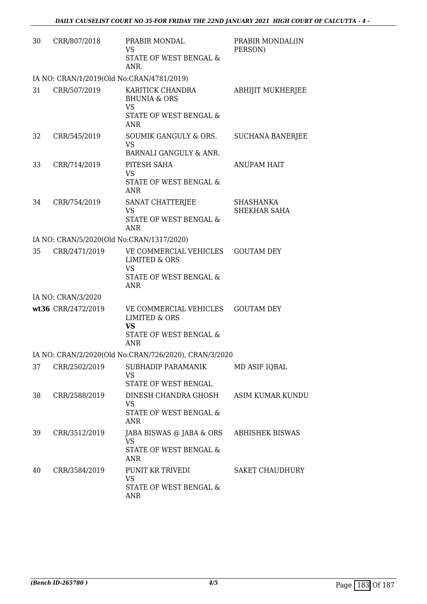| 30                                                    | CRR/807/2018                              | PRABIR MONDAL<br><b>VS</b><br><b>STATE OF WEST BENGAL &amp;</b><br>ANR.                                 | PRABIR MONDAL(IN<br>PERSON)      |  |
|-------------------------------------------------------|-------------------------------------------|---------------------------------------------------------------------------------------------------------|----------------------------------|--|
|                                                       | IA NO: CRAN/1/2019(Old No:CRAN/4781/2019) |                                                                                                         |                                  |  |
| 31                                                    | CRR/507/2019                              | KARITICK CHANDRA<br><b>BHUNIA &amp; ORS</b><br><b>VS</b><br>STATE OF WEST BENGAL &                      | ABHIJIT MUKHERJEE                |  |
| 32                                                    | CRR/545/2019                              | <b>ANR</b><br>SOUMIK GANGULY & ORS.<br><b>VS</b>                                                        | <b>SUCHANA BANERJEE</b>          |  |
|                                                       |                                           | BARNALI GANGULY & ANR.                                                                                  |                                  |  |
| 33                                                    | CRR/714/2019                              | PITESH SAHA<br><b>VS</b><br>STATE OF WEST BENGAL &<br><b>ANR</b>                                        | <b>ANUPAM HAIT</b>               |  |
| 34                                                    | CRR/754/2019                              | SANAT CHATTERJEE<br><b>VS</b><br>STATE OF WEST BENGAL &<br><b>ANR</b>                                   | <b>SHASHANKA</b><br>SHEKHAR SAHA |  |
|                                                       | IA NO: CRAN/5/2020(Old No:CRAN/1317/2020) |                                                                                                         |                                  |  |
| 35                                                    | CRR/2471/2019                             | VE COMMERCIAL VEHICLES<br><b>LIMITED &amp; ORS</b><br><b>VS</b><br>STATE OF WEST BENGAL &<br><b>ANR</b> | <b>GOUTAM DEY</b>                |  |
|                                                       | IA NO: CRAN/3/2020                        |                                                                                                         |                                  |  |
|                                                       | wt36 CRR/2472/2019                        | VE COMMERCIAL VEHICLES<br><b>LIMITED &amp; ORS</b><br><b>VS</b><br>STATE OF WEST BENGAL &<br><b>ANR</b> | <b>GOUTAM DEY</b>                |  |
| IA NO: CRAN/2/2020(Old No:CRAN/726/2020), CRAN/3/2020 |                                           |                                                                                                         |                                  |  |
| 37                                                    | CRR/2502/2019                             | SUBHADIP PARAMANIK<br><b>VS</b><br>STATE OF WEST BENGAL                                                 | MD ASIF IQBAL                    |  |
| 38                                                    | CRR/2588/2019                             | DINESH CHANDRA GHOSH<br><b>VS</b><br>STATE OF WEST BENGAL &<br><b>ANR</b>                               | ASIM KUMAR KUNDU                 |  |
| 39                                                    | CRR/3512/2019                             | JABA BISWAS @ JABA & ORS<br>VS<br>STATE OF WEST BENGAL &<br>ANR                                         | <b>ABHISHEK BISWAS</b>           |  |
| 40                                                    | CRR/3584/2019                             | PUNIT KR TRIVEDI<br><b>VS</b><br>STATE OF WEST BENGAL &<br><b>ANR</b>                                   | <b>SAKET CHAUDHURY</b>           |  |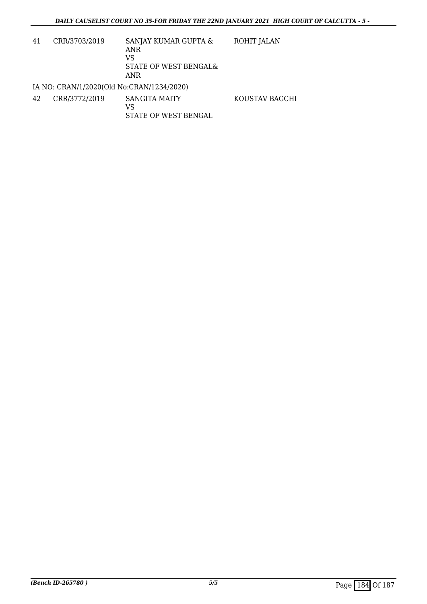KOUSTAV BAGCHI

- 41 CRR/3703/2019 SANJAY KUMAR GUPTA & ANR VS STATE OF WEST BENGAL& ANR ROHIT JALAN IA NO: CRAN/1/2020(Old No:CRAN/1234/2020)
- 42 CRR/3772/2019 SANGITA MAITY VS STATE OF WEST BENGAL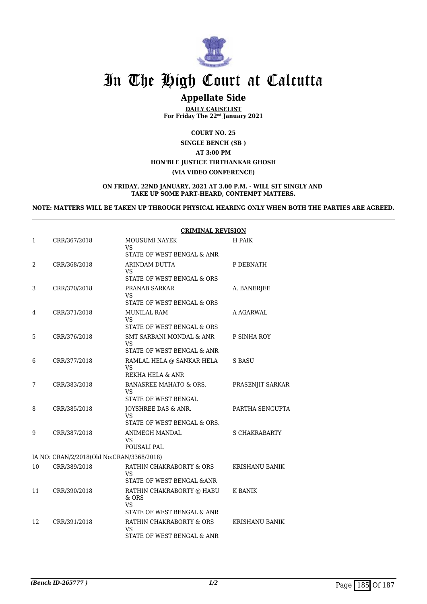

# In The High Court at Calcutta

### **Appellate Side**

**DAILY CAUSELIST For Friday The 22nd January 2021**

**COURT NO. 25**

**SINGLE BENCH (SB ) AT 3:00 PM HON'BLE JUSTICE TIRTHANKAR GHOSH (VIA VIDEO CONFERENCE)**

**ON FRIDAY, 22ND JANUARY, 2021 AT 3.00 P.M. - WILL SIT SINGLY AND TAKE UP SOME PART-HEARD, CONTEMPT MATTERS.**

**NOTE: MATTERS WILL BE TAKEN UP THROUGH PHYSICAL HEARING ONLY WHEN BOTH THE PARTIES ARE AGREED.**

|    |                                           | <b>CRIMINAL REVISION</b>                                                 |                       |
|----|-------------------------------------------|--------------------------------------------------------------------------|-----------------------|
| 1  | CRR/367/2018                              | MOUSUMI NAYEK<br>VS<br>STATE OF WEST BENGAL & ANR                        | H PAIK                |
| 2  | CRR/368/2018                              | ARINDAM DUTTA<br>VS<br>STATE OF WEST BENGAL & ORS                        | P DEBNATH             |
| 3  | CRR/370/2018                              | PRANAB SARKAR<br>VS<br>STATE OF WEST BENGAL & ORS                        | A. BANERJEE           |
| 4  | CRR/371/2018                              | MUNILAL RAM<br><b>VS</b><br>STATE OF WEST BENGAL & ORS                   | A AGARWAL             |
| 5  | CRR/376/2018                              | <b>SMT SARBANI MONDAL &amp; ANR</b><br>VS<br>STATE OF WEST BENGAL & ANR  | P SINHA ROY           |
| 6  | CRR/377/2018                              | RAMLAL HELA @ SANKAR HELA<br>VS<br>REKHA HELA & ANR                      | S BASU                |
| 7  | CRR/383/2018                              | BANASREE MAHATO & ORS.<br>VS<br>STATE OF WEST BENGAL                     | PRASENJIT SARKAR      |
| 8  | CRR/385/2018                              | JOYSHREE DAS & ANR.<br>VS<br>STATE OF WEST BENGAL & ORS.                 | PARTHA SENGUPTA       |
| 9  | CRR/387/2018                              | ANIMEGH MANDAL<br>VS<br>POUSALI PAL                                      | <b>S CHAKRABARTY</b>  |
|    | IA NO: CRAN/2/2018(Old No:CRAN/3368/2018) |                                                                          |                       |
| 10 | CRR/389/2018                              | RATHIN CHAKRABORTY & ORS<br>VS<br>STATE OF WEST BENGAL & ANR             | KRISHANU BANIK        |
| 11 | CRR/390/2018                              | RATHIN CHAKRABORTY @ HABU<br>$&$ ORS<br>VS<br>STATE OF WEST BENGAL & ANR | K BANIK               |
| 12 | CRR/391/2018                              | RATHIN CHAKRABORTY & ORS<br>VS<br>STATE OF WEST BENGAL & ANR             | <b>KRISHANU BANIK</b> |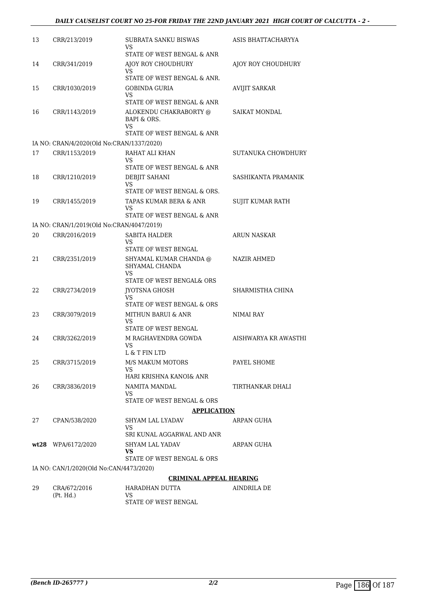| 13                                      | CRR/213/2019                              | SUBRATA SANKU BISWAS<br>VS<br>STATE OF WEST BENGAL & ANR                    | ASIS BHATTACHARYYA   |  |
|-----------------------------------------|-------------------------------------------|-----------------------------------------------------------------------------|----------------------|--|
| 14                                      | CRR/341/2019                              | AJOY ROY CHOUDHURY<br>VS                                                    | AJOY ROY CHOUDHURY   |  |
| 15                                      | CRR/1030/2019                             | STATE OF WEST BENGAL & ANR.<br><b>GOBINDA GURIA</b>                         | <b>AVIJIT SARKAR</b> |  |
|                                         |                                           | VS<br>STATE OF WEST BENGAL & ANR                                            |                      |  |
| 16                                      | CRR/1143/2019                             | ALOKENDU CHAKRABORTY @<br>BAPI & ORS.<br>VS                                 | <b>SAIKAT MONDAL</b> |  |
|                                         |                                           | STATE OF WEST BENGAL & ANR                                                  |                      |  |
|                                         | IA NO: CRAN/4/2020(Old No:CRAN/1337/2020) |                                                                             |                      |  |
| 17                                      | CRR/1153/2019                             | RAHAT ALI KHAN<br>VS                                                        | SUTANUKA CHOWDHURY   |  |
|                                         |                                           | STATE OF WEST BENGAL & ANR                                                  |                      |  |
| 18                                      | CRR/1210/2019                             | DEBJIT SAHANI<br>VS<br>STATE OF WEST BENGAL & ORS.                          | SASHIKANTA PRAMANIK  |  |
| 19                                      | CRR/1455/2019                             | TAPAS KUMAR BERA & ANR                                                      | SUJIT KUMAR RATH     |  |
|                                         |                                           | VS                                                                          |                      |  |
|                                         |                                           | STATE OF WEST BENGAL & ANR                                                  |                      |  |
|                                         | IA NO: CRAN/1/2019(Old No:CRAN/4047/2019) |                                                                             |                      |  |
| 20                                      | CRR/2016/2019                             | <b>SABITA HALDER</b><br><b>VS</b><br>STATE OF WEST BENGAL                   | ARUN NASKAR          |  |
| 21                                      | CRR/2351/2019                             | SHYAMAL KUMAR CHANDA @<br>SHYAMAL CHANDA<br>VS<br>STATE OF WEST BENGAL& ORS | <b>NAZIR AHMED</b>   |  |
| 22                                      | CRR/2734/2019                             | <b>JYOTSNA GHOSH</b>                                                        | SHARMISTHA CHINA     |  |
|                                         |                                           | VS<br>STATE OF WEST BENGAL & ORS                                            |                      |  |
| 23                                      | CRR/3079/2019                             | MITHUN BARUI & ANR<br>VS<br>STATE OF WEST BENGAL                            | NIMAI RAY            |  |
| 24                                      | CRR/3262/2019                             | M RAGHAVENDRA GOWDA<br><b>VS</b>                                            | AISHWARYA KR AWASTHI |  |
|                                         |                                           | L & T FIN LTD                                                               |                      |  |
| 25                                      | CRR/3715/2019                             | M/S MAKUM MOTORS<br>VS<br>HARI KRISHNA KANOI& ANR                           | PAYEL SHOME          |  |
| 26                                      | CRR/3836/2019                             | NAMITA MANDAL                                                               | TIRTHANKAR DHALI     |  |
|                                         |                                           | VS.<br>STATE OF WEST BENGAL & ORS                                           |                      |  |
|                                         | <b>APPLICATION</b>                        |                                                                             |                      |  |
| 27                                      | CPAN/538/2020                             | <b>SHYAM LAL LYADAV</b><br>VS.                                              | ARPAN GUHA           |  |
|                                         |                                           | SRI KUNAL AGGARWAL AND ANR                                                  |                      |  |
|                                         | wt28 WPA/6172/2020                        | SHYAM LAL YADAV<br>VS<br>STATE OF WEST BENGAL & ORS                         | ARPAN GUHA           |  |
| IA NO: CAN/1/2020(Old No:CAN/4473/2020) |                                           |                                                                             |                      |  |
| <b>CRIMINAL APPEAL HEARING</b>          |                                           |                                                                             |                      |  |
| 29                                      | CRA/672/2016                              | HARADHAN DUTTA                                                              | AINDRILA DE          |  |
|                                         | (Pt. Hd.)                                 | VS<br>STATE OF WEST BENGAL                                                  |                      |  |